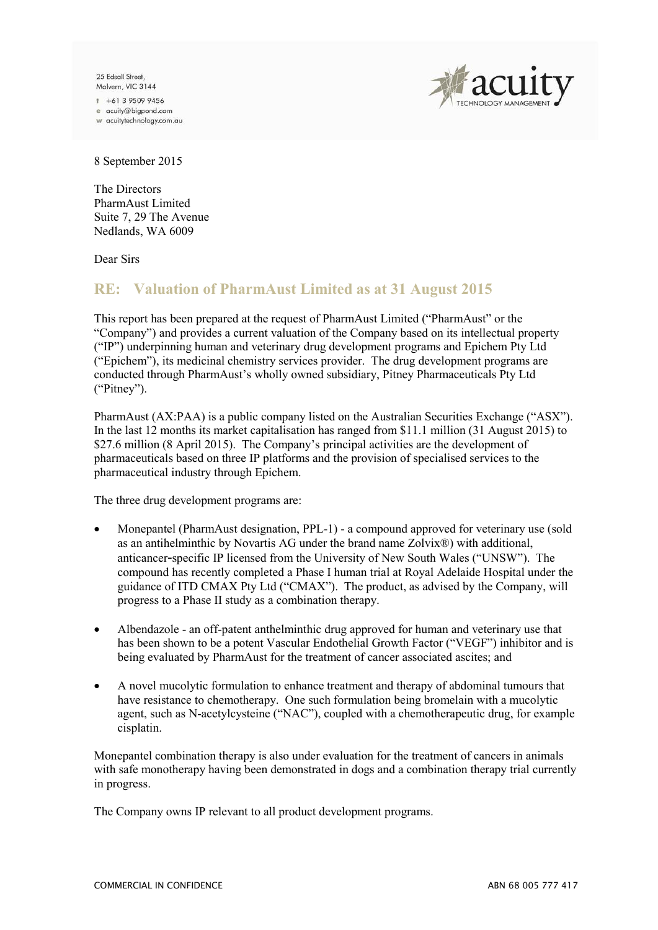25 Edsall Street Malvern, VIC 3144

 $+61395099456$ e acuity@bigpond.com w acuitytechnology.com.au



8 September 2015

The Directors PharmAust Limited Suite 7, 29 The Avenue Nedlands, WA 6009

Dear Sirs

## **RE: Valuation of PharmAust Limited as at 31 August 2015**

This report has been prepared at the request of PharmAust Limited ("PharmAust" or the "Company") and provides a current valuation of the Company based on its intellectual property ("IP") underpinning human and veterinary drug development programs and Epichem Pty Ltd ("Epichem"), its medicinal chemistry services provider. The drug development programs are conducted through PharmAust's wholly owned subsidiary, Pitney Pharmaceuticals Pty Ltd ("Pitney").

PharmAust (AX:PAA) is a public company listed on the Australian Securities Exchange ("ASX"). In the last 12 months its market capitalisation has ranged from \$11.1 million (31 August 2015) to \$27.6 million (8 April 2015). The Company's principal activities are the development of pharmaceuticals based on three IP platforms and the provision of specialised services to the pharmaceutical industry through Epichem.

The three drug development programs are:

- Monepantel (PharmAust designation, PPL-1) a compound approved for veterinary use (sold as an antihelminthic by Novartis AG under the brand name Zolvix®) with additional, anticancer-specific IP licensed from the University of New South Wales ("UNSW"). The compound has recently completed a Phase I human trial at Royal Adelaide Hospital under the guidance of ITD CMAX Pty Ltd ("CMAX"). The product, as advised by the Company, will progress to a Phase II study as a combination therapy.
- Albendazole an off-patent anthelminthic drug approved for human and veterinary use that has been shown to be a potent Vascular Endothelial Growth Factor ("VEGF") inhibitor and is being evaluated by PharmAust for the treatment of cancer associated ascites; and
- A novel mucolytic formulation to enhance treatment and therapy of abdominal tumours that have resistance to chemotherapy. One such formulation being bromelain with a mucolytic agent, such as N-acetylcysteine ("NAC"), coupled with a chemotherapeutic drug, for example cisplatin.

Monepantel combination therapy is also under evaluation for the treatment of cancers in animals with safe monotherapy having been demonstrated in dogs and a combination therapy trial currently in progress.

The Company owns IP relevant to all product development programs.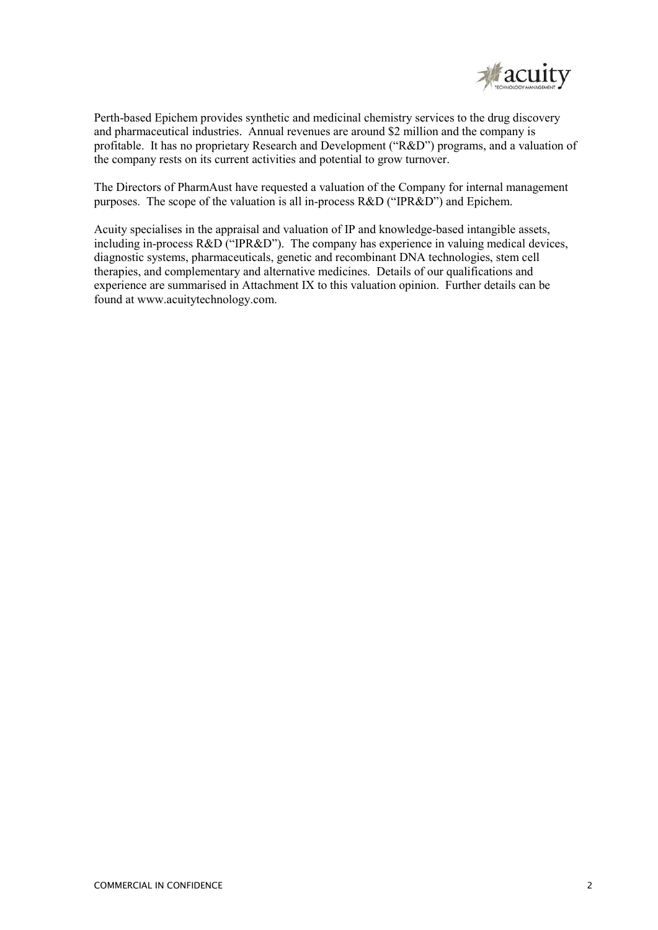

Perth-based Epichem provides synthetic and medicinal chemistry services to the drug discovery and pharmaceutical industries. Annual revenues are around \$2 million and the company is profitable. It has no proprietary Research and Development ("R&D") programs, and a valuation of the company rests on its current activities and potential to grow turnover.

The Directors of PharmAust have requested a valuation of the Company for internal management purposes. The scope of the valuation is all in-process R&D ("IPR&D") and Epichem.

Acuity specialises in the appraisal and valuation of IP and knowledge-based intangible assets, including in-process R&D ("IPR&D"). The company has experience in valuing medical devices, diagnostic systems, pharmaceuticals, genetic and recombinant DNA technologies, stem cell therapies, and complementary and alternative medicines. Details of our qualifications and experience are summarised in Attachment IX to this valuation opinion. Further details can be found at www.acuitytechnology.com.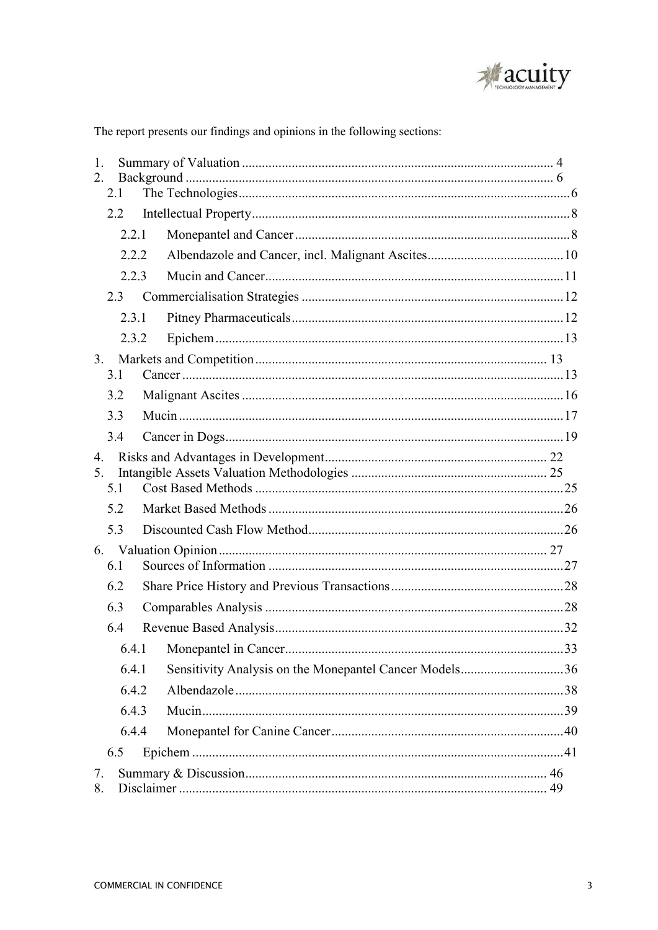

The report presents our findings and opinions in the following sections:

| $\mathbf{1}$ .<br>2 <sub>1</sub> |       |  |                                                        |  |
|----------------------------------|-------|--|--------------------------------------------------------|--|
|                                  | 2.1   |  |                                                        |  |
|                                  | 2.2   |  |                                                        |  |
|                                  | 2.2.1 |  |                                                        |  |
|                                  | 2.2.2 |  |                                                        |  |
|                                  | 2.2.3 |  |                                                        |  |
|                                  | 2.3   |  |                                                        |  |
|                                  | 2.3.1 |  |                                                        |  |
|                                  | 2.3.2 |  |                                                        |  |
| 3 <sub>1</sub>                   | 3.1   |  |                                                        |  |
|                                  | 3.2   |  |                                                        |  |
|                                  | 3.3   |  |                                                        |  |
|                                  | 3.4   |  |                                                        |  |
| $\overline{4}$ .                 |       |  |                                                        |  |
| 5 <sub>1</sub>                   | 5.1   |  |                                                        |  |
|                                  | 5.2   |  |                                                        |  |
|                                  | 5.3   |  |                                                        |  |
|                                  |       |  |                                                        |  |
|                                  | 6.1   |  |                                                        |  |
|                                  | 6.2   |  |                                                        |  |
|                                  | 6.3   |  |                                                        |  |
|                                  | 6.4   |  |                                                        |  |
|                                  |       |  |                                                        |  |
|                                  | 6.4.1 |  | Sensitivity Analysis on the Monepantel Cancer Models36 |  |
|                                  | 6.4.2 |  |                                                        |  |
|                                  | 6.4.3 |  |                                                        |  |
|                                  | 6.4.4 |  |                                                        |  |
|                                  | 6.5   |  |                                                        |  |
| 7.<br>8.                         |       |  |                                                        |  |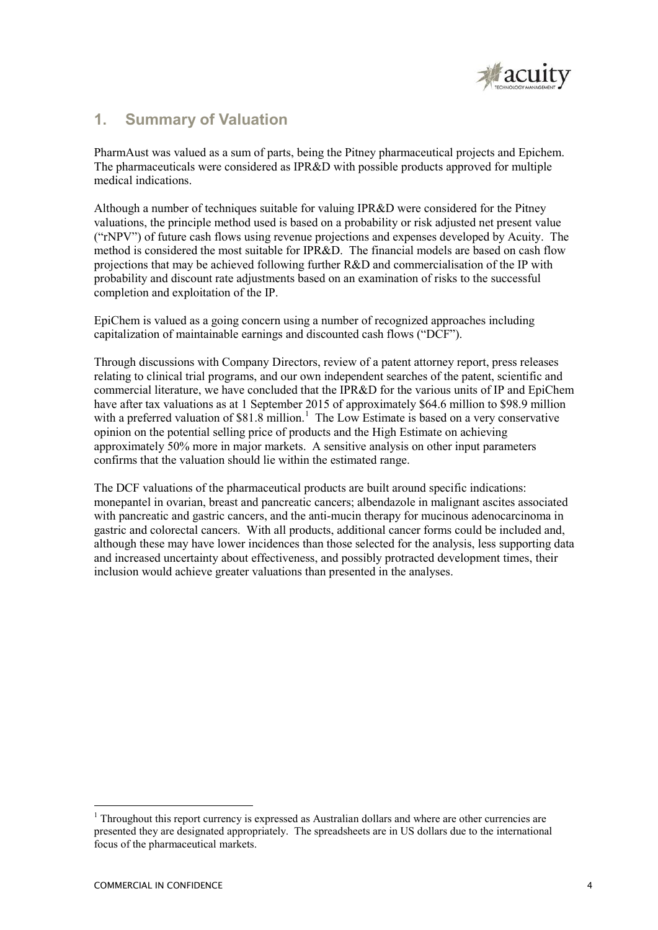

# **1. Summary of Valuation**

PharmAust was valued as a sum of parts, being the Pitney pharmaceutical projects and Epichem. The pharmaceuticals were considered as IPR&D with possible products approved for multiple medical indications.

Although a number of techniques suitable for valuing IPR&D were considered for the Pitney valuations, the principle method used is based on a probability or risk adjusted net present value ("rNPV") of future cash flows using revenue projections and expenses developed by Acuity. The method is considered the most suitable for IPR&D. The financial models are based on cash flow projections that may be achieved following further R&D and commercialisation of the IP with probability and discount rate adjustments based on an examination of risks to the successful completion and exploitation of the IP.

EpiChem is valued as a going concern using a number of recognized approaches including capitalization of maintainable earnings and discounted cash flows ("DCF").

Through discussions with Company Directors, review of a patent attorney report, press releases relating to clinical trial programs, and our own independent searches of the patent, scientific and commercial literature, we have concluded that the IPR&D for the various units of IP and EpiChem have after tax valuations as at 1 September 2015 of approximately \$64.6 million to \$98.9 million with a preferred valuation of \$81.8 million.<sup>1</sup> The Low Estimate is based on a very conservative opinion on the potential selling price of products and the High Estimate on achieving approximately 50% more in major markets. A sensitive analysis on other input parameters confirms that the valuation should lie within the estimated range.

The DCF valuations of the pharmaceutical products are built around specific indications: monepantel in ovarian, breast and pancreatic cancers; albendazole in malignant ascites associated with pancreatic and gastric cancers, and the anti-mucin therapy for mucinous adenocarcinoma in gastric and colorectal cancers. With all products, additional cancer forms could be included and, although these may have lower incidences than those selected for the analysis, less supporting data and increased uncertainty about effectiveness, and possibly protracted development times, their inclusion would achieve greater valuations than presented in the analyses.

-

 $1$  Throughout this report currency is expressed as Australian dollars and where are other currencies are presented they are designated appropriately. The spreadsheets are in US dollars due to the international focus of the pharmaceutical markets.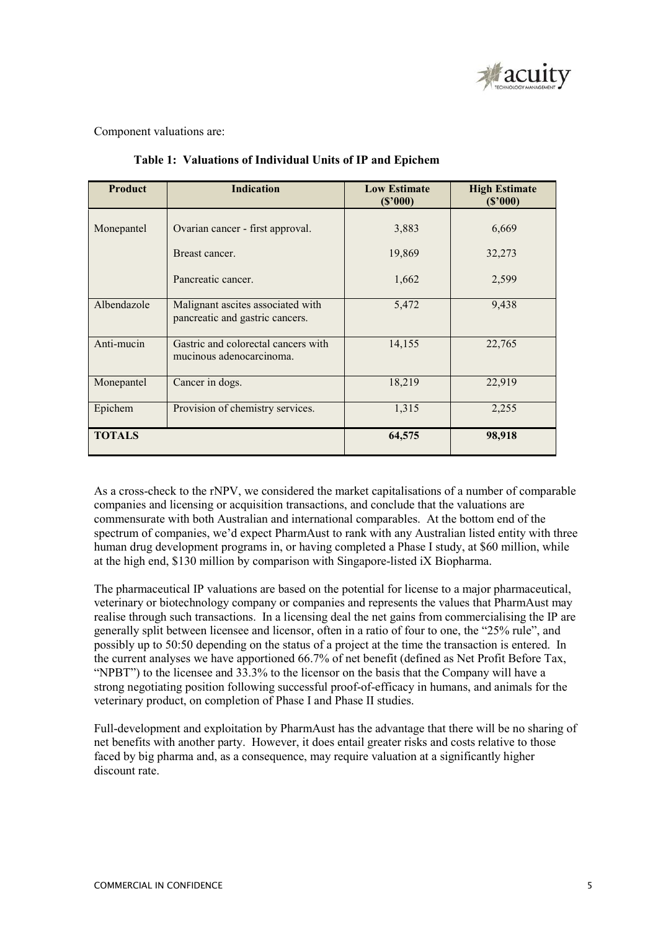

Component valuations are:

| <b>Product</b>                                                                      | <b>Indication</b>                                               | <b>Low Estimate</b><br>(S'000) | <b>High Estimate</b><br>(S'000) |  |
|-------------------------------------------------------------------------------------|-----------------------------------------------------------------|--------------------------------|---------------------------------|--|
| Monepantel<br>Ovarian cancer - first approval.                                      |                                                                 | 3,883                          | 6,669                           |  |
|                                                                                     | Breast cancer.                                                  | 19,869                         | 32,273                          |  |
|                                                                                     | Pancreatic cancer.                                              | 1,662                          | 2,599                           |  |
| Albendazole<br>Malignant ascites associated with<br>pancreatic and gastric cancers. |                                                                 | 5,472                          | 9,438                           |  |
| Anti-mucin                                                                          | Gastric and colorectal cancers with<br>mucinous adenocarcinoma. | 14,155                         | 22,765                          |  |
| Cancer in dogs.<br>Monepantel                                                       |                                                                 | 18,219                         | 22,919                          |  |
| Provision of chemistry services.<br>Epichem                                         |                                                                 | 1,315                          | 2,255                           |  |
| <b>TOTALS</b>                                                                       |                                                                 | 64,575                         | 98,918                          |  |

 **Table 1: Valuations of Individual Units of IP and Epichem** 

As a cross-check to the rNPV, we considered the market capitalisations of a number of comparable companies and licensing or acquisition transactions, and conclude that the valuations are commensurate with both Australian and international comparables. At the bottom end of the spectrum of companies, we'd expect PharmAust to rank with any Australian listed entity with three human drug development programs in, or having completed a Phase I study, at \$60 million, while at the high end, \$130 million by comparison with Singapore-listed iX Biopharma.

The pharmaceutical IP valuations are based on the potential for license to a major pharmaceutical, veterinary or biotechnology company or companies and represents the values that PharmAust may realise through such transactions. In a licensing deal the net gains from commercialising the IP are generally split between licensee and licensor, often in a ratio of four to one, the "25% rule", and possibly up to 50:50 depending on the status of a project at the time the transaction is entered. In the current analyses we have apportioned 66.7% of net benefit (defined as Net Profit Before Tax, "NPBT") to the licensee and 33.3% to the licensor on the basis that the Company will have a strong negotiating position following successful proof-of-efficacy in humans, and animals for the veterinary product, on completion of Phase I and Phase II studies.

Full-development and exploitation by PharmAust has the advantage that there will be no sharing of net benefits with another party. However, it does entail greater risks and costs relative to those faced by big pharma and, as a consequence, may require valuation at a significantly higher discount rate.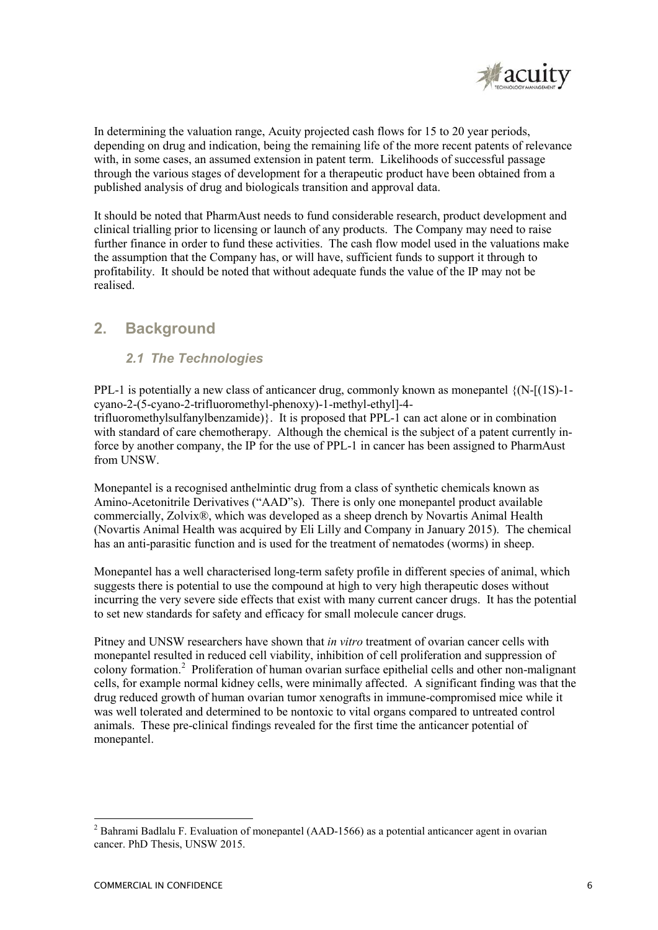

In determining the valuation range, Acuity projected cash flows for 15 to 20 year periods, depending on drug and indication, being the remaining life of the more recent patents of relevance with, in some cases, an assumed extension in patent term. Likelihoods of successful passage through the various stages of development for a therapeutic product have been obtained from a published analysis of drug and biologicals transition and approval data.

It should be noted that PharmAust needs to fund considerable research, product development and clinical trialling prior to licensing or launch of any products. The Company may need to raise further finance in order to fund these activities. The cash flow model used in the valuations make the assumption that the Company has, or will have, sufficient funds to support it through to profitability. It should be noted that without adequate funds the value of the IP may not be realised.

# **2. Background**

## *2.1 The Technologies*

PPL-1 is potentially a new class of anticancer drug, commonly known as monepantel {(N-[(1S)-1 cyano-2-(5-cyano-2-trifluoromethyl-phenoxy)-1-methyl-ethyl]-4 trifluoromethylsulfanylbenzamide)}. It is proposed that PPL-1 can act alone or in combination with standard of care chemotherapy. Although the chemical is the subject of a patent currently inforce by another company, the IP for the use of PPL-1 in cancer has been assigned to PharmAust from UNSW.

Monepantel is a recognised anthelmintic drug from a class of synthetic chemicals known as Amino-Acetonitrile Derivatives ("AAD"s). There is only one monepantel product available commercially, Zolvix®, which was developed as a sheep drench by Novartis Animal Health (Novartis Animal Health was acquired by Eli Lilly and Company in January 2015). The chemical has an anti-parasitic function and is used for the treatment of nematodes (worms) in sheep.

Monepantel has a well characterised long-term safety profile in different species of animal, which suggests there is potential to use the compound at high to very high therapeutic doses without incurring the very severe side effects that exist with many current cancer drugs. It has the potential to set new standards for safety and efficacy for small molecule cancer drugs.

Pitney and UNSW researchers have shown that *in vitro* treatment of ovarian cancer cells with monepantel resulted in reduced cell viability, inhibition of cell proliferation and suppression of colony formation.<sup>2</sup> Proliferation of human ovarian surface epithelial cells and other non-malignant cells, for example normal kidney cells, were minimally affected. A significant finding was that the drug reduced growth of human ovarian tumor xenografts in immune-compromised mice while it was well tolerated and determined to be nontoxic to vital organs compared to untreated control animals. These pre-clinical findings revealed for the first time the anticancer potential of monepantel.

<sup>&</sup>lt;u>.</u> <sup>2</sup> Bahrami Badlalu F. Evaluation of monepantel (AAD-1566) as a potential anticancer agent in ovarian cancer. PhD Thesis, UNSW 2015.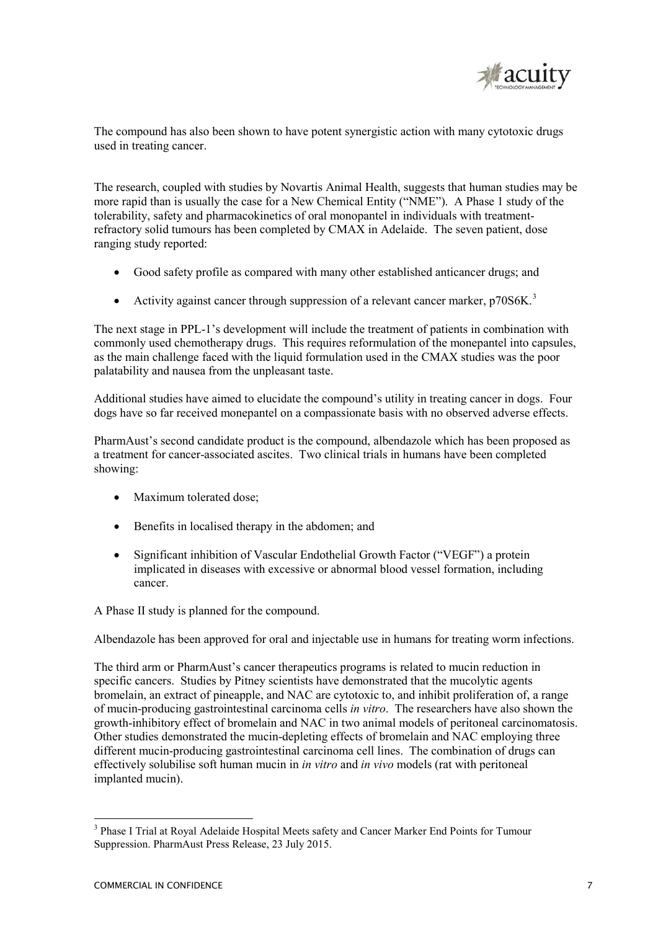

The compound has also been shown to have potent synergistic action with many cytotoxic drugs used in treating cancer.

The research, coupled with studies by Novartis Animal Health, suggests that human studies may be more rapid than is usually the case for a New Chemical Entity ("NME"). A Phase 1 study of the tolerability, safety and pharmacokinetics of oral monopantel in individuals with treatmentrefractory solid tumours has been completed by CMAX in Adelaide. The seven patient, dose ranging study reported:

- Good safety profile as compared with many other established anticancer drugs; and
- Activity against cancer through suppression of a relevant cancer marker,  $p70S6K<sup>3</sup>$

The next stage in PPL-1's development will include the treatment of patients in combination with commonly used chemotherapy drugs. This requires reformulation of the monepantel into capsules, as the main challenge faced with the liquid formulation used in the CMAX studies was the poor palatability and nausea from the unpleasant taste.

Additional studies have aimed to elucidate the compound's utility in treating cancer in dogs. Four dogs have so far received monepantel on a compassionate basis with no observed adverse effects.

PharmAust's second candidate product is the compound, albendazole which has been proposed as a treatment for cancer-associated ascites. Two clinical trials in humans have been completed showing:

- Maximum tolerated dose:
- Benefits in localised therapy in the abdomen: and
- Significant inhibition of Vascular Endothelial Growth Factor ("VEGF") a protein implicated in diseases with excessive or abnormal blood vessel formation, including cancer.

A Phase II study is planned for the compound.

Albendazole has been approved for oral and injectable use in humans for treating worm infections.

The third arm or PharmAust's cancer therapeutics programs is related to mucin reduction in specific cancers. Studies by Pitney scientists have demonstrated that the mucolytic agents bromelain, an extract of pineapple, and NAC are cytotoxic to, and inhibit proliferation of, a range of mucin-producing gastrointestinal carcinoma cells *in vitro*. The researchers have also shown the growth-inhibitory effect of bromelain and NAC in two animal models of peritoneal carcinomatosis. Other studies demonstrated the mucin-depleting effects of bromelain and NAC employing three different mucin-producing gastrointestinal carcinoma cell lines. The combination of drugs can effectively solubilise soft human mucin in *in vitro* and *in vivo* models (rat with peritoneal implanted mucin).

<sup>&</sup>lt;sup>3</sup> Phase I Trial at Royal Adelaide Hospital Meets safety and Cancer Marker End Points for Tumour Suppression. PharmAust Press Release, 23 July 2015.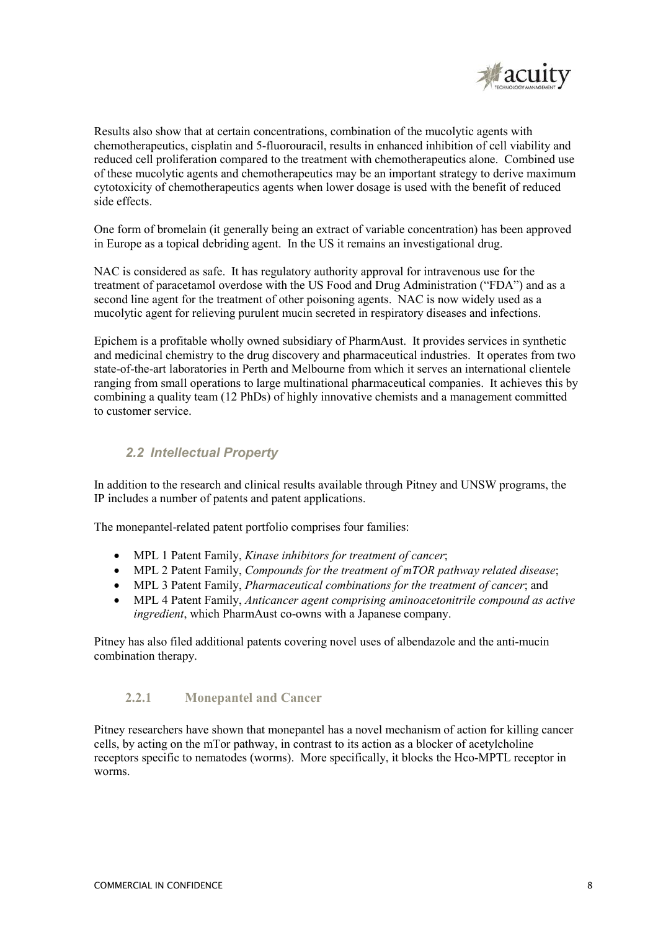

Results also show that at certain concentrations, combination of the mucolytic agents with chemotherapeutics, cisplatin and 5-fluorouracil, results in enhanced inhibition of cell viability and reduced cell proliferation compared to the treatment with chemotherapeutics alone. Combined use of these mucolytic agents and chemotherapeutics may be an important strategy to derive maximum cytotoxicity of chemotherapeutics agents when lower dosage is used with the benefit of reduced side effects.

One form of bromelain (it generally being an extract of variable concentration) has been approved in Europe as a topical debriding agent. In the US it remains an investigational drug.

NAC is considered as safe. It has regulatory authority approval for intravenous use for the treatment of paracetamol overdose with the US Food and Drug Administration ("FDA") and as a second line agent for the treatment of other poisoning agents. NAC is now widely used as a mucolytic agent for relieving purulent mucin secreted in respiratory diseases and infections.

Epichem is a profitable wholly owned subsidiary of PharmAust. It provides services in synthetic and medicinal chemistry to the drug discovery and pharmaceutical industries. It operates from two state-of-the-art laboratories in Perth and Melbourne from which it serves an international clientele ranging from small operations to large multinational pharmaceutical companies. It achieves this by combining a quality team (12 PhDs) of highly innovative chemists and a management committed to customer service.

## *2.2 Intellectual Property*

In addition to the research and clinical results available through Pitney and UNSW programs, the IP includes a number of patents and patent applications.

The monepantel-related patent portfolio comprises four families:

- MPL 1 Patent Family, *Kinase inhibitors for treatment of cancer*;
- MPL 2 Patent Family, *Compounds for the treatment of mTOR pathway related disease*;
- MPL 3 Patent Family, *Pharmaceutical combinations for the treatment of cancer*; and
- MPL 4 Patent Family, *Anticancer agent comprising aminoacetonitrile compound as active ingredient*, which PharmAust co-owns with a Japanese company.

Pitney has also filed additional patents covering novel uses of albendazole and the anti-mucin combination therapy.

## **2.2.1 Monepantel and Cancer**

Pitney researchers have shown that monepantel has a novel mechanism of action for killing cancer cells, by acting on the mTor pathway, in contrast to its action as a blocker of acetylcholine receptors specific to nematodes (worms). More specifically, it blocks the Hco-MPTL receptor in worms.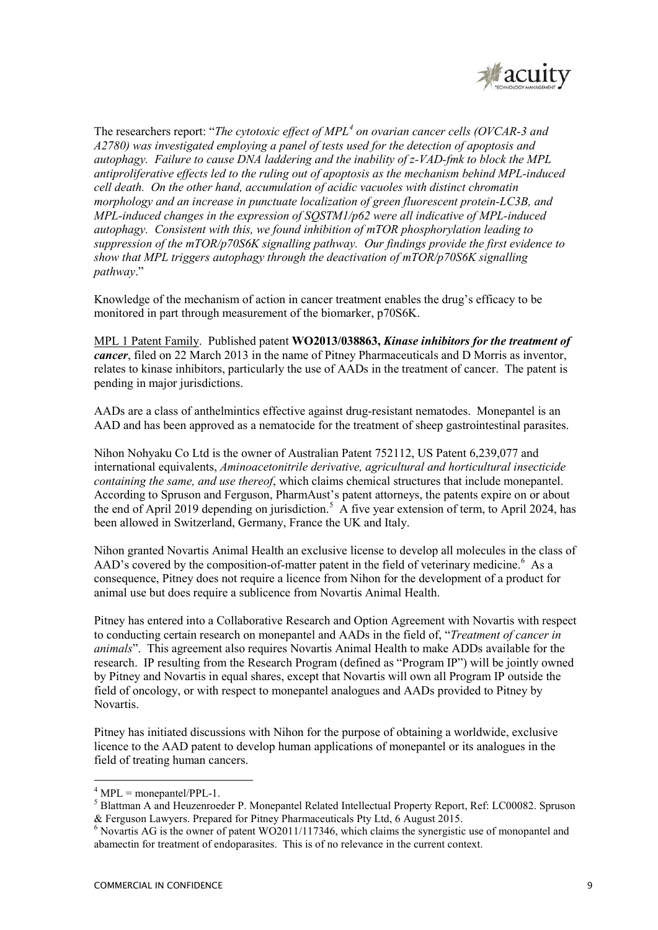

The researchers report: "*The cytotoxic effect of MPL<sup>4</sup> on ovarian cancer cells (OVCAR-3 and A2780) was investigated employing a panel of tests used for the detection of apoptosis and autophagy. Failure to cause DNA laddering and the inability of z-VAD-fmk to block the MPL antiproliferative effects led to the ruling out of apoptosis as the mechanism behind MPL-induced cell death. On the other hand, accumulation of acidic vacuoles with distinct chromatin morphology and an increase in punctuate localization of green fluorescent protein-LC3B, and MPL-induced changes in the expression of SQSTM1/p62 were all indicative of MPL-induced autophagy. Consistent with this, we found inhibition of mTOR phosphorylation leading to suppression of the mTOR/p70S6K signalling pathway. Our findings provide the first evidence to show that MPL triggers autophagy through the deactivation of mTOR/p70S6K signalling pathway*."

Knowledge of the mechanism of action in cancer treatment enables the drug's efficacy to be monitored in part through measurement of the biomarker, p70S6K.

MPL 1 Patent Family. Published patent **WO2013/038863,** *Kinase inhibitors for the treatment of cancer*, filed on 22 March 2013 in the name of Pitney Pharmaceuticals and D Morris as inventor, relates to kinase inhibitors, particularly the use of AADs in the treatment of cancer. The patent is pending in major jurisdictions.

AADs are a class of anthelmintics effective against drug-resistant nematodes. Monepantel is an AAD and has been approved as a nematocide for the treatment of sheep gastrointestinal parasites.

Nihon Nohyaku Co Ltd is the owner of Australian Patent 752112, US Patent 6,239,077 and international equivalents, *Aminoacetonitrile derivative, agricultural and horticultural insecticide containing the same, and use thereof*, which claims chemical structures that include monepantel. According to Spruson and Ferguson, PharmAust's patent attorneys, the patents expire on or about the end of April 2019 depending on jurisdiction.<sup>5</sup> A five year extension of term, to April 2024, has been allowed in Switzerland, Germany, France the UK and Italy.

Nihon granted Novartis Animal Health an exclusive license to develop all molecules in the class of  $AAD$ 's covered by the composition-of-matter patent in the field of veterinary medicine.<sup>6</sup> As a consequence, Pitney does not require a licence from Nihon for the development of a product for animal use but does require a sublicence from Novartis Animal Health.

Pitney has entered into a Collaborative Research and Option Agreement with Novartis with respect to conducting certain research on monepantel and AADs in the field of, "*Treatment of cancer in animals*". This agreement also requires Novartis Animal Health to make ADDs available for the research. IP resulting from the Research Program (defined as "Program IP") will be jointly owned by Pitney and Novartis in equal shares, except that Novartis will own all Program IP outside the field of oncology, or with respect to monepantel analogues and AADs provided to Pitney by Novartis.

Pitney has initiated discussions with Nihon for the purpose of obtaining a worldwide, exclusive licence to the AAD patent to develop human applications of monepantel or its analogues in the field of treating human cancers.

 $<sup>4</sup>$  MPL = monepantel/PPL-1.</sup>

<sup>5</sup> Blattman A and Heuzenroeder P. Monepantel Related Intellectual Property Report, Ref: LC00082. Spruson & Ferguson Lawyers. Prepared for Pitney Pharmaceuticals Pty Ltd, 6 August 2015.

<sup>&</sup>lt;sup>6</sup> Novartis AG is the owner of patent WO2011/117346, which claims the synergistic use of monopantel and abamectin for treatment of endoparasites. This is of no relevance in the current context.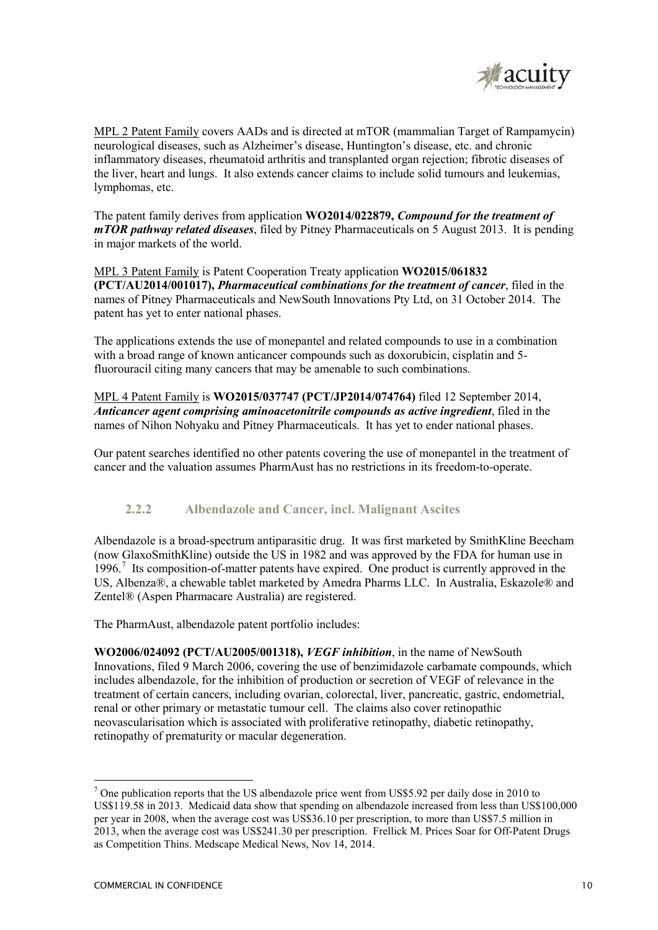

MPL 2 Patent Family covers AADs and is directed at mTOR (mammalian Target of Rampamycin) neurological diseases, such as Alzheimer's disease, Huntington's disease, etc. and chronic inflammatory diseases, rheumatoid arthritis and transplanted organ rejection; fibrotic diseases of the liver, heart and lungs. It also extends cancer claims to include solid tumours and leukemias, lymphomas, etc.

The patent family derives from application **WO2014/022879,** *Compound for the treatment of mTOR pathway related diseases*, filed by Pitney Pharmaceuticals on 5 August 2013. It is pending in major markets of the world.

MPL 3 Patent Family is Patent Cooperation Treaty application **WO2015/061832 (PCT/AU2014/001017),** *Pharmaceutical combinations for the treatment of cancer*, filed in the names of Pitney Pharmaceuticals and NewSouth Innovations Pty Ltd, on 31 October 2014. The patent has yet to enter national phases.

The applications extends the use of monepantel and related compounds to use in a combination with a broad range of known anticancer compounds such as doxorubicin, cisplatin and 5 fluorouracil citing many cancers that may be amenable to such combinations.

MPL 4 Patent Family is **WO2015/037747 (PCT/JP2014/074764)** filed 12 September 2014, *Anticancer agent comprising aminoacetonitrile compounds as active ingredient*, filed in the names of Nihon Nohyaku and Pitney Pharmaceuticals. It has yet to ender national phases.

Our patent searches identified no other patents covering the use of monepantel in the treatment of cancer and the valuation assumes PharmAust has no restrictions in its freedom-to-operate.

### **2.2.2 Albendazole and Cancer, incl. Malignant Ascites**

Albendazole is a broad-spectrum antiparasitic drug. It was first marketed by SmithKline Beecham (now GlaxoSmithKline) outside the US in 1982 and was approved by the FDA for human use in 1996.<sup>7</sup> Its composition-of-matter patents have expired. One product is currently approved in the US, Albenza®, a chewable tablet marketed by Amedra Pharms LLC. In Australia, Eskazole® and Zentel® (Aspen Pharmacare Australia) are registered.

The PharmAust, albendazole patent portfolio includes:

**WO2006/024092 (PCT/AU2005/001318),** *VEGF inhibition*, in the name of NewSouth Innovations, filed 9 March 2006, covering the use of benzimidazole carbamate compounds, which includes albendazole, for the inhibition of production or secretion of VEGF of relevance in the treatment of certain cancers, including ovarian, colorectal, liver, pancreatic, gastric, endometrial, renal or other primary or metastatic tumour cell. The claims also cover retinopathic neovascularisation which is associated with proliferative retinopathy, diabetic retinopathy, retinopathy of prematurity or macular degeneration.

 $<sup>7</sup>$  One publication reports that the US albendazole price went from US\$5.92 per daily dose in 2010 to</sup> US\$119.58 in 2013. Medicaid data show that spending on albendazole increased from less than US\$100,000 per year in 2008, when the average cost was US\$36.10 per prescription, to more than US\$7.5 million in 2013, when the average cost was US\$241.30 per prescription. Frellick M. Prices Soar for Off-Patent Drugs as Competition Thins. Medscape Medical News, Nov 14, 2014.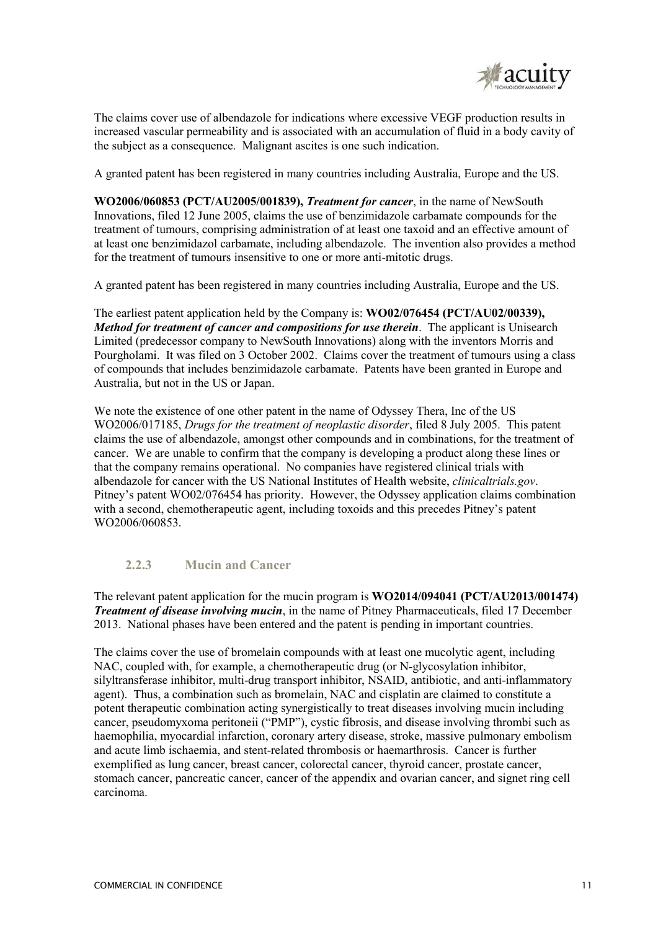

The claims cover use of albendazole for indications where excessive VEGF production results in increased vascular permeability and is associated with an accumulation of fluid in a body cavity of the subject as a consequence. Malignant ascites is one such indication.

A granted patent has been registered in many countries including Australia, Europe and the US.

**WO2006/060853 (PCT/AU2005/001839),** *Treatment for cancer*, in the name of NewSouth Innovations, filed 12 June 2005, claims the use of benzimidazole carbamate compounds for the treatment of tumours, comprising administration of at least one taxoid and an effective amount of at least one benzimidazol carbamate, including albendazole. The invention also provides a method for the treatment of tumours insensitive to one or more anti-mitotic drugs.

A granted patent has been registered in many countries including Australia, Europe and the US.

The earliest patent application held by the Company is: **WO02/076454 (PCT/AU02/00339),**  *Method for treatment of cancer and compositions for use therein*. The applicant is Unisearch Limited (predecessor company to NewSouth Innovations) along with the inventors Morris and Pourgholami. It was filed on 3 October 2002. Claims cover the treatment of tumours using a class of compounds that includes benzimidazole carbamate. Patents have been granted in Europe and Australia, but not in the US or Japan.

We note the existence of one other patent in the name of Odyssey Thera, Inc of the US WO2006/017185, *Drugs for the treatment of neoplastic disorder*, filed 8 July 2005. This patent claims the use of albendazole, amongst other compounds and in combinations, for the treatment of cancer. We are unable to confirm that the company is developing a product along these lines or that the company remains operational. No companies have registered clinical trials with albendazole for cancer with the US National Institutes of Health website, *clinicaltrials.gov*. Pitney's patent WO02/076454 has priority. However, the Odyssey application claims combination with a second, chemotherapeutic agent, including toxoids and this precedes Pitney's patent WO2006/060853.

## **2.2.3 Mucin and Cancer**

The relevant patent application for the mucin program is **WO2014/094041 (PCT/AU2013/001474)**  *Treatment of disease involving mucin*, in the name of Pitney Pharmaceuticals, filed 17 December 2013. National phases have been entered and the patent is pending in important countries.

The claims cover the use of bromelain compounds with at least one mucolytic agent, including NAC, coupled with, for example, a chemotherapeutic drug (or N-glycosylation inhibitor, silyltransferase inhibitor, multi-drug transport inhibitor, NSAID, antibiotic, and anti-inflammatory agent). Thus, a combination such as bromelain, NAC and cisplatin are claimed to constitute a potent therapeutic combination acting synergistically to treat diseases involving mucin including cancer, pseudomyxoma peritoneii ("PMP"), cystic fibrosis, and disease involving thrombi such as haemophilia, myocardial infarction, coronary artery disease, stroke, massive pulmonary embolism and acute limb ischaemia, and stent-related thrombosis or haemarthrosis. Cancer is further exemplified as lung cancer, breast cancer, colorectal cancer, thyroid cancer, prostate cancer, stomach cancer, pancreatic cancer, cancer of the appendix and ovarian cancer, and signet ring cell carcinoma.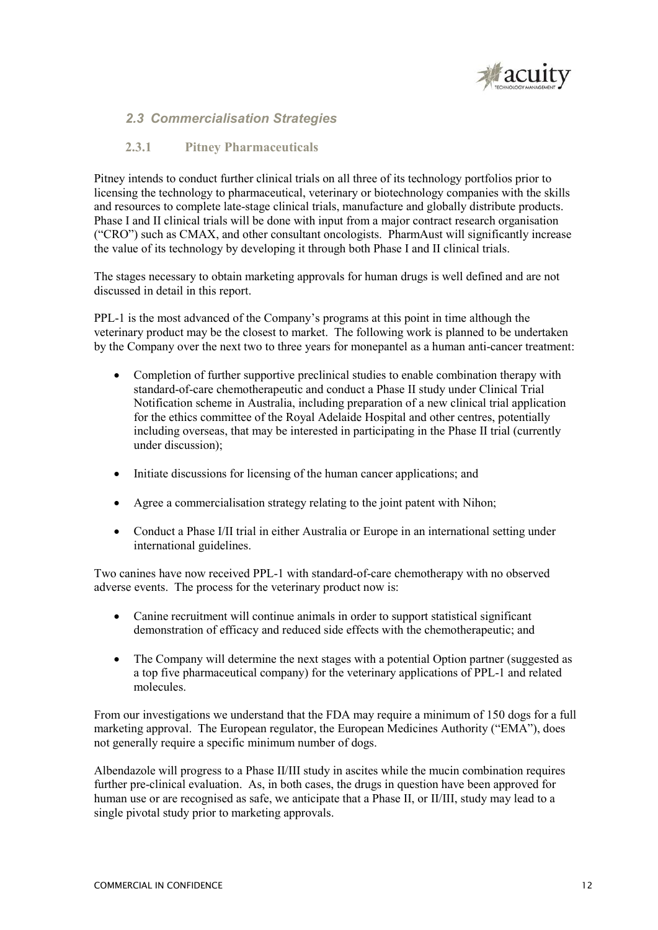

### *2.3 Commercialisation Strategies*

#### **2.3.1 Pitney Pharmaceuticals**

Pitney intends to conduct further clinical trials on all three of its technology portfolios prior to licensing the technology to pharmaceutical, veterinary or biotechnology companies with the skills and resources to complete late-stage clinical trials, manufacture and globally distribute products. Phase I and II clinical trials will be done with input from a major contract research organisation ("CRO") such as CMAX, and other consultant oncologists. PharmAust will significantly increase the value of its technology by developing it through both Phase I and II clinical trials.

The stages necessary to obtain marketing approvals for human drugs is well defined and are not discussed in detail in this report.

PPL-1 is the most advanced of the Company's programs at this point in time although the veterinary product may be the closest to market. The following work is planned to be undertaken by the Company over the next two to three years for monepantel as a human anti-cancer treatment:

- Completion of further supportive preclinical studies to enable combination therapy with standard-of-care chemotherapeutic and conduct a Phase II study under Clinical Trial Notification scheme in Australia, including preparation of a new clinical trial application for the ethics committee of the Royal Adelaide Hospital and other centres, potentially including overseas, that may be interested in participating in the Phase II trial (currently under discussion);
- Initiate discussions for licensing of the human cancer applications; and
- Agree a commercialisation strategy relating to the joint patent with Nihon;
- Conduct a Phase I/II trial in either Australia or Europe in an international setting under international guidelines.

Two canines have now received PPL-1 with standard-of-care chemotherapy with no observed adverse events. The process for the veterinary product now is:

- Canine recruitment will continue animals in order to support statistical significant demonstration of efficacy and reduced side effects with the chemotherapeutic; and
- The Company will determine the next stages with a potential Option partner (suggested as a top five pharmaceutical company) for the veterinary applications of PPL-1 and related molecules.

From our investigations we understand that the FDA may require a minimum of 150 dogs for a full marketing approval. The European regulator, the European Medicines Authority ("EMA"), does not generally require a specific minimum number of dogs.

Albendazole will progress to a Phase II/III study in ascites while the mucin combination requires further pre-clinical evaluation. As, in both cases, the drugs in question have been approved for human use or are recognised as safe, we anticipate that a Phase II, or II/III, study may lead to a single pivotal study prior to marketing approvals.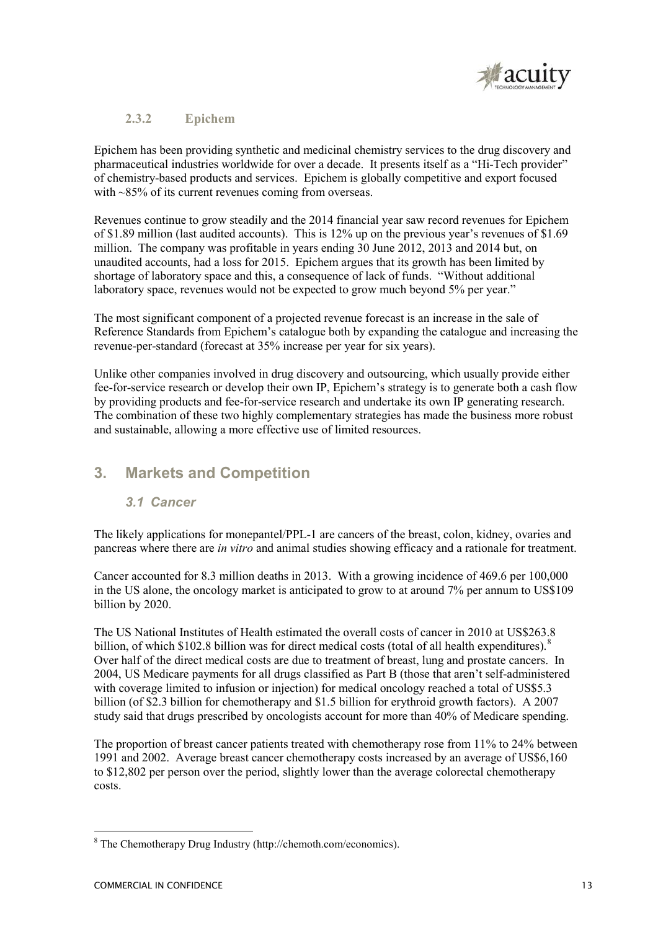

### **2.3.2 Epichem**

Epichem has been providing synthetic and medicinal chemistry services to the drug discovery and pharmaceutical industries worldwide for over a decade. It presents itself as a "Hi-Tech provider" of chemistry-based products and services. Epichem is globally competitive and export focused with ~85% of its current revenues coming from overseas.

Revenues continue to grow steadily and the 2014 financial year saw record revenues for Epichem of \$1.89 million (last audited accounts). This is 12% up on the previous year's revenues of \$1.69 million. The company was profitable in years ending 30 June 2012, 2013 and 2014 but, on unaudited accounts, had a loss for 2015. Epichem argues that its growth has been limited by shortage of laboratory space and this, a consequence of lack of funds. "Without additional laboratory space, revenues would not be expected to grow much beyond 5% per year."

The most significant component of a projected revenue forecast is an increase in the sale of Reference Standards from Epichem's catalogue both by expanding the catalogue and increasing the revenue-per-standard (forecast at 35% increase per year for six years).

Unlike other companies involved in drug discovery and outsourcing, which usually provide either fee-for-service research or develop their own IP, Epichem's strategy is to generate both a cash flow by providing products and fee-for-service research and undertake its own IP generating research. The combination of these two highly complementary strategies has made the business more robust and sustainable, allowing a more effective use of limited resources.

# **3. Markets and Competition**

## *3.1 Cancer*

The likely applications for monepantel/PPL-1 are cancers of the breast, colon, kidney, ovaries and pancreas where there are *in vitro* and animal studies showing efficacy and a rationale for treatment.

Cancer accounted for 8.3 million deaths in 2013. With a growing incidence of 469.6 per 100,000 in the US alone, the oncology market is anticipated to grow to at around 7% per annum to US\$109 billion by 2020.

The US National Institutes of Health estimated the overall costs of cancer in 2010 at US\$263.8 billion, of which \$102.8 billion was for direct medical costs (total of all health expenditures). $8$ Over half of the direct medical costs are due to treatment of breast, lung and prostate cancers. In 2004, US Medicare payments for all drugs classified as Part B (those that aren't self-administered with coverage limited to infusion or injection) for medical oncology reached a total of US\$5.3 billion (of \$2.3 billion for chemotherapy and \$1.5 billion for erythroid growth factors). A 2007 study said that drugs prescribed by oncologists account for more than 40% of Medicare spending.

The proportion of breast cancer patients treated with chemotherapy rose from 11% to 24% between 1991 and 2002. Average breast cancer chemotherapy costs increased by an average of US\$6,160 to \$12,802 per person over the period, slightly lower than the average colorectal chemotherapy costs.

<sup>8</sup> The Chemotherapy Drug Industry (http://chemoth.com/economics).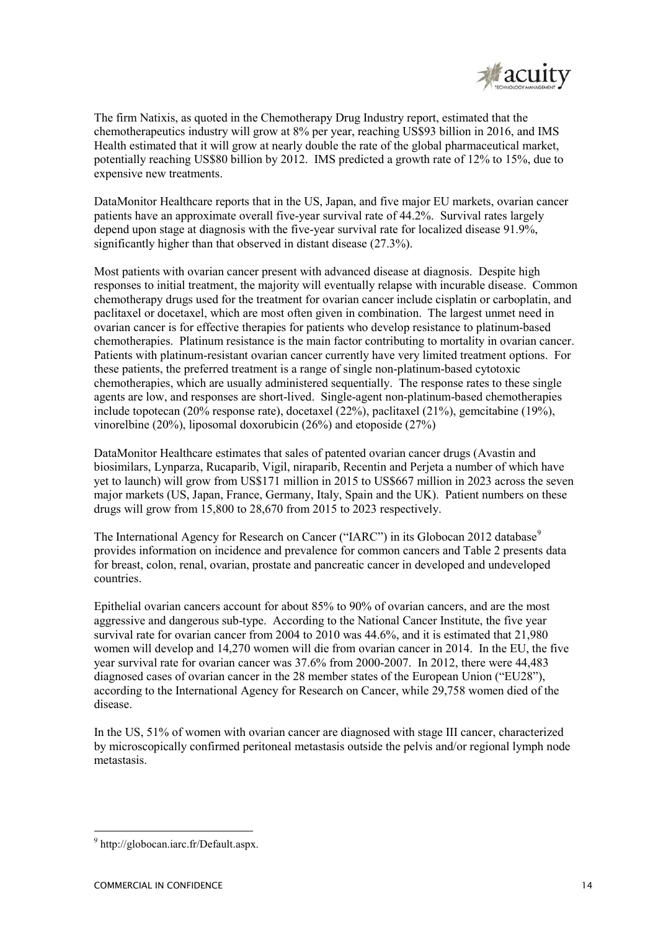

The firm Natixis, as quoted in the Chemotherapy Drug Industry report, estimated that the chemotherapeutics industry will grow at 8% per year, reaching US\$93 billion in 2016, and IMS Health estimated that it will grow at nearly double the rate of the global pharmaceutical market, potentially reaching US\$80 billion by 2012. IMS predicted a growth rate of 12% to 15%, due to expensive new treatments.

DataMonitor Healthcare reports that in the US, Japan, and five major EU markets, ovarian cancer patients have an approximate overall five-year survival rate of 44.2%. Survival rates largely depend upon stage at diagnosis with the five-year survival rate for localized disease 91.9%, significantly higher than that observed in distant disease (27.3%).

Most patients with ovarian cancer present with advanced disease at diagnosis. Despite high responses to initial treatment, the majority will eventually relapse with incurable disease. Common chemotherapy drugs used for the treatment for ovarian cancer include cisplatin or carboplatin, and paclitaxel or docetaxel, which are most often given in combination. The largest unmet need in ovarian cancer is for effective therapies for patients who develop resistance to platinum-based chemotherapies. Platinum resistance is the main factor contributing to mortality in ovarian cancer. Patients with platinum-resistant ovarian cancer currently have very limited treatment options. For these patients, the preferred treatment is a range of single non-platinum-based cytotoxic chemotherapies, which are usually administered sequentially. The response rates to these single agents are low, and responses are short-lived. Single-agent non-platinum-based chemotherapies include topotecan (20% response rate), docetaxel (22%), paclitaxel (21%), gemcitabine (19%), vinorelbine (20%), liposomal doxorubicin (26%) and etoposide (27%)

DataMonitor Healthcare estimates that sales of patented ovarian cancer drugs (Avastin and biosimilars, Lynparza, Rucaparib, Vigil, niraparib, Recentin and Perjeta a number of which have yet to launch) will grow from US\$171 million in 2015 to US\$667 million in 2023 across the seven major markets (US, Japan, France, Germany, Italy, Spain and the UK). Patient numbers on these drugs will grow from 15,800 to 28,670 from 2015 to 2023 respectively.

The International Agency for Research on Cancer ("IARC") in its Globocan 2012 database<sup>9</sup> provides information on incidence and prevalence for common cancers and Table 2 presents data for breast, colon, renal, ovarian, prostate and pancreatic cancer in developed and undeveloped countries.

Epithelial ovarian cancers account for about 85% to 90% of ovarian cancers, and are the most aggressive and dangerous sub-type. According to the National Cancer Institute, the five year survival rate for ovarian cancer from 2004 to 2010 was 44.6%, and it is estimated that 21,980 women will develop and 14,270 women will die from ovarian cancer in 2014. In the EU, the five year survival rate for ovarian cancer was 37.6% from 2000-2007. In 2012, there were 44,483 diagnosed cases of ovarian cancer in the 28 member states of the European Union ("EU28"), according to the International Agency for Research on Cancer, while 29,758 women died of the disease.

In the US, 51% of women with ovarian cancer are diagnosed with stage III cancer, characterized by microscopically confirmed peritoneal metastasis outside the pelvis and/or regional lymph node metastasis.

<sup>9</sup> http://globocan.iarc.fr/Default.aspx.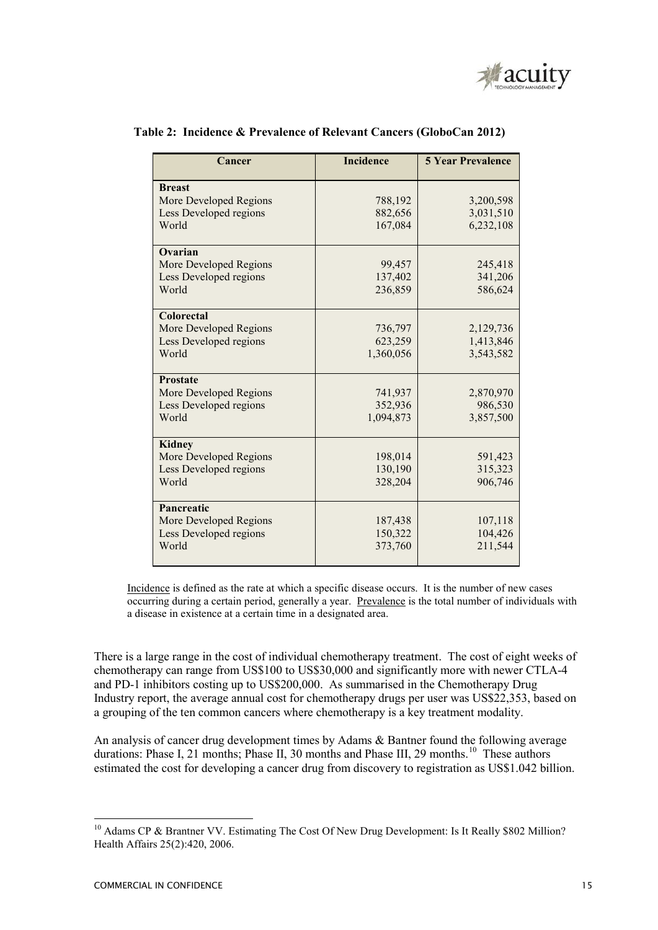

| Cancer                 | <b>Incidence</b> | <b>5 Year Prevalence</b> |  |
|------------------------|------------------|--------------------------|--|
| <b>Breast</b>          |                  |                          |  |
| More Developed Regions | 788,192          | 3,200,598                |  |
| Less Developed regions | 882,656          | 3,031,510                |  |
| World                  | 167,084          | 6,232,108                |  |
| Ovarian                |                  |                          |  |
| More Developed Regions | 99,457           | 245,418                  |  |
| Less Developed regions | 137,402          | 341,206                  |  |
| World                  | 236,859          | 586,624                  |  |
| <b>Colorectal</b>      |                  |                          |  |
| More Developed Regions | 736,797          | 2,129,736                |  |
| Less Developed regions | 623,259          | 1,413,846                |  |
| World                  | 1,360,056        | 3,543,582                |  |
| <b>Prostate</b>        |                  |                          |  |
| More Developed Regions | 741,937          | 2,870,970                |  |
| Less Developed regions | 352,936          | 986,530                  |  |
| World                  | 1,094,873        | 3,857,500                |  |
| <b>Kidney</b>          |                  |                          |  |
| More Developed Regions | 198,014          | 591,423                  |  |
| Less Developed regions | 130,190          | 315,323                  |  |
| World                  | 328,204          | 906,746                  |  |
| Pancreatic             |                  |                          |  |
| More Developed Regions | 187,438          | 107,118                  |  |
| Less Developed regions | 150,322          | 104,426                  |  |
| World                  | 373,760          | 211,544                  |  |

#### **Table 2: Incidence & Prevalence of Relevant Cancers (GloboCan 2012)**

Incidence is defined as the rate at which a specific disease occurs. It is the number of new cases occurring during a certain period, generally a year. Prevalence is the total number of individuals with a disease in existence at a certain time in a designated area.

There is a large range in the cost of individual chemotherapy treatment. The cost of eight weeks of chemotherapy can range from US\$100 to US\$30,000 and significantly more with newer CTLA-4 and PD-1 inhibitors costing up to US\$200,000. As summarised in the Chemotherapy Drug Industry report, the average annual cost for chemotherapy drugs per user was US\$22,353, based on a grouping of the ten common cancers where chemotherapy is a key treatment modality.

An analysis of cancer drug development times by Adams & Bantner found the following average durations: Phase I, 21 months; Phase II, 30 months and Phase III, 29 months.<sup>10</sup> These authors estimated the cost for developing a cancer drug from discovery to registration as US\$1.042 billion.

<sup>&</sup>lt;sup>10</sup> Adams CP & Brantner VV. Estimating The Cost Of New Drug Development: Is It Really \$802 Million? Health Affairs 25(2):420, 2006.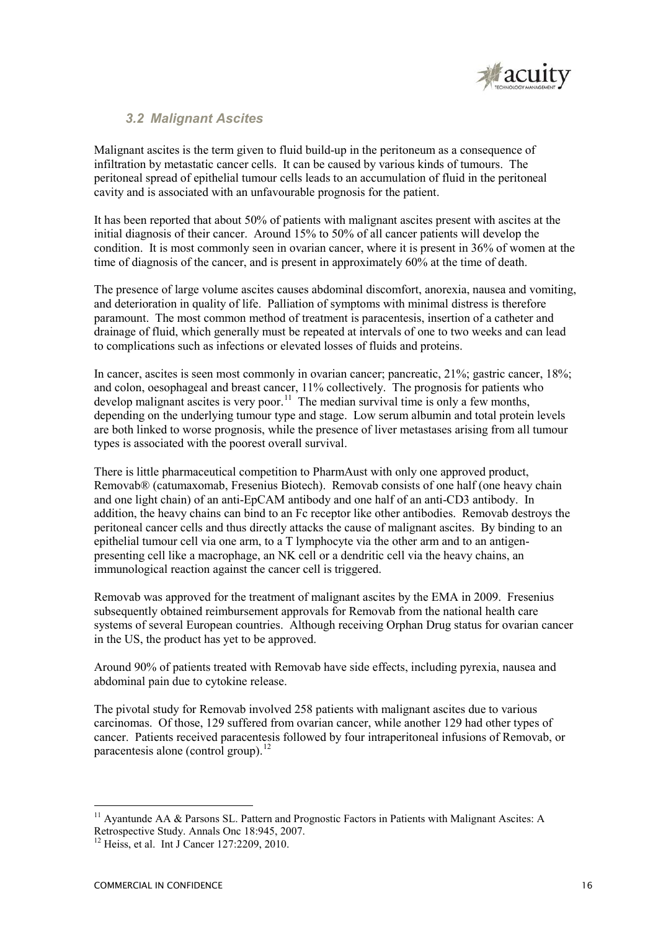

### *3.2 Malignant Ascites*

Malignant ascites is the term given to fluid build-up in the peritoneum as a consequence of infiltration by metastatic cancer cells. It can be caused by various kinds of tumours. The peritoneal spread of epithelial tumour cells leads to an accumulation of fluid in the peritoneal cavity and is associated with an unfavourable prognosis for the patient.

It has been reported that about 50% of patients with malignant ascites present with ascites at the initial diagnosis of their cancer. Around 15% to 50% of all cancer patients will develop the condition. It is most commonly seen in ovarian cancer, where it is present in 36% of women at the time of diagnosis of the cancer, and is present in approximately 60% at the time of death.

The presence of large volume ascites causes abdominal discomfort, anorexia, nausea and vomiting, and deterioration in quality of life. Palliation of symptoms with minimal distress is therefore paramount. The most common method of treatment is paracentesis, insertion of a catheter and drainage of fluid, which generally must be repeated at intervals of one to two weeks and can lead to complications such as infections or elevated losses of fluids and proteins.

In cancer, ascites is seen most commonly in ovarian cancer; pancreatic, 21%; gastric cancer, 18%; and colon, oesophageal and breast cancer, 11% collectively. The prognosis for patients who develop malignant ascites is very poor.<sup>11</sup> The median survival time is only a few months, depending on the underlying tumour type and stage. Low serum albumin and total protein levels are both linked to worse prognosis, while the presence of liver metastases arising from all tumour types is associated with the poorest overall survival.

There is little pharmaceutical competition to PharmAust with only one approved product, Removab® (catumaxomab, Fresenius Biotech). Removab consists of one half (one heavy chain and one light chain) of an anti-EpCAM antibody and one half of an anti-CD3 antibody. In addition, the heavy chains can bind to an Fc receptor like other antibodies. Removab destroys the peritoneal cancer cells and thus directly attacks the cause of malignant ascites. By binding to an epithelial tumour cell via one arm, to a T lymphocyte via the other arm and to an antigenpresenting cell like a macrophage, an NK cell or a dendritic cell via the heavy chains, an immunological reaction against the cancer cell is triggered.

Removab was approved for the treatment of malignant ascites by the EMA in 2009. Fresenius subsequently obtained reimbursement approvals for Removab from the national health care systems of several European countries. Although receiving Orphan Drug status for ovarian cancer in the US, the product has yet to be approved.

Around 90% of patients treated with Removab have side effects, including pyrexia, nausea and abdominal pain due to cytokine release.

The pivotal study for Removab involved 258 patients with malignant ascites due to various carcinomas. Of those, 129 suffered from ovarian cancer, while another 129 had other types of cancer. Patients received paracentesis followed by four intraperitoneal infusions of Removab, or paracentesis alone (control group).<sup>12</sup>

-

<sup>&</sup>lt;sup>11</sup> Avantunde AA  $\&$  Parsons SL. Pattern and Prognostic Factors in Patients with Malignant Ascites: A Retrospective Study. Annals Onc 18:945, 2007.

<sup>&</sup>lt;sup>12</sup> Heiss, et al. Int J Cancer 127:2209, 2010.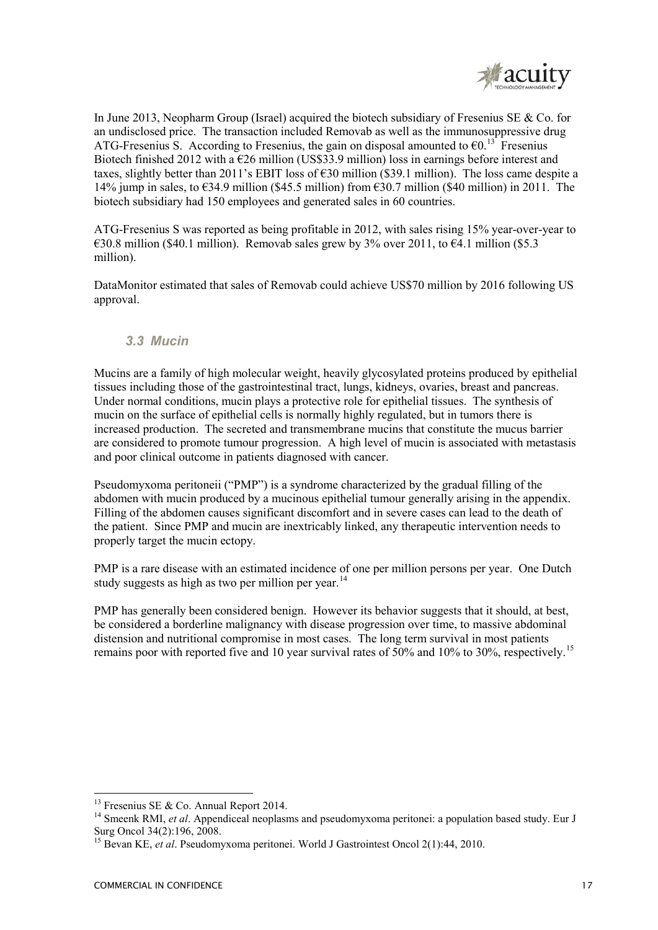

In June 2013, Neopharm Group (Israel) acquired the biotech subsidiary of Fresenius SE  $\&$  Co. for an undisclosed price. The transaction included Removab as well as the immunosuppressive drug ATG-Fresenius S. According to Fresenius, the gain on disposal amounted to  $\epsilon_0$ .<sup>13</sup> Fresenius Biotech finished 2012 with a  $\epsilon$ 26 million (US\$33.9 million) loss in earnings before interest and taxes, slightly better than 2011's EBIT loss of €30 million (\$39.1 million). The loss came despite a 14% jump in sales, to  $\epsilon$ 34.9 million (\$45.5 million) from  $\epsilon$ 30.7 million (\$40 million) in 2011. The biotech subsidiary had 150 employees and generated sales in 60 countries.

ATG-Fresenius S was reported as being profitable in 2012, with sales rising 15% year-over-year to €30.8 million (\$40.1 million). Removab sales grew by 3% over 2011, to €4.1 million (\$5.3 million).

DataMonitor estimated that sales of Removab could achieve US\$70 million by 2016 following US approval.

### *3.3 Mucin*

Mucins are a family of high molecular weight, heavily glycosylated proteins produced by epithelial tissues including those of the gastrointestinal tract, lungs, kidneys, ovaries, breast and pancreas. Under normal conditions, mucin plays a protective role for epithelial tissues. The synthesis of mucin on the surface of epithelial cells is normally highly regulated, but in tumors there is increased production. The secreted and transmembrane mucins that constitute the mucus barrier are considered to promote tumour progression. A high level of mucin is associated with metastasis and poor clinical outcome in patients diagnosed with cancer.

Pseudomyxoma peritoneii ("PMP") is a syndrome characterized by the gradual filling of the abdomen with mucin produced by a mucinous epithelial tumour generally arising in the appendix. Filling of the abdomen causes significant discomfort and in severe cases can lead to the death of the patient. Since PMP and mucin are inextricably linked, any therapeutic intervention needs to properly target the mucin ectopy.

PMP is a rare disease with an estimated incidence of one per million persons per year. One Dutch study suggests as high as two per million per year.<sup>14</sup>

PMP has generally been considered benign. However its behavior suggests that it should, at best, be considered a borderline malignancy with disease progression over time, to massive abdominal distension and nutritional compromise in most cases. The long term survival in most patients remains poor with reported five and 10 year survival rates of 50% and 10% to 30%, respectively.<sup>15</sup>

 $13$  Fresenius SE & Co. Annual Report 2014.

<sup>&</sup>lt;sup>14</sup> Smeenk RMI, *et al.* Appendiceal neoplasms and pseudomyxoma peritonei: a population based study. Eur J Surg Oncol 34(2):196, 2008.

<sup>15</sup> Bevan KE, *et al*. Pseudomyxoma peritonei. World J Gastrointest Oncol 2(1):44, 2010.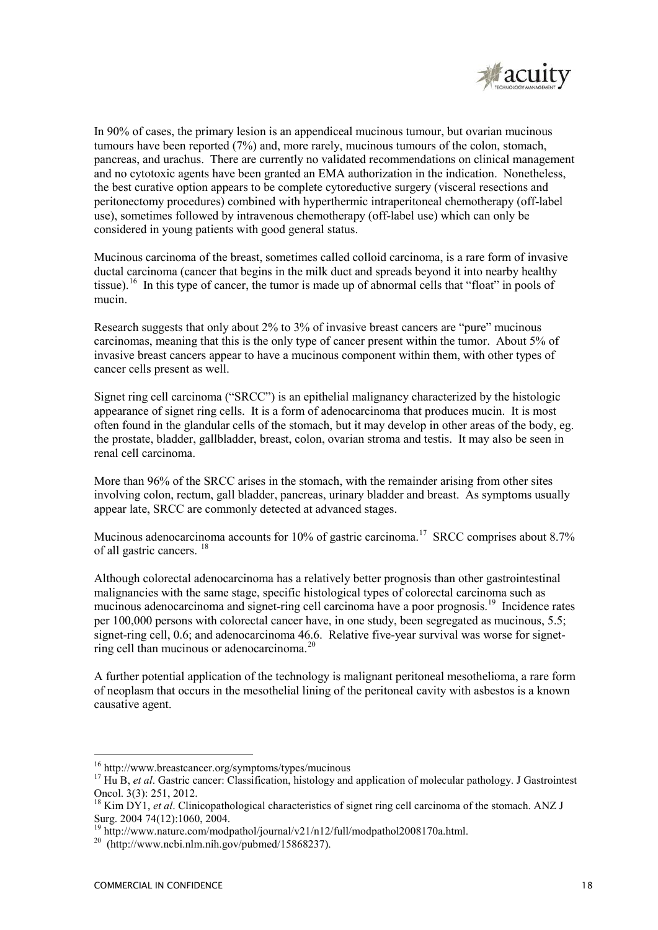

In 90% of cases, the primary lesion is an appendiceal mucinous tumour, but ovarian mucinous tumours have been reported (7%) and, more rarely, mucinous tumours of the colon, stomach, pancreas, and urachus. There are currently no validated recommendations on clinical management and no cytotoxic agents have been granted an EMA authorization in the indication. Nonetheless, the best curative option appears to be complete cytoreductive surgery (visceral resections and peritonectomy procedures) combined with hyperthermic intraperitoneal chemotherapy (off-label use), sometimes followed by intravenous chemotherapy (off-label use) which can only be considered in young patients with good general status.

Mucinous carcinoma of the breast, sometimes called colloid carcinoma, is a rare form of invasive ductal carcinoma (cancer that begins in the milk duct and spreads beyond it into nearby healthy tissue).<sup>16</sup> In this type of cancer, the tumor is made up of abnormal cells that "float" in pools of mucin.

Research suggests that only about 2% to 3% of invasive breast cancers are "pure" mucinous carcinomas, meaning that this is the only type of cancer present within the tumor. About 5% of invasive breast cancers appear to have a mucinous component within them, with other types of cancer cells present as well.

Signet ring cell carcinoma ("SRCC") is an epithelial malignancy characterized by the histologic appearance of signet ring cells. It is a form of adenocarcinoma that produces mucin. It is most often found in the glandular cells of the stomach, but it may develop in other areas of the body, eg. the prostate, bladder, gallbladder, breast, colon, ovarian stroma and testis. It may also be seen in renal cell carcinoma.

More than 96% of the SRCC arises in the stomach, with the remainder arising from other sites involving colon, rectum, gall bladder, pancreas, urinary bladder and breast. As symptoms usually appear late, SRCC are commonly detected at advanced stages.

Mucinous adenocarcinoma accounts for 10% of gastric carcinoma.<sup>17</sup> SRCC comprises about 8.7% of all gastric cancers. <sup>18</sup>

Although colorectal adenocarcinoma has a relatively better prognosis than other gastrointestinal malignancies with the same stage, specific histological types of colorectal carcinoma such as mucinous adenocarcinoma and signet-ring cell carcinoma have a poor prognosis.<sup>19</sup> Incidence rates per 100,000 persons with colorectal cancer have, in one study, been segregated as mucinous, 5.5; signet-ring cell, 0.6; and adenocarcinoma 46.6. Relative five-year survival was worse for signetring cell than mucinous or adenocarcinoma.<sup>20</sup>

A further potential application of the technology is malignant peritoneal mesothelioma, a rare form of neoplasm that occurs in the mesothelial lining of the peritoneal cavity with asbestos is a known causative agent.

<sup>&</sup>lt;sup>16</sup> http://www.breastcancer.org/symptoms/types/mucinous

<sup>&</sup>lt;sup>17</sup> Hu B, *et al*. Gastric cancer: Classification, histology and application of molecular pathology. J Gastrointest Oncol. 3(3): 251, 2012.

<sup>&</sup>lt;sup>18</sup> Kim DY1, *et al.* Clinicopathological characteristics of signet ring cell carcinoma of the stomach. ANZ J Surg. 2004 74(12):1060, 2004.

<sup>&</sup>lt;sup>19</sup> http://www.nature.com/modpathol/journal/v21/n12/full/modpathol2008170a.html.

 $^{20}$  (http://www.ncbi.nlm.nih.gov/pubmed/15868237).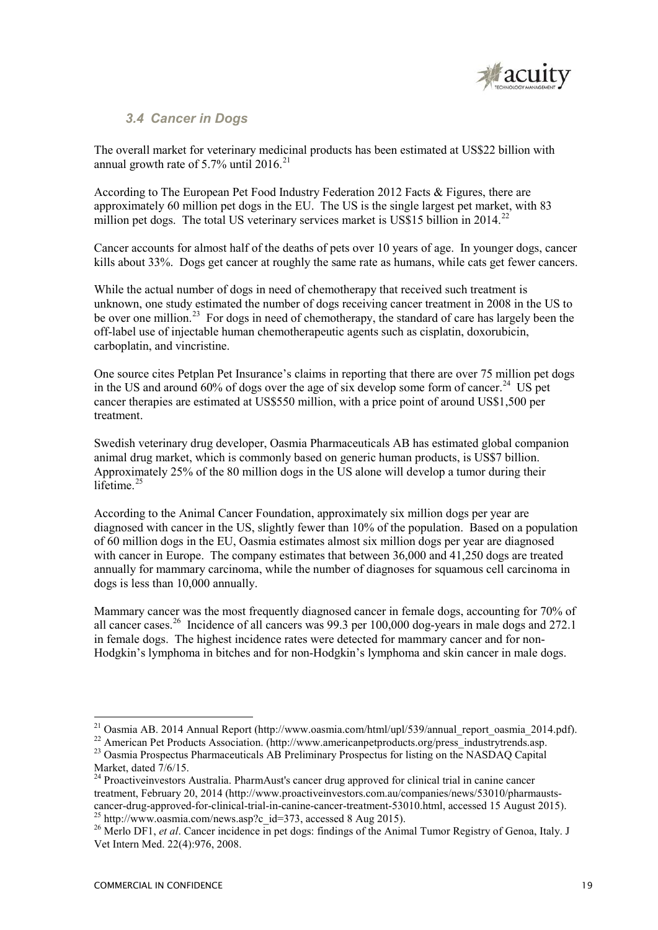

## *3.4 Cancer in Dogs*

The overall market for veterinary medicinal products has been estimated at US\$22 billion with annual growth rate of  $5.7\%$  until 2016.<sup>21</sup>

According to The European Pet Food Industry Federation 2012 Facts & Figures, there are approximately 60 million pet dogs in the EU. The US is the single largest pet market, with 83 million pet dogs. The total US veterinary services market is US\$15 billion in  $2014<sup>22</sup>$ 

Cancer accounts for almost half of the deaths of pets over 10 years of age. In younger dogs, cancer kills about 33%. Dogs get cancer at roughly the same rate as humans, while cats get fewer cancers.

While the actual number of dogs in need of chemotherapy that received such treatment is unknown, one study estimated the number of dogs receiving cancer treatment in 2008 in the US to be over one million.<sup>23</sup> For dogs in need of chemotherapy, the standard of care has largely been the off-label use of injectable human chemotherapeutic agents such as cisplatin, doxorubicin, carboplatin, and vincristine.

One source cites Petplan Pet Insurance's claims in reporting that there are over 75 million pet dogs in the US and around 60% of dogs over the age of six develop some form of cancer.<sup>24</sup> US pet cancer therapies are estimated at US\$550 million, with a price point of around US\$1,500 per treatment.

Swedish veterinary drug developer, Oasmia Pharmaceuticals AB has estimated global companion animal drug market, which is commonly based on generic human products, is US\$7 billion. Approximately 25% of the 80 million dogs in the US alone will develop a tumor during their lifetime. $25$ 

According to the Animal Cancer Foundation, approximately six million dogs per year are diagnosed with cancer in the US, slightly fewer than 10% of the population. Based on a population of 60 million dogs in the EU, Oasmia estimates almost six million dogs per year are diagnosed with cancer in Europe. The company estimates that between 36,000 and 41,250 dogs are treated annually for mammary carcinoma, while the number of diagnoses for squamous cell carcinoma in dogs is less than 10,000 annually.

Mammary cancer was the most frequently diagnosed cancer in female dogs, accounting for 70% of all cancer cases.<sup>26</sup> Incidence of all cancers was 99.3 per 100,000 dog-years in male dogs and 272.1 in female dogs. The highest incidence rates were detected for mammary cancer and for non-Hodgkin's lymphoma in bitches and for non-Hodgkin's lymphoma and skin cancer in male dogs.

<sup>&</sup>lt;sup>21</sup> Oasmia AB. 2014 Annual Report (http://www.oasmia.com/html/upl/539/annual\_report\_oasmia\_2014.pdf).

<sup>&</sup>lt;sup>22</sup> American Pet Products Association. (http://www.americanpetproducts.org/press\_industrytrends.asp. <sup>23</sup> Oasmia Prospectus Pharmaceuticals AB Preliminary Prospectus for listing on the NASDAQ Capital Market, dated 7/6/15.

<sup>&</sup>lt;sup>24</sup> Proactiveinvestors Australia. PharmAust's cancer drug approved for clinical trial in canine cancer treatment, February 20, 2014 (http://www.proactiveinvestors.com.au/companies/news/53010/pharmaustscancer-drug-approved-for-clinical-trial-in-canine-cancer-treatment-53010.html, accessed 15 August 2015). <sup>25</sup> http://www.oasmia.com/news.asp?c\_id=373, accessed 8 Aug 2015).

<sup>&</sup>lt;sup>26</sup> Merlo DF1, *et al.* Cancer incidence in pet dogs: findings of the Animal Tumor Registry of Genoa, Italy. J Vet Intern Med. 22(4):976, 2008.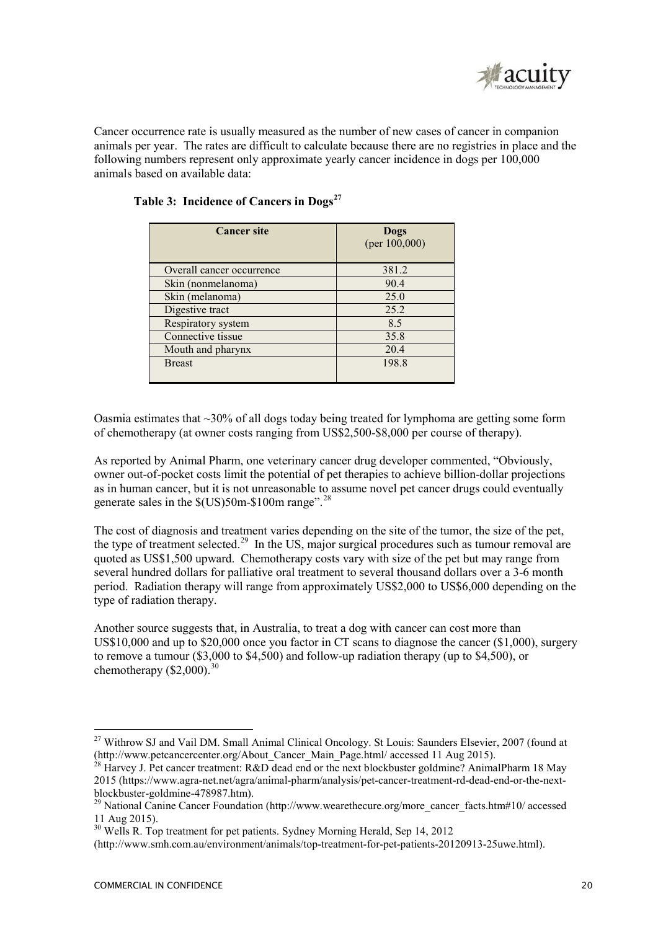

Cancer occurrence rate is usually measured as the number of new cases of cancer in companion animals per year. The rates are difficult to calculate because there are no registries in place and the following numbers represent only approximate yearly cancer incidence in dogs per 100,000 animals based on available data:

| <b>Cancer site</b>        | Dogs<br>(per $100,000$ ) |
|---------------------------|--------------------------|
| Overall cancer occurrence | 381.2                    |
| Skin (nonmelanoma)        | 90.4                     |
| Skin (melanoma)           | 25.0                     |
| Digestive tract           | 25.2                     |
| Respiratory system        | 8.5                      |
| Connective tissue         | 35.8                     |
| Mouth and pharynx         | 20.4                     |
| <b>Breast</b>             | 198.8                    |

#### **Table 3: Incidence of Cancers in Dogs<sup>27</sup>**

Oasmia estimates that  $\sim$ 30% of all dogs today being treated for lymphoma are getting some form of chemotherapy (at owner costs ranging from US\$2,500-\$8,000 per course of therapy).

As reported by Animal Pharm, one veterinary cancer drug developer commented, "Obviously, owner out-of-pocket costs limit the potential of pet therapies to achieve billion-dollar projections as in human cancer, but it is not unreasonable to assume novel pet cancer drugs could eventually generate sales in the  $\frac{\text{S}}{\text{US}}$  50m-\$100m range".<sup>28</sup>

The cost of diagnosis and treatment varies depending on the site of the tumor, the size of the pet, the type of treatment selected.<sup>29</sup> In the US, major surgical procedures such as tumour removal are quoted as US\$1,500 upward. Chemotherapy costs vary with size of the pet but may range from several hundred dollars for palliative oral treatment to several thousand dollars over a 3-6 month period. Radiation therapy will range from approximately US\$2,000 to US\$6,000 depending on the type of radiation therapy.

Another source suggests that, in Australia, to treat a dog with cancer can cost more than US\$10,000 and up to \$20,000 once you factor in CT scans to diagnose the cancer (\$1,000), surgery to remove a tumour (\$3,000 to \$4,500) and follow-up radiation therapy (up to \$4,500), or chemotherapy  $(S2,000)^{30}$ 

-

<sup>&</sup>lt;sup>27</sup> Withrow SJ and Vail DM. Small Animal Clinical Oncology. St Louis: Saunders Elsevier, 2007 (found at (http://www.petcancercenter.org/About\_Cancer\_Main\_Page.html/ accessed 11 Aug 2015).

Harvey J. Pet cancer treatment: R&D dead end or the next blockbuster goldmine? AnimalPharm 18 May 2015 (https://www.agra-net.net/agra/animal-pharm/analysis/pet-cancer-treatment-rd-dead-end-or-the-nextblockbuster-goldmine-478987.htm).

<sup>&</sup>lt;sup>29</sup> National Canine Cancer Foundation (http://www.wearethecure.org/more\_cancer\_facts.htm#10/ accessed 11 Aug 2015).

 $30$  Wells R. Top treatment for pet patients. Sydney Morning Herald, Sep 14, 2012

<sup>(</sup>http://www.smh.com.au/environment/animals/top-treatment-for-pet-patients-20120913-25uwe.html).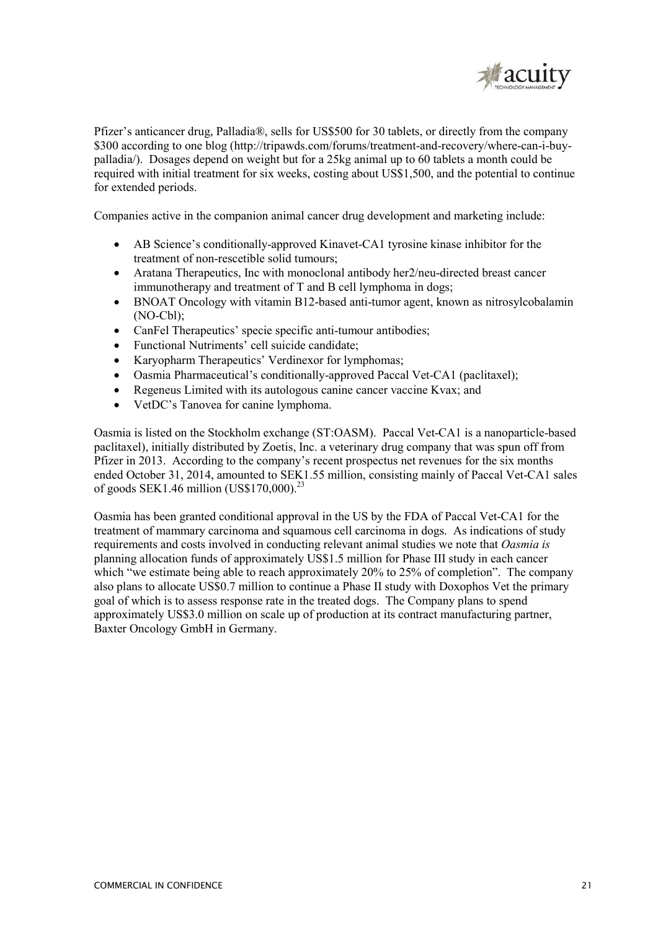

Pfizer's anticancer drug, Palladia®, sells for US\$500 for 30 tablets, or directly from the company \$300 according to one blog (http://tripawds.com/forums/treatment-and-recovery/where-can-i-buypalladia/). Dosages depend on weight but for a 25kg animal up to 60 tablets a month could be required with initial treatment for six weeks, costing about US\$1,500, and the potential to continue for extended periods.

Companies active in the companion animal cancer drug development and marketing include:

- AB Science's conditionally-approved Kinavet-CA1 tyrosine kinase inhibitor for the treatment of non-rescetible solid tumours;
- Aratana Therapeutics, Inc with monoclonal antibody her2/neu-directed breast cancer immunotherapy and treatment of T and B cell lymphoma in dogs;
- BNOAT Oncology with vitamin B12-based anti-tumor agent, known as nitrosylcobalamin (NO-Cbl);
- CanFel Therapeutics' specie specific anti-tumour antibodies;
- Functional Nutriments' cell suicide candidate:
- Karyopharm Therapeutics' Verdinexor for lymphomas;
- Oasmia Pharmaceutical's conditionally-approved Paccal Vet-CA1 (paclitaxel);
- Regeneus Limited with its autologous canine cancer vaccine Kvax; and
- VetDC's Tanovea for canine lymphoma.

Oasmia is listed on the Stockholm exchange (ST:OASM). Paccal Vet-CA1 is a nanoparticle-based paclitaxel), initially distributed by Zoetis, Inc. a veterinary drug company that was spun off from Pfizer in 2013. According to the company's recent prospectus net revenues for the six months ended October 31, 2014, amounted to SEK1.55 million, consisting mainly of Paccal Vet-CA1 sales of goods SEK1.46 million (US\$170,000).<sup>23</sup>

Oasmia has been granted conditional approval in the US by the FDA of Paccal Vet-CA1 for the treatment of mammary carcinoma and squamous cell carcinoma in dogs. As indications of study requirements and costs involved in conducting relevant animal studies we note that *Oasmia is*  planning allocation funds of approximately US\$1.5 million for Phase III study in each cancer which "we estimate being able to reach approximately 20% to 25% of completion". The company also plans to allocate US\$0.7 million to continue a Phase II study with Doxophos Vet the primary goal of which is to assess response rate in the treated dogs. The Company plans to spend approximately US\$3.0 million on scale up of production at its contract manufacturing partner, Baxter Oncology GmbH in Germany.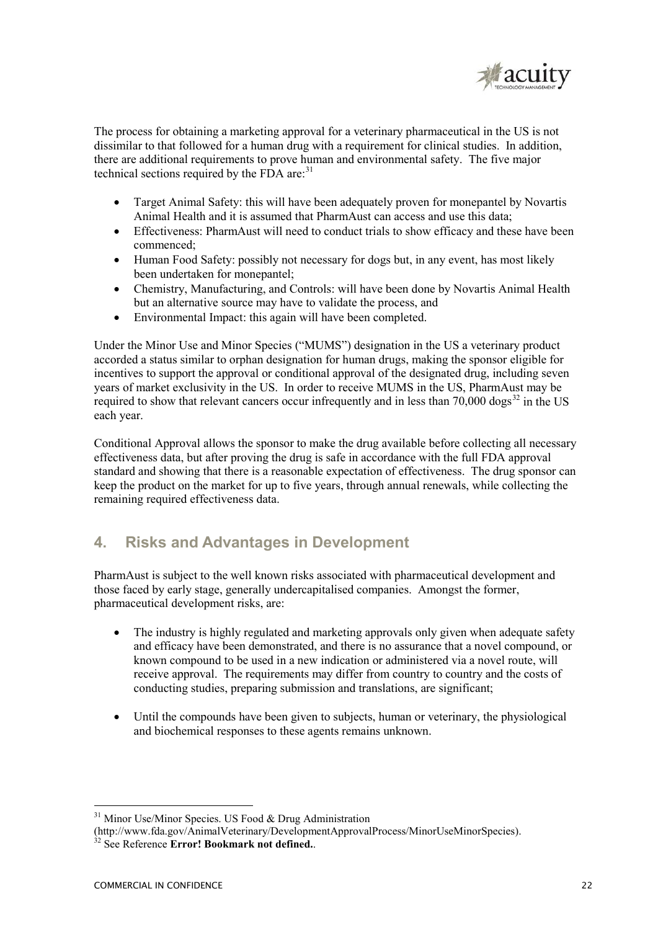

The process for obtaining a marketing approval for a veterinary pharmaceutical in the US is not dissimilar to that followed for a human drug with a requirement for clinical studies. In addition, there are additional requirements to prove human and environmental safety. The five major technical sections required by the FDA are: $31$ 

- Target Animal Safety: this will have been adequately proven for monepantel by Novartis Animal Health and it is assumed that PharmAust can access and use this data;
- Effectiveness: PharmAust will need to conduct trials to show efficacy and these have been commenced;
- Human Food Safety: possibly not necessary for dogs but, in any event, has most likely been undertaken for monepantel;
- Chemistry, Manufacturing, and Controls: will have been done by Novartis Animal Health but an alternative source may have to validate the process, and
- Environmental Impact: this again will have been completed.

Under the Minor Use and Minor Species ("MUMS") designation in the US a veterinary product accorded a status similar to orphan designation for human drugs, making the sponsor eligible for incentives to support the approval or conditional approval of the designated drug, including seven years of market exclusivity in the US. In order to receive MUMS in the US, PharmAust may be required to show that relevant cancers occur infrequently and in less than 70,000 dogs<sup>32</sup> in the US each year.

Conditional Approval allows the sponsor to make the drug available before collecting all necessary effectiveness data, but after proving the drug is safe in accordance with the full FDA approval standard and showing that there is a reasonable expectation of effectiveness. The drug sponsor can keep the product on the market for up to five years, through annual renewals, while collecting the remaining required effectiveness data.

# **4. Risks and Advantages in Development**

PharmAust is subject to the well known risks associated with pharmaceutical development and those faced by early stage, generally undercapitalised companies. Amongst the former, pharmaceutical development risks, are:

- The industry is highly regulated and marketing approvals only given when adequate safety and efficacy have been demonstrated, and there is no assurance that a novel compound, or known compound to be used in a new indication or administered via a novel route, will receive approval. The requirements may differ from country to country and the costs of conducting studies, preparing submission and translations, are significant;
- Until the compounds have been given to subjects, human or veterinary, the physiological and biochemical responses to these agents remains unknown.

<sup>-</sup> $31$  Minor Use/Minor Species. US Food & Drug Administration

<sup>(</sup>http://www.fda.gov/AnimalVeterinary/DevelopmentApprovalProcess/MinorUseMinorSpecies). <sup>32</sup> See Reference **Error! Bookmark not defined.**.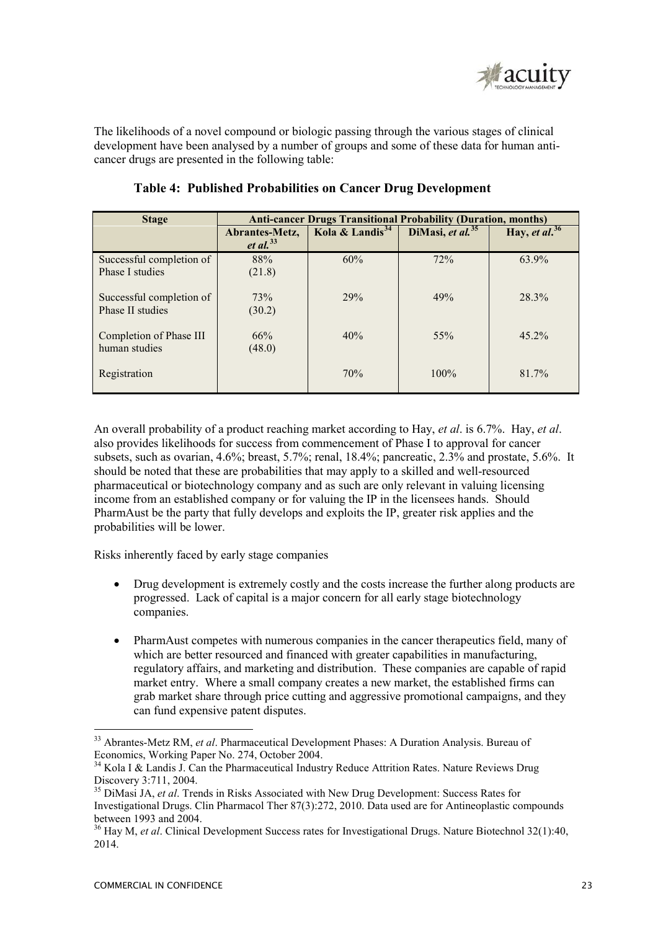

The likelihoods of a novel compound or biologic passing through the various stages of clinical development have been analysed by a number of groups and some of these data for human anticancer drugs are presented in the following table:

| <b>Stage</b>                                 | <b>Anti-cancer Drugs Transitional Probability (Duration, months)</b> |                             |                     |                  |  |
|----------------------------------------------|----------------------------------------------------------------------|-----------------------------|---------------------|------------------|--|
|                                              | Abrantes-Metz,<br><i>et al.</i> <sup>33</sup>                        | Kola & Landis <sup>34</sup> | DiMasi, et al. $35$ | Hay, et al. $36$ |  |
| Successful completion of<br>Phase I studies  | 88%<br>(21.8)                                                        | 60%                         | 72%                 | 63.9%            |  |
| Successful completion of<br>Phase II studies | 73%<br>(30.2)                                                        | 29%                         | 49%                 | 28.3%            |  |
| Completion of Phase III<br>human studies     | 66%<br>(48.0)                                                        | 40%                         | $55\%$              | $45.2\%$         |  |
| Registration                                 |                                                                      | 70%                         | $100\%$             | 81.7%            |  |

### **Table 4: Published Probabilities on Cancer Drug Development**

An overall probability of a product reaching market according to Hay, *et al*. is 6.7%. Hay, *et al*. also provides likelihoods for success from commencement of Phase I to approval for cancer subsets, such as ovarian, 4.6%; breast, 5.7%; renal, 18.4%; pancreatic, 2.3% and prostate, 5.6%. It should be noted that these are probabilities that may apply to a skilled and well-resourced pharmaceutical or biotechnology company and as such are only relevant in valuing licensing income from an established company or for valuing the IP in the licensees hands. Should PharmAust be the party that fully develops and exploits the IP, greater risk applies and the probabilities will be lower.

Risks inherently faced by early stage companies

- Drug development is extremely costly and the costs increase the further along products are progressed. Lack of capital is a major concern for all early stage biotechnology companies.
- PharmAust competes with numerous companies in the cancer therapeutics field, many of which are better resourced and financed with greater capabilities in manufacturing. regulatory affairs, and marketing and distribution. These companies are capable of rapid market entry. Where a small company creates a new market, the established firms can grab market share through price cutting and aggressive promotional campaigns, and they can fund expensive patent disputes.

-

<sup>&</sup>lt;sup>33</sup> Abrantes-Metz RM, *et al.* Pharmaceutical Development Phases: A Duration Analysis. Bureau of Economics, Working Paper No. 274, October 2004.

<sup>&</sup>lt;sup>34</sup> Kola I & Landis J. Can the Pharmaceutical Industry Reduce Attrition Rates. Nature Reviews Drug Discovery 3:711, 2004.

<sup>35</sup> DiMasi JA, *et al*. Trends in Risks Associated with New Drug Development: Success Rates for Investigational Drugs. Clin Pharmacol Ther 87(3):272, 2010. Data used are for Antineoplastic compounds between 1993 and 2004.

<sup>36</sup> Hay M, *et al*. Clinical Development Success rates for Investigational Drugs. Nature Biotechnol 32(1):40, 2014.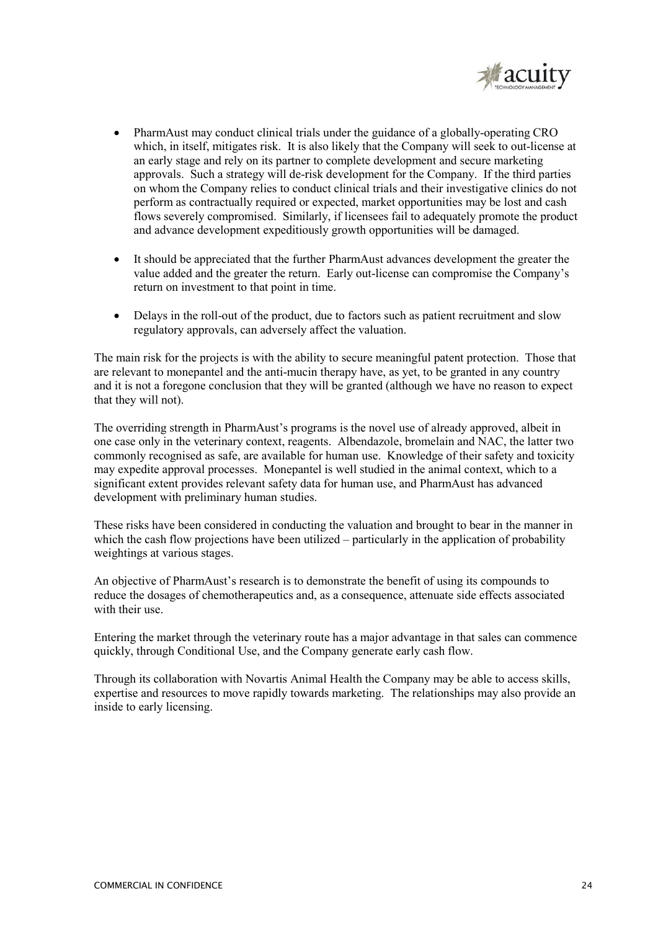

- PharmAust may conduct clinical trials under the guidance of a globally-operating CRO which, in itself, mitigates risk. It is also likely that the Company will seek to out-license at an early stage and rely on its partner to complete development and secure marketing approvals. Such a strategy will de-risk development for the Company. If the third parties on whom the Company relies to conduct clinical trials and their investigative clinics do not perform as contractually required or expected, market opportunities may be lost and cash flows severely compromised. Similarly, if licensees fail to adequately promote the product and advance development expeditiously growth opportunities will be damaged.
- It should be appreciated that the further PharmAust advances development the greater the value added and the greater the return. Early out-license can compromise the Company's return on investment to that point in time.
- Delays in the roll-out of the product, due to factors such as patient recruitment and slow regulatory approvals, can adversely affect the valuation.

The main risk for the projects is with the ability to secure meaningful patent protection. Those that are relevant to monepantel and the anti-mucin therapy have, as yet, to be granted in any country and it is not a foregone conclusion that they will be granted (although we have no reason to expect that they will not).

The overriding strength in PharmAust's programs is the novel use of already approved, albeit in one case only in the veterinary context, reagents. Albendazole, bromelain and NAC, the latter two commonly recognised as safe, are available for human use. Knowledge of their safety and toxicity may expedite approval processes. Monepantel is well studied in the animal context, which to a significant extent provides relevant safety data for human use, and PharmAust has advanced development with preliminary human studies.

These risks have been considered in conducting the valuation and brought to bear in the manner in which the cash flow projections have been utilized – particularly in the application of probability weightings at various stages.

An objective of PharmAust's research is to demonstrate the benefit of using its compounds to reduce the dosages of chemotherapeutics and, as a consequence, attenuate side effects associated with their use.

Entering the market through the veterinary route has a major advantage in that sales can commence quickly, through Conditional Use, and the Company generate early cash flow.

Through its collaboration with Novartis Animal Health the Company may be able to access skills, expertise and resources to move rapidly towards marketing. The relationships may also provide an inside to early licensing.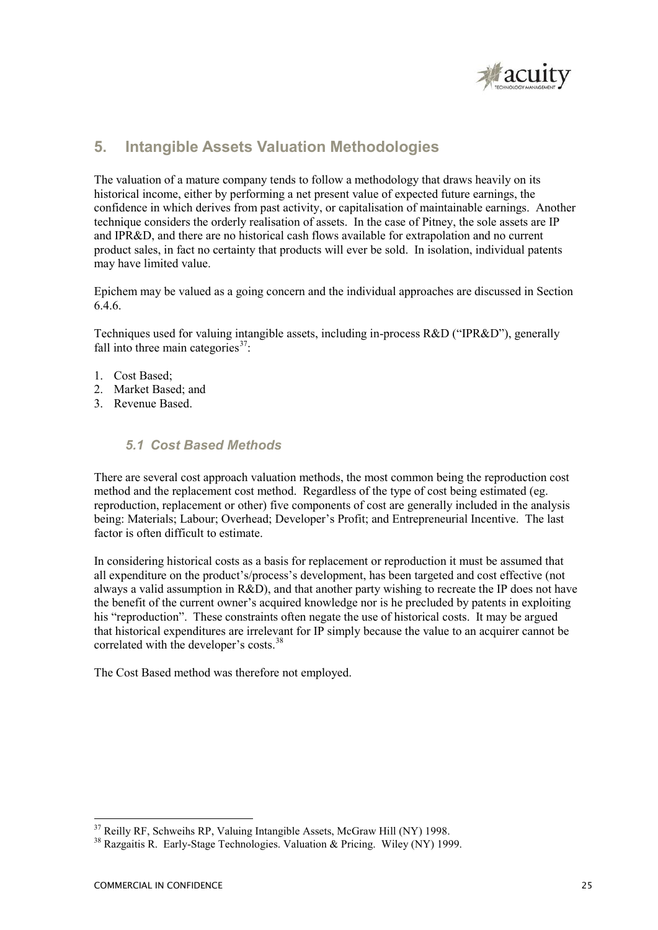

# **5. Intangible Assets Valuation Methodologies**

The valuation of a mature company tends to follow a methodology that draws heavily on its historical income, either by performing a net present value of expected future earnings, the confidence in which derives from past activity, or capitalisation of maintainable earnings. Another technique considers the orderly realisation of assets. In the case of Pitney, the sole assets are IP and IPR&D, and there are no historical cash flows available for extrapolation and no current product sales, in fact no certainty that products will ever be sold. In isolation, individual patents may have limited value.

Epichem may be valued as a going concern and the individual approaches are discussed in Section 6.4.6.

Techniques used for valuing intangible assets, including in-process R&D ("IPR&D"), generally fall into three main categories $^{37}$ :

- 1. Cost Based;
- 2. Market Based; and
- 3. Revenue Based.

### *5.1 Cost Based Methods*

There are several cost approach valuation methods, the most common being the reproduction cost method and the replacement cost method. Regardless of the type of cost being estimated (eg. reproduction, replacement or other) five components of cost are generally included in the analysis being: Materials; Labour; Overhead; Developer's Profit; and Entrepreneurial Incentive. The last factor is often difficult to estimate.

In considering historical costs as a basis for replacement or reproduction it must be assumed that all expenditure on the product's/process's development, has been targeted and cost effective (not always a valid assumption in  $R\&D$ ), and that another party wishing to recreate the IP does not have the benefit of the current owner's acquired knowledge nor is he precluded by patents in exploiting his "reproduction". These constraints often negate the use of historical costs. It may be argued that historical expenditures are irrelevant for IP simply because the value to an acquirer cannot be correlated with the developer's costs.<sup>38</sup>

The Cost Based method was therefore not employed.

<sup>&</sup>lt;u>.</u> <sup>37</sup> Reilly RF, Schweihs RP, Valuing Intangible Assets, McGraw Hill (NY) 1998.

<sup>38</sup> Razgaitis R. Early-Stage Technologies. Valuation & Pricing. Wiley (NY) 1999.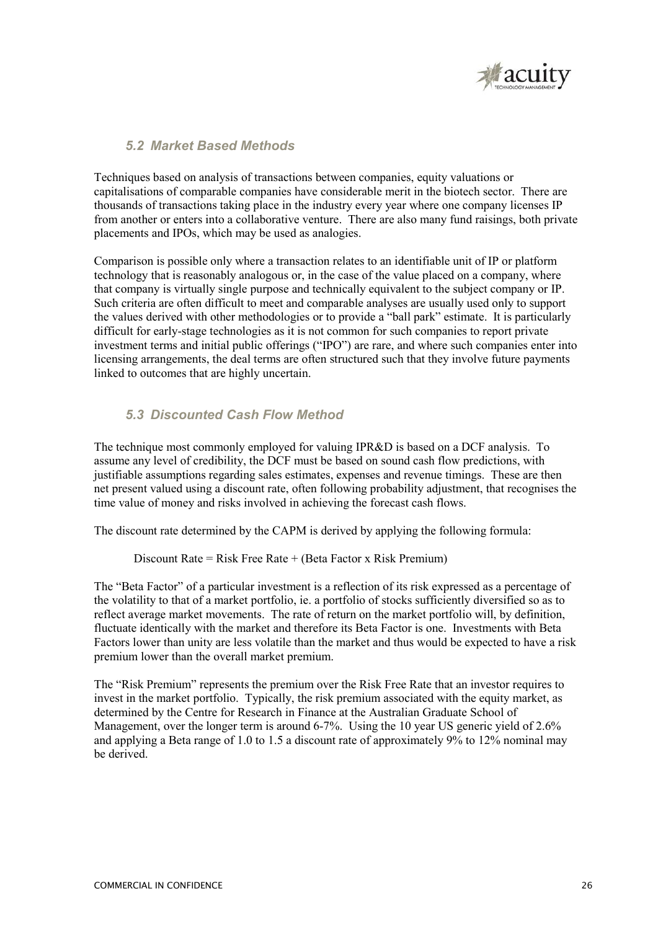

## *5.2 Market Based Methods*

Techniques based on analysis of transactions between companies, equity valuations or capitalisations of comparable companies have considerable merit in the biotech sector. There are thousands of transactions taking place in the industry every year where one company licenses IP from another or enters into a collaborative venture. There are also many fund raisings, both private placements and IPOs, which may be used as analogies.

Comparison is possible only where a transaction relates to an identifiable unit of IP or platform technology that is reasonably analogous or, in the case of the value placed on a company, where that company is virtually single purpose and technically equivalent to the subject company or IP. Such criteria are often difficult to meet and comparable analyses are usually used only to support the values derived with other methodologies or to provide a "ball park" estimate. It is particularly difficult for early-stage technologies as it is not common for such companies to report private investment terms and initial public offerings ("IPO") are rare, and where such companies enter into licensing arrangements, the deal terms are often structured such that they involve future payments linked to outcomes that are highly uncertain.

## *5.3 Discounted Cash Flow Method*

The technique most commonly employed for valuing IPR&D is based on a DCF analysis. To assume any level of credibility, the DCF must be based on sound cash flow predictions, with justifiable assumptions regarding sales estimates, expenses and revenue timings. These are then net present valued using a discount rate, often following probability adjustment, that recognises the time value of money and risks involved in achieving the forecast cash flows.

The discount rate determined by the CAPM is derived by applying the following formula:

Discount Rate = Risk Free Rate + (Beta Factor x Risk Premium)

The "Beta Factor" of a particular investment is a reflection of its risk expressed as a percentage of the volatility to that of a market portfolio, ie. a portfolio of stocks sufficiently diversified so as to reflect average market movements. The rate of return on the market portfolio will, by definition, fluctuate identically with the market and therefore its Beta Factor is one. Investments with Beta Factors lower than unity are less volatile than the market and thus would be expected to have a risk premium lower than the overall market premium.

The "Risk Premium" represents the premium over the Risk Free Rate that an investor requires to invest in the market portfolio. Typically, the risk premium associated with the equity market, as determined by the Centre for Research in Finance at the Australian Graduate School of Management, over the longer term is around 6-7%. Using the 10 year US generic yield of 2.6% and applying a Beta range of 1.0 to 1.5 a discount rate of approximately 9% to 12% nominal may be derived.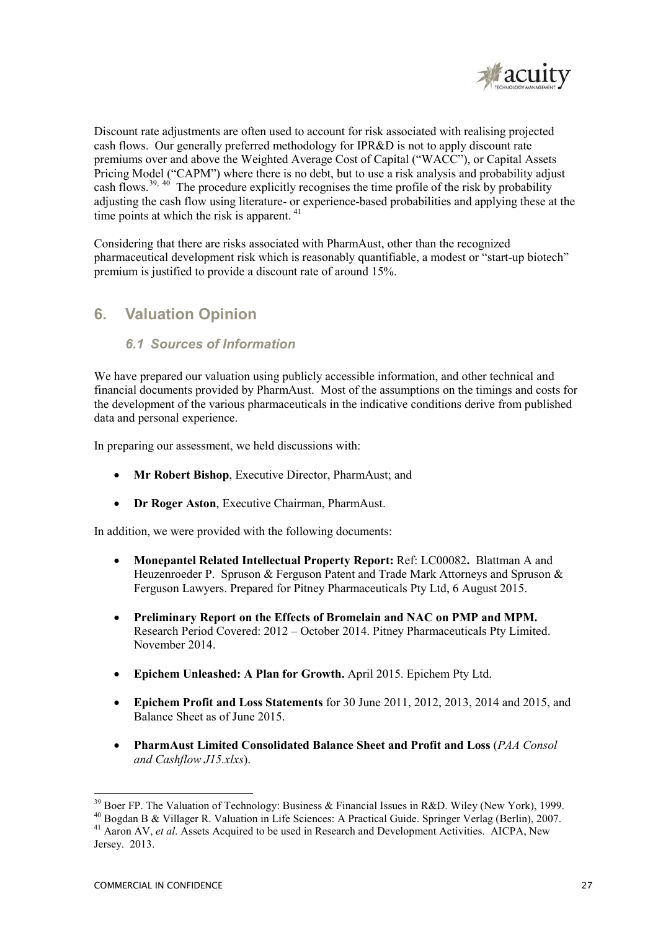

Discount rate adjustments are often used to account for risk associated with realising projected cash flows. Our generally preferred methodology for IPR&D is not to apply discount rate premiums over and above the Weighted Average Cost of Capital ("WACC"), or Capital Assets Pricing Model ("CAPM") where there is no debt, but to use a risk analysis and probability adjust cash flows.<sup>39, 40</sup> The procedure explicitly recognises the time profile of the risk by probability adjusting the cash flow using literature- or experience-based probabilities and applying these at the time points at which the risk is apparent.<sup>41</sup>

Considering that there are risks associated with PharmAust, other than the recognized pharmaceutical development risk which is reasonably quantifiable, a modest or "start-up biotech" premium is justified to provide a discount rate of around 15%.

# **6. Valuation Opinion**

## *6.1 Sources of Information*

We have prepared our valuation using publicly accessible information, and other technical and financial documents provided by PharmAust. Most of the assumptions on the timings and costs for the development of the various pharmaceuticals in the indicative conditions derive from published data and personal experience.

In preparing our assessment, we held discussions with:

- **Mr Robert Bishop**, Executive Director, PharmAust; and
- **Dr Roger Aston**, Executive Chairman, PharmAust.

In addition, we were provided with the following documents:

- **Monepantel Related Intellectual Property Report:** Ref: LC00082**.** Blattman A and Heuzenroeder P. Spruson & Ferguson Patent and Trade Mark Attorneys and Spruson & Ferguson Lawyers. Prepared for Pitney Pharmaceuticals Pty Ltd, 6 August 2015.
- **Preliminary Report on the Effects of Bromelain and NAC on PMP and MPM.**  Research Period Covered: 2012 – October 2014. Pitney Pharmaceuticals Pty Limited. November 2014.
- **Epichem Unleashed: A Plan for Growth.** April 2015. Epichem Pty Ltd.
- **Epichem Profit and Loss Statements** for 30 June 2011, 2012, 2013, 2014 and 2015, and Balance Sheet as of June 2015.
- **PharmAust Limited Consolidated Balance Sheet and Profit and Loss** (*PAA Consol and Cashflow J15.xlxs*).

<sup>&</sup>lt;sup>39</sup> Boer FP. The Valuation of Technology: Business & Financial Issues in R&D. Wiley (New York), 1999.

<sup>40</sup> Bogdan B & Villager R. Valuation in Life Sciences: A Practical Guide. Springer Verlag (Berlin), 2007. <sup>41</sup> Aaron AV, *et al.* Assets Acquired to be used in Research and Development Activities. AICPA, New

Jersey. 2013.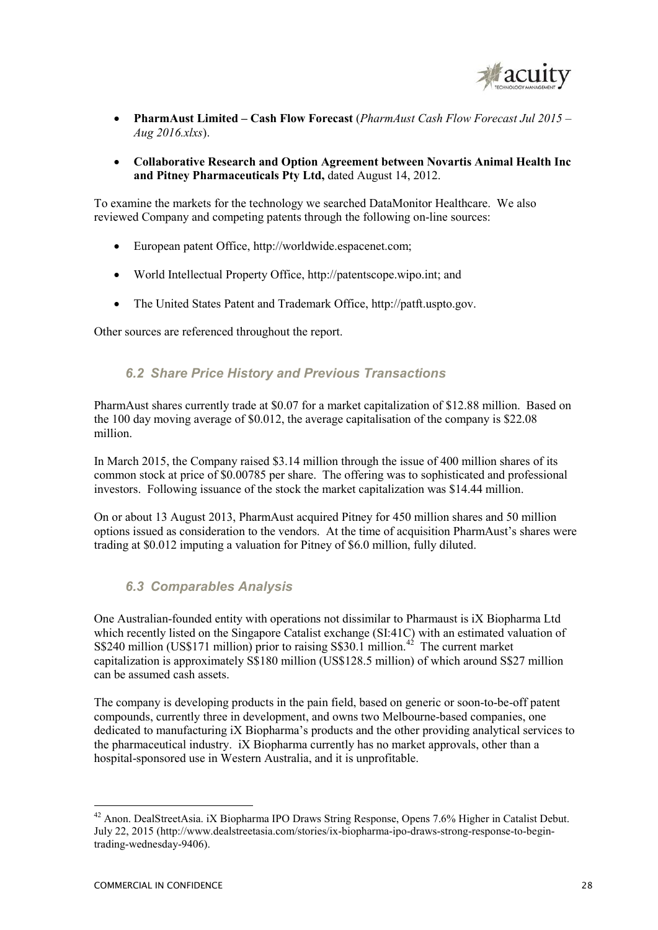

- **PharmAust Limited Cash Flow Forecast** (*PharmAust Cash Flow Forecast Jul 2015 Aug 2016.xlxs*).
- **Collaborative Research and Option Agreement between Novartis Animal Health Inc and Pitney Pharmaceuticals Pty Ltd,** dated August 14, 2012.

To examine the markets for the technology we searched DataMonitor Healthcare. We also reviewed Company and competing patents through the following on-line sources:

- European patent Office, http://worldwide.espacenet.com;
- World Intellectual Property Office, http://patentscope.wipo.int; and
- The United States Patent and Trademark Office, http://patft.uspto.gov.

Other sources are referenced throughout the report.

### *6.2 Share Price History and Previous Transactions*

PharmAust shares currently trade at \$0.07 for a market capitalization of \$12.88 million. Based on the 100 day moving average of \$0.012, the average capitalisation of the company is \$22.08 million.

In March 2015, the Company raised \$3.14 million through the issue of 400 million shares of its common stock at price of \$0.00785 per share. The offering was to sophisticated and professional investors. Following issuance of the stock the market capitalization was \$14.44 million.

On or about 13 August 2013, PharmAust acquired Pitney for 450 million shares and 50 million options issued as consideration to the vendors. At the time of acquisition PharmAust's shares were trading at \$0.012 imputing a valuation for Pitney of \$6.0 million, fully diluted.

### *6.3 Comparables Analysis*

One Australian-founded entity with operations not dissimilar to Pharmaust is iX Biopharma Ltd which recently listed on the Singapore Catalist exchange (SI:41C) with an estimated valuation of  $S$240 million (US$171 million) prior to raising S$30.1 million.<sup>42</sup> The current market$ capitalization is approximately S\$180 million (US\$128.5 million) of which around S\$27 million can be assumed cash assets.

The company is developing products in the pain field, based on generic or soon-to-be-off patent compounds, currently three in development, and owns two Melbourne-based companies, one dedicated to manufacturing iX Biopharma's products and the other providing analytical services to the pharmaceutical industry. iX Biopharma currently has no market approvals, other than a hospital-sponsored use in Western Australia, and it is unprofitable.

-

<sup>&</sup>lt;sup>42</sup> Anon. DealStreetAsia. iX Biopharma IPO Draws String Response, Opens 7.6% Higher in Catalist Debut. July 22, 2015 (http://www.dealstreetasia.com/stories/ix-biopharma-ipo-draws-strong-response-to-begintrading-wednesday-9406).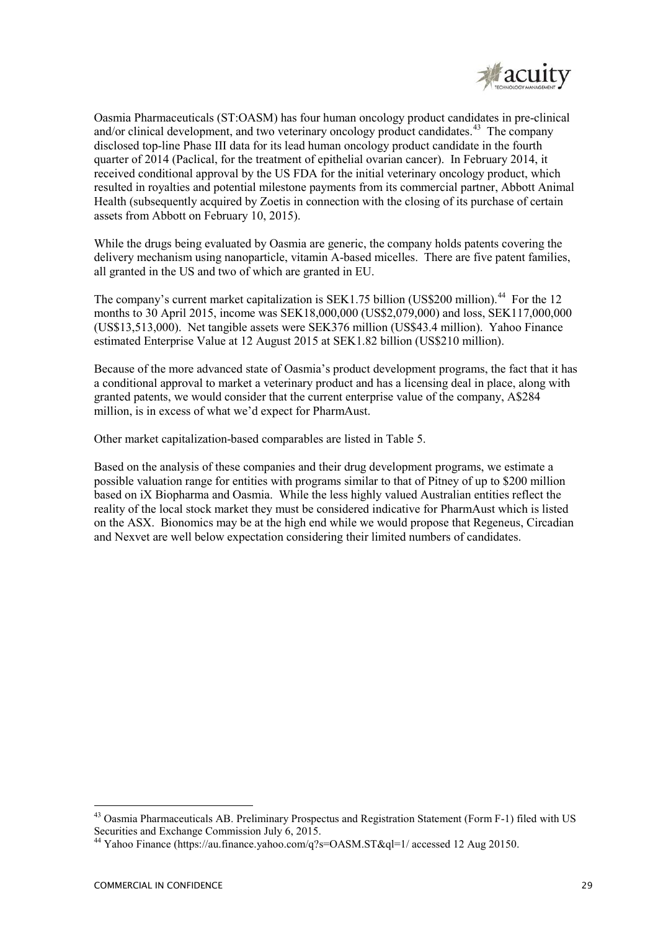

Oasmia Pharmaceuticals (ST:OASM) has four human oncology product candidates in pre-clinical and/or clinical development, and two veterinary oncology product candidates.<sup>43</sup> The company disclosed top-line Phase III data for its lead human oncology product candidate in the fourth quarter of 2014 (Paclical, for the treatment of epithelial ovarian cancer). In February 2014, it received conditional approval by the US FDA for the initial veterinary oncology product, which resulted in royalties and potential milestone payments from its commercial partner, Abbott Animal Health (subsequently acquired by Zoetis in connection with the closing of its purchase of certain assets from Abbott on February 10, 2015).

While the drugs being evaluated by Oasmia are generic, the company holds patents covering the delivery mechanism using nanoparticle, vitamin A-based micelles. There are five patent families, all granted in the US and two of which are granted in EU.

The company's current market capitalization is SEK1.75 billion (US\$200 million).<sup>44</sup> For the 12 months to 30 April 2015, income was SEK18,000,000 (US\$2,079,000) and loss, SEK117,000,000 (US\$13,513,000). Net tangible assets were SEK376 million (US\$43.4 million). Yahoo Finance estimated Enterprise Value at 12 August 2015 at SEK1.82 billion (US\$210 million).

Because of the more advanced state of Oasmia's product development programs, the fact that it has a conditional approval to market a veterinary product and has a licensing deal in place, along with granted patents, we would consider that the current enterprise value of the company, A\$284 million, is in excess of what we'd expect for PharmAust.

Other market capitalization-based comparables are listed in Table 5.

Based on the analysis of these companies and their drug development programs, we estimate a possible valuation range for entities with programs similar to that of Pitney of up to \$200 million based on iX Biopharma and Oasmia. While the less highly valued Australian entities reflect the reality of the local stock market they must be considered indicative for PharmAust which is listed on the ASX. Bionomics may be at the high end while we would propose that Regeneus, Circadian and Nexvet are well below expectation considering their limited numbers of candidates.

-

<sup>43</sup> Oasmia Pharmaceuticals AB. Preliminary Prospectus and Registration Statement (Form F-1) filed with US Securities and Exchange Commission July 6, 2015.

<sup>&</sup>lt;sup>44</sup> Yahoo Finance (https://au.finance.yahoo.com/q?s=OASM.ST&ql=1/ accessed 12 Aug 20150.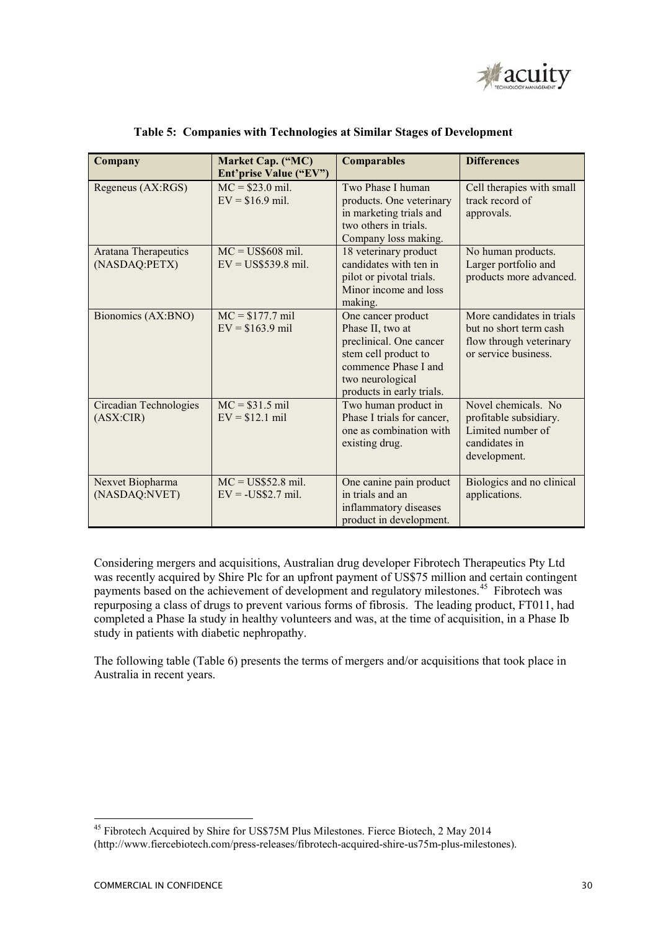

| Company                                      | Market Cap. ("MC)<br>Ent'prise Value ("EV") | <b>Comparables</b>                                                                                                                                                 | <b>Differences</b>                                                                                     |
|----------------------------------------------|---------------------------------------------|--------------------------------------------------------------------------------------------------------------------------------------------------------------------|--------------------------------------------------------------------------------------------------------|
| Regeneus (AX:RGS)                            | $MC = $23.0$ mil.<br>$EV = $16.9$ mil.      | Two Phase I human<br>products. One veterinary<br>in marketing trials and<br>two others in trials.<br>Company loss making.                                          | Cell therapies with small<br>track record of<br>approvals.                                             |
| <b>Aratana Therapeutics</b><br>(NASDAQ:PETX) | $MC = US$608$ mil.<br>$EV = US$539.8$ mil.  | 18 veterinary product<br>candidates with ten in<br>pilot or pivotal trials.<br>Minor income and loss<br>making.                                                    | No human products.<br>Larger portfolio and<br>products more advanced.                                  |
| Bionomics (AX:BNO)                           | $MC = $177.7$ mil<br>$EV = $163.9$ mil      | One cancer product<br>Phase II, two at<br>preclinical. One cancer<br>stem cell product to<br>commence Phase I and<br>two neurological<br>products in early trials. | More candidates in trials<br>but no short term cash<br>flow through veterinary<br>or service business. |
| Circadian Technologies<br>(ASK:CIR)          | $MC = $31.5$ mil<br>$EV = $12.1$ mil        | Two human product in<br>Phase I trials for cancer,<br>one as combination with<br>existing drug.                                                                    | Novel chemicals. No<br>profitable subsidiary.<br>Limited number of<br>candidates in<br>development.    |
| Nexvet Biopharma<br>(NASDAQ:NVET)            | $MC = US$52.8$ mil.<br>$EV =$ US\$2.7 mil.  | One canine pain product<br>in trials and an<br>inflammatory diseases<br>product in development.                                                                    | Biologics and no clinical<br>applications.                                                             |

 **Table 5: Companies with Technologies at Similar Stages of Development** 

Considering mergers and acquisitions, Australian drug developer Fibrotech Therapeutics Pty Ltd was recently acquired by Shire Plc for an upfront payment of US\$75 million and certain contingent payments based on the achievement of development and regulatory milestones.<sup>45</sup> Fibrotech was repurposing a class of drugs to prevent various forms of fibrosis. The leading product, FT011, had completed a Phase Ia study in healthy volunteers and was, at the time of acquisition, in a Phase Ib study in patients with diabetic nephropathy.

The following table (Table 6) presents the terms of mergers and/or acquisitions that took place in Australia in recent years.

<sup>&</sup>lt;u>.</u> <sup>45</sup> Fibrotech Acquired by Shire for US\$75M Plus Milestones. Fierce Biotech, 2 May 2014 (http://www.fiercebiotech.com/press-releases/fibrotech-acquired-shire-us75m-plus-milestones).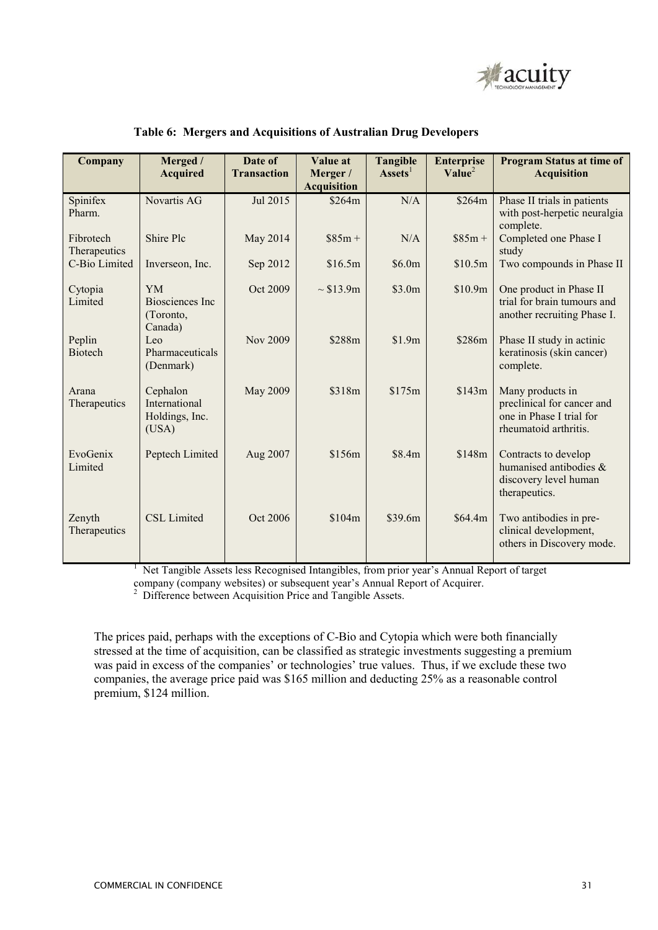

| Company                   | Merged /<br><b>Acquired</b>                          | Date of<br><b>Transaction</b> | Value at<br>Merger /<br><b>Acquisition</b> | <b>Tangible</b><br>$\textbf{Assets}^1$ | <b>Enterprise</b><br>Value <sup>2</sup> | <b>Program Status at time of</b><br><b>Acquisition</b>                                              |
|---------------------------|------------------------------------------------------|-------------------------------|--------------------------------------------|----------------------------------------|-----------------------------------------|-----------------------------------------------------------------------------------------------------|
| Spinifex<br>Pharm.        | Novartis AG                                          | Jul 2015                      | \$264m                                     | N/A                                    | \$264m                                  | Phase II trials in patients<br>with post-herpetic neuralgia<br>complete.                            |
| Fibrotech<br>Therapeutics | Shire Plc                                            | May 2014                      | $$85m +$                                   | N/A                                    | $$85m +$                                | Completed one Phase I<br>study                                                                      |
| C-Bio Limited             | Inverseon, Inc.                                      | Sep 2012                      | \$16.5m                                    | \$6.0m                                 | \$10.5m                                 | Two compounds in Phase II                                                                           |
| Cytopia<br>Limited        | <b>YM</b><br>Biosciences Inc<br>(Toronto,<br>Canada) | Oct 2009                      | $\sim$ \$13.9m                             | \$3.0m                                 | \$10.9m                                 | One product in Phase II<br>trial for brain tumours and<br>another recruiting Phase I.               |
| Peplin<br><b>Biotech</b>  | Leo<br>Pharmaceuticals<br>(Denmark)                  | Nov 2009                      | \$288m                                     | \$1.9m                                 | \$286m                                  | Phase II study in actinic<br>keratinosis (skin cancer)<br>complete.                                 |
| Arana<br>Therapeutics     | Cephalon<br>International<br>Holdings, Inc.<br>(USA) | May 2009                      | \$318m                                     | \$175m                                 | \$143m                                  | Many products in<br>preclinical for cancer and<br>one in Phase I trial for<br>rheumatoid arthritis. |
| EvoGenix<br>Limited       | Peptech Limited                                      | Aug 2007                      | \$156m                                     | \$8.4m                                 | \$148m                                  | Contracts to develop<br>humanised antibodies $\&$<br>discovery level human<br>therapeutics.         |
| Zenyth<br>Therapeutics    | CSL Limited                                          | Oct 2006                      | \$104m                                     | \$39.6m                                | \$64.4m\$                               | Two antibodies in pre-<br>clinical development,<br>others in Discovery mode.                        |

#### **Table 6: Mergers and Acquisitions of Australian Drug Developers**

<sup>1</sup> Net Tangible Assets less Recognised Intangibles, from prior year's Annual Report of target

company (company websites) or subsequent year's Annual Report of Acquirer. 2 Difference between Acquisition Price and Tangible Assets.

The prices paid, perhaps with the exceptions of C-Bio and Cytopia which were both financially stressed at the time of acquisition, can be classified as strategic investments suggesting a premium was paid in excess of the companies' or technologies' true values. Thus, if we exclude these two companies, the average price paid was \$165 million and deducting 25% as a reasonable control premium, \$124 million.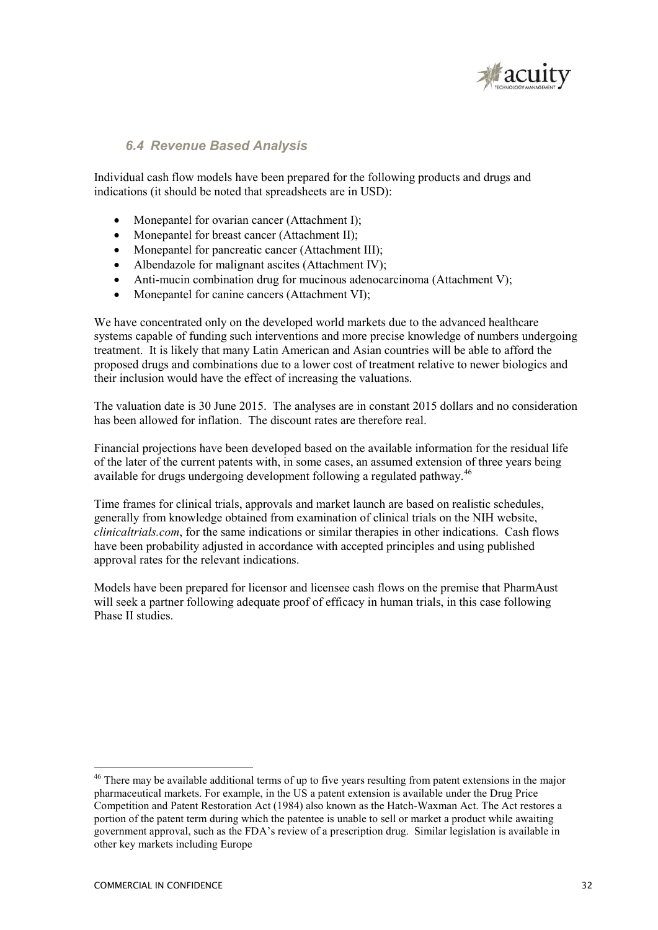

## *6.4 Revenue Based Analysis*

Individual cash flow models have been prepared for the following products and drugs and indications (it should be noted that spreadsheets are in USD):

- Monepantel for ovarian cancer (Attachment I);
- Monepantel for breast cancer (Attachment II);
- Monepantel for pancreatic cancer (Attachment III);
- Albendazole for malignant ascites (Attachment IV);
- Anti-mucin combination drug for mucinous adenocarcinoma (Attachment V):
- Monepantel for canine cancers (Attachment VI);

We have concentrated only on the developed world markets due to the advanced healthcare systems capable of funding such interventions and more precise knowledge of numbers undergoing treatment. It is likely that many Latin American and Asian countries will be able to afford the proposed drugs and combinations due to a lower cost of treatment relative to newer biologics and their inclusion would have the effect of increasing the valuations.

The valuation date is 30 June 2015. The analyses are in constant 2015 dollars and no consideration has been allowed for inflation. The discount rates are therefore real.

Financial projections have been developed based on the available information for the residual life of the later of the current patents with, in some cases, an assumed extension of three years being available for drugs undergoing development following a regulated pathway.<sup>46</sup>

Time frames for clinical trials, approvals and market launch are based on realistic schedules, generally from knowledge obtained from examination of clinical trials on the NIH website, *clinicaltrials.com*, for the same indications or similar therapies in other indications. Cash flows have been probability adjusted in accordance with accepted principles and using published approval rates for the relevant indications.

Models have been prepared for licensor and licensee cash flows on the premise that PharmAust will seek a partner following adequate proof of efficacy in human trials, in this case following Phase II studies.

-

<sup>&</sup>lt;sup>46</sup> There may be available additional terms of up to five years resulting from patent extensions in the major pharmaceutical markets. For example, in the US a patent extension is available under the Drug Price Competition and Patent Restoration Act (1984) also known as the Hatch-Waxman Act. The Act restores a portion of the patent term during which the patentee is unable to sell or market a product while awaiting government approval, such as the FDA's review of a prescription drug. Similar legislation is available in other key markets including Europe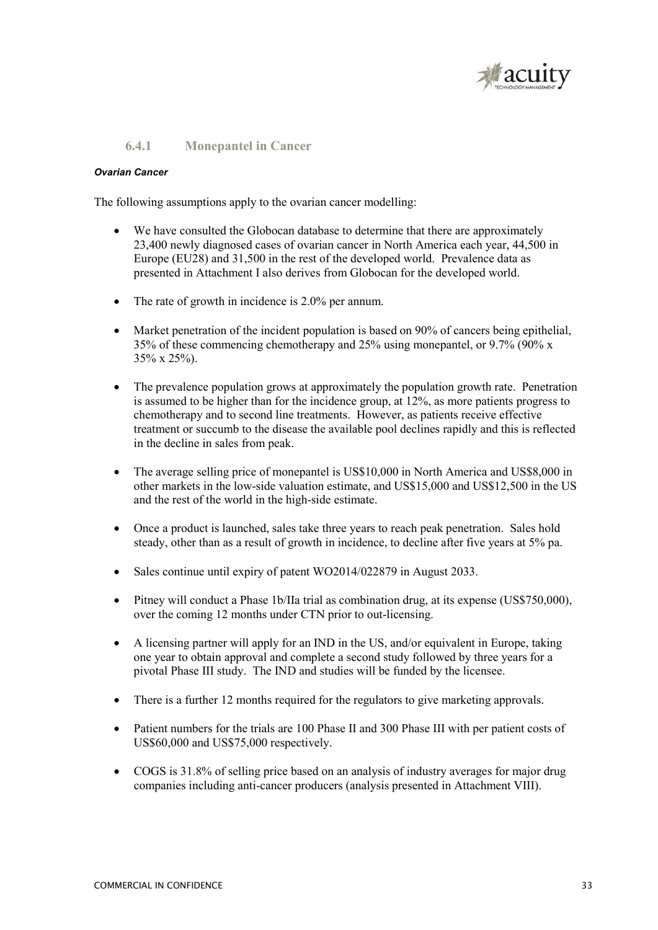

### **6.4.1 Monepantel in Cancer**

#### *Ovarian Cancer*

The following assumptions apply to the ovarian cancer modelling:

- We have consulted the Globocan database to determine that there are approximately 23,400 newly diagnosed cases of ovarian cancer in North America each year, 44,500 in Europe (EU28) and 31,500 in the rest of the developed world. Prevalence data as presented in Attachment I also derives from Globocan for the developed world.
- The rate of growth in incidence is 2.0% per annum.
- Market penetration of the incident population is based on 90% of cancers being epithelial, 35% of these commencing chemotherapy and 25% using monepantel, or 9.7% (90% x 35% x 25%).
- The prevalence population grows at approximately the population growth rate. Penetration is assumed to be higher than for the incidence group, at 12%, as more patients progress to chemotherapy and to second line treatments. However, as patients receive effective treatment or succumb to the disease the available pool declines rapidly and this is reflected in the decline in sales from peak.
- The average selling price of monepantel is US\$10,000 in North America and US\$8,000 in other markets in the low-side valuation estimate, and US\$15,000 and US\$12,500 in the US and the rest of the world in the high-side estimate.
- Once a product is launched, sales take three years to reach peak penetration. Sales hold steady, other than as a result of growth in incidence, to decline after five years at 5% pa.
- Sales continue until expiry of patent WO2014/022879 in August 2033.
- Pitney will conduct a Phase 1b/IIa trial as combination drug, at its expense (US\$750,000), over the coming 12 months under CTN prior to out-licensing.
- A licensing partner will apply for an IND in the US, and/or equivalent in Europe, taking one year to obtain approval and complete a second study followed by three years for a pivotal Phase III study. The IND and studies will be funded by the licensee.
- There is a further 12 months required for the regulators to give marketing approvals.
- Patient numbers for the trials are 100 Phase II and 300 Phase III with per patient costs of US\$60,000 and US\$75,000 respectively.
- COGS is 31.8% of selling price based on an analysis of industry averages for major drug companies including anti-cancer producers (analysis presented in Attachment VIII).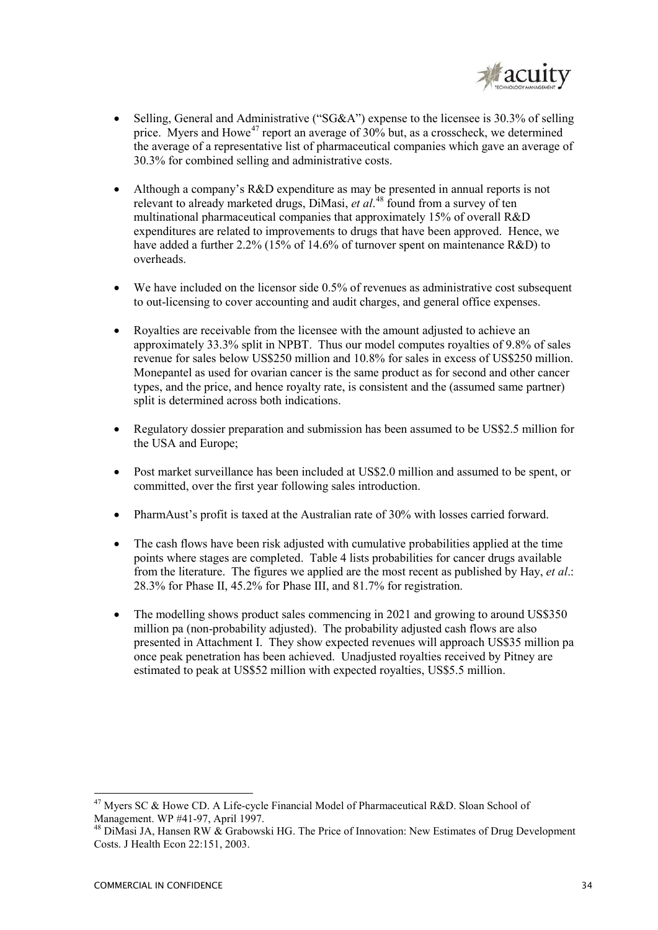

- Selling, General and Administrative ("SG&A") expense to the licensee is 30.3% of selling price. Myers and Howe<sup>47</sup> report an average of  $30\%$  but, as a crosscheck, we determined the average of a representative list of pharmaceutical companies which gave an average of 30.3% for combined selling and administrative costs.
- Although a company's R&D expenditure as may be presented in annual reports is not relevant to already marketed drugs, DiMasi, *et al*. <sup>48</sup> found from a survey of ten multinational pharmaceutical companies that approximately 15% of overall R&D expenditures are related to improvements to drugs that have been approved. Hence, we have added a further 2.2% (15% of 14.6% of turnover spent on maintenance  $R\&D$ ) to overheads.
- We have included on the licensor side 0.5% of revenues as administrative cost subsequent to out-licensing to cover accounting and audit charges, and general office expenses.
- Royalties are receivable from the licensee with the amount adjusted to achieve an approximately 33.3% split in NPBT. Thus our model computes royalties of 9.8% of sales revenue for sales below US\$250 million and 10.8% for sales in excess of US\$250 million. Monepantel as used for ovarian cancer is the same product as for second and other cancer types, and the price, and hence royalty rate, is consistent and the (assumed same partner) split is determined across both indications.
- Regulatory dossier preparation and submission has been assumed to be US\$2.5 million for the USA and Europe;
- Post market surveillance has been included at US\$2.0 million and assumed to be spent, or committed, over the first year following sales introduction.
- PharmAust's profit is taxed at the Australian rate of 30% with losses carried forward.
- The cash flows have been risk adjusted with cumulative probabilities applied at the time points where stages are completed. Table 4 lists probabilities for cancer drugs available from the literature. The figures we applied are the most recent as published by Hay, *et al*.: 28.3% for Phase II, 45.2% for Phase III, and 81.7% for registration.
- The modelling shows product sales commencing in 2021 and growing to around US\$350 million pa (non-probability adjusted). The probability adjusted cash flows are also presented in Attachment I. They show expected revenues will approach US\$35 million pa once peak penetration has been achieved. Unadjusted royalties received by Pitney are estimated to peak at US\$52 million with expected royalties, US\$5.5 million.

<sup>&</sup>lt;sup>47</sup> Myers SC & Howe CD. A Life-cycle Financial Model of Pharmaceutical R&D. Sloan School of Management. WP #41-97, April 1997.

<sup>&</sup>lt;sup>48</sup> DiMasi JA, Hansen RW & Grabowski HG. The Price of Innovation: New Estimates of Drug Development Costs. J Health Econ 22:151, 2003.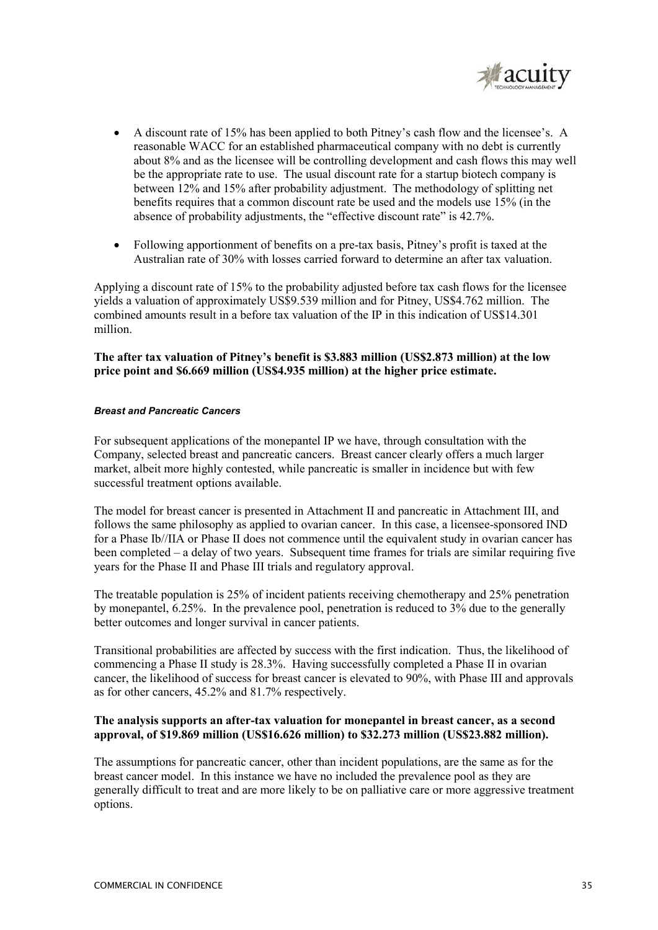

- A discount rate of 15% has been applied to both Pitney's cash flow and the licensee's. A reasonable WACC for an established pharmaceutical company with no debt is currently about 8% and as the licensee will be controlling development and cash flows this may well be the appropriate rate to use. The usual discount rate for a startup biotech company is between 12% and 15% after probability adjustment. The methodology of splitting net benefits requires that a common discount rate be used and the models use 15% (in the absence of probability adjustments, the "effective discount rate" is 42.7%.
- Following apportionment of benefits on a pre-tax basis, Pitney's profit is taxed at the Australian rate of 30% with losses carried forward to determine an after tax valuation.

Applying a discount rate of 15% to the probability adjusted before tax cash flows for the licensee yields a valuation of approximately US\$9.539 million and for Pitney, US\$4.762 million. The combined amounts result in a before tax valuation of the IP in this indication of US\$14.301 million.

#### **The after tax valuation of Pitney's benefit is \$3.883 million (US\$2.873 million) at the low price point and \$6.669 million (US\$4.935 million) at the higher price estimate.**

#### *Breast and Pancreatic Cancers*

For subsequent applications of the monepantel IP we have, through consultation with the Company, selected breast and pancreatic cancers. Breast cancer clearly offers a much larger market, albeit more highly contested, while pancreatic is smaller in incidence but with few successful treatment options available.

The model for breast cancer is presented in Attachment II and pancreatic in Attachment III, and follows the same philosophy as applied to ovarian cancer. In this case, a licensee-sponsored IND for a Phase Ib//IIA or Phase II does not commence until the equivalent study in ovarian cancer has been completed – a delay of two years. Subsequent time frames for trials are similar requiring five years for the Phase II and Phase III trials and regulatory approval.

The treatable population is 25% of incident patients receiving chemotherapy and 25% penetration by monepantel, 6.25%. In the prevalence pool, penetration is reduced to 3% due to the generally better outcomes and longer survival in cancer patients.

Transitional probabilities are affected by success with the first indication. Thus, the likelihood of commencing a Phase II study is 28.3%. Having successfully completed a Phase II in ovarian cancer, the likelihood of success for breast cancer is elevated to 90%, with Phase III and approvals as for other cancers, 45.2% and 81.7% respectively.

#### **The analysis supports an after-tax valuation for monepantel in breast cancer, as a second approval, of \$19.869 million (US\$16.626 million) to \$32.273 million (US\$23.882 million).**

The assumptions for pancreatic cancer, other than incident populations, are the same as for the breast cancer model. In this instance we have no included the prevalence pool as they are generally difficult to treat and are more likely to be on palliative care or more aggressive treatment options.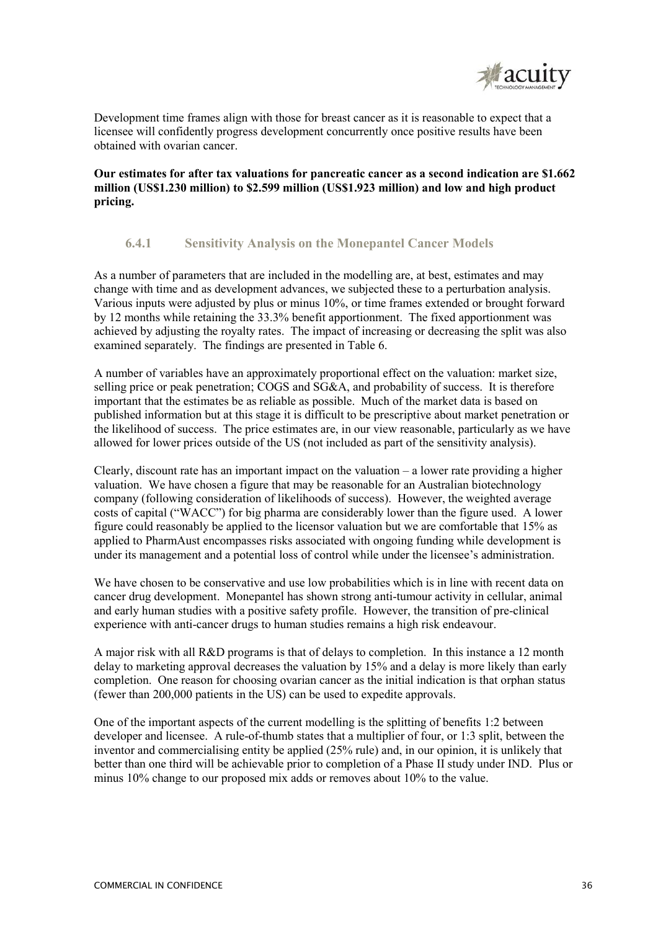

Development time frames align with those for breast cancer as it is reasonable to expect that a licensee will confidently progress development concurrently once positive results have been obtained with ovarian cancer.

**Our estimates for after tax valuations for pancreatic cancer as a second indication are \$1.662 million (US\$1.230 million) to \$2.599 million (US\$1.923 million) and low and high product pricing.** 

### **6.4.1 Sensitivity Analysis on the Monepantel Cancer Models**

As a number of parameters that are included in the modelling are, at best, estimates and may change with time and as development advances, we subjected these to a perturbation analysis. Various inputs were adjusted by plus or minus 10%, or time frames extended or brought forward by 12 months while retaining the 33.3% benefit apportionment. The fixed apportionment was achieved by adjusting the royalty rates. The impact of increasing or decreasing the split was also examined separately. The findings are presented in Table 6.

A number of variables have an approximately proportional effect on the valuation: market size, selling price or peak penetration; COGS and SG&A, and probability of success. It is therefore important that the estimates be as reliable as possible. Much of the market data is based on published information but at this stage it is difficult to be prescriptive about market penetration or the likelihood of success. The price estimates are, in our view reasonable, particularly as we have allowed for lower prices outside of the US (not included as part of the sensitivity analysis).

Clearly, discount rate has an important impact on the valuation – a lower rate providing a higher valuation. We have chosen a figure that may be reasonable for an Australian biotechnology company (following consideration of likelihoods of success). However, the weighted average costs of capital ("WACC") for big pharma are considerably lower than the figure used. A lower figure could reasonably be applied to the licensor valuation but we are comfortable that 15% as applied to PharmAust encompasses risks associated with ongoing funding while development is under its management and a potential loss of control while under the licensee's administration.

We have chosen to be conservative and use low probabilities which is in line with recent data on cancer drug development. Monepantel has shown strong anti-tumour activity in cellular, animal and early human studies with a positive safety profile. However, the transition of pre-clinical experience with anti-cancer drugs to human studies remains a high risk endeavour.

A major risk with all R&D programs is that of delays to completion. In this instance a 12 month delay to marketing approval decreases the valuation by 15% and a delay is more likely than early completion. One reason for choosing ovarian cancer as the initial indication is that orphan status (fewer than 200,000 patients in the US) can be used to expedite approvals.

One of the important aspects of the current modelling is the splitting of benefits 1:2 between developer and licensee. A rule-of-thumb states that a multiplier of four, or 1:3 split, between the inventor and commercialising entity be applied (25% rule) and, in our opinion, it is unlikely that better than one third will be achievable prior to completion of a Phase II study under IND. Plus or minus 10% change to our proposed mix adds or removes about 10% to the value.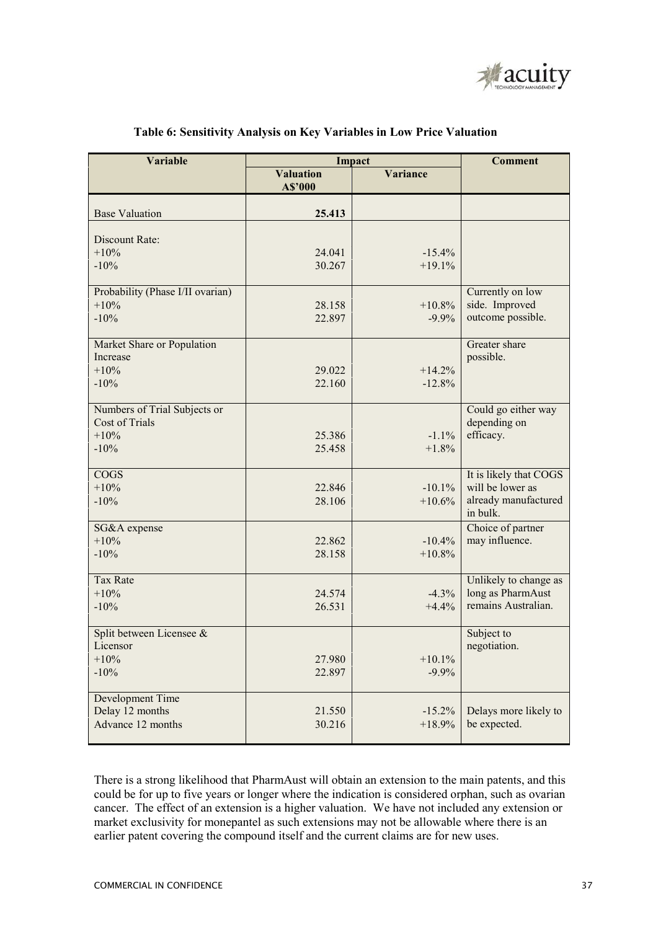

| <b>Variable</b>                  |                             | Impact          | <b>Comment</b>         |
|----------------------------------|-----------------------------|-----------------|------------------------|
|                                  | <b>Valuation</b><br>A\$'000 | <b>Variance</b> |                        |
| <b>Base Valuation</b>            | 25.413                      |                 |                        |
| Discount Rate:                   |                             |                 |                        |
| $+10%$                           | 24.041                      | $-15.4%$        |                        |
| $-10%$                           | 30.267                      | $+19.1%$        |                        |
|                                  |                             |                 |                        |
| Probability (Phase I/II ovarian) |                             |                 | Currently on low       |
| $+10%$                           | 28.158                      | $+10.8%$        | side. Improved         |
| $-10%$                           | 22.897                      | $-9.9%$         | outcome possible.      |
| Market Share or Population       |                             |                 | Greater share          |
| Increase                         |                             |                 | possible.              |
| $+10%$                           | 29.022                      | $+14.2%$        |                        |
| $-10%$                           | 22.160                      | $-12.8%$        |                        |
| Numbers of Trial Subjects or     |                             |                 | Could go either way    |
| <b>Cost of Trials</b>            |                             |                 | depending on           |
| $+10%$                           | 25.386                      | $-1.1%$         | efficacy.              |
| $-10%$                           | 25.458                      | $+1.8%$         |                        |
| <b>COGS</b>                      |                             |                 | It is likely that COGS |
| $+10%$                           | 22.846                      | $-10.1%$        | will be lower as       |
| $-10%$                           | 28.106                      | $+10.6%$        | already manufactured   |
|                                  |                             |                 | in bulk.               |
| SG&A expense                     |                             |                 | Choice of partner      |
| $+10%$                           | 22.862                      | $-10.4%$        | may influence.         |
| $-10%$                           | 28.158                      | $+10.8%$        |                        |
| <b>Tax Rate</b>                  |                             |                 | Unlikely to change as  |
| $+10%$                           | 24.574                      | $-4.3%$         | long as PharmAust      |
| $-10%$                           | 26.531                      | $+4.4%$         | remains Australian.    |
| Split between Licensee &         |                             |                 | Subject to             |
| Licensor                         |                             |                 | negotiation.           |
| $+10%$                           | 27.980                      | $+10.1%$        |                        |
| $-10%$                           | 22.897                      | $-9.9%$         |                        |
| Development Time                 |                             |                 |                        |
| Delay 12 months                  | 21.550                      | $-15.2%$        | Delays more likely to  |
| Advance 12 months                | 30.216                      | $+18.9%$        | be expected.           |
|                                  |                             |                 |                        |

### **Table 6: Sensitivity Analysis on Key Variables in Low Price Valuation**

There is a strong likelihood that PharmAust will obtain an extension to the main patents, and this could be for up to five years or longer where the indication is considered orphan, such as ovarian cancer. The effect of an extension is a higher valuation. We have not included any extension or market exclusivity for monepantel as such extensions may not be allowable where there is an earlier patent covering the compound itself and the current claims are for new uses.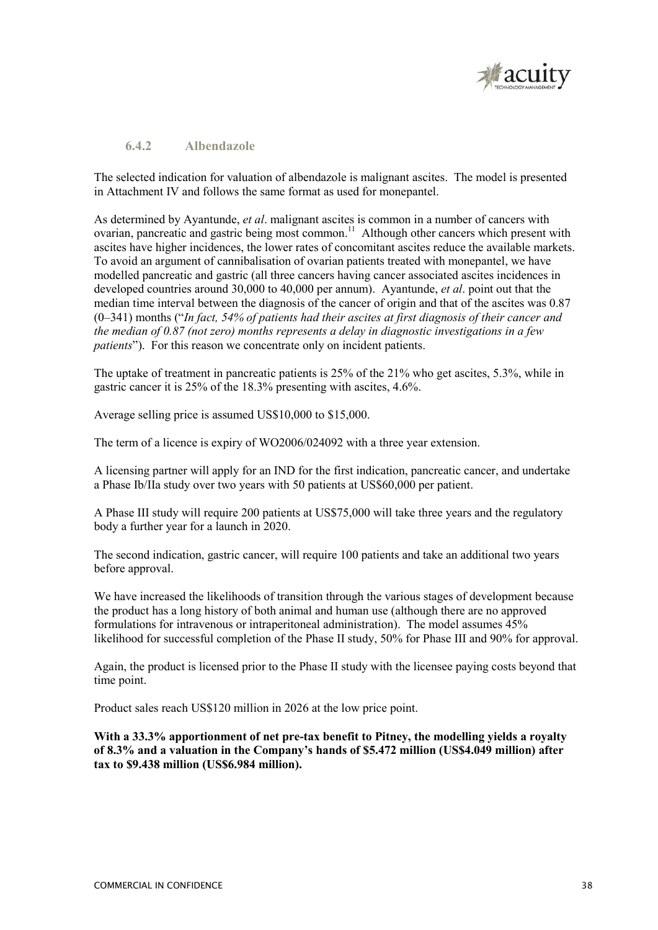

### **6.4.2 Albendazole**

The selected indication for valuation of albendazole is malignant ascites. The model is presented in Attachment IV and follows the same format as used for monepantel.

As determined by Ayantunde, *et al*. malignant ascites is common in a number of cancers with ovarian, pancreatic and gastric being most common.<sup>11</sup> Although other cancers which present with ascites have higher incidences, the lower rates of concomitant ascites reduce the available markets. To avoid an argument of cannibalisation of ovarian patients treated with monepantel, we have modelled pancreatic and gastric (all three cancers having cancer associated ascites incidences in developed countries around 30,000 to 40,000 per annum). Ayantunde, *et al*. point out that the median time interval between the diagnosis of the cancer of origin and that of the ascites was 0.87 (0–341) months ("*In fact, 54% of patients had their ascites at first diagnosis of their cancer and the median of 0.87 (not zero) months represents a delay in diagnostic investigations in a few patients*"). For this reason we concentrate only on incident patients.

The uptake of treatment in pancreatic patients is 25% of the 21% who get ascites, 5.3%, while in gastric cancer it is 25% of the 18.3% presenting with ascites, 4.6%.

Average selling price is assumed US\$10,000 to \$15,000.

The term of a licence is expiry of WO2006/024092 with a three year extension.

A licensing partner will apply for an IND for the first indication, pancreatic cancer, and undertake a Phase Ib/IIa study over two years with 50 patients at US\$60,000 per patient.

A Phase III study will require 200 patients at US\$75,000 will take three years and the regulatory body a further year for a launch in 2020.

The second indication, gastric cancer, will require 100 patients and take an additional two years before approval.

We have increased the likelihoods of transition through the various stages of development because the product has a long history of both animal and human use (although there are no approved formulations for intravenous or intraperitoneal administration). The model assumes 45% likelihood for successful completion of the Phase II study, 50% for Phase III and 90% for approval.

Again, the product is licensed prior to the Phase II study with the licensee paying costs beyond that time point.

Product sales reach US\$120 million in 2026 at the low price point.

**With a 33.3% apportionment of net pre-tax benefit to Pitney, the modelling yields a royalty of 8.3% and a valuation in the Company's hands of \$5.472 million (US\$4.049 million) after tax to \$9.438 million (US\$6.984 million).**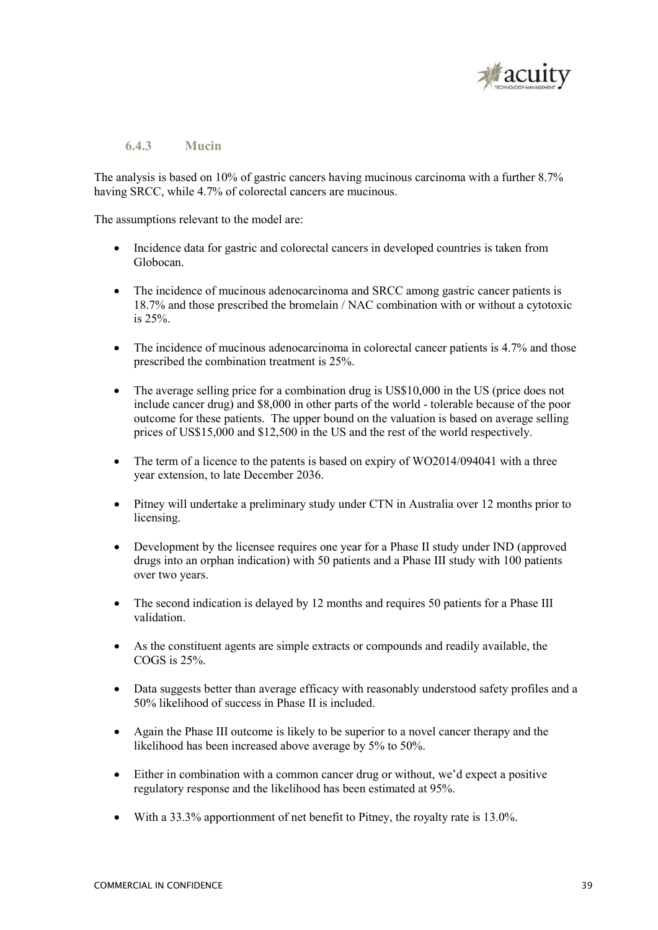

## **6.4.3 Mucin**

The analysis is based on 10% of gastric cancers having mucinous carcinoma with a further 8.7% having SRCC, while 4.7% of colorectal cancers are mucinous.

The assumptions relevant to the model are:

- Incidence data for gastric and colorectal cancers in developed countries is taken from Globocan.
- The incidence of mucinous adenocarcinoma and SRCC among gastric cancer patients is 18.7% and those prescribed the bromelain / NAC combination with or without a cytotoxic is 25%.
- The incidence of mucinous adenocarcinoma in colorectal cancer patients is 4.7% and those prescribed the combination treatment is 25%.
- The average selling price for a combination drug is US\$10,000 in the US (price does not include cancer drug) and \$8,000 in other parts of the world - tolerable because of the poor outcome for these patients. The upper bound on the valuation is based on average selling prices of US\$15,000 and \$12,500 in the US and the rest of the world respectively.
- The term of a licence to the patents is based on expiry of WO2014/094041 with a three year extension, to late December 2036.
- Pitney will undertake a preliminary study under CTN in Australia over 12 months prior to licensing.
- Development by the licensee requires one year for a Phase II study under IND (approved drugs into an orphan indication) with 50 patients and a Phase III study with 100 patients over two years.
- The second indication is delayed by 12 months and requires 50 patients for a Phase III validation.
- As the constituent agents are simple extracts or compounds and readily available, the COGS is 25%.
- Data suggests better than average efficacy with reasonably understood safety profiles and a 50% likelihood of success in Phase II is included.
- Again the Phase III outcome is likely to be superior to a novel cancer therapy and the likelihood has been increased above average by 5% to 50%.
- Either in combination with a common cancer drug or without, we'd expect a positive regulatory response and the likelihood has been estimated at 95%.
- With a 33.3% apportionment of net benefit to Pitney, the royalty rate is 13.0%.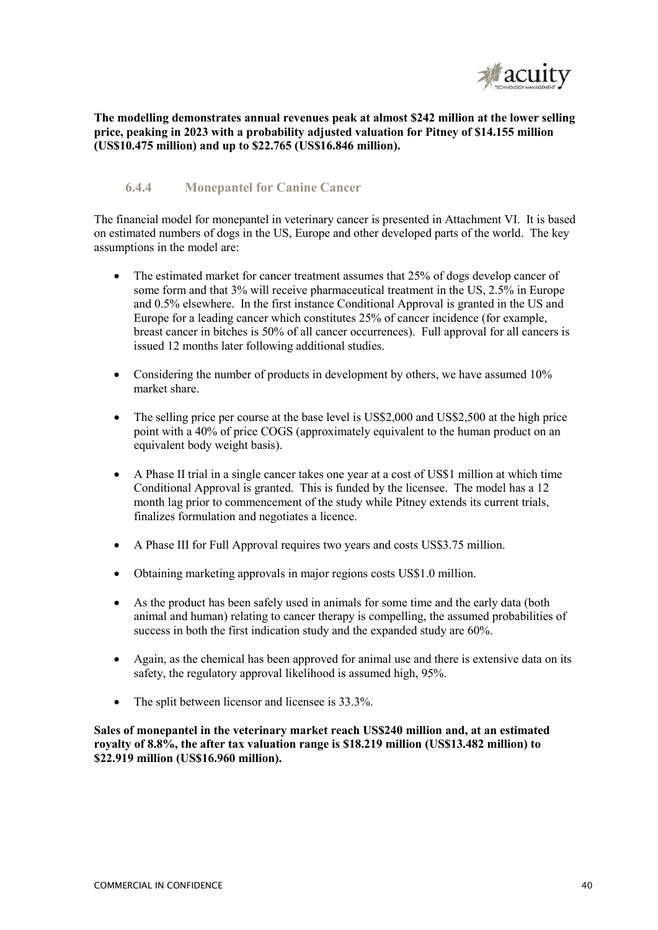

**The modelling demonstrates annual revenues peak at almost \$242 million at the lower selling price, peaking in 2023 with a probability adjusted valuation for Pitney of \$14.155 million (US\$10.475 million) and up to \$22.765 (US\$16.846 million).** 

## **6.4.4 Monepantel for Canine Cancer**

The financial model for monepantel in veterinary cancer is presented in Attachment VI. It is based on estimated numbers of dogs in the US, Europe and other developed parts of the world. The key assumptions in the model are:

- The estimated market for cancer treatment assumes that 25% of dogs develop cancer of some form and that 3% will receive pharmaceutical treatment in the US, 2.5% in Europe and 0.5% elsewhere. In the first instance Conditional Approval is granted in the US and Europe for a leading cancer which constitutes 25% of cancer incidence (for example, breast cancer in bitches is 50% of all cancer occurrences). Full approval for all cancers is issued 12 months later following additional studies.
- Considering the number of products in development by others, we have assumed 10% market share.
- The selling price per course at the base level is US\$2,000 and US\$2,500 at the high price point with a 40% of price COGS (approximately equivalent to the human product on an equivalent body weight basis).
- A Phase II trial in a single cancer takes one year at a cost of US\$1 million at which time Conditional Approval is granted. This is funded by the licensee. The model has a 12 month lag prior to commencement of the study while Pitney extends its current trials, finalizes formulation and negotiates a licence.
- A Phase III for Full Approval requires two years and costs US\$3.75 million.
- Obtaining marketing approvals in major regions costs US\$1.0 million.
- As the product has been safely used in animals for some time and the early data (both animal and human) relating to cancer therapy is compelling, the assumed probabilities of success in both the first indication study and the expanded study are 60%.
- Again, as the chemical has been approved for animal use and there is extensive data on its safety, the regulatory approval likelihood is assumed high, 95%.
- The split between licensor and licensee is 33.3%.

**Sales of monepantel in the veterinary market reach US\$240 million and, at an estimated royalty of 8.8%, the after tax valuation range is \$18.219 million (US\$13.482 million) to \$22.919 million (US\$16.960 million).**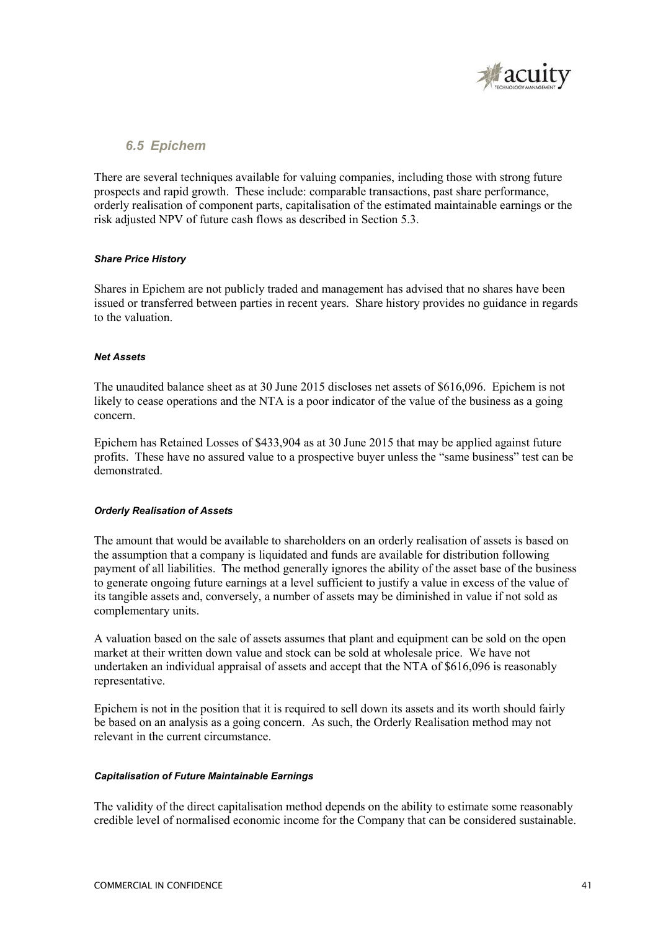

## *6.5 Epichem*

There are several techniques available for valuing companies, including those with strong future prospects and rapid growth. These include: comparable transactions, past share performance, orderly realisation of component parts, capitalisation of the estimated maintainable earnings or the risk adjusted NPV of future cash flows as described in Section 5.3.

### *Share Price History*

Shares in Epichem are not publicly traded and management has advised that no shares have been issued or transferred between parties in recent years. Share history provides no guidance in regards to the valuation.

### *Net Assets*

The unaudited balance sheet as at 30 June 2015 discloses net assets of \$616,096. Epichem is not likely to cease operations and the NTA is a poor indicator of the value of the business as a going concern.

Epichem has Retained Losses of \$433,904 as at 30 June 2015 that may be applied against future profits. These have no assured value to a prospective buyer unless the "same business" test can be demonstrated.

### *Orderly Realisation of Assets*

The amount that would be available to shareholders on an orderly realisation of assets is based on the assumption that a company is liquidated and funds are available for distribution following payment of all liabilities. The method generally ignores the ability of the asset base of the business to generate ongoing future earnings at a level sufficient to justify a value in excess of the value of its tangible assets and, conversely, a number of assets may be diminished in value if not sold as complementary units.

A valuation based on the sale of assets assumes that plant and equipment can be sold on the open market at their written down value and stock can be sold at wholesale price. We have not undertaken an individual appraisal of assets and accept that the NTA of \$616,096 is reasonably representative.

Epichem is not in the position that it is required to sell down its assets and its worth should fairly be based on an analysis as a going concern. As such, the Orderly Realisation method may not relevant in the current circumstance.

### *Capitalisation of Future Maintainable Earnings*

The validity of the direct capitalisation method depends on the ability to estimate some reasonably credible level of normalised economic income for the Company that can be considered sustainable.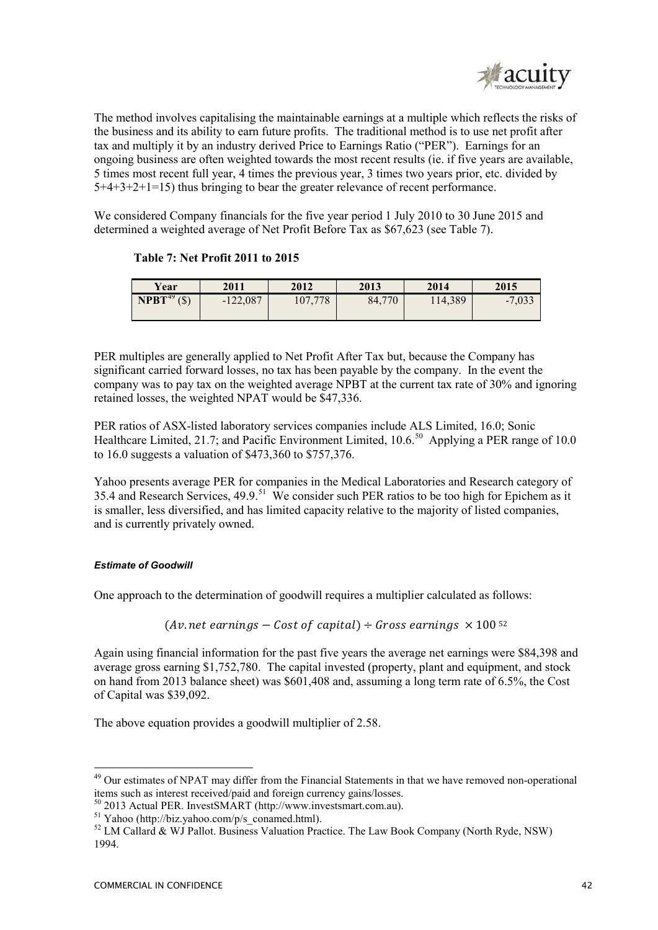

The method involves capitalising the maintainable earnings at a multiple which reflects the risks of the business and its ability to earn future profits. The traditional method is to use net profit after tax and multiply it by an industry derived Price to Earnings Ratio ("PER"). Earnings for an ongoing business are often weighted towards the most recent results (ie. if five years are available, 5 times most recent full year, 4 times the previous year, 3 times two years prior, etc. divided by 5+4+3+2+1=15) thus bringing to bear the greater relevance of recent performance.

We considered Company financials for the five year period 1 July 2010 to 30 June 2015 and determined a weighted average of Net Profit Before Tax as \$67,623 (see Table 7).

|  |  | <b>Table 7: Net Profit 2011 to 2015</b> |
|--|--|-----------------------------------------|
|--|--|-----------------------------------------|

| Year                         | 2011       | 2012    | 2013   | 2014    | 2015     |
|------------------------------|------------|---------|--------|---------|----------|
| $N$ PBT <sup>49</sup> $(\$)$ | $-122,087$ | 107,778 | 84,770 | 114,389 | $-7,033$ |

PER multiples are generally applied to Net Profit After Tax but, because the Company has significant carried forward losses, no tax has been payable by the company. In the event the company was to pay tax on the weighted average NPBT at the current tax rate of 30% and ignoring retained losses, the weighted NPAT would be \$47,336.

PER ratios of ASX-listed laboratory services companies include ALS Limited, 16.0; Sonic Healthcare Limited, 21.7; and Pacific Environment Limited, 10.6.<sup>50</sup> Applying a PER range of 10.0 to 16.0 suggests a valuation of \$473,360 to \$757,376.

Yahoo presents average PER for companies in the Medical Laboratories and Research category of 35.4 and Research Services, 49.9.<sup>51</sup> We consider such PER ratios to be too high for Epichem as it is smaller, less diversified, and has limited capacity relative to the majority of listed companies, and is currently privately owned.

## *Estimate of Goodwill*

One approach to the determination of goodwill requires a multiplier calculated as follows:

 $(Av.$  net earnings – Cost of capital) ÷ Gross earnings  $\times$  100<sup>52</sup>

Again using financial information for the past five years the average net earnings were \$84,398 and average gross earning \$1,752,780. The capital invested (property, plant and equipment, and stock on hand from 2013 balance sheet) was \$601,408 and, assuming a long term rate of 6.5%, the Cost of Capital was \$39,092.

The above equation provides a goodwill multiplier of 2.58.

-

<sup>&</sup>lt;sup>49</sup> Our estimates of NPAT may differ from the Financial Statements in that we have removed non-operational items such as interest received/paid and foreign currency gains/losses.

<sup>50</sup> 2013 Actual PER. InvestSMART (http://www.investsmart.com.au).

<sup>51</sup> Yahoo (http://biz.yahoo.com/p/s\_conamed.html).

<sup>&</sup>lt;sup>52</sup> LM Callard & WJ Pallot. Business Valuation Practice. The Law Book Company (North Ryde, NSW) 1994.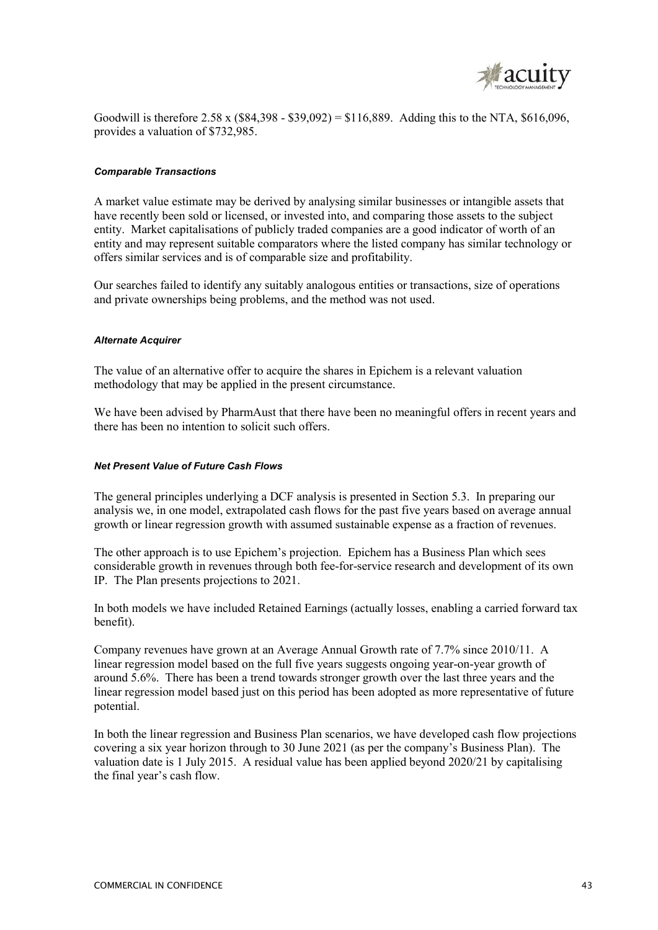

Goodwill is therefore  $2.58 \times (884,398 - $39,092) = $116,889$ . Adding this to the NTA, \$616,096, provides a valuation of \$732,985.

### *Comparable Transactions*

A market value estimate may be derived by analysing similar businesses or intangible assets that have recently been sold or licensed, or invested into, and comparing those assets to the subject entity. Market capitalisations of publicly traded companies are a good indicator of worth of an entity and may represent suitable comparators where the listed company has similar technology or offers similar services and is of comparable size and profitability.

Our searches failed to identify any suitably analogous entities or transactions, size of operations and private ownerships being problems, and the method was not used.

### *Alternate Acquirer*

The value of an alternative offer to acquire the shares in Epichem is a relevant valuation methodology that may be applied in the present circumstance.

We have been advised by PharmAust that there have been no meaningful offers in recent years and there has been no intention to solicit such offers.

### *Net Present Value of Future Cash Flows*

The general principles underlying a DCF analysis is presented in Section 5.3. In preparing our analysis we, in one model, extrapolated cash flows for the past five years based on average annual growth or linear regression growth with assumed sustainable expense as a fraction of revenues.

The other approach is to use Epichem's projection. Epichem has a Business Plan which sees considerable growth in revenues through both fee-for-service research and development of its own IP. The Plan presents projections to 2021.

In both models we have included Retained Earnings (actually losses, enabling a carried forward tax benefit).

Company revenues have grown at an Average Annual Growth rate of 7.7% since 2010/11. A linear regression model based on the full five years suggests ongoing year-on-year growth of around 5.6%. There has been a trend towards stronger growth over the last three years and the linear regression model based just on this period has been adopted as more representative of future potential.

In both the linear regression and Business Plan scenarios, we have developed cash flow projections covering a six year horizon through to 30 June 2021 (as per the company's Business Plan). The valuation date is 1 July 2015. A residual value has been applied beyond 2020/21 by capitalising the final year's cash flow.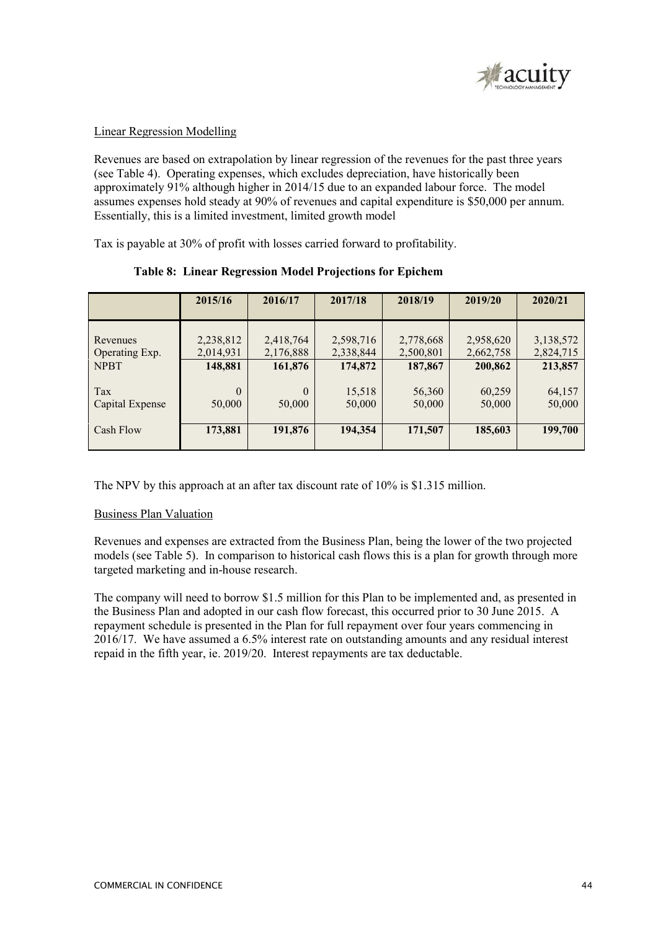

### Linear Regression Modelling

Revenues are based on extrapolation by linear regression of the revenues for the past three years (see Table 4). Operating expenses, which excludes depreciation, have historically been approximately 91% although higher in 2014/15 due to an expanded labour force. The model assumes expenses hold steady at 90% of revenues and capital expenditure is \$50,000 per annum. Essentially, this is a limited investment, limited growth model

Tax is payable at 30% of profit with losses carried forward to profitability.

|                            | 2015/16                | 2016/17                | 2017/18                | 2018/19                | 2019/20                | 2020/21                |
|----------------------------|------------------------|------------------------|------------------------|------------------------|------------------------|------------------------|
| Revenues<br>Operating Exp. | 2,238,812<br>2,014,931 | 2,418,764<br>2,176,888 | 2,598,716<br>2,338,844 | 2,778,668<br>2,500,801 | 2,958,620<br>2,662,758 | 3,138,572<br>2,824,715 |
| <b>NPBT</b><br>Tax         | 148,881<br>$\theta$    | 161,876<br>$\theta$    | 174,872<br>15,518      | 187,867<br>56,360      | 200,862<br>60,259      | 213,857<br>64,157      |
| Capital Expense            | 50,000                 | 50,000                 | 50,000                 | 50,000                 | 50,000                 | 50,000                 |
| Cash Flow                  | 173,881                | 191,876                | 194,354                | 171,507                | 185,603                | 199,700                |

## **Table 8: Linear Regression Model Projections for Epichem**

The NPV by this approach at an after tax discount rate of 10% is \$1.315 million.

## Business Plan Valuation

Revenues and expenses are extracted from the Business Plan, being the lower of the two projected models (see Table 5). In comparison to historical cash flows this is a plan for growth through more targeted marketing and in-house research.

The company will need to borrow \$1.5 million for this Plan to be implemented and, as presented in the Business Plan and adopted in our cash flow forecast, this occurred prior to 30 June 2015. A repayment schedule is presented in the Plan for full repayment over four years commencing in 2016/17. We have assumed a 6.5% interest rate on outstanding amounts and any residual interest repaid in the fifth year, ie. 2019/20. Interest repayments are tax deductable.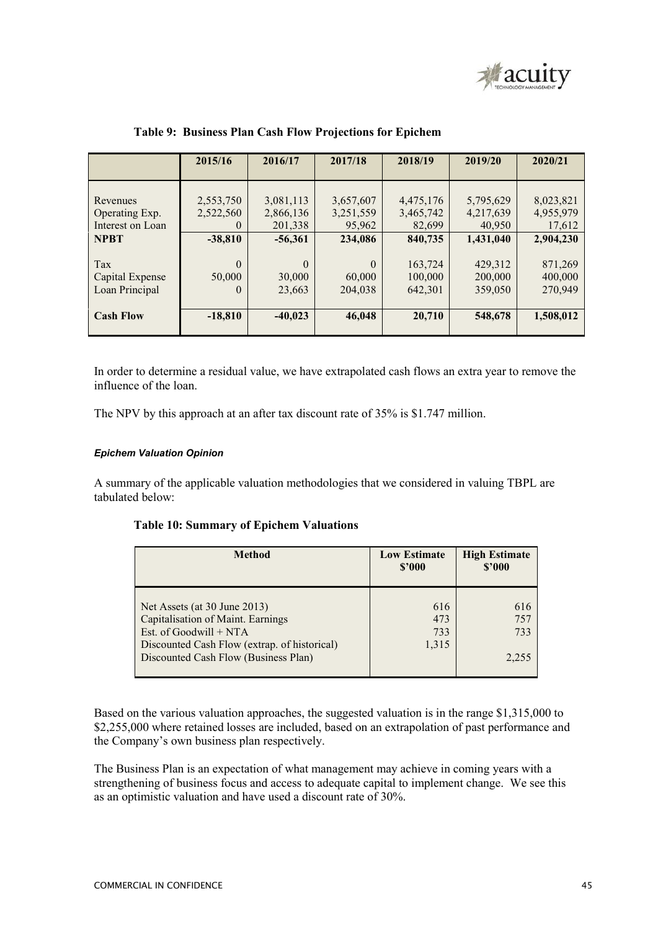

|                  | 2015/16   | 2016/17   | 2017/18   | 2018/19   | 2019/20   | 2020/21   |
|------------------|-----------|-----------|-----------|-----------|-----------|-----------|
| Revenues         | 2,553,750 | 3,081,113 | 3,657,607 | 4,475,176 | 5,795,629 | 8,023,821 |
| Operating Exp.   | 2,522,560 | 2,866,136 | 3,251,559 | 3,465,742 | 4,217,639 | 4,955,979 |
| Interest on Loan | $\theta$  | 201,338   | 95,962    | 82,699    | 40,950    | 17,612    |
| <b>NPBT</b>      | $-38,810$ | $-56,361$ | 234,086   | 840,735   | 1,431,040 | 2,904,230 |
| Tax              | $\theta$  | $\theta$  | $\Omega$  | 163,724   | 429,312   | 871,269   |
| Capital Expense  | 50,000    | 30,000    | 60,000    | 100,000   | 200,000   | 400,000   |
| Loan Principal   | 0         | 23,663    | 204,038   | 642,301   | 359,050   | 270,949   |
| <b>Cash Flow</b> | $-18,810$ | $-40,023$ | 46,048    | 20,710    | 548,678   | 1,508,012 |

### **Table 9: Business Plan Cash Flow Projections for Epichem**

In order to determine a residual value, we have extrapolated cash flows an extra year to remove the influence of the loan.

The NPV by this approach at an after tax discount rate of 35% is \$1.747 million.

### *Epichem Valuation Opinion*

A summary of the applicable valuation methodologies that we considered in valuing TBPL are tabulated below:

|  | <b>Table 10: Summary of Epichem Valuations</b> |
|--|------------------------------------------------|
|--|------------------------------------------------|

| <b>Method</b>                                                                                                                                                                         | <b>Low Estimate</b><br>\$2000 | <b>High Estimate</b><br>\$2000 |
|---------------------------------------------------------------------------------------------------------------------------------------------------------------------------------------|-------------------------------|--------------------------------|
| Net Assets (at 30 June 2013)<br>Capitalisation of Maint. Earnings<br>Est. of Goodwill $+ NTA$<br>Discounted Cash Flow (extrap. of historical)<br>Discounted Cash Flow (Business Plan) | 616<br>473<br>733<br>1,315    | 616<br>757<br>733<br>2.255     |

Based on the various valuation approaches, the suggested valuation is in the range \$1,315,000 to \$2,255,000 where retained losses are included, based on an extrapolation of past performance and the Company's own business plan respectively.

The Business Plan is an expectation of what management may achieve in coming years with a strengthening of business focus and access to adequate capital to implement change. We see this as an optimistic valuation and have used a discount rate of 30%.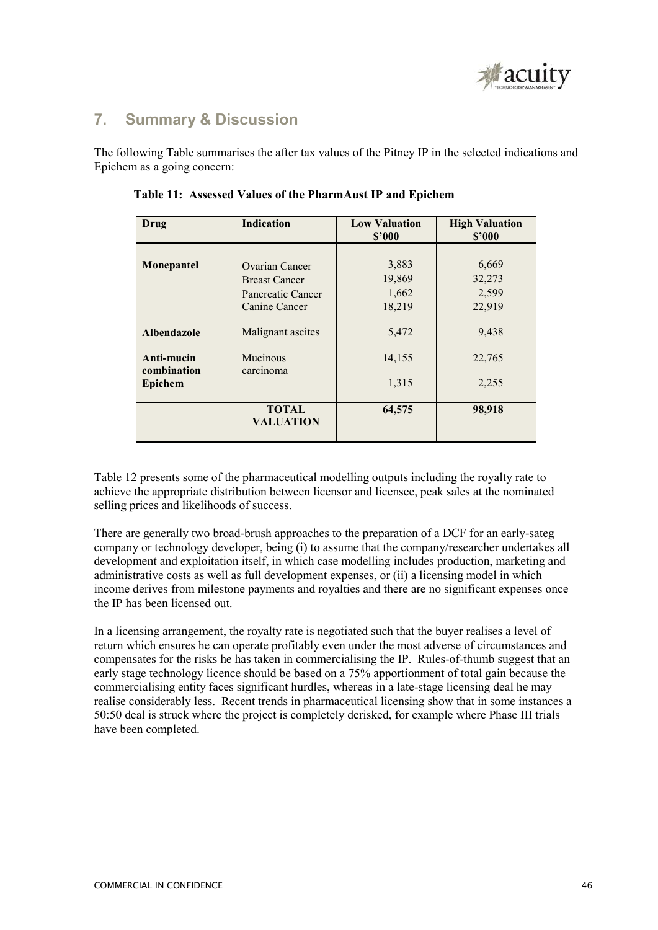

## **7. Summary & Discussion**

The following Table summarises the after tax values of the Pitney IP in the selected indications and Epichem as a going concern:

| Drug                      | <b>Indication</b>                | <b>Low Valuation</b><br>\$2000 | <b>High Valuation</b><br>\$2000 |
|---------------------------|----------------------------------|--------------------------------|---------------------------------|
|                           |                                  |                                |                                 |
| Monepantel                | Ovarian Cancer                   | 3,883                          | 6,669                           |
|                           | <b>Breast Cancer</b>             | 19,869                         | 32,273                          |
|                           | Pancreatic Cancer                | 1,662                          | 2,599                           |
|                           | Canine Cancer                    | 18,219                         | 22,919                          |
| <b>Albendazole</b>        | Malignant ascites                | 5,472                          | 9,438                           |
| Anti-mucin<br>combination | Mucinous<br>carcinoma            | 14,155                         | 22,765                          |
| <b>Epichem</b>            |                                  | 1,315                          | 2,255                           |
|                           | <b>TOTAL</b><br><b>VALUATION</b> | 64,575                         | 98,918                          |

 **Table 11: Assessed Values of the PharmAust IP and Epichem** 

Table 12 presents some of the pharmaceutical modelling outputs including the royalty rate to achieve the appropriate distribution between licensor and licensee, peak sales at the nominated selling prices and likelihoods of success.

There are generally two broad-brush approaches to the preparation of a DCF for an early-sateg company or technology developer, being (i) to assume that the company/researcher undertakes all development and exploitation itself, in which case modelling includes production, marketing and administrative costs as well as full development expenses, or (ii) a licensing model in which income derives from milestone payments and royalties and there are no significant expenses once the IP has been licensed out.

In a licensing arrangement, the royalty rate is negotiated such that the buyer realises a level of return which ensures he can operate profitably even under the most adverse of circumstances and compensates for the risks he has taken in commercialising the IP. Rules-of-thumb suggest that an early stage technology licence should be based on a 75% apportionment of total gain because the commercialising entity faces significant hurdles, whereas in a late-stage licensing deal he may realise considerably less. Recent trends in pharmaceutical licensing show that in some instances a 50:50 deal is struck where the project is completely derisked, for example where Phase III trials have been completed.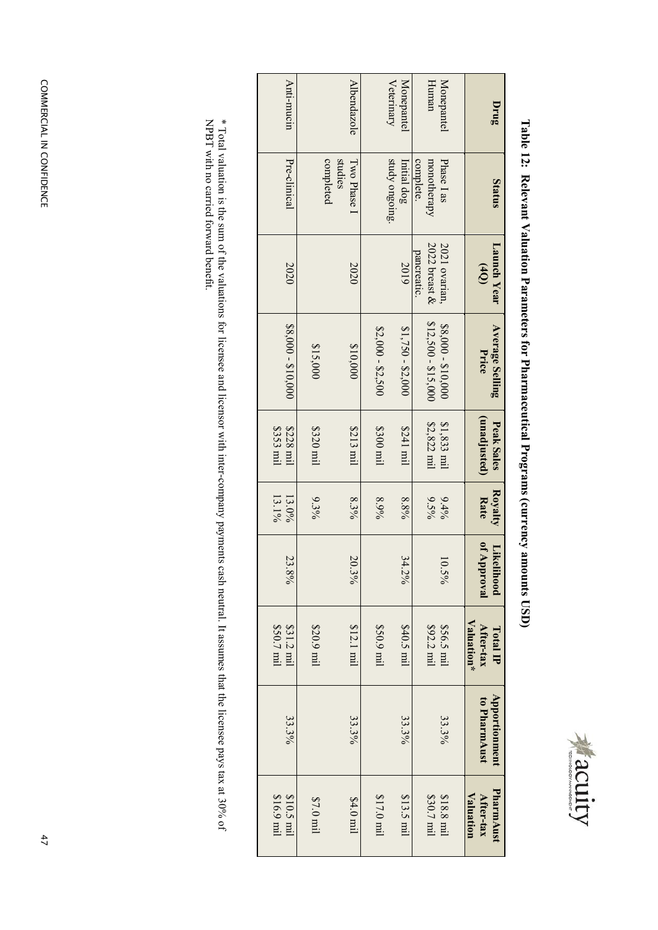

| I<br>i<br> <br> <br> <br> <br>I                 |
|-------------------------------------------------|
| $\ddot{\phantom{a}}$<br>י                       |
| í<br>$\frac{1}{2}$<br>i<br>$\frac{1}{1}$<br>j   |
| í<br>l<br>i                                     |
| j<br>$\frac{1}{1}$<br>l<br>j<br> <br> <br> <br> |
| $\overline{\phantom{a}}$                        |
| ĺ<br>i                                          |
|                                                 |
| きゅうしょく タートリー                                    |
|                                                 |

| Anti-mucin               | Albendazole                          |                     | Veterinary<br>Monepantel      | Human                             | Monepantel                  | Drug                                |
|--------------------------|--------------------------------------|---------------------|-------------------------------|-----------------------------------|-----------------------------|-------------------------------------|
| Pre-clinical             | studies<br>completed<br>I wo Phase 1 |                     | study ongoing.<br>Initial dog | complete.<br>monotherapy          | Phase 1 as                  | Status                              |
| 2020                     | 2020                                 |                     | 2019                          | $2022$ breast $\&$<br>pancreatic. | 2021 ovarian,               | Launch Year<br>(40)                 |
| $$8,000 - $10,000$       | \$10,000<br>\$15,000                 | $$2,000 - $2,500$   | $$1,750 - $2,000$             | $$12,500 - $15,000$               | $$8,000 - $10,000$          | <b>Average Selling</b><br>Price     |
| \$353 mil<br>\$228 mil   | \$320 mil<br>\$213 mil               | $$300$ mil          | Im 1424                       | \$2,822 mil                       | $$1,833$ mil                | (unadjusted)<br>Peak Sales          |
| $13.1\%$<br>$13.0\%$     | 8.3%<br>$9.3\%$                      | 8.9%                | 8.8%                          | $9.5\%$                           | 9.4%                        | Royalty<br><b>Rate</b>              |
| 23.8%                    | $\overline{50}$<br>$.3\%$            |                     | 34<br>30/6                    |                                   | $\overline{\circ}$<br>$5\%$ | of Approval<br>Likel<br>lihood      |
| \$50.7 mil<br>\$31.2 mil | $$12.1 \text{ mi}$<br>\$20.9 mil     | \$50.9 mil          | $$40.5 \text{ mil}$           | \$92.2 mil                        | \$56.5 mil                  | Valuation*<br>After-tax<br>Total IP |
| 33.3%                    | 33.3%                                |                     | 33.3%                         |                                   | 33.3%                       | Apportionment<br>to PharmAust       |
| \$10.5 mil<br>\$16.9 mil | \$7.0 mil<br>\$4.0 mil               | $$17.0 \text{ mil}$ | $$13.5 \text{ mil}$           | \$30.7 mil                        | \$18.8 mil                  | PharmAust<br>Valuation<br>After-tax |

\* Total valuation is the sum of the valuations for licensee and licensor with inter-company payments cash neutral. It assumes that the licensee pays tax at 30% of<br>NPBT with no carried forward benefit. NPBT with no carried forward benefit.\* Total valuation is the sum of the valuations for licensee and licensor with inter-company payments cash neutral. It assumes that the licensee pays tax at 30% of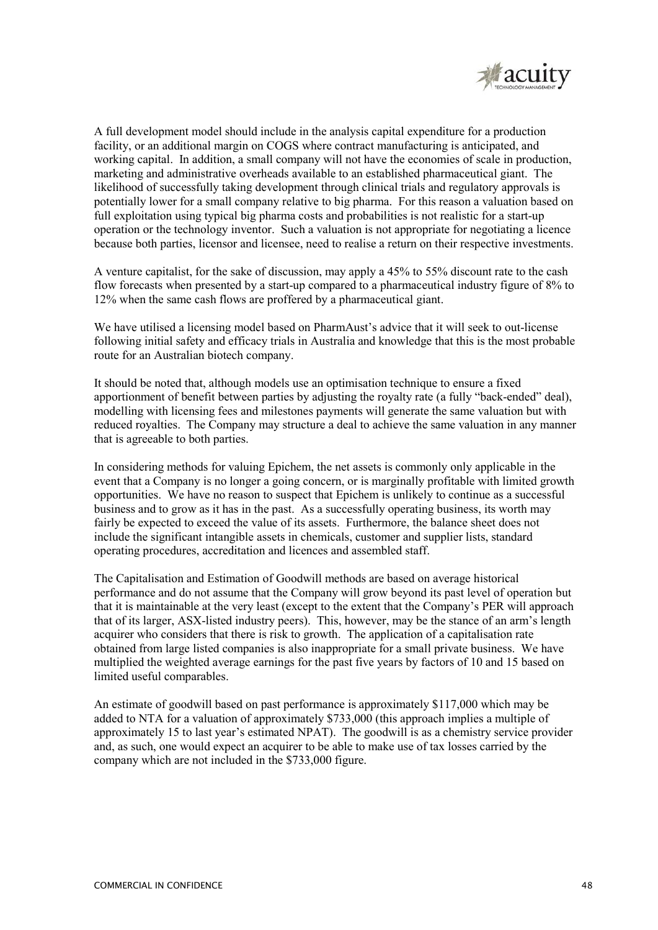

A full development model should include in the analysis capital expenditure for a production facility, or an additional margin on COGS where contract manufacturing is anticipated, and working capital. In addition, a small company will not have the economies of scale in production, marketing and administrative overheads available to an established pharmaceutical giant. The likelihood of successfully taking development through clinical trials and regulatory approvals is potentially lower for a small company relative to big pharma. For this reason a valuation based on full exploitation using typical big pharma costs and probabilities is not realistic for a start-up operation or the technology inventor. Such a valuation is not appropriate for negotiating a licence because both parties, licensor and licensee, need to realise a return on their respective investments.

A venture capitalist, for the sake of discussion, may apply a 45% to 55% discount rate to the cash flow forecasts when presented by a start-up compared to a pharmaceutical industry figure of 8% to 12% when the same cash flows are proffered by a pharmaceutical giant.

We have utilised a licensing model based on PharmAust's advice that it will seek to out-license following initial safety and efficacy trials in Australia and knowledge that this is the most probable route for an Australian biotech company.

It should be noted that, although models use an optimisation technique to ensure a fixed apportionment of benefit between parties by adjusting the royalty rate (a fully "back-ended" deal), modelling with licensing fees and milestones payments will generate the same valuation but with reduced royalties. The Company may structure a deal to achieve the same valuation in any manner that is agreeable to both parties.

In considering methods for valuing Epichem, the net assets is commonly only applicable in the event that a Company is no longer a going concern, or is marginally profitable with limited growth opportunities. We have no reason to suspect that Epichem is unlikely to continue as a successful business and to grow as it has in the past. As a successfully operating business, its worth may fairly be expected to exceed the value of its assets. Furthermore, the balance sheet does not include the significant intangible assets in chemicals, customer and supplier lists, standard operating procedures, accreditation and licences and assembled staff.

The Capitalisation and Estimation of Goodwill methods are based on average historical performance and do not assume that the Company will grow beyond its past level of operation but that it is maintainable at the very least (except to the extent that the Company's PER will approach that of its larger, ASX-listed industry peers). This, however, may be the stance of an arm's length acquirer who considers that there is risk to growth. The application of a capitalisation rate obtained from large listed companies is also inappropriate for a small private business. We have multiplied the weighted average earnings for the past five years by factors of 10 and 15 based on limited useful comparables.

An estimate of goodwill based on past performance is approximately \$117,000 which may be added to NTA for a valuation of approximately \$733,000 (this approach implies a multiple of approximately 15 to last year's estimated NPAT). The goodwill is as a chemistry service provider and, as such, one would expect an acquirer to be able to make use of tax losses carried by the company which are not included in the \$733,000 figure.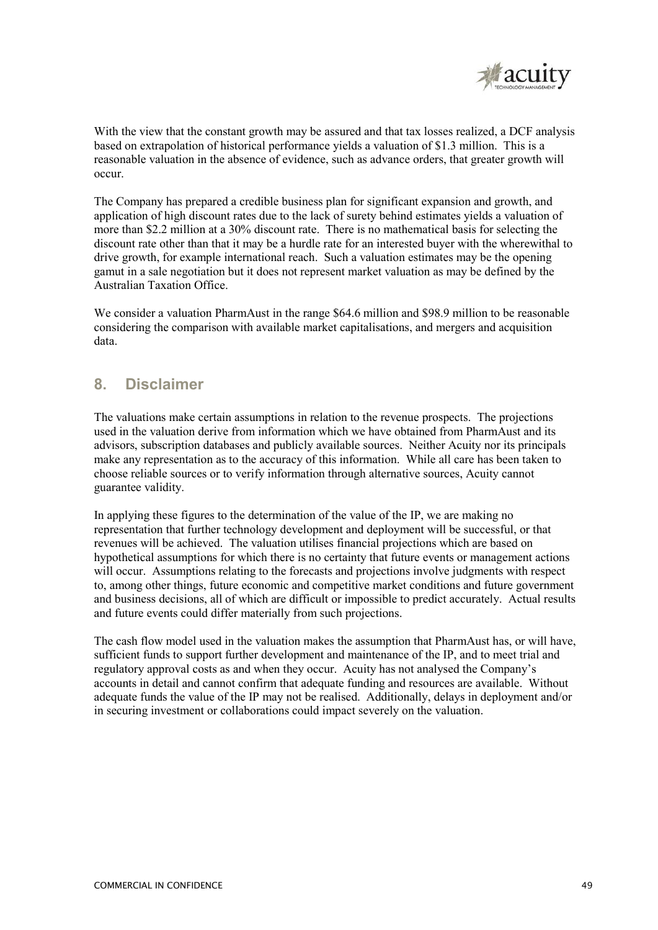

With the view that the constant growth may be assured and that tax losses realized, a DCF analysis based on extrapolation of historical performance yields a valuation of \$1.3 million. This is a reasonable valuation in the absence of evidence, such as advance orders, that greater growth will occur.

The Company has prepared a credible business plan for significant expansion and growth, and application of high discount rates due to the lack of surety behind estimates yields a valuation of more than \$2.2 million at a 30% discount rate. There is no mathematical basis for selecting the discount rate other than that it may be a hurdle rate for an interested buyer with the wherewithal to drive growth, for example international reach. Such a valuation estimates may be the opening gamut in a sale negotiation but it does not represent market valuation as may be defined by the Australian Taxation Office.

We consider a valuation PharmAust in the range \$64.6 million and \$98.9 million to be reasonable considering the comparison with available market capitalisations, and mergers and acquisition data.

## **8. Disclaimer**

The valuations make certain assumptions in relation to the revenue prospects. The projections used in the valuation derive from information which we have obtained from PharmAust and its advisors, subscription databases and publicly available sources. Neither Acuity nor its principals make any representation as to the accuracy of this information. While all care has been taken to choose reliable sources or to verify information through alternative sources, Acuity cannot guarantee validity.

In applying these figures to the determination of the value of the IP, we are making no representation that further technology development and deployment will be successful, or that revenues will be achieved. The valuation utilises financial projections which are based on hypothetical assumptions for which there is no certainty that future events or management actions will occur. Assumptions relating to the forecasts and projections involve judgments with respect to, among other things, future economic and competitive market conditions and future government and business decisions, all of which are difficult or impossible to predict accurately. Actual results and future events could differ materially from such projections.

The cash flow model used in the valuation makes the assumption that PharmAust has, or will have, sufficient funds to support further development and maintenance of the IP, and to meet trial and regulatory approval costs as and when they occur. Acuity has not analysed the Company's accounts in detail and cannot confirm that adequate funding and resources are available. Without adequate funds the value of the IP may not be realised. Additionally, delays in deployment and/or in securing investment or collaborations could impact severely on the valuation.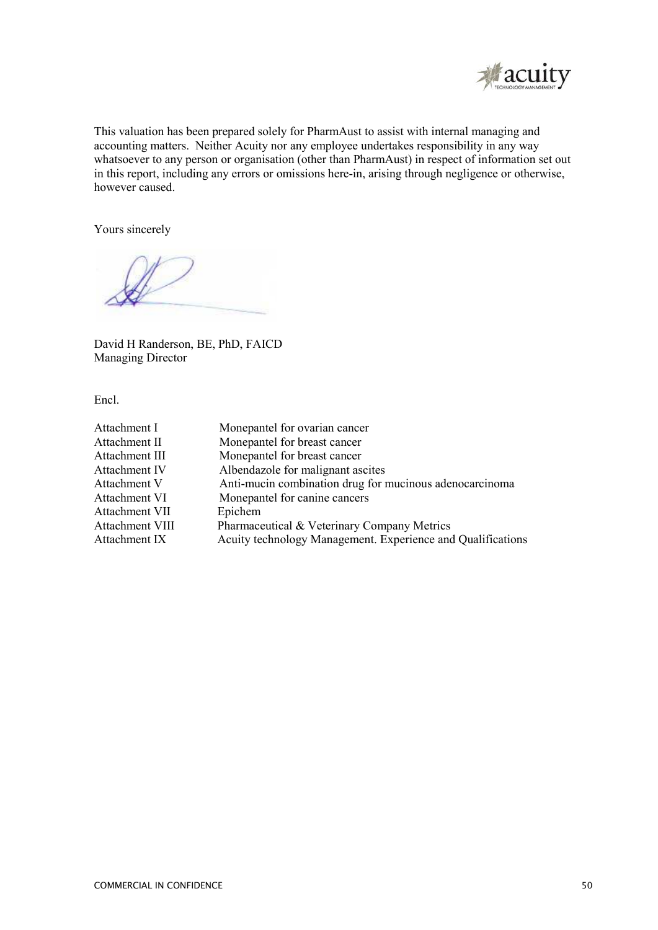

This valuation has been prepared solely for PharmAust to assist with internal managing and accounting matters. Neither Acuity nor any employee undertakes responsibility in any way whatsoever to any person or organisation (other than PharmAust) in respect of information set out in this report, including any errors or omissions here-in, arising through negligence or otherwise, however caused.

Yours sincerely

David H Randerson, BE, PhD, FAICD Managing Director

Encl.

| Attachment I         | Monepantel for ovarian cancer                               |
|----------------------|-------------------------------------------------------------|
| Attachment II        | Monepantel for breast cancer                                |
| Attachment III       | Monepantel for breast cancer                                |
| Attachment IV        | Albendazole for malignant ascites                           |
| Attachment V         | Anti-mucin combination drug for mucinous adenocarcinoma     |
| <b>Attachment VI</b> | Monepantel for canine cancers                               |
| Attachment VII       | Epichem                                                     |
| Attachment VIII      | Pharmaceutical & Veterinary Company Metrics                 |
| Attachment IX        | Acuity technology Management. Experience and Qualifications |
|                      |                                                             |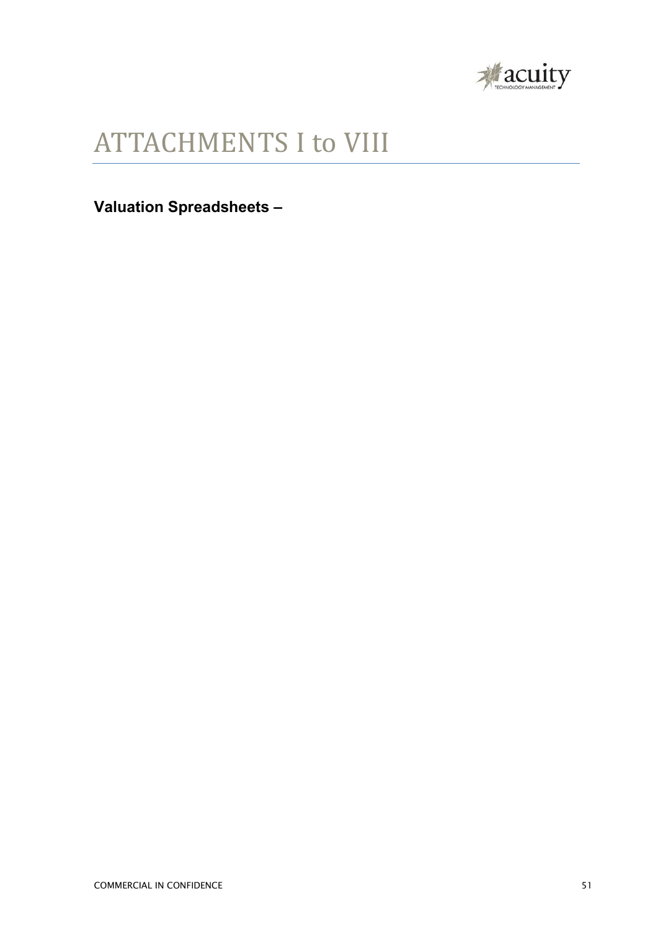

## ATTACHMENTS I to VIII

**Valuation Spreadsheets –**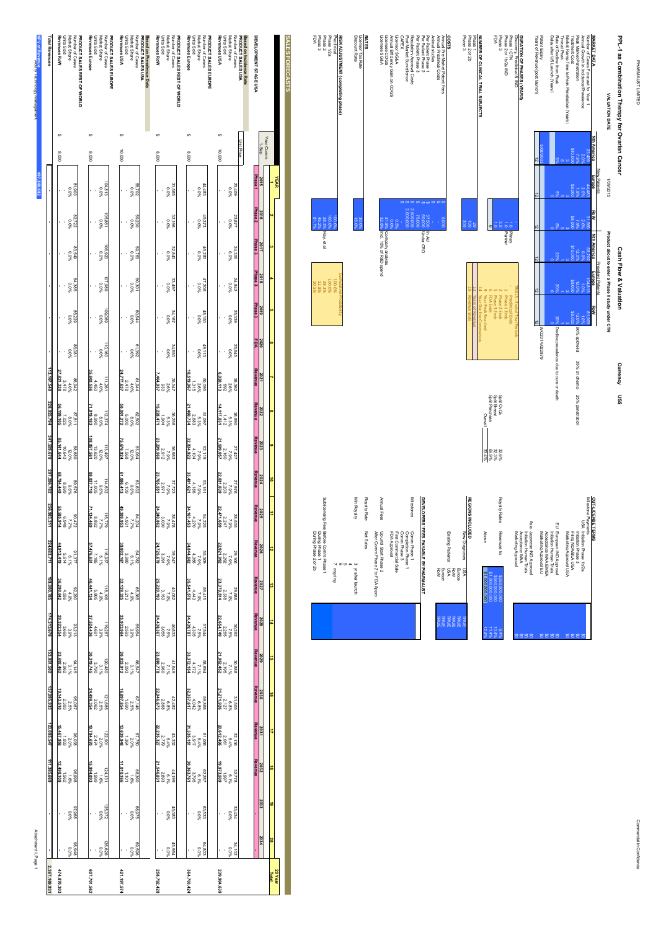PHARMAUST LIMITED

| <b>PRAYMAD IS DAMA</b>                                                                      |                                                  |                     |                           |                                                   |                                |                                         |                                              |                                  |                     |                                                                                         |                                                  |                          |
|---------------------------------------------------------------------------------------------|--------------------------------------------------|---------------------|---------------------------|---------------------------------------------------|--------------------------------|-----------------------------------------|----------------------------------------------|----------------------------------|---------------------|-----------------------------------------------------------------------------------------|--------------------------------------------------|--------------------------|
| PPL-1 as Combination Therapy for Ovarian Cancer                                             |                                                  |                     |                           | Cash Flow & Valuation                             |                                | Currency                                | និង                                          |                                  |                     |                                                                                         |                                                  |                          |
| VALUATION DATE                                                                              | 1/09/2015                                        |                     |                           | Product about to enter a Phase II study under CTN |                                |                                         |                                              |                                  |                     |                                                                                         |                                                  |                          |
| <b>MARKET DATA</b>                                                                          | Nth America<br><b>New Patients</b><br>Europe     | <b>RoW</b>          | <b>Nth America</b>        | Prevalent Patients<br>Europe<br><b>RoW</b>        |                                |                                         |                                              |                                  | OUT-LICENSE TERMS   |                                                                                         |                                                  |                          |
| Annual Growth in Incidence/Prevalence<br>Number of Cases Forecast for Year                  | 23,409<br>2.0%<br>$44,483$<br>$2.0\%$<br>$7.9\%$ | 31,56%<br>2.09      | 58,70<br>0.9              | 18,81<br>$\frac{1}{2}$                            | 81,90<br>Ğ                     |                                         |                                              |                                  | Milestone Payments  | USA Initiation Phase 1b/2a                                                              |                                                  |                          |
| Market Ramp Time to Peak Penetration (Years)<br>Peak Market Penetration<br>Treatment Cost   | 00'01\$<br>7.9%<br>\$8,000                       | 7.99                | ē<br>12.05                | 30.08                                             | 88,000<br>12.0% 90% epithelial |                                         | 35% on chemo 25% penetration                 |                                  |                     | Filing NDA/BLAUSA<br>Initiation Phase 3<br>Marketing Approval USA                       |                                                  |                          |
| Rate of Decline from Peak<br>Delay after US Launch (Years)<br>Time at Peak                  |                                                  |                     |                           |                                                   | %02                            | Decline prevalence due to cure or death |                                              |                                  |                     | European IND Approval<br>hitiation Human Trials                                         |                                                  |                          |
| Patent Expiry                                                                               |                                                  |                     |                           |                                                   | 628220/033879                  |                                         |                                              |                                  |                     | Marketing Approval EU<br>Acceptance MAA EMEA                                            |                                                  |                          |
| Discovery, Preclinical & IND<br>DURATION OF PHASES (YEARS)<br>Years of Revenue (postlaunch) |                                                  |                     |                           |                                                   | FRIALS - End of Trial Penods   |                                         |                                              |                                  | Asia                | Japanese IND Approval<br>Acceptance MAA<br>Marketing Approval<br>hitiation Human Trials |                                                  |                          |
| Phase 2 or 1b/2a IND<br>Phase 1 CTN                                                         |                                                  | $\vec{5}$           | <b>Pithey</b>             | Phase 1 Ends<br>Preclinical Ends                  |                                |                                         |                                              |                                  |                     |                                                                                         |                                                  |                          |
| FDA<br>Phase <sub>3</sub>                                                                   |                                                  | $\frac{8}{2}$       |                           | 5 Phase 3 Ends<br>2 Phase 2 Ends<br>FDA Ends      |                                |                                         | Spilt OvCa<br>Spilt Breast<br>Split Pancreas | 32.6%<br>32.3%<br>66.9%<br>33.4% | Royalty Rates       | Above<br>Revenues to:                                                                   | \$1,000,000,000<br>000'000'0053<br>and and and a | $10.4^{\circ}$<br>Ξ<br>֧ |
| Phase 1<br>NUMBER OF CLINICAL TRIAL SUBJECTS                                                |                                                  |                     |                           | 12 Years of Revenue<br>9 Year Peak Reached        | 14 Year Decline Commences      |                                         | Dverall                                      |                                  |                     |                                                                                         | \$1,000,000,000                                  |                          |
| Phase 2 or 2b<br>Phase 3                                                                    |                                                  | ŝ<br>$\vec{8}$      |                           |                                                   |                                |                                         |                                              |                                  | <b>REGIONS INCL</b> | ine<br>B<br>New Diagnoses                                                               | VSN                                              | <b>HKOLE</b>             |
| <b>COSTS</b>                                                                                |                                                  |                     |                           |                                                   |                                |                                         |                                              |                                  |                     | Existing Patients                                                                       | Europe<br>Rol<br>USA                             | <b>TRUE</b>              |
| Annual Preclinical Costs<br>Annual Pre-Market Patent Fees                                   |                                                  | 5.000               |                           |                                                   |                                |                                         |                                              |                                  |                     |                                                                                         | Europe<br>RoW                                    | <b>TRUE</b>              |
| Animal studies<br>Per Patient Phase 1<br>Per Patient Phase 2                                |                                                  | 37.500              | <b>DA AL</b><br>Under CRO |                                                   |                                |                                         |                                              |                                  | <b>DEVELOPERS</b>   | FEES PAYABLE BY PHARMAUST                                                               |                                                  |                          |
| Regulatory Approval Costs<br>Per Patient Phase 3                                            |                                                  | 2.500,000<br>75,000 |                           |                                                   |                                |                                         |                                              |                                  | Milestones          | Comm Phase 1                                                                            |                                                  |                          |
| Licensor SG&A<br><b>CAPEX</b><br>Post Market Surveillence                                   |                                                  | 2,000,000           |                           |                                                   |                                |                                         |                                              |                                  |                     | Comm Phase 3<br>Completion Phase 1                                                      |                                                  |                          |
| Licensee COGS<br>Annual Efficiency Gain on COGS                                             |                                                  | 80.0%<br>69.0       | 31.8% Company analysis    |                                                   |                                |                                         |                                              |                                  |                     | FDA Approval<br>First Commercial Sale                                                   |                                                  |                          |

Sublicensing Fee: Before Comm Phase 1<br>During Phase 1<br>During Phase 2 or 2b Min Royalty Royalty Rate Sublicensing Fee: Before Comm Phase 1 Annual Fees Annual Fees Min Royalty Royalty Rate**DEVELOPERS' FEES PAYABLE BY PHARMAUST** Net Sales Comm Phase 1 Net Sales Up until Start Phase 2<br>After Comm Phase 2 to FDA Appro During Phase 2 or 2b During Phase 1 After Comm Phase 2 to FDA Appro Up until Start Phase 2 FDA Approval First Commercial Sale Existing Patients New Diagnoses iase 1<br>n Phase 1<br>iase 3<br>mercial Sale<br>"oval BLE BY PHARMAUST tients ses  $3 \times$  after launch<br>4 5 6 7 ongoing 3 yr after launch RR<br>이 블록 \$1,000,000,000 \$1,000,000,000\$500,000,0000.000.000<br>0.000.000<br>0.000.000 지역 보호 보<br>지역 보호 보호

Licensee SG&A

Licensee SG&A

**RATES<br>Licensor Tax Rate<br>Discount Rate** 

Licensor Tax Rate

Discount Rate

**RISK ADJUSTMENT (completing phase)**

Preclinical

Phase 1/2a Phase 2 Phase 3 FDA

> 32.5% Incl. 15% of R&D spend Incl. 15% of R&D spend

30.0%

15.0%

100.0<br>100.0% 31.7%<br>100.0% 31.7%

Hay, et al

100.00<br>0.000.00<br>0.000.000.000.000.00<br>0.000.000.000.000.00

Cumulative Probability

**20 Year Total**

**239,904,639**

239,904,639

**364,703,424**

364,703,424

**258,792,428**

258,792,428

**421,197,574**

421,197,574

**607,701,562**

607,701,562

**PRODUCT SALES REST OF WORLD**<br>Number of Cases<br>Number of Cases<br>Units Sold<br>Revenues ROW **PRODUCT SALES EUROPE**<br>Number of Cases<br>Market Share<br>**Rovenues Europe**<br>Rovenues Europe N PODRU of CALES REST OF WORLD<br>North State (1988)<br>Units Solution Reserved Marian State (1988)<br>Response to the Solution State (1988)<br>Reproduced USA<br>Northway USA<br>Revenuose USA<br>Revenuose USA **PRODUCT SALES EUROPE**<br>Number of Cases<br>Narket Share<br>**Rovenues Europe**<br>Revenues Europe **Revenues RoW** Units Sold - - - - - - Market Share Number of Cases **PRODUCT SALES REST OF WORLD Revenues Europe** Units Sold - - - - - - Market Share Number of Cases **PRODUCT SALES EUROPE Revenues USA** Units Sold - - - - - - Market Share Number of Cases **PRODUCT SALES USA Based on Prevalence Data Revenues RoW** Units Sold - - - - - - Market Share Number of Cases **PRODUCT SALES REST OF WORLD Revenues Europe** Units Sold - - - - - - Market Share Number of Cases **PRODUCT SALES EUROPE Based on Incidence Rate**<br>PRODUCT SALES USA<br>Market Share<br>Market Share<br>Revenues USA<br>Revenues USA **Revenues USA** Units Sold - - - - - - Market Share Number of Cases 23,409 **PRODUCT SALES USA Based on Incidence Rate** DEVELOPMENT STAGE USA **DEVELOPMENT STAGE USA SALES FORECASTS SALES FORECASTS**  $\ddot{\phantom{0}}$  $\theta$  $\epsilon$ Unit Price  $6 - 10,000$ Year Comm.<br>1-Sep  $8,0000$  $8,0000$ 10,000 \$  $8,0008$  $8,0000$ 10,000 \$ Year Comm. Unit Price  $10,000$ **8,000**  $000'8$ **000'8**  $0008$ **2015**<u>Phase 1</u> **YEAR 1**104,813 0.0%81,903 0.0%58,702 0.0%31,565 0.0%44,483 0.0%0.0%**- - - - - - - - - - - - - - - - - - - - - - - - - - - - - - - - - - - - Phase 2 20162** 105,861 0.0%82,722 0.0%59,230 0.0%32,196 0.0%45,373 0.0%23,877 0.0% **Phase 3 2017 3**106,920 0.0%83,549 0.0%59,763 0.0%32,840 0.0%46,280 0.0%24,355 0.0% **Phase 3 2018 4**107,989 0.0%84,385 0.0%60,301 0.0%33,497 0.0%47,206 0.0%24,842 0.0% **Phase 3 2019 5**109,069 0.0%%0.0<br>6Z798 60,844 0.0%34,167 0.0%48,150 0.0%25,339 0.0% **2020FDA 6**110,160 0.0%86,081 0.0%61,392 0.0%34,850 0.0%49,113 0.0%25,845 0.0%**Revenue27,821,339 35,603,556 24,777,637 10,519,967 20217,464,937 6,920,113 7**111,261<br>4.0%<br>4.450 88.942<br>4.0%<br>3.478  $64.478$ <br> $4.78$ <br>2,478 35,547<br>2.6%<br>333 50,09%<br>2.6%<br>9.315 26<br>26<br>26<br>262  **Revenue 202256,199,105 71,919,183 50,001,272 15,228,471 21,460,734 14,117,031 8**112,374<br>8.0%<br>8,990 87.811<br>8.025<br>7.025 62,502<br>8.00%<br>5,000 36.258<br>1.904<br>1.904 51,09%<br>5.3%<br>2.683 26,890<br>25.3%<br>26,892  **Revenue108,957,561 85,141,644 75,676,924 23,299,560 32,834,922 21,599,057 2023 9** 113,497<br>12.0%<br>12.0% 88,689<br>12.0%<br>10.643 63,064 12.0%7,568 27,427<br>7.9%<br>2.160 28.9%<br>7.9%<br>2.912 52,119<br>7.9%<br>104  **Revenue68,794,449 88,037,710 61,086,413 23,765,551 33,491,621 22,031,039 202410**114,632<br>11,005<br>11,005 88<br>%9'6<br>925'68 601'9<br>%9.6<br>ZS9.59 2.723<br>2.9%<br>2.971 53,161<br>7.9%<br>4.186 27,976<br>2.9%<br>2.203  **Revenue 202555,585,914 71,134,469 49,308,953 24,240,862 34,161,453 22,471,659 11**115,798<br>7.7%<br>8.77,892 9<br>%27<br>90.472<br>8.948 64,204<br>7.7%<br>87.7% 3.030<br>7.9%<br>8.1.9% 54,225<br>7.9%<br>4.270 28,535<br>2.9%<br>2.247  **Revenue 202644,913,419 57,476,651 39,802,187 24,725,679 34,844,682 22,921,092 12**116,937<br>16.1%<br>7.185 91.377<br>91.1%<br>5.614 64,782<br>64.1%<br>5.980 3.091<br>3.9%<br>3.991 55,35<br>%6.2<br>608.356 29,106<br>2.292<br>2.292  **Revenue 202736,290,042 46,441,134 32,128,325 25,220,193 35,541,576 23,379,514 13**118,106<br>4.9%<br>805,805 92,290 4.9%4,536 65,365 4.9%3,213 40,032 7.9%3,153 56,415 7.9%4,443 29,688 7.9%2,338  **Revenue 202829,322,354 37,524,436 25,933,984 24,438,367 34,439,787 22,654,749 14**119,38%<br>13.9%<br>187 13.94 93<br>3.9%<br>3.9%<br>3.965 65,954 3.9%2,593 44.83<br>7.5%<br>83.055 57,5%<br>57.5%<br>57.505 30,282<br>2.55%<br>2.265  **Revenue 202923,692,462 30,319,745 20,933,912 23,680,778 33,372,154 21,952,452 15**120,480<br>12.1%<br>12.190<br>12.190 94,145<br>2.1%<br>2.962 66,547<br>2.11%<br>2.093 41,649<br>7.1%<br>2.960 58,694<br>7.1%<br>7.172<br>89.172 30,888<br>2.195<br>2.195  **Revenue 203019,143,510 24,498,354 16,897,854 22,946,673 32,337,617 21,271,926 16**121,685<br>2.5%<br>3.062 95,087<br>2.59%<br>2.393 67,146 2.5%1,690 42,482<br>2.868<br>2.868 5+0.42<br>%8.8%<br>868.642 31,505<br>2.127<br>2.127  **Revenue 203115,467,956 19,794,670 13,639,948 22,235,327 31,335,151 20,612,496 17**122,901<br>2.0%<br>2.474 98.038<br>20%<br>933<br>2.933 67,750<br>2.0%<br>1,364 43.332<br>2.779<br>2.779 61,066<br>6.4%<br>3.917 32,136<br>2.64%<br>2.061  **Revenue 203212,498,108 - - 15,994,093 - - 11,010,166 - - 21,546,031 - - 30,363,761 - - 19,973,509 - - 18**124,131 1.6%%91<br>866.96 68,360 1.6%44,199 6.1%62,287 6.1%32,778 6.1%1,562 - - 1,999 - - 1,101,1<br>1,101,1 2,693 - - 3,795 - - 1,997 - -  **2033 19**125,372 0.0%%00%<br>896.Z6 68,975 0.0%45,083 0.0%63,533 0.0%33,434 0.0%**- - 2034 20** 126,626 98,948 69,596 0.0% 45,984 0.0% 64,803 0.0% 34,102 0.0% 0.0% 0.0%

Attachment I, Page 1 Attachment I, Page 1

**474,870,303**

**2,367,169,931**

2,367,169,931 474,870,303

Acuity Technology Management

**497,808,682**

**Total Revenues**

**NPV of Revenue**

**- - - - - -**

**113,107,549**

**228,925,794**

**347,509,670**

**297,206,782**

**256,903,311**

**224,683,711**

**199,000,785**

**174,313,678**

**153,951,502**

**137,095,933**

**123,085,547**

**111,385,669 - -**

11,385,669

Commercial in Confidence Commercial in Confidence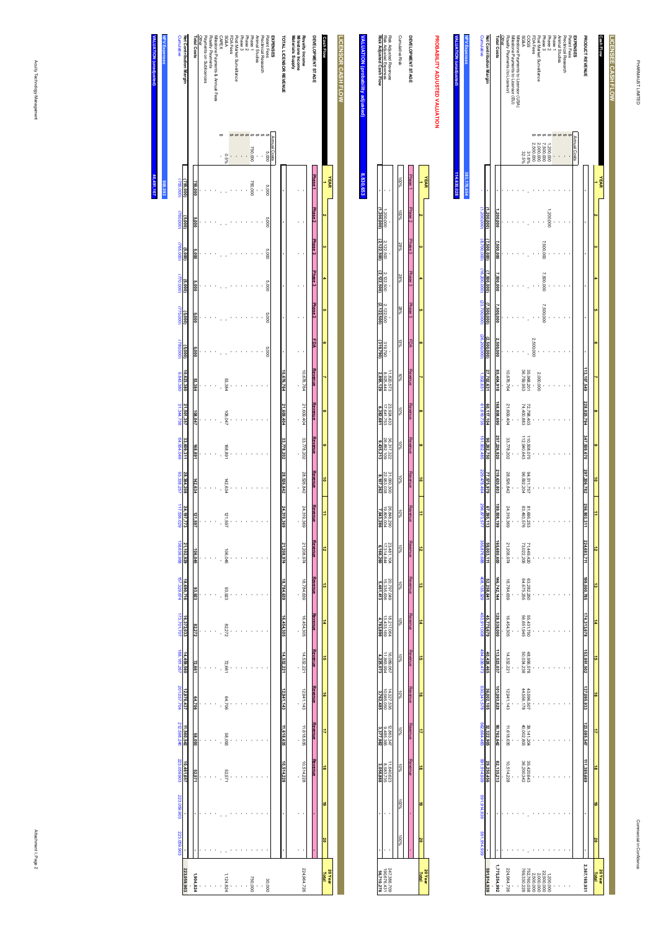| NPV Expenses<br><b>Cumulative</b>                                                                               | Net Contribution Margin | <b>Total Costs</b> | Other | Rovalty Payments (to Licensor) | Milestone Payments to Licensor (EU) | Milestone Payments to Licensor (USA) | <b>A&amp;SS</b> | S900                     | FDA Fees  | Post Market Surveillance | Phase 3    | Phase <sub>2</sub> | Phase 1 | Animal Studies | Preclinical Research | <b>EXPENSES</b><br>Patent Fees | PRODUCT REVENUE         |           | Cash Flow      | LICENSEE CASH FLOW |
|-----------------------------------------------------------------------------------------------------------------|-------------------------|--------------------|-------|--------------------------------|-------------------------------------|--------------------------------------|-----------------|--------------------------|-----------|--------------------------|------------|--------------------|---------|----------------|----------------------|--------------------------------|-------------------------|-----------|----------------|--------------------|
|                                                                                                                 |                         |                    |       |                                |                                     |                                      | 32.5%           | 31.8%                    | 000,000   | 000'000'                 | 000,000    | 200,000            |         |                |                      | Annual Costs                   |                         |           |                |                    |
| 383,178,654                                                                                                     |                         |                    |       |                                |                                     |                                      |                 |                          |           |                          |            |                    |         |                |                      |                                |                         |           | <b>YEAR</b>    |                    |
|                                                                                                                 | ,200,000)               | .200,000           |       |                                |                                     |                                      |                 |                          |           |                          |            | 1,200,000          |         |                |                      |                                |                         |           |                |                    |
|                                                                                                                 | 7,500,000)              | 7,500,000          |       |                                |                                     |                                      |                 |                          |           |                          | 7,500,000  |                    |         |                |                      |                                |                         |           |                |                    |
|                                                                                                                 | 7,500,000)              | 7,500,000          |       |                                |                                     |                                      |                 |                          |           |                          | 7,500,000  |                    |         |                |                      |                                |                         |           |                |                    |
| (1,200,000) (8,700,000) (16,200,000) (23,700,000) (26,200,000) 1,502,631 60,619,735 151,735 151,902,485 129,476 | 7,500,000)              | 000,000            |       |                                |                                     |                                      |                 |                          |           |                          | 7,500,000  |                    |         |                |                      |                                |                         |           |                |                    |
|                                                                                                                 | (2,500,000)             | 2,500,000          |       |                                |                                     |                                      |                 |                          | 2,500,000 |                          |            |                    |         |                |                      |                                |                         |           |                |                    |
|                                                                                                                 | 27,702,631              | 85,404,918         |       | 10.676.764                     |                                     |                                      | 36,759,953      | 35,968,201               |           | 2,000,000                |            |                    |         |                |                      |                                | 113, 107, 549           |           |                |                    |
|                                                                                                                 | 60,117,104              | 168,808,690        |       | 21.609.404                     |                                     |                                      |                 | 72,798,403<br>74,400,883 |           |                          |            |                    |         |                |                      |                                | 228,925,794             |           |                |                    |
|                                                                                                                 | 90,282,750              | 257,226,920        |       | 33,778,202                     |                                     |                                      | 12,940,643      | 10,508,075               |           |                          |            |                    |         |                |                      |                                |                         | œ         |                |                    |
|                                                                                                                 | 7,575,979               | 219,630,803        |       | 28.526.842                     |                                     |                                      | 96,592,204      | 94,511,757               |           |                          |            |                    |         |                |                      |                                | 347,509,670 297,206,782 | ē         |                |                    |
| 296,873,577                                                                                                     | 67,395,113              | 189,508,199        |       | 24.319.369                     |                                     |                                      | 83,493,576      | 81,695,253               |           |                          |            |                    |         |                |                      |                                | 256,903,311             | Ė         |                |                    |
| 355,876,688                                                                                                     | 59,003,111              | 165,680,600        |       | 21.208.974                     |                                     |                                      | 73,022,206      | 71,449,420               |           |                          |            |                    |         |                |                      |                                | 224,683,711             | ಸ         |                |                    |
|                                                                                                                 |                         |                    |       |                                |                                     |                                      |                 |                          |           |                          |            |                    |         |                |                      |                                |                         | ಠ         |                |                    |
| 408,135,329                                                                                                     | 52,258,641              | 146,742,144        |       | 18.784.639                     |                                     |                                      | 64,675,255      | 63,282,250               |           |                          |            |                    |         |                |                      |                                | 199,000,785             |           |                |                    |
| 453,911,008                                                                                                     | 45,775,679              | 128,538,000        |       | 16.454.305                     |                                     |                                      | 56,651,945      | 55,431,750               |           |                          |            |                    |         |                |                      |                                | 174,313,678             | #         |                |                    |
| 494,339,473                                                                                                     | 40,428,465              | 113,523,037        |       | 14.532.221                     |                                     |                                      | 50,034,238      | 48,956,578               |           |                          |            |                    |         |                |                      |                                | 153,951,502             | ã         |                |                    |
| 530,341,578                                                                                                     | 36,002,105              | 101,093,828        |       | 12.941.143                     |                                     |                                      | 44.556,178      | 43.596,507               |           |                          |            |                    |         |                |                      |                                | 137,095,933             | $\vec{a}$ |                |                    |
| 562,664,483                                                                                                     | 32,322,905              | 90,762,642         |       | 11.618.635                     |                                     |                                      | 40,002,803      | 39,141,204               |           |                          |            |                    |         |                |                      |                                | 123,085,547             | ₹         |                |                    |
| 591,914,939                                                                                                     | 29,250,456              | 82, 135, 213       |       | 10.514.228                     |                                     |                                      |                 | 35,420,643<br>36,420,342 |           |                          |            |                    |         |                |                      |                                | 111,385,669             | $\vec{a}$ |                |                    |
| 661.914.939                                                                                                     |                         |                    |       |                                |                                     |                                      |                 |                          |           |                          |            |                    |         |                |                      |                                |                         | ತ         |                |                    |
| 591,914,939                                                                                                     |                         |                    |       |                                |                                     |                                      |                 |                          |           |                          |            |                    |         |                |                      |                                |                         | õ         |                |                    |
|                                                                                                                 | 591,914,939             | 1,775,254,992      |       | 224.964.726                    |                                     |                                      | 769,330,228     | 752,760,038              | 2,500,000 | 2,000,000                | 22,500,000 | 1,200,000          |         |                |                      |                                | 2,367,169,931           | Total     | <b>20 Year</b> |                    |

**VALUATION (unadjusted)**

ladjusted).<br>L

**114,630,028**

|                                                   |                    |         |        |                     |           |           |                             |                          |                                                                                |                          |                                       |              |                          |                          |                         |                      |          |                         |  | <b>20Yea</b>             |
|---------------------------------------------------|--------------------|---------|--------|---------------------|-----------|-----------|-----------------------------|--------------------------|--------------------------------------------------------------------------------|--------------------------|---------------------------------------|--------------|--------------------------|--------------------------|-------------------------|----------------------|----------|-------------------------|--|--------------------------|
|                                                   |                    |         |        |                     |           |           |                             |                          |                                                                                |                          | $\overline{a}$                        |              |                          |                          |                         |                      |          |                         |  | Total                    |
|                                                   |                    |         |        |                     |           |           |                             |                          |                                                                                |                          |                                       |              |                          |                          |                         |                      |          |                         |  |                          |
| DEVELOPMENT STAGE                                 | Phase <sub>1</sub> |         |        |                     |           |           |                             |                          | Phase Phase3 Phase3 Phase3 FDA Revenue Revenue Revenue Revenue Pesenue Pesenue |                          |                                       | <b>Heven</b> |                          |                          |                         |                      |          | <b>Newship</b>          |  |                          |
|                                                   |                    |         |        |                     |           |           |                             |                          |                                                                                |                          |                                       |              |                          |                          |                         |                      |          |                         |  |                          |
| <b>Cumulative Risk</b>                            |                    | 100%    | $28\%$ | 28%                 | 28%       | $13\%$    | $-9601$                     | $\frac{80}{20}$          | <b>NO15</b>                                                                    | $\frac{2}{3}$            | $10\%$                                |              |                          |                          |                         |                      |          |                         |  |                          |
|                                                   |                    |         |        |                     |           |           |                             |                          |                                                                                |                          |                                       |              |                          |                          |                         |                      |          |                         |  |                          |
| Risk Adjusted Revenue                             |                    |         |        |                     |           |           |                             |                          |                                                                                |                          |                                       |              |                          |                          |                         |                      | 2.863.34 |                         |  |                          |
|                                                   |                    | 200,000 |        | 2,122,500 2,122,500 | 2,122,500 | 319,790   | $11.820.573$<br>$8.925,444$ | 23.924,433<br>17.641,753 | 36.317.322<br>26.882,109                                                       | 31.060.300<br>22.953,038 | 26.848.290<br>19.805.004<br>7,043.286 | 23,481.10    | 20.797.049<br>15.335,636 | 18.217.064<br>13.433.169 | 16.089.06.<br>1.863.994 | 4,327.53<br>0,566,05 | 485,36.  | 11.640.622<br>8.583.739 |  | 247.386.7(<br>190.676.4: |
| Risk Adjusted Expenses<br>Risk Adjusted Cash Flow |                    |         |        | (2, 122, 50)        | 2,122,500 | (319,790) | 621'96b                     | 6,282,681                | 9,435,21                                                                       | 8,107,262                |                                       |              |                          |                          |                         |                      |          | 5                       |  |                          |
|                                                   |                    |         |        |                     |           |           |                             |                          |                                                                                |                          |                                       |              |                          |                          |                         |                      |          |                         |  |                          |

# **VALUATIC VALUATION (probability adjusted) usted**) **8,830,653**

| Cumulative    | Net Contribution Margin  | <b>Total Costs</b> | <b>Cifrer</b> | Payments on Sublicences | Royalty Payments | Villestone Payments & Annual Fees | <b>CAPEX</b> | <b>A&amp;32</b> | FDA Fees | Post Market Surveillance | Phase 3 | Phase <sub>2</sub> | Phase 1 | Animal Studes | Preclinical Research | Patent Fees | EXPENSES     | <b>TOTAL LICENSOR REVENUE</b> | Materials Supply | Royalty Income<br>Milestone Income | DEVELOPMENT STAGE  | <b>Cash Flow</b> |      | LICENSOR CASH FLOW |
|---------------|--------------------------|--------------------|---------------|-------------------------|------------------|-----------------------------------|--------------|-----------------|----------|--------------------------|---------|--------------------|---------|---------------|----------------------|-------------|--------------|-------------------------------|------------------|------------------------------------|--------------------|------------------|------|--------------------|
|               |                          |                    |               |                         |                  |                                   |              |                 |          |                          |         |                    |         |               |                      |             |              |                               |                  |                                    |                    |                  |      |                    |
|               |                          |                    |               |                         |                  |                                   |              |                 |          |                          |         |                    |         |               |                      |             |              |                               |                  |                                    |                    |                  |      |                    |
|               |                          |                    |               |                         |                  |                                   |              | 0.5%            |          |                          |         |                    | 750,000 |               |                      | 000'S       | Annual Costs |                               |                  |                                    |                    |                  |      |                    |
| 755,000)      | 755,000)                 | 755,000            |               |                         |                  |                                   |              |                 |          |                          |         |                    | 750,000 |               |                      | 000'S       |              |                               |                  |                                    | Phase <sub>1</sub> |                  | YEAR |                    |
| (760,000)     | (5,000)                  | 000'S              |               |                         |                  |                                   |              |                 |          |                          |         |                    |         |               |                      | 000'S       |              |                               |                  |                                    | Phase <sub>2</sub> |                  |      |                    |
| (765,000)     | (5,000)                  | <b>S.000</b>       |               |                         |                  |                                   |              |                 |          |                          |         |                    |         |               |                      | 000'S       |              |                               |                  |                                    | Phase <sub>3</sub> |                  |      |                    |
| (770,000)     | (5,000)                  | 000'S              |               |                         |                  |                                   |              |                 |          |                          |         |                    |         |               |                      | 000'S       |              |                               |                  |                                    | Phase <sub>3</sub> |                  |      |                    |
| (775,000)     | (5,000)                  | 000'S              |               |                         |                  |                                   |              |                 |          |                          |         |                    |         |               |                      | 000'S       |              |                               |                  |                                    | Phase <sub>3</sub> |                  |      |                    |
| (780,000)     | (5,000)                  | <b>6.000</b>       |               |                         |                  |                                   |              |                 |          |                          |         |                    |         |               |                      | 000'S       |              |                               |                  |                                    | FDA                |                  |      |                    |
| 9,843,380     | 10,623,380               | 53,384             |               |                         |                  |                                   |              | 53.384          |          |                          |         |                    |         |               |                      |             |              | 10,676,764                    |                  | 10,676,764                         | Revenue            |                  |      |                    |
| 31,344,738    | 21,501,357               | 08,047             |               |                         |                  |                                   |              | 108,047         |          |                          |         |                    |         |               |                      |             |              | 21,609,404                    |                  | 21,609,404                         | Revenue            |                  |      |                    |
| 64,954,049    | 33,609,311               | 168,891            |               |                         |                  |                                   |              | 168,891         |          |                          |         |                    |         |               |                      |             |              | 33,778,202                    |                  | 33,778,202                         | Revenue            | œ                |      |                    |
| 93,338,257    | 28,384,208               | 142,634            |               |                         |                  |                                   |              | 142.634         |          |                          |         |                    |         |               |                      |             |              | 28,526,842                    |                  | 28,526,842                         | Revenue            | ô                |      |                    |
| 117,536,029   | 24,197,7                 | 121,597            |               |                         |                  |                                   |              | 121,597         |          |                          |         |                    |         |               |                      |             |              | 24,319,369                    |                  | 24,319.                            | Revenue            | ÷                |      |                    |
| 138,638,958   | $\ddot{a}$<br>21,102,929 | 106,045            |               |                         |                  |                                   |              |                 |          |                          |         |                    |         |               |                      |             |              | 21,208,974                    |                  | Ŝ,<br>21,208,974                   | Revenue            | ಸ                |      |                    |
|               |                          |                    |               |                         |                  |                                   |              | 106,045         |          |                          |         |                    |         |               |                      |             |              |                               |                  |                                    | Revenue            | ದ                |      |                    |
| 157,329,674   | 18,690,716               | 93,923             |               |                         |                  |                                   |              | 83.923          |          |                          |         |                    |         |               |                      |             |              | 18,784,639                    |                  | 18,784,639                         |                    |                  |      |                    |
| 173,701,707   | 16,372,033               | 82,272             |               |                         |                  |                                   |              | 82.272          |          |                          |         |                    |         |               |                      |             |              | 16,454,305                    |                  | 16,454,305                         | Revenue            | #                |      |                    |
| 188, 161, 267 | 14,459,560               | 72,661             |               |                         |                  |                                   |              | 72.661          |          |                          |         |                    |         |               |                      |             |              | 14,532,221                    |                  | 14,532,221                         | Revenue            | ã                |      |                    |
| 201,037,704   | 12,876,437               | 64,706             |               |                         |                  |                                   |              | 84,706          |          |                          |         |                    |         |               |                      |             |              | 12,941,143                    |                  | 12,941,143                         | Revenue            | ಕ                |      |                    |
| 212,598,246   | 11,560,542               | 58,093             |               |                         |                  |                                   |              | £60'83          |          |                          |         |                    |         |               |                      |             |              | 11,618,635                    |                  | 11,618,635                         | Revenue            | ₹                |      |                    |
| 223,059,903   | 10,461,657               | 52.571             |               |                         |                  |                                   |              | 52.571          |          |                          |         |                    |         |               |                      |             |              | 10,514,228                    |                  | 10,514,228                         | Revenue            | ಹೆ               |      |                    |
| 223,059,903   |                          |                    |               |                         |                  |                                   |              |                 |          |                          |         |                    |         |               |                      |             |              |                               |                  |                                    |                    | ö                |      |                    |
| 223,059,903   |                          |                    |               |                         |                  |                                   |              |                 |          |                          |         |                    |         |               |                      |             |              |                               |                  |                                    |                    | õ                |      |                    |
|               |                          |                    |               |                         |                  |                                   |              |                 |          |                          |         |                    |         |               |                      |             |              |                               |                  |                                    |                    |                  |      |                    |
|               | 223,059,903              | 1,904,824          |               |                         |                  |                                   |              | 1,124,824       |          |                          |         |                    | 750,000 | ,             | ,                    | 30.000      |              |                               |                  | 224,964,726                        |                    | 20 Year<br>Total |      |                    |

**NALUA VALUATION (unadjusted) NPV Expenses 46,491,167**  $91,167$ **908,093**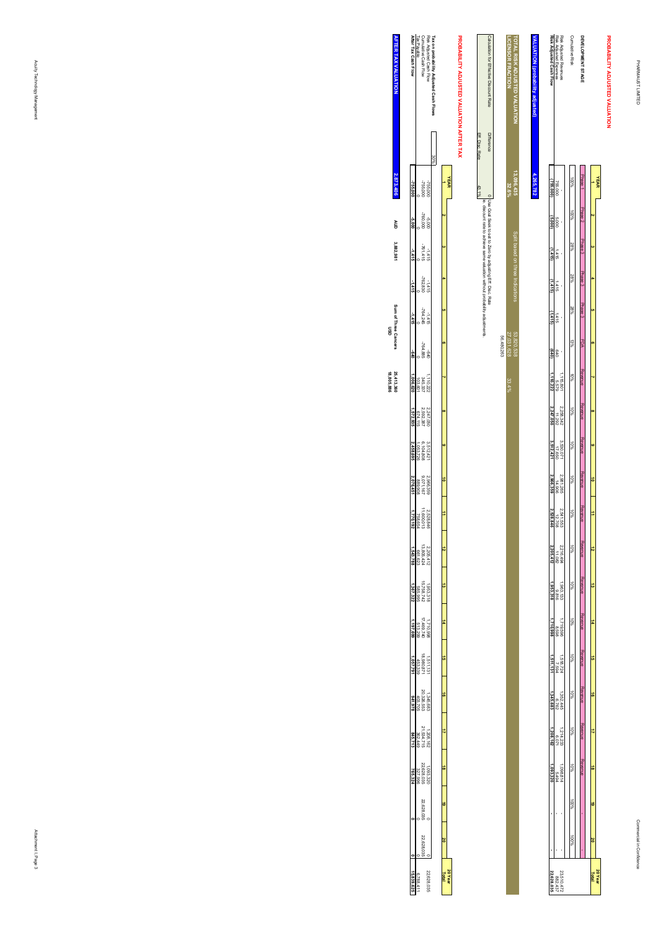**20 Year**

# PROBABILITY ADJUSTED VALUATION **PROBABILITY ADJUSTED VALUATION YEAR 1** $\alpha$  **3 4 5 6 7 8 9 10 11 12**

| DEVELOPMENT STAGE                                    | mase <sub>1</sub> |       |         |        |       | PDA Prese Shares Dense Shares Shares Shares Shares Shares Shares Shares Shares Shares Shares Shares S |                        | Revente Revente Revente |                     |                        | <b>Agence</b><br>Revenue       | Kevenu |                        | <b>Revenus</b>         | <b>Hevenu</b>  | <b>Kevenus</b>    | <b>Hevenue</b> | <b>Kevenus</b> | <b>Hevenue</b> |      | ξ | <u>s</u>                  |
|------------------------------------------------------|-------------------|-------|---------|--------|-------|-------------------------------------------------------------------------------------------------------|------------------------|-------------------------|---------------------|------------------------|--------------------------------|--------|------------------------|------------------------|----------------|-------------------|----------------|----------------|----------------|------|---|---------------------------|
| <b>Cumulative Risk</b>                               |                   | %00   | 28%     | 28%    | 28%   | s<br>S                                                                                                | $10\%$                 | ş                       | $10\%$              | lo‰                    | 10%                            | o<br>S |                        | 3                      | ş              | 2                 | 8              | 3              | 3              | 9600 |   |                           |
| Risk Adjusted Revenues                               |                   |       |         |        |       |                                                                                                       |                        | 2.258.342<br>2.258.342  |                     | 2.981,265<br>2.981,265 |                                |        | 2.216.494<br>2.216.494 |                        |                |                   | 1,352,445      |                | 18,880         |      |   |                           |
| Risk Adjusted Expenses                               | 755,00            | 000'S | $1 + 1$ | 415    | 1415  | 019                                                                                                   | 1,115,801<br>1,115,801 |                         | 3.530,071<br>17,650 |                        |                                |        |                        | $1,963,133$<br>$9,816$ | 969'8<br>18998 | 769'L<br>724'89'L |                | 214.23:        | 5,49.          |      |   | $23.510, 41$<br>$882, 41$ |
| Risk Adjusted Cash Flow                              | 755.00            |       | 415)    | þ<br>9 | 14151 |                                                                                                       | 140.222                | 2.247,050               | 3.512.421           | 2,966,359              | $5$ $2.541,553$<br>$3.528,846$ |        | Lt GNZ                 | ,953.31                |                |                   | 345.68         |                |                |      |   | 22,628,                   |
| <b><i><u>AALUATION</u></i></b> (probability adjustec | .265.7            |       |         |        |       |                                                                                                       |                        |                         |                     |                        |                                |        |                        |                        |                |                   |                |                |                |      |   |                           |

|                      |                                          |                 |                                                                                                                                            |            | LIGENSOR FRACTION |                                      |
|----------------------|------------------------------------------|-----------------|--------------------------------------------------------------------------------------------------------------------------------------------|------------|-------------------|--------------------------------------|
|                      | PROBABILITY ADJUSTED VALUATION AFTER TAX |                 | Calculation for Effective Discount Rate                                                                                                    |            |                   | <b>TOTAL RISK ADJUSTED VALUATION</b> |
|                      |                                          | Eff. Disc. Rate | <b>Difference</b>                                                                                                                          |            |                   |                                      |
|                      | <b>YEAR</b>                              | 43.1%           |                                                                                                                                            |            | 32.6%             | 13,096,435                           |
|                      |                                          |                 | 0 Use Goal Seek to set to Zero by adjusting Eff. Disc. Rate<br>ie. Geboort rate to achieve same valuation without probability adjustments. |            |                   |                                      |
|                      |                                          |                 |                                                                                                                                            |            |                   | Split based on three Indications     |
| $\ddot{\phantom{0}}$ |                                          |                 |                                                                                                                                            |            |                   |                                      |
| ֞֘                   |                                          |                 |                                                                                                                                            |            |                   |                                      |
|                      |                                          |                 |                                                                                                                                            | 56,480,263 | 27,031,628        | 53,820,538                           |
|                      |                                          |                 |                                                                                                                                            |            | 33.4%             |                                      |
|                      |                                          |                 |                                                                                                                                            |            |                   |                                      |
|                      |                                          |                 |                                                                                                                                            |            |                   |                                      |
| $\frac{6}{10}$       |                                          |                 |                                                                                                                                            |            |                   |                                      |
| $\frac{1}{2}$        |                                          |                 |                                                                                                                                            |            |                   |                                      |
|                      |                                          |                 |                                                                                                                                            |            |                   |                                      |
|                      |                                          |                 |                                                                                                                                            |            |                   |                                      |
|                      |                                          |                 |                                                                                                                                            |            |                   |                                      |
| ō                    |                                          |                 |                                                                                                                                            |            |                   |                                      |
|                      |                                          |                 |                                                                                                                                            |            |                   |                                      |
|                      |                                          |                 |                                                                                                                                            |            |                   |                                      |
| ā                    |                                          |                 |                                                                                                                                            |            |                   |                                      |
|                      |                                          |                 |                                                                                                                                            |            |                   |                                      |
|                      |                                          |                 |                                                                                                                                            |            |                   |                                      |
| 20 Yea<br>Total      |                                          |                 |                                                                                                                                            |            |                   |                                      |

| <b>TER TAX VALUATIO</b>    | After Tax Cash Flow |                                      |                                                                    | í ax on probability Adjusted Cash Flow<br>Risk Adjusted Cash Flow<br>Cumulative Cash Flow<br>Tax Payable |       |
|----------------------------|---------------------|--------------------------------------|--------------------------------------------------------------------|----------------------------------------------------------------------------------------------------------|-------|
|                            |                     |                                      |                                                                    |                                                                                                          |       |
| 2,873,40                   | -755,000            |                                      | -755,000<br>-255,000                                               |                                                                                                          |       |
| Ğ                          |                     |                                      | 000'092-<br>000'9-                                                 |                                                                                                          |       |
| 3,882,981                  |                     |                                      | $-1415$<br>-761,415                                                |                                                                                                          |       |
|                            | -1415               |                                      | $-762.830$<br>$-762.830$                                           |                                                                                                          |       |
| Sum of Three Cancers<br>ទី | $-1.475$            |                                      | $-764.245$<br>-764.245                                             |                                                                                                          |       |
|                            |                     |                                      | -764,885                                                           |                                                                                                          |       |
| 25,413,360<br>18,805,886   |                     |                                      | 1.110,222<br>335,237<br>235,011,                                   |                                                                                                          |       |
|                            | 1,572,935           |                                      | 2,247,050<br>2,592,387<br>674,115                                  |                                                                                                          |       |
|                            | 2,458,695           |                                      | $\begin{array}{l} 3.512,421 \\ 6.104,808 \\ 1,053,726 \end{array}$ |                                                                                                          |       |
|                            | 2,076,451           |                                      | 2,966,359<br>9,071,167<br>889,908                                  |                                                                                                          |       |
|                            | 1,770,192           | 2,528,846<br>11,600,013<br>758,654   |                                                                    |                                                                                                          |       |
|                            | 543,788             | 2,205,412<br>13,805,424<br>661,623   |                                                                    |                                                                                                          |       |
|                            | 367,322             | 1,953,318<br>15,758,742<br>585,995   |                                                                    |                                                                                                          |       |
|                            | 1,197,699           | 1,710.998<br>17,469,740<br>513,299   |                                                                    |                                                                                                          |       |
|                            | 1,057,791           | $1511, 131$<br>18,980,871<br>453,339 |                                                                    |                                                                                                          | ō     |
|                            | 941,978             | 1,345,683<br>20,326,553<br>403,705   |                                                                    |                                                                                                          |       |
|                            |                     |                                      | 1208.162<br>21.534.715<br>362.449                                  |                                                                                                          |       |
|                            | 765,324             |                                      | $\frac{1,093,220}{22,628,035}$                                     |                                                                                                          |       |
|                            |                     |                                      | 22,628,03                                                          |                                                                                                          | Ë     |
|                            |                     |                                      | 22.628.                                                            |                                                                                                          |       |
|                            | 15,839,62           | 6,788.4                              |                                                                    | 22,628,03                                                                                                | 16301 |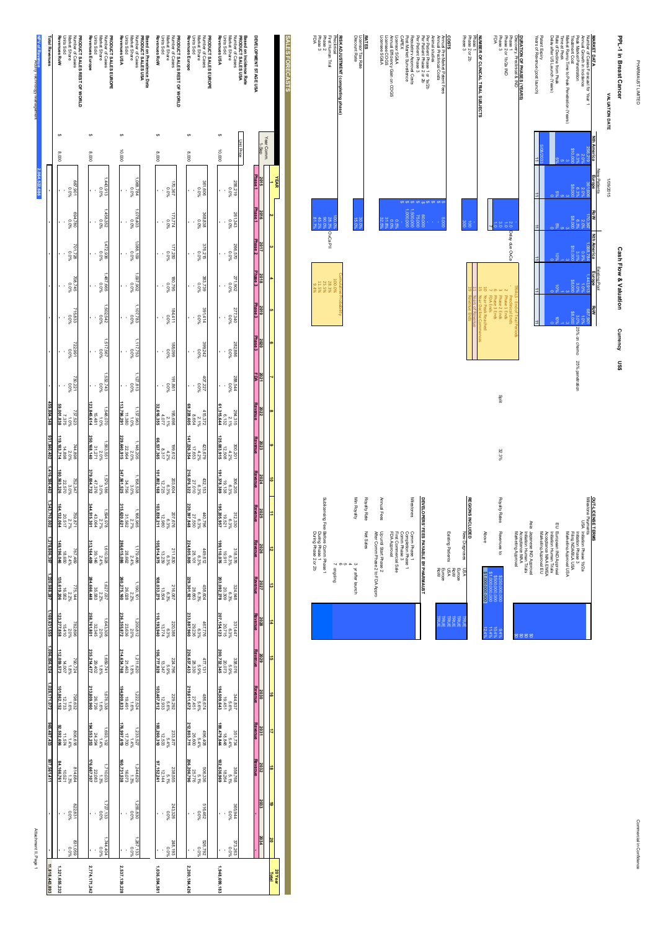PHARMAUST LIMITED PHARMAUST LIMITED

| ì<br>PL-1 in Breast Cancer       |  |  |
|----------------------------------|--|--|
| <b>Cash Flow &amp; Valuation</b> |  |  |
|                                  |  |  |

**OUT-LICENSE TERMS**

Milestone Payments

OUT-LICENSE TERNS<br>Willisland PlayA Intialanch Prass 10/2a<br>Wilsland PlayA Intialanch Prass 10/2a<br>Mission PlayA Intialanch Prancial USA<br>Nanketing Approval USA Initiation Phase 1b/2a

Initiation Phase 3

Filing NDA/BLA USA

Marketing Approval USA

EU European IND Approval<br>Initiation Human Trials<br>Acceptance MAA EMEA<br>Marketing Approval EU European IND Approval

Acceptance MAA EMEA Initiation Human Trials

Marketing Approval EU

Asia Japanese IND Approval<br>Initiation Human Trials<br>Acceptance MAA<br>Marketing Approval Japanese IND Approval

Acceptance MAA

Marketing Approval \$0

Initiation Human Trials

 $\epsilon$ 

\$0

 $\epsilon$ 

|                                   |     |                                  |                    |     |                     |                    | Patent Expiry<br>Years of Revenue (post launch)  |
|-----------------------------------|-----|----------------------------------|--------------------|-----|---------------------|--------------------|--------------------------------------------------|
|                                   |     |                                  |                    |     |                     |                    | Delay after US Launch (Years)                    |
|                                   |     |                                  |                    |     |                     |                    | Rate of Decline from Peak<br>Time at Peak        |
|                                   |     |                                  |                    |     |                     |                    | Market Ramp Time to Peak Penetration (Years)     |
| 3.0% 25% on chemo 25% penetration |     |                                  |                    |     | 38.O                |                    | Peak Market Penetration<br><b>Treatment Cost</b> |
|                                   |     |                                  | $\overline{6}$ :0  |     |                     |                    | Annual Growth in Incidence                       |
|                                   |     |                                  | 068,78             |     | 09'198              |                    | Number of Cases Forecast for Year                |
|                                   | RoW | Europe                           | <b>Nth America</b> | RoW | <b>Europe</b>       | <b>Nth America</b> | <b>MARKET DATA</b>                               |
|                                   |     | Existing Pool                    |                    |     | <b>New Patients</b> |                    |                                                  |
|                                   |     |                                  |                    |     | 1/08/2015           |                    | VALUATION DATE                                   |
| Currency US\$                     |     | <b>Cash Flow &amp; Valuation</b> |                    |     |                     |                    | PPL-1 in Breast Cancer                           |

| Discovery, Preclinical & IND      |                    | - ENG OF THEIR PERIODS       |
|-----------------------------------|--------------------|------------------------------|
| Phase 1                           | 2.0 Delay due OvCa | Preclinical Ends             |
| Phase 2 or 1b/2a IND              |                    | 2 Phase 1 Ends               |
| Phase <sub>3</sub>                |                    | 3 Phase 2 Ends               |
|                                   |                    | 6 Phase 3 Ends<br>7 FDA Ends |
|                                   |                    | 10 Year Peak Reachec         |
| NUMBER OF CLINICAL TRIAL SUBJECTS |                    | Year Decline Commences       |
| Phase 1                           |                    |                              |
| Phase 2 or 2b                     | ē                  | <b>Kevenue End</b>           |

Split

32.3%

9.4%

10.4%

11.4%

12.4%

### **COSTS**<br>Antendring<br>Costs<br>Costs<br>CAPEX<br>CAPEX<br>CAPEX Annual Pre-Market Patent Fees Annual Preclinical Costs Animal studies  $\frac{8}{1}$ Per Patient Phase 1 or 1a/2b .<br>.<br>. Per Patient Phase 2 or 2b  $60,000$ Per Patient Phase 3 75,000 Regulatory Approval Costs Post Market Surveillence Licensor SG&A 0.5% 0.0% 31.8% 32.5% Annual Efficiency Gain on COGS Licensee COGS Licensee SG&A

## **RATES** Licensor Tax Rate Discount Rate

30.0%

15.0%

| Preclinical               |               | 100.0% |
|---------------------------|---------------|--------|
| First Human Trial         | <b>DvCaPI</b> | 28.3%  |
|                           |               | 25.5%  |
| Phase 2<br>Phase 3<br>FDA | 45.2%         |        |
|                           | 61.78         | 11.5%  |

**SALES FORECASTS**

SALES FORECASTS

#### Sublicensing Fee: Before Comm Phase 1 Annual Fees Min Royalty Royalty Rate**DEVELOPERS' FEES PAYABLE BY PHARMAUST REGIONS INCLUDED** se: Betore Comm Priase 1<br>During Phase 1<br>During Phase 2 or 2b Net Sales Comm Phase 1 After Comm Phase 2 to FDA Appro Up until Start Phase 2 FDA Approval First Commercial Sale Existing Patients New Diagnoses Above  $\tilde{}$  $^{\circ}$ 5 3 yr after launch ongoing USA RoW Europe USA \$1,000,000,000 \$1,000,000,000

|             |                | community of the community of the community of the community of the community of the community of the community |              |  |
|-------------|----------------|-----------------------------------------------------------------------------------------------------------------|--------------|--|
|             | prilopino      |                                                                                                                 |              |  |
|             |                | <b>Ch</b>                                                                                                       |              |  |
|             |                |                                                                                                                 |              |  |
|             | y after launch | ω                                                                                                               | Min Royalty  |  |
|             |                | Net Sales                                                                                                       | Royalty Rate |  |
|             |                | Up until Start Phase 2<br>After Comm Phase 2 to FDA Appro                                                       | Annual Fees  |  |
|             |                | FDA Approval<br>First Commercial Sale                                                                           |              |  |
|             |                | Comm Phase 3<br>Completion Phase 1                                                                              |              |  |
|             |                | Connm Phase 1                                                                                                   | Milestones   |  |
|             |                | DEVELOPERS' FEES PAYABLE BY PHARMAN                                                                             |              |  |
|             |                |                                                                                                                 |              |  |
| TRUE        | <b>RoW</b>     |                                                                                                                 |              |  |
| <b>TRUE</b> | Europe         |                                                                                                                 |              |  |
| TRUE        | vsn            | Existing Patients                                                                                               |              |  |
| <b>TRUE</b> | <b>RoW</b>     |                                                                                                                 |              |  |
| TRUE        | Europe         |                                                                                                                 |              |  |
| TRUE        | VSN            | New Diagnoses                                                                                                   |              |  |

| Min Royalty                            | Royalty Rate | Annual Fees                                               | Milestones                                                                                  |                                       |                                                  |
|----------------------------------------|--------------|-----------------------------------------------------------|---------------------------------------------------------------------------------------------|---------------------------------------|--------------------------------------------------|
| <b>Ch</b><br>burobuo<br>y after launch | Net Sales    | After Comm Phase 2 to FDA Appro<br>Up until Start Phase 2 | Comm Phase 3<br>Completion Phase 1<br>Comm Phase 1<br>FDA Approval<br>First Commercial Sale | DEVELOPERS' FEES PAYABLE BY PHARMAUST | Europe<br><b>RoW</b><br>$\overline{\phantom{a}}$ |
|                                        |              |                                                           |                                                                                             |                                       |                                                  |

During Phase 1

During Phase 2 or 2b

| らこと          | 31.8%                                                     | 1,500,000<br>000,000<br>75,000<br>0.5%<br>$0.0$ %                                           | 000'09                                | 5,00          |                       |               |                         |                                               |                      |                                   |                            |
|--------------|-----------------------------------------------------------|---------------------------------------------------------------------------------------------|---------------------------------------|---------------|-----------------------|---------------|-------------------------|-----------------------------------------------|----------------------|-----------------------------------|----------------------------|
|              |                                                           |                                                                                             |                                       |               |                       |               | Revenue Ends            | 15 Year Decline Commences<br>Years of Revenue | 10 Year Peak Reached | 6 Phase 3 Ends<br><b>FDA Ends</b> | Phase 2 Ends               |
|              |                                                           |                                                                                             |                                       |               |                       |               |                         |                                               |                      |                                   | anit                       |
|              |                                                           |                                                                                             |                                       |               |                       |               |                         |                                               |                      |                                   | 32.3%                      |
| Royalty Rate | Annual Fees                                               | Milestones                                                                                  |                                       |               |                       |               | <b>REGIONS INCLUDED</b> |                                               |                      |                                   |                            |
| Net Sales    | Up until Start Phase 2<br>After Comm Phase 2 to FDA Appro | Comm Phase 1<br>FDA Approval<br>First Commercial Sale<br>Comm Phase 3<br>Completion Phase 1 | DEVELOPERS' FEES PAYABLE BY PHARMANST |               | Existing Patients USA | New Diagnoses |                         |                                               | Above                |                                   | Royalty Rates Revenues to: |
|              |                                                           |                                                                                             |                                       | Europe<br>Row | RoW<br>Europe         | vsn           |                         |                                               | \$1,000,000,000,000  | \$1,000,000,000,00<br>00'000'009  | \$250,000,000              |
|              |                                                           |                                                                                             |                                       |               |                       |               |                         |                                               |                      |                                   |                            |

Commercial in Confidence

Commercial in Confidence

# Acuity Technology Management **NPV of Revenue 2,064,522,686**

| <b>Fotal Revenues</b> | Revenues RoW<br><b>Dinits Sold</b><br>Market Share<br>Number of Cases<br><b>PRODUCT SALES REST OF WORLD</b> | Units Sold<br>Market Share<br>Number of Cases<br>Revenues Europe<br>PRODUCT SALES EUROPE                | Revenues USA<br>Jnits Sold<br>Vlarket Share<br>Number of Cases<br>PRODUCT SALES USA<br>3ased on Prevalence Data | Units Sold<br>Number of Cases<br>Revenues RoW<br>Market Share<br>PRODUCT SALES REST OF WORLD | <b>Units Sold</b><br>Market Share<br>Number of Cases<br>Revenues Europe<br><b>PRODUCT SALES EUROPE</b>                | Revenues USA<br>Market Share<br>Number of Cases<br>PRODUCT SALES USA<br>Jnits Sold<br>3ased on Incidence Rate | DEVELOPMENT STAGE USA               |
|-----------------------|-------------------------------------------------------------------------------------------------------------|---------------------------------------------------------------------------------------------------------|-----------------------------------------------------------------------------------------------------------------|----------------------------------------------------------------------------------------------|-----------------------------------------------------------------------------------------------------------------------|---------------------------------------------------------------------------------------------------------------|-------------------------------------|
|                       |                                                                                                             |                                                                                                         |                                                                                                                 |                                                                                              |                                                                                                                       | Unit Price                                                                                                    | Year Comm<br>$1 - S$ ep             |
|                       | 000'8                                                                                                       | 0008                                                                                                    | 10.000                                                                                                          | 000'8                                                                                        | 000'8                                                                                                                 | 10,000                                                                                                        |                                     |
|                       | 687.901<br>%0'0                                                                                             | 443,913<br>%0'0                                                                                         | 1987,890<br>%00                                                                                                 | 70.367<br>%0'0                                                                               | 361,606<br>%0'0                                                                                                       | 256,219<br>%0'0                                                                                               | Phase <sub>1</sub><br>2015<br>ĒAR   |
|                       | %0'0<br>08/'169                                                                                             | 1,458,352<br>\$2.884,1                                                                                  | 1,078,409<br>W                                                                                                  | 173,774<br>%0'0                                                                              | 368,838<br>%0'0                                                                                                       | 261,343<br>%0'0                                                                                               | Phase<br>2016                       |
|                       | 8221.728<br>857.1705                                                                                        | 472,936<br>%0'0                                                                                         | 088,109<br>%00                                                                                                  | 17.250<br>960'0                                                                              | 376.215<br>%0'0                                                                                                       | 266,570<br>%0'0                                                                                               | Phase <sub>2</sub><br>2017          |
|                       | 708.745<br>960'0                                                                                            | 487,665<br>960'0                                                                                        | 208,7902<br>0.0%                                                                                                | 180,795<br>960'0                                                                             | 383.739<br>960'0                                                                                                      | 271,902<br>960'0                                                                                              | Phase 3<br>2018                     |
|                       | 715.833<br>0.0%                                                                                             | 502,542<br>960'0                                                                                        | 1,107,783<br>1,107,783                                                                                          | 14411<br>0.0%                                                                                | 391.414<br>0.0%                                                                                                       | 277,340<br>0.0%                                                                                               | Phase 3<br>5019                     |
|                       | 722.991<br>%0'0                                                                                             | 517,567<br>$0.0\%$                                                                                      | 1,117,753<br>257,111,11                                                                                         | 660'881<br>%0'0                                                                              | 399.242<br>$0.0\%$                                                                                                    | 282,886<br>%0'0                                                                                               | Phase 3<br>2020                     |
|                       | 730.221<br>960'0                                                                                            | 532,743<br>%0'0                                                                                         | 127,813<br>$0.0\%$                                                                                              | 191,861<br>960'0                                                                             | 407.227<br>$0.0\%$                                                                                                    | 288,544<br>%0'0                                                                                               | 2021<br>FDA                         |
| 459,804,348           | 59,001,838<br>737.523<br>1.0%                                                                               | 23,845,614<br>548,070<br>15,481<br>%0'L                                                                 | 113,796,291<br>137,963<br>11,380<br>1.0%                                                                        | 32,616,355<br>869'68<br>$\frac{2.1\%}{4.077}$                                                | 69,228,605<br>$415.372$<br>$2.1\%$<br>8,654                                                                           | 61,315,644<br>294,315<br>6.132<br>2.1%                                                                        | Revenue<br>2022                     |
| 931,840,402           | 19,183,714<br>$\begin{array}{r} 744.898 \\ 2.0\% \\ 2.0\% \end{array}$                                      | 250,168,140<br>563.551<br>31,271<br>2.0%                                                                | 22,964<br>229,640,915<br>148,205<br>2.0%                                                                        | 66,537,365<br>199,612<br>4.2%<br>8.317                                                       | 41,226,354<br>423.679<br>17.653<br>4.2%                                                                               | 125,083,915<br>300,201<br>12.508<br>4.2%                                                                      | Revenue<br>2023<br>œ                |
| 1,416,386,462         | 80,563,326<br>752.347                                                                                       | 379,004,732<br>1,579,186<br>3.0%                                                                        | 347,561,525<br>158,538                                                                                          | $\frac{6.3\%}{12.725}$<br>12.725<br>203.604                                                  | $\begin{array}{r} 432.153 \\ 6.3\% \\ 27.010 \\ 216.076.322 \end{array}$                                              | 191,378,389<br>305,205                                                                                        | Kevenue<br>2024<br>đ                |
| 1,343,710,002         | $3.0\%$<br>$22.570$<br>164, 132,<br>159.                                                                    | 47,376<br>$\begin{array}{r} 1,594,978 \\ 2.7\% \\ 2.7\% \\ 43,064 \\ 344,515,301 \\ \hline \end{array}$ | 34,756<br>3.0%<br>$\begin{array}{r} 11.168,965 \\ 2.7\% \\ 21.562 \\ 315,620,621 \end{array}$                   | $\begin{array}{r} 207.676 \\ 208 \\ +0.2190 \\ +0.3,838,211 \end{array}$                     | $\frac{27}{220.397}$<br>440.                                                                                          | 19.138<br>6.3%<br>$\begin{array}{r} 312,330 \\ 6,3\% \\ 6,3\% \\ 195,205,957 \end{array}$                     | <b>Revenue</b><br>2025              |
|                       | 37%<br>2.7%                                                                                                 |                                                                                                         |                                                                                                                 |                                                                                              | $298$<br>$6.3\%$<br>$6.36$                                                                                            |                                                                                                               |                                     |
| 1,278,806,397         | $\begin{array}{r}\n 767.469 \\  2.4\% \\  2.4\% \\  149,196,046\n\end{array}$                               | $\begin{array}{r} 1,610,928 \\ 2,4\% \\ 29,146 \\ 313,164,409 \end{array}$                              | $\begin{array}{r} 1,179,486 \\ 2,4\% \\ 28,662 \\ 286,615,086 \end{array}$                                      | $\begin{array}{l} 211.830 \\ +0.239 \\ +0.239 \\ +0.5,914,975 \end{array}$                   | $\begin{array}{r} 449.612 \\ 6.3\% \\ 28.101 \\ 224,805.805 \end{array}$                                              |                                                                                                               | $\frac{2026}{\text{Re}}$<br>ᢑ       |
| 1,220,988,287         | $\begin{array}{r} 775,144 \\ 2,2\% \\ 135,619,206 \\ 135,619,206 \end{array}$                               | $\begin{array}{r} 1.627,037 \\ 2.2\% \\ 2.85 \\ 284,666,448 \end{array}$                                | $\begin{array}{r} 1,190,101 \\ 2,2\% \\ 260,275,160 \\ 260,275,160 \end{array}$                                 | $\begin{array}{r} 216,067 \\ +0.5 \\ +0.5 \\ +0.8 \\ +0.8 \\ +0.8 \\ +0.8 \end{array}$       | $\begin{array}{r} 458.604 \\ 63.38 \\ 28.663 \\ 28.301,921 \end{array}$                                               | $\begin{array}{l} 324,948 \\ 6,378 \\ 8,838 \\ 20,309 \\ 203,092,278 \end{array}$                             | $\frac{2027}{\text{Revalue}}$<br>ದ  |
| ,169,631,555          | $\begin{array}{r} \textbf{782.896} \\ \textbf{2.0\%} \\ \textbf{2.0\%} \\ \textbf{123.277.858} \end{array}$ | $\begin{array}{r} 1.643,308 \\ 2.0\% \\ 2.245 \\ 345.761,801 \end{array}$                               | $\begin{array}{r} 1.200, 812 \\ 2.036 \\ 2.3, 636 \\ 236, 355, 872 \end{array}$                                 | $\begin{array}{l} 220.388 \\ + 5.74 \\ + 13.74 \\ + 10.193.940 \end{array}$                  | $\begin{array}{l} 467.776 \\ 63\% \\ 632.83,887.960 \\ 233.887.960 \end{array}$                                       | $\begin{array}{l} 331.447 \\ 6.3\% \\ 207.156 \\ 207.154.123 \end{array}$                                     | <b>2028</b><br>Revenue              |
| ,096,056,524          | $\begin{array}{l} 790.724 \\ 14,007 \\ 14,007 \\ 112,089,573 \end{array}$                                   | $\begin{array}{r}\n1.659,741 \\ 1.659,74447 \\ 20,402\n\end{array}$                                     | $\begin{array}{l} 1.211,620 \\ 1.88 \\ 21,463 \\ 214,634,768 \end{array}$                                       | $\begin{array}{l} 224.796 \\ + 3.347 \\ + 3.347 \\ + 13.347 \\ + 198,777,928 \end{array}$    | $\begin{array}{l} \color{red}477.131 \\ \color{red}826.89 \\ \color{red}28.330 \\ \color{red}226.637.433 \end{array}$ | $\begin{array}{l} 338,076 \\ 5.9\% \\ 5.9\% \\ 200,732,345 \end{array}$                                       | $\frac{2029}{\text{Rewenue}}$<br>ã, |
| 1,028,171,072         | $\begin{array}{r} \textbf{798.632} \\ 1.6\% \\ 101.862.152 \\ \textbf{101.862.152} \end{array}$             | $\begin{array}{r} 1.676,338 \\ 1.6\% \\ 2.726 \\ 2.13.809,960 \end{array}$                              | $\begin{array}{r} 1.222, 524 \\ 16\% \\ 19, 491 \\ 194, 909, 833 \end{array}$                                   | $\begin{array}{r} 229.292 \\ 229.292 \\ 103,467,812 \\ \end{array}$                          | $\begin{array}{r}\n486.674 \\ 567 \\ 57451 \\ 219.611.672\n\end{array}$                                               | $\begin{array}{r}\n 13.7 \\  13.44, 837 \\  13.45 \\  194, 509, 643\n \end{array}$                            | <b>2030</b><br>Revenue<br>ಕ         |
| 965,487,433           |                                                                                                             |                                                                                                         |                                                                                                                 | $\begin{array}{l} 233.877 \\ 54\% \\ 5633 \\ 12.533 \\ \textbf{100,260,310} \end{array}$     |                                                                                                                       |                                                                                                               | $\frac{2031}{\text{Rewenue}}$       |
|                       | $\begin{array}{r} 806.618 \\ 11.574 \\ 11.574 \\ \textbf{92,592,696} \end{array}$                           | $\begin{array}{r} 1.693, 102 \\ 24, 294 \\ 24, 294 \\ 194, 353, 253 \end{array}$                        | $\begin{array}{l} 1.233, 527 \\ 17, 700 \\ 176, 997, 619 \end{array}$                                           |                                                                                              | $\begin{array}{r} 4.96, 4.08 \\ 5.4\% \\ 2.12, 803, 711 \\ 2.12, 803, 711 \end{array}$                                | $\begin{array}{r}\n 351.734 \\  54\% \\  6.848 \\  \hline\n 18.844\n \end{array}$                             |                                     |
| 907,561,411           | $\begin{array}{r}\n 814,884 \\  \hline\n 10,521 \\  \hline\n 10,521 \\  \hline\n 84,166,761\n \end{array}$  | $\begin{array}{r} 1,710,033 \\ 22,083 \\ 22,083 \\ \hline 176,667,107 \end{array}$                      | $\begin{array}{r} 1.244, 629 \\ 1.3\% \\ 160.731.538 \\ \end{array}$                                            | $\begin{array}{r}\n 238,555 \\  51\% \\  12,144 \\  \hline\n 97,152,241\n \end{array}$       | $\begin{array}{l} 506.336 \\ 5.1\% \\ 2.06, 206, 796 \end{array}$                                                     | $\begin{array}{l} 358,768 \\ 5,1\% \\ 182,664 \\ \bf 182,636,969 \end{array}$                                 | $\frac{2032}{\text{Rewenue}}$       |
|                       | 82.831<br>182.831                                                                                           | %00<br>ESL'ZZZ'I                                                                                        | %0'0<br>028'992'1                                                                                               | 243.326<br>0.0%                                                                              | $516.462$<br>0.0%                                                                                                     | %00<br>985,944                                                                                                | 2033<br>ē                           |
|                       | 980188                                                                                                      | $+0+1+1$                                                                                                | 1,267,133<br>1,267,133                                                                                          | S48.193<br>C61.845                                                                           | %0'0<br>Z6/9Z9                                                                                                        | 373,263<br>0.0%                                                                                               | 2034<br>20                          |
| 11,818,443,893        | 1,321,655,232                                                                                               | 2,774,171,242                                                                                           | 2,537, 139, 228                                                                                                 | ,036,594,581                                                                                 | 2,200,184,426                                                                                                         | 948,699,183                                                                                                   | zo year<br>Total                    |

Attachment II, Page 1 Attachment II, Page 1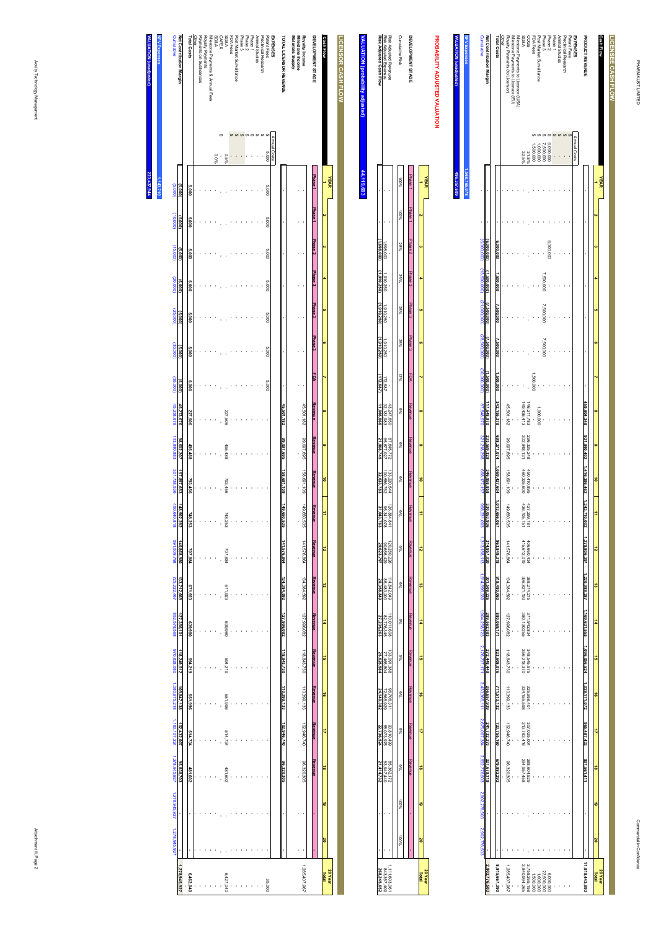| <b>Cumulative</b>                                                                    | Net Contribution Margin | <b>Total Costs</b>        | Other | Royalty Payments (to Licensor) | Milestone Payments to Licensor (EU) | Milestone Payments to Licensor (USA) | <b>ASSSA</b> | <b>SSOO</b>                    | FDA Fees  | Post Market Surveillance | Phase 3   | Phase <sub>2</sub> | Phase <sub>1</sub> | Animal Studies | Preclinical Research | Patent Fees | <b>EXPENSES</b> | PRODUCT REVENUE |                      | Cash Flow |
|--------------------------------------------------------------------------------------|-------------------------|---------------------------|-------|--------------------------------|-------------------------------------|--------------------------------------|--------------|--------------------------------|-----------|--------------------------|-----------|--------------------|--------------------|----------------|----------------------|-------------|-----------------|-----------------|----------------------|-----------|
|                                                                                      |                         |                           |       |                                |                                     |                                      | 32.5%        | 31.8%                          | 000'009   | 000,000,                 | 000'009'  | 000'000'           |                    |                |                      |             | Annual Costs    |                 |                      |           |
|                                                                                      |                         |                           |       |                                |                                     |                                      |              |                                |           |                          |           |                    |                    |                |                      |             |                 |                 |                      | YEAR      |
|                                                                                      |                         |                           |       |                                |                                     |                                      |              |                                |           |                          |           |                    |                    |                |                      |             |                 |                 |                      |           |
|                                                                                      | (6,000,000)             | 6,000,000                 |       |                                |                                     |                                      |              |                                |           |                          |           | 6,000,000          |                    |                |                      |             |                 |                 |                      |           |
|                                                                                      | 7,500,000)              | 7,500,000                 |       |                                |                                     |                                      |              |                                |           |                          | 7,500,000 |                    |                    |                |                      |             |                 |                 |                      |           |
|                                                                                      | 7,500,000)              | 7,500,000                 |       |                                |                                     |                                      |              |                                |           |                          | 7,500,000 |                    |                    |                |                      |             |                 |                 |                      |           |
| (6,000,000) (13,500,000) (21,000,000) (28,500,000)                                   | 7,500,000)              | ,500,000                  |       |                                |                                     |                                      |              |                                |           |                          | 7,500,000 |                    |                    |                |                      |             |                 |                 |                      |           |
| (30,000,000)                                                                         | (000,008,               | 1,500,000                 |       |                                |                                     |                                      |              |                                | 1,500,000 |                          |           |                    |                    |                |                      |             |                 |                 |                      |           |
| 87,648,970                                                                           | 117,648,970             | 342, 155, 378             |       | 45.501.182                     |                                     |                                      | 49,436,413   | 46,217,783                     |           | 000,000,                 |           |                    |                    |                |                      |             |                 | 459,804,348     |                      |           |
| 321,218,298                                                                          | 233,569,329             |                           |       | 99.097.698                     |                                     |                                      | 302,848,13   | 296,325,248                    |           |                          |           |                    |                    |                |                      |             |                 | 931,840,402     |                      |           |
| 668,177,157                                                                          | 346,958,858             | 698,271,074 1,069,427,604 |       | 158.691.109                    |                                     |                                      | 460,325,600  | 450,410,895                    |           |                          |           |                    |                    |                |                      |             |                 | 1,416,386,462   | ã                    |           |
| 898,231,093                                                                          | 330,053,936             | 1,013,656,067             |       | 149.650.535                    |                                     |                                      | 436,705,751  | 427,299,781                    |           |                          |           |                    |                    |                |                      |             |                 | 1,343,710,002   |                      |           |
| 1,313,188,113                                                                        | 314,957,020             | 963,849,378               |       | 141.576.864                    |                                     |                                      | 415,612,079  | 106,660,434                    |           |                          |           |                    |                    |                |                      |             |                 | 278.808,397     | ಸ                    |           |
| 1,614,696,339                                                                        | 301,508,226             | 919,480,060               |       | 134.384.592                    |                                     |                                      | 396,821,193  | 388,274,275                    |           |                          |           |                    |                    |                |                      |             |                 | 220,988,287     | ಠ                    |           |
| 1,904,258,723                                                                        | 289,562,383             | 880,069,171               |       | 127.996.082                    |                                     |                                      | 380,130,255  | 371,942,834                    |           |                          |           |                    |                    |                |                      |             |                 | 1,169,631,555   | #                    |           |
|                                                                                      | 272,448,449             | 823,608,076               |       | 118.843.730                    |                                     |                                      | 356,218,370  | 348,545,975                    |           |                          |           |                    |                    |                |                      |             |                 | ,096,056,524    | ㅎ                    |           |
|                                                                                      | 256,657,939             | 771,513,132               |       | 110,399.133                    |                                     |                                      | 334,155,598  | 326,958,401                    |           |                          |           |                    |                    |                |                      |             |                 | 171,072         | ō                    |           |
| 2.176.707.171 2.433.365.111 2.675.097.384 2.902.776.503 2.902.776.503 2.902.7776.503 | 241,732,273             | 723,755,160               |       | 102.946.740                    |                                     |                                      | 313,783,416  | 307,025,004                    |           |                          |           |                    |                    |                |                      |             |                 | 965,487,433     | ₹                    |           |
|                                                                                      | 227,679,119             | 679,882,292               |       | 96.320.305                     |                                     |                                      | 294,957,458  | 288,604,529                    |           |                          |           |                    |                    |                |                      |             |                 | 907,561,411     | ಹೆ                   |           |
|                                                                                      |                         |                           |       |                                |                                     |                                      |              |                                |           |                          |           |                    |                    |                |                      |             |                 |                 | $\ddot{\phantom{0}}$ |           |
|                                                                                      |                         |                           |       |                                |                                     |                                      |              |                                |           |                          |           |                    |                    |                |                      |             |                 |                 | õ                    |           |
|                                                                                      | 2,902,776,50            | 8,915,667,390             |       | 285.407.96                     |                                     |                                      |              | 3,758,265,158<br>3,840,994,265 |           |                          | 22,500,00 |                    |                    |                |                      |             |                 | 11,818,443,893  | Total                | 20 Year   |

**NPV Expenses**

**NPV Expe<br>WLUATIC** 

**VALUATION (unadjusted)**

**1,568,165,078**

68,165,078

**496,357,609**

37,609

|                         | <b>FEAR</b>    |     |          |           |                                         |                       |         |                          |                          |                | ÷                         |            |               |                           |                           |                          |               |                |       |                 | 20Yea<br>Total |
|-------------------------|----------------|-----|----------|-----------|-----------------------------------------|-----------------------|---------|--------------------------|--------------------------|----------------|---------------------------|------------|---------------|---------------------------|---------------------------|--------------------------|---------------|----------------|-------|-----------------|----------------|
|                         |                |     |          |           |                                         |                       |         |                          |                          |                |                           |            |               |                           |                           |                          |               |                |       |                 |                |
| <b>DEVELOPMENT STAG</b> | <b>Phase</b> T |     |          |           | Phase 3 Phase 2 Phase 3 Phase 3 Phase 3 |                       |         | <b>Xexement</b>          | Revenue                  | <b>Revenue</b> | Revenue                   |            | <b>AGSSET</b> |                           | <b>Keyene</b>             |                          | <b>Keyenn</b> | <b>Nevenue</b> |       |                 |                |
|                         |                |     |          |           |                                         |                       |         |                          |                          |                |                           |            |               |                           |                           |                          |               |                |       |                 |                |
| Jumulative Risk         |                | %00 | $28\%$   | 25%       | 25%                                     | 25%                   | $3\%$   | Ş.                       | %6                       | 8%             | %8                        | 88         | se<br>Se      | ş,                        | S                         | 86                       | S             | ş,             | 96.00 | $\frac{80}{20}$ |                |
|                         |                |     |          |           |                                         |                       |         |                          |                          |                |                           |            |               |                           |                           |                          |               |                |       |                 |                |
| Risk Adjusted Revenue   |                |     |          |           |                                         |                       |         |                          |                          | 133,220.544    |                           | 20,280,226 |               |                           |                           |                          |               | 85,362.17      |       |                 | 111.603.0      |
| Risk Adjusted Expenses  |                |     | 000'869' | 1,910,250 | 1,910,250                               | 1,910,25 <sub>t</sub> | 172,687 | 43.247.650<br>32,181,983 | 87.645.772<br>65,677,027 | 100,586,762    | 126.384.841<br>95.341.078 | 90,656,42  | 114.842.04%   | 110.011.606<br>82,776,345 | 103.091.38E<br>77.465.804 | 96.706.311<br>72.565.929 | 90.810.499    | 63,947,44      |       |                 | 843, 357, 4    |
| Risk Adjusted Cash Flow |                |     |          | 1910.25m  |                                         |                       | 72,687) | 11,065,66                |                          | 32,633,783     | 31,043,763                |            |               |                           |                           | 5                        |               |                |       |                 | 172.89         |
|                         |                |     |          |           |                                         |                       |         |                          |                          |                |                           |            |               |                           |                           |                          |               |                |       |                 |                |

# **VALUATION (probability adjusted VALUATION (probability adjusted)** 44,119,693 **44,119,693**

| <b>Cumulative</b>                       | Net Contribution Margin | Total Costs  | Other | Payments on Sublicences | Royalty Payments | Villestone Payments & Annual Fees | <b>A&amp;GS</b> |   | SG&A<br>CAPEX  | FDA Fees | Post Market Surveillance | Phase 3 | Phase <sub>2</sub> | Phase 1 | Animal Studes | Preclinical Research | Patent Fees | EXPENSES     | <b>TOTAL LICENSOR REVENUE</b> | Materials Supply | Royalty Income<br>Milestone Income | DEVELOPMENT STAGE  | <b>Cash Flow</b> |                | LICENSOR CASH FLOW |
|-----------------------------------------|-------------------------|--------------|-------|-------------------------|------------------|-----------------------------------|-----------------|---|----------------|----------|--------------------------|---------|--------------------|---------|---------------|----------------------|-------------|--------------|-------------------------------|------------------|------------------------------------|--------------------|------------------|----------------|--------------------|
|                                         |                         |              |       |                         |                  |                                   | 960.0           |   | 0.5%           |          |                          |         |                    |         |               |                      | 000'S       | Annual Costs |                               |                  |                                    |                    |                  |                |                    |
| (5,000)                                 | (5,000)                 | 5,000        |       |                         |                  |                                   |                 |   |                |          |                          |         |                    |         |               |                      | 000'S       |              |                               |                  |                                    | Phase <sub>1</sub> |                  | <b>YEAR</b>    |                    |
| (00000)                                 | (5,000)                 | 000'S        |       |                         |                  |                                   |                 |   |                |          |                          |         |                    |         |               |                      | 000'S       |              |                               |                  |                                    | Phase <sub>1</sub> |                  |                |                    |
| (15,000)                                | (5,000)                 | <b>S,000</b> |       |                         |                  |                                   |                 |   |                |          |                          |         |                    |         |               |                      | 000'S       |              |                               |                  |                                    | Phase <sub>2</sub> |                  |                |                    |
| (20,000)                                | (5,000)                 | 5,000        |       |                         |                  |                                   |                 |   |                |          |                          |         |                    |         |               |                      | 000'S       |              |                               |                  |                                    | Phase <sub>3</sub> |                  |                |                    |
| (25,000)                                | (5,000)                 | <b>000°S</b> |       |                         |                  |                                   |                 |   |                |          |                          |         |                    |         |               |                      | 000'S       |              |                               |                  |                                    | Phase <sub>3</sub> | o                |                |                    |
| (30,000)                                | (5,000)                 | <b>5,000</b> |       |                         |                  |                                   |                 |   |                |          |                          |         |                    |         |               |                      | 000'S       |              |                               |                  |                                    | Phase 3            | o.               |                |                    |
| (35,000)                                | (5,000)                 | 5,000        |       |                         |                  |                                   |                 |   |                |          |                          |         |                    |         |               |                      | 000'S       |              | ï                             |                  |                                    | PDA                |                  |                |                    |
|                                         | 45,273,676              | 227,506      |       |                         |                  |                                   |                 |   | 227.506        |          |                          |         |                    |         |               |                      |             |              | 45,501,182                    |                  | 45,501,182                         | Revenue            | $\alpha$         |                |                    |
|                                         | 98,602,207              | 495,488      |       |                         |                  |                                   |                 |   | 495,488        |          |                          |         |                    |         |               |                      |             |              | 369,769,695                   |                  | 99,097,698                         | Revenue            | Œ                |                |                    |
| 45,238,676 143,840,883 301,738,536      | 157,897,653             | 793,456      |       |                         |                  |                                   |                 |   | 793,456        |          |                          |         |                    |         |               |                      |             |              | 158,691,109                   |                  | 158,691,109                        | Revenue            | ô                |                |                    |
| 450,640,818                             | 148,902.<br>282         | 748,<br>253  |       |                         |                  |                                   |                 | l | 748,253        |          |                          |         |                    |         |               |                      |             |              | 149,650,<br>535               |                  | 149,650<br>535                     | Revenue            | ₿                |                |                    |
| 891,509,798                             | 140,868,980             | 707,884      |       |                         |                  |                                   |                 |   | 707.884        |          |                          |         |                    |         |               |                      |             |              | 141,576,864                   |                  | 141,576,864                        | Revenue            | 12               |                |                    |
| 725,222,467                             | 133,712,669             | 671,923      |       |                         |                  |                                   |                 |   | 671.923        |          |                          |         |                    |         |               |                      |             |              | 134,384,592                   |                  | 134,384,592                        | Revenue            | ದ                |                |                    |
| 852,578,568                             | 127,356,101             | 639,980      |       |                         |                  |                                   |                 |   | 086'689        |          |                          |         |                    |         |               |                      |             |              | 127,996,082                   |                  | 127,996,082                        | Revenue            | #                |                |                    |
|                                         | 118,249,512             | 594,219      |       |                         |                  |                                   |                 |   | <b>594.219</b> |          |                          |         |                    |         |               |                      |             |              | 118,843,730                   |                  | 118,843,730                        | Revenue            | ã                |                |                    |
| 970,828,080 1,080,675,218 1,183,107,224 | 109,847,138             | 551,996      |       |                         |                  |                                   |                 |   | 551,996        |          |                          |         |                    |         |               |                      |             |              | 110,399,133                   |                  | 110,399,133                        | Revenue            | ã                |                |                    |
|                                         | 102,432,007             | 514,734      |       |                         |                  |                                   |                 |   | 514,734        |          |                          |         |                    |         |               |                      |             |              | 102,946,740                   |                  | 102,946,740                        | Revenue            | ₹                |                |                    |
| 1,278,945,927                           | 95,838,703              |              |       |                         |                  |                                   |                 |   |                |          |                          |         |                    |         |               |                      |             |              | 96,320,305                    |                  | 86,320,305                         | Revenue            | ã                |                |                    |
|                                         |                         | 481,602      |       |                         |                  |                                   |                 |   | 481,602        |          |                          |         |                    |         |               |                      |             |              |                               |                  |                                    |                    | 61               |                |                    |
| 1,278,945,927 1,278,945,927             |                         |              |       |                         |                  |                                   |                 |   |                |          |                          |         |                    |         |               |                      |             |              |                               |                  |                                    |                    | ă                |                |                    |
|                                         |                         |              |       |                         |                  |                                   |                 |   |                |          |                          |         |                    |         |               |                      |             |              |                               |                  |                                    |                    |                  |                |                    |
|                                         | 1,278,945,927           | 6,462,040    |       |                         |                  |                                   |                 |   | 6.427,040      |          |                          |         |                    |         |               |                      | 35,000      |              |                               |                  | 1,285,407,967                      |                    | Total            | <b>20 Year</b> |                    |

**HPV E VALUATION (unadjusted) NPV Expenses 223,437,944 1,143,710 87,944**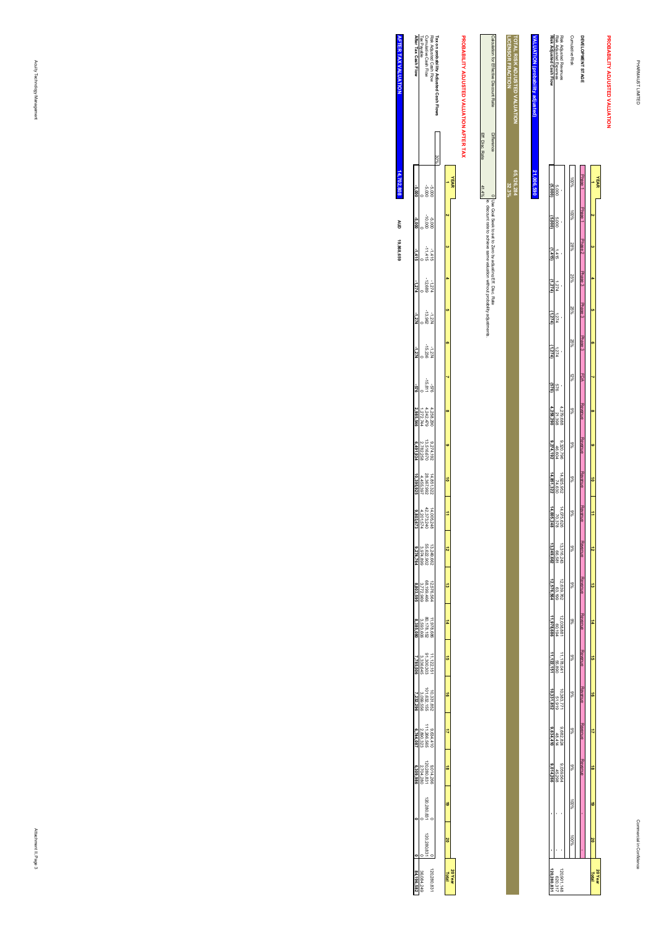**PROBABILITY ADJUSTED VALUATION**

#### Risk Adjusted Revenues<br>Risk Adjusted Expenses<br>Risk Adjusted Cash Flow **DEVELOPMENT STAGE<br>Cumulative Risk** TOTAL RISK ADJUSTED VALUATION<br>LICENSOR FRACTION PROBABILITY ADJUSTED VALUATION **LICENSOR FRACTION TOTAL RISK ADJUSTED VALUATION** VALUATION (probability adj **VALUATION (probability adjusted) Risk Adjusted Cash Flow** Risk Adjusted Expenses Risk Adjusted Revenues Cumulative Risk **DEVELOPMENT STAGE 32.3%** 100%21,006,590 **65,126,284 21,006,590**Phase 1**YEAR 1**5,000 **(5,000)** Phase 1 100% $\alpha$ 5,000 **(5,000)** Phase 2 28% **3**1,415 **(1,415)** Phase 3 25% **4**1,274 **(1,274)** Phase 3 25% **5**1,274 **(1,274)** Phase 3 25% **6**1,274 **(1,274)** 12% **7**FDA 576 **(576)**  $4,279,688$ <br> $4,258,290$ <br> $4,258,290$ Revenue**4,258,290** 4,279,688 9% **8** Revenue $46,604$ <br> $46,604$ <br>9,274,192 9%**9,274,192** 9,320,796  **9**  $14,925,952$ <br> $74,630$ <br> $14,851,322$  Revenue**14,851,322** 14,925,952 9%**10** $14,075,628$ <br> $70,378$ <br> $14,005,248$  Revenue**14,005,248** 14,075,626 9% **11** Revenue $13,316,243$ <br> $66,681$ <br> $13,249,662$ **13,249,662** 13,316,243 9% **12**12,639,762<br>12,576,564<br>12,576,564 Revenue 9%**12,576,564** 12,639,762  **13** Revenue12,038,881<br>60,194<br>**11,978,686 11,978,686** 12,038,881 9% **14** $\begin{array}{r}\n11,178,041 \\
65,890 \\
65,890\n\end{array}$  Revenue**11,122,151** 9%11,178,041  **15** Revenue $\frac{51,919}{51,919}$ **10,331,852** 10,383,771 9% **16REVEIUE**  Revenue $\frac{9,682,824}{48,414}$  9% **179,634,410** 9,682,824 **Revenue**  Revenue  $9.059644$ <br> $45,298$ <br>9,014,266 9% **189,014,266 - -** 9,059,564 - - 45,298 - - 100% **19** 100%  **20** 120,901,148<br>620,317<br>**120,280,831 120,280,831** 140,148<br>140,190,148 **20 Year Total**

|   |              | $\frac{2}{3}$<br>ż<br>ulation for Effective Discount R<br>Rate                                                                     |
|---|--------------|------------------------------------------------------------------------------------------------------------------------------------|
|   |              | <b>Difference</b>                                                                                                                  |
| ä |              |                                                                                                                                    |
|   | ţ<br>stments | o   Use Goal Seek to set to Zero by adjusting Eff. Disc. Rate<br>'s, discount rate to achieve same valuation without probability . |

# PROBABILITY ADJUSTED VALUATION AFTER TAX **PROBABILITY ADJUSTED VALUATION AFTER TAX**

| -5,000 -1,415<br>$-1.274$ |          | 3000<br>000<br>-10.000<br>$-11418$<br>$-11418$<br>$-12.689$<br>$-12.689$<br>$-13.962$<br>$-15.236$<br>$+15.236$<br>-15.811<br>-15.811<br>4,258,290<br>4,242,479<br>1,272,744<br>$\begin{array}{r} 9.274,192 \\ 13.516,670 \\ 2,782,259 \end{array}$<br>14.851.322<br>28.367.992<br>4.455.397<br>$\begin{array}{r} 13.249,662 \\ 55.622,902 \\ 3.974,899 \\ \hline 9.274,764 \end{array}$<br>12,576,564<br>68,199,466<br>3,772,969<br>11.978.686<br>80.178.152<br>3,593.606 | Risk Adjusted Cash Flow<br>Cumulative Cash Flow<br>Tax Payable<br><b>After Tax Cash Flow</b><br>$\begin{array}{r} 14,005.248 \\ 42,373.240 \\ \hline 4,201,574 \\ \hline 9,803,673 \end{array}$ | 30% | ÷<br>ಷ<br>oī | <b>YEAR</b>    |  |
|---------------------------|----------|----------------------------------------------------------------------------------------------------------------------------------------------------------------------------------------------------------------------------------------------------------------------------------------------------------------------------------------------------------------------------------------------------------------------------------------------------------------------------|-------------------------------------------------------------------------------------------------------------------------------------------------------------------------------------------------|-----|--------------|----------------|--|
| 2,985,546                 |          |                                                                                                                                                                                                                                                                                                                                                                                                                                                                            |                                                                                                                                                                                                 |     |              |                |  |
| 6,491,934<br>10,395.92    |          |                                                                                                                                                                                                                                                                                                                                                                                                                                                                            |                                                                                                                                                                                                 |     |              |                |  |
|                           |          |                                                                                                                                                                                                                                                                                                                                                                                                                                                                            |                                                                                                                                                                                                 |     |              |                |  |
|                           |          |                                                                                                                                                                                                                                                                                                                                                                                                                                                                            |                                                                                                                                                                                                 |     |              |                |  |
| 3,803.59<br>385.08        |          |                                                                                                                                                                                                                                                                                                                                                                                                                                                                            |                                                                                                                                                                                                 |     |              |                |  |
|                           |          | 11.122.151<br>91.300.303<br>3,336,645                                                                                                                                                                                                                                                                                                                                                                                                                                      |                                                                                                                                                                                                 |     |              |                |  |
|                           |          | 10,331,852<br>101,632,155<br>3,099,556                                                                                                                                                                                                                                                                                                                                                                                                                                     |                                                                                                                                                                                                 |     | ō            |                |  |
| 6,744,08                  |          | 9,634,410<br>111,266.565<br>2,890,323                                                                                                                                                                                                                                                                                                                                                                                                                                      |                                                                                                                                                                                                 |     | ₹            |                |  |
| 309.98                    |          | 9,014,266<br> 20,280,831<br> 2,704,280                                                                                                                                                                                                                                                                                                                                                                                                                                     |                                                                                                                                                                                                 |     | ō            |                |  |
|                           |          | 20.280.82                                                                                                                                                                                                                                                                                                                                                                                                                                                                  |                                                                                                                                                                                                 |     | ö            |                |  |
|                           |          | 120,280,83                                                                                                                                                                                                                                                                                                                                                                                                                                                                 |                                                                                                                                                                                                 |     | õ            |                |  |
|                           | 36,084.2 |                                                                                                                                                                                                                                                                                                                                                                                                                                                                            | 20,280,                                                                                                                                                                                         |     |              | <b>20 Year</b> |  |

**AFTER TAX VALUATION AFTER TAX VALUATION 19,868,659 14,702,808** 14,702,808 **AUD**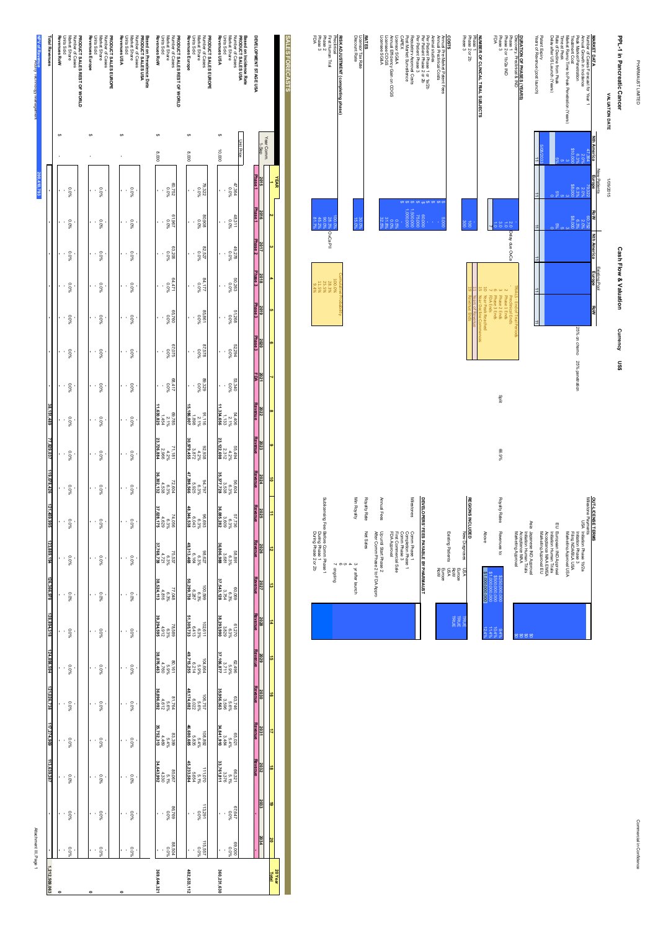PHARMAUST LIMITED PHARMAUST LIMITED

| PPL-1 in Pancreatic Cancer                   |                    |               |       |                    | <b>Cash Flow &amp; Valuation</b> |     | Currency US\$ |                              |
|----------------------------------------------|--------------------|---------------|-------|--------------------|----------------------------------|-----|---------------|------------------------------|
| <b>VALUATION DATE</b>                        |                    | 1/08/2015     |       |                    |                                  |     |               |                              |
|                                              |                    | New Patients  |       |                    | Existing Pool                    |     |               |                              |
| <b>MARKET DATA</b>                           | <b>Nth America</b> | <b>Europe</b> | Row   | <b>Nth America</b> | Europe                           | RoM |               |                              |
| Number of Cases Forecast for Year 1          | 7,384              | 79.322        | 29752 |                    |                                  |     |               |                              |
| Annual Growth in Incidence                   |                    | 2.0%          | 2.0%  |                    |                                  |     |               |                              |
| Peak Market Penetration                      |                    | 6.3%          | 6.3%  |                    |                                  |     |               | 25% on chemo 25% penetration |
| <b>Treatment Cost</b>                        | \$10,00            | \$8,000       | 38.00 |                    |                                  |     |               |                              |
| Market Ramp Time to Peak Penetration (Years) |                    |               |       |                    |                                  |     |               |                              |
| Time at Peak                                 |                    |               |       |                    |                                  |     |               |                              |
| Rate of Decline from Peak                    |                    |               |       |                    |                                  |     |               |                              |
| Delay after US Launch (Years)                |                    |               |       |                    |                                  |     |               |                              |

**OUT-LICENSE TERMS**

Milestone Payments

OUT-LICENSE TERMS<br>UNIVERSIDE <sup>P</sup>OISA Initiation Phase 1b/2a<br>Initiation Phase 1b/2a<br>Initiation Phase 1b/2a<br>Initiation Approval USA<br>Indireting Approval USA Initiation Phase 1b/2a

Initiation Phase 3

Filing NDA/BLA USA

Marketing Approval USA

EU European IND Approval<br>Initiation Human Trials<br>Acceptance MAA EMEA<br>Marketing Approval EU European IND Approval

Acceptance MAA EMEA Initiation Human Trials

Marketing Approval EU

Japanese IND Approval

Initiation Human Trials

Acceptance MAA

Marketing Approval \$0

 $\epsilon$ 

\$0

 $\epsilon$ 

9.4%

10.4%

11.4%

Patent Expiry

Years of Revenue (post launch)

Patent Expirv<br>Years of Revenue (post launch)

|<br>|-

 $\overline{1}$ 

 $\overline{1}$ 

 $\vert \pm \vert$ 

| Discovery, Preclinical & IND      |                    | KIALS - End of Irial Penod |
|-----------------------------------|--------------------|----------------------------|
| Phase <sub>1</sub>                | 2.0 Delay due OvCa | Preclinical Ends           |
| Phase 2 or 1b/2a IND              |                    | 2 Phase 1 Ends             |
| Phase <sub>3</sub>                |                    | Phase 2 Ends               |
| FDA                               |                    | Phase 3 Ends               |
|                                   |                    | 7 FDA Ends                 |
|                                   |                    | 10 Year Peak Reached       |
| NUMBER OF CLINICAL TRIAL SUBJECTS |                    | 15 Year Decline Commences  |
| Phase 1                           |                    | 11 Years of Revenue        |
| Phase 2 or 2b                     | ğ                  | <b>Revenue End</b>         |

### Licensee SG&A Licensee COGS Annual Efficiency Gain on COGS Licensor SG&A **COSTS**<br>Antendring<br>Costs<br>Costs<br>CAPEX<br>CAPEX<br>CAPEX Post Market Surveillence Regulatory Approval Costs Per Patient Phase 3 Per Patient Phase 2 or 2b Per Patient Phase 1 or 1a/2b Animal studies Annual Preclinical Costs Annual Pre-Market Patent Fees 75,000  $60,000$ .<br>.<br>.  $\frac{8}{1}$

0.5% 0.0% 31.8%

32.5%

30.0%

15.0%

## **RATES**<br>Licensor Tax Rate<br>Discount Rate Licensor Tax Rate Discount Rate

| Preclinical               |              | 100.0% |
|---------------------------|--------------|--------|
| First Human Trial         | <b>DVCaR</b> | 28.3%  |
|                           | 80.08        | 25.5%  |
| Phase 2<br>Phase 3<br>FDA | 45.2%        | 11.5%  |
|                           | 81.79        | 9.4%   |

### - \$ Comm Phase 3 1,000,000 \$ Completion Phase 1 1,500,000 \$ Milestones- \$ Row Product to the Marian Contract of the Marian Contract of the Marian Contract of the Marian Contract of <br>DOMESTIC SECTION OF THE MARIAN CONTRACT OF THE MARIAN CONTRACT OF THE MARIAN CONTRACT OF THE MARIAN CONTRACT O 5,000 \$ Europe **REGION** Annual Fees Min Royalty Royalty Rate**DEVELOPERS' FEES PAYABLE BY PHARMAUST REGIONS INCLUDED** Net Sales Comm Phase 1 After Comm Phase 2 to FDA Appro Up until Start Phase 2 FDA Approval First Commercial Sale Existing Patients New Diagnoses Above  $\tilde{}$  $^{\circ}$ 5 3 yr after launch ongoing USA RoW Europe USA \$1,000,000,000 \$1,000,000,000\$500,000,000

| Min Royalty                                          | Royalty Rate | Annual Fees                                               | Milestones                                                                                  |                                       |                      |
|------------------------------------------------------|--------------|-----------------------------------------------------------|---------------------------------------------------------------------------------------------|---------------------------------------|----------------------|
| $\sigma$<br>ω<br>4<br>o<br>burobuo<br>y after launch | Net Sales    | After Comm Phase 2 to FDA Appro<br>Up until Start Phase 2 | Comm Phase 3<br>First Commercial Sale<br>Completion Phase 1<br>Comm Phase 1<br>FDA Approval | DEVELOPERS' FEES PAYABLE BY PHARMAUST | Europe<br><b>RoW</b> |
|                                                      |              |                                                           |                                                                                             |                                       |                      |

|                                                                                 |                       | Min Royalty         | Royalty Rate | Annual Fees                                               | Milestones                                                                                  |                                      |
|---------------------------------------------------------------------------------|-----------------------|---------------------|--------------|-----------------------------------------------------------|---------------------------------------------------------------------------------------------|--------------------------------------|
| Sublicensing Fee: Before Comm Phase 1<br>During Phase 1<br>During Phase 2 or 2b | <b>Ch</b><br>prigging | ω<br>y after launch | Net Sales    | After Comm Phase 2 to FDA Appro<br>Up until Start Phase 2 | FDA Approval<br>First Commercial Sale<br>Comm Phase 3<br>Completion Phase 1<br>Comm Phase 1 | DEVELOPERS FEES PAYABLE BY PHARMANST |
|                                                                                 |                       |                     |              |                                                           |                                                                                             |                                      |

**20 Year Total**

| Revenues RoW<br>300'8 | <b>PRODUCT SALES REST OF WORLD</b><br>Number of Cases<br>Market Share<br>Units Sold<br>%0'0<br>292'09<br>9619<br>49619 |      |  | Revenues Europr<br>000'8 | Market Share<br>Units Sold | PRODUCT SALES EUROPE<br>Number of Cases<br>79.322<br>25.85<br>%0'0<br>906'08 |
|-----------------------|------------------------------------------------------------------------------------------------------------------------|------|--|--------------------------|----------------------------|------------------------------------------------------------------------------|
|                       | %0.0<br>90Z 69                                                                                                         |      |  |                          |                            | $82.527$<br>$0\%$                                                            |
|                       | 84.471<br>0.0%                                                                                                         |      |  |                          | 54.177<br>0.0%             |                                                                              |
|                       | %0.0<br>097.38                                                                                                         |      |  |                          |                            | 98991<br>19898                                                               |
|                       | %0'0<br>920'29                                                                                                         |      |  |                          |                            | %0'0<br>825'28                                                               |
|                       | $\circ$                                                                                                                | 4.44 |  |                          | $\circ$                    | 83.3                                                                         |

89,329 0.0%

91,116<br>2.1%<br>1.898

**15,186,007**

**30,979,455**

**47,398,566**

**48,346,538**

**49,313,468**

**50,299,738**

**51,305,733**

**49,715,255**

**48,174,082**

**46,680,685**

92.88<br>92.2%<br>858.528

94,9%<br>93%<br>978,925

96.3%<br>96.3%<br>96.043

98,98<br>6.3%<br>9.3%

100,599<br>%8,99<br>6.387<br>6.387

102,611<br>6.3%<br>6.413

104.664<br>104.69%<br>104.944

106,757<br>8.6%<br>105,22

268<br>%92<br>5.835<br>5.835

1110/07<br>11.070

113,291 0.0%

5,654 - -

**45,233,584 - -**

**482,633,112**

482,633,112

115,557 0.0%

Number of Cases **PRODUCT SALES USA Based on Prevalence Data**

**Based on Prevalence Data**<br>RODUCT SALES USA<br>Narket Share<br>Units Sold<br>Revenues USA<br>Revenues USA

Market Share

**Revenues USA**

Number of Cases **PRODUCT SALES EUROPE**

Market Share

**PRODUCT SALES EUROPE**<br>Number of Cases<br>Market Share<br>**Rovenues Europe**<br>Rovenues Europe

**Revenues Europe**

Number of Cases **PRODUCT SALES REST OF WORLD**

Market Share

 $\frac{0.086}{5}$ 

 $-0.0%$ 

0.0%

 $-80.086$ 

 $\frac{0.0\%}{2}$ 

0.0%

0.0%

 $\frac{0.086}{5}$ 

**38,151,489**

**77,829,037**

**119,078,426**

**121,459,995**

**123,889,194**

**126,366,978**

**128,894,318**

**124,898,594**

**121,026,738**

**117,274,909**

117,274,909

**113,639,387 - -**

**1,212,509,063**

1,212,509,063

 $-0.0%$ 

Units Sold - - - - - - - - - - - - - - - - - - - -

 $-80.086$ 

 $-0.0%$ 

 $0.0%$ 

 $-0.0%$ 

 $-80.08$ 

0.0%

0.0%

0.0%

0.0%

 $-80.08$ 

0.0%

 $\frac{1}{20}$ 

0.0%

.<br>.<br>.

0.0%

0.0%

 $\frac{0.08}{9}$ 

0.0%

0.0%

 $-80.08$ 

0.0%

 $\cdot$   $\frac{8}{9}$ 

Units Sold - - - - - - - - - - - - - - - - - - - -

0.0%

0.0%

**- - - - - - - - - - - - - - - - - - - - 0**

- - - - - - - - - - - - - - - - - - - -

 $\frac{6}{9}$ 

0.0%

 $\frac{6}{9}$ 

0.0%

0.0%

0.0%

0.0%

0.0%

0.0%

.<br>.<br>.

 $\bar{1}$ 

 $\epsilon$ 

 $-80.08$ 

0.0%

 $\frac{0.086}{2}$ 

0.0%

 $-80.08$ 

 $-80.08$ 

 $\frac{1}{20}$ 

 $^{0.06}$ 

Units Sold - - - - - - - - - - - - - - - - - - - -

 $\cdot$  0.0%

 $\frac{0.008}{2}$ 

**- - - - - - - - - - - - - - - - - - - - 0**

- - - - - - - - - - - - - - - - - - - -

 $\frac{1}{900}$ 

0.0%

 $\frac{1}{8000}$ 

 $0.0%$ 

 $0.0%$ 

 $\frac{1}{2000}$ 

 $-80.08$ 

 $^{+6.0}_{-8.0}$ 

0.0%

68,417 0.0%

69,785<br>2.1%<br>1.454

**11,630,825**

**23,726,884**

**36,302,132**

**37,028,175**

- - - - - - - - - - - - - - - - - - - -

**37,768,738**

**38,524,113**

**39,294,595**

**38,076,463**

**36,896,092**

**35,752,313**

71,181<br>4.2%<br>2.966

72,64<br>6.3%<br>4.538

74.056<br>6.3%<br>4.629

75,3%<br>6.3%<br>4.721

7,048<br>6.3%<br>4.816

78.3%<br>6.3%<br>4.912

80,760<br>80%<br>4.760

81,764<br>8.6%<br>4.612

89<del>1</del><br>%95<br>668.59

85,067 5.1%

%0.0<br>697.98

4,330 - -

**34,643,992 - -**

**369,644,321**

369,644,321

88,504 0.0%

Units Sold - - - - - - -

10,000 \$

10,000

**Revenues USA**

# **Based on Incidence Rate**<br>**RRODUCT SALES USA**<br>RRODUCT SALES USA<br>Market Share<br>Revonues USA<br>Revonues USA Market Share Number of Cases  $47,364$

## **PRODUCT SALES USA Based on Incidence Rate** DEVELOPMENT STAGE USA **DEVELOPMENT STAGE USA**

SALES FORECASTS **SALES FORECASTS**

**YEAR 1**

Year Comm. Year Comm.<br>1-Sep

 $\overline{\Gamma}$ 

**2015**

**Phase 1**

Unit Price

Unit Price

48,311 0.0%

0.0%

49,278 0.0%

50,263 0.0%

**- - - - - - -**

51,268 0.0%

52,294 0.0%

53,340 0.0%

54,406 2.1%1,133

**11,334,656**

**23,122,698**

**35,377,728**

**36,085,282**

**36,806,988**

**37,543,128**

**38,293,990**

**37,106,877**

**35,956,563**

**34,841,910**

55,494<br>4.2%<br>2.312

56,604 6.3%3,538

57,75%<br>56.3%<br>5.609

58,881<br>56.3%<br>5.681

60,069<br>60.3%<br>80.754

61,270<br>6.3%<br>3.829

62,58<br>63.9%<br>96%3111

63<br>63.6%<br>3.596<br>3.596

65,021<br>65.4%<br>3.484

66,321 5.1%

67,647 0.0%

3,376 - -

**33,761,811 - -**

**360,231,630**

360,231,630

%000<br>000169

 **2016**

 **Phase 1**

 **2017**

 **Phase 2**

 **2018**

 **Phase 3**

 **2019**

 **Phase 3**

 **2020**

 **Phase 3**

 **2021**

**FDA**

 **2022**

**Revenue**

 **2023**

 **Revenue**

 **2024**

 **Revenue**

 **2025**

 **Revenue**

 **2026**

 **Revenue**

 **2027**

 **Revenue**

 **2028**

 **Revenue**

 **2029**

 **Revenue**

 **2030**

 **Revenue**

 **2031**

 **Revenue**

 **2032**

 **Revenue**

 **2033**

 **2034**

**- -**

**2** 

 **3**

 **4**

 **5**

 **6**

 **7**

 **8**

 **9**

**10**

 **11**

 **12**

 **13**

 **14**

 **15**

 **16**

 **17**

 **18**

 **19**

 **20**

300

66.9% Royalty Rates Royalty Rates Asia Japanese IND Approval<br>Initiation Human Trials<br>Acceptance MAA<br>Marketing Approval

Split

# Revenues to: Revenues to:

|              | New Diagnoses | <b>NS INCLUDED</b> | Above |
|--------------|---------------|--------------------|-------|
| <b>TECRS</b> | VSN           |                    |       |
|              |               |                    |       |

| <b>Existing Patients</b> | 팀 호텔<br>모델<br>모델 |           | New Diagnoses<br>vsn | <b>MCLUDEI</b> |  |
|--------------------------|------------------|-----------|----------------------|----------------|--|
|                          |                  | $\bar{x}$ |                      |                |  |

Commercial in Confidence

Attachment III, Page 1 Attachment III, Page 1

**PRODUCT SALES REST OF WORLD**<br>Muniter of Cases<br>Number of Cases<br>Units Sold<br>Revenues ROW<br>Revenues ROW **NPV of Revenue Total Revenues Revenues RoW** Acuity Technology Management .<br>.<br>. **200,410,793 - - - - - - - - - - - - - - - - - - - - - - - - - - - 0**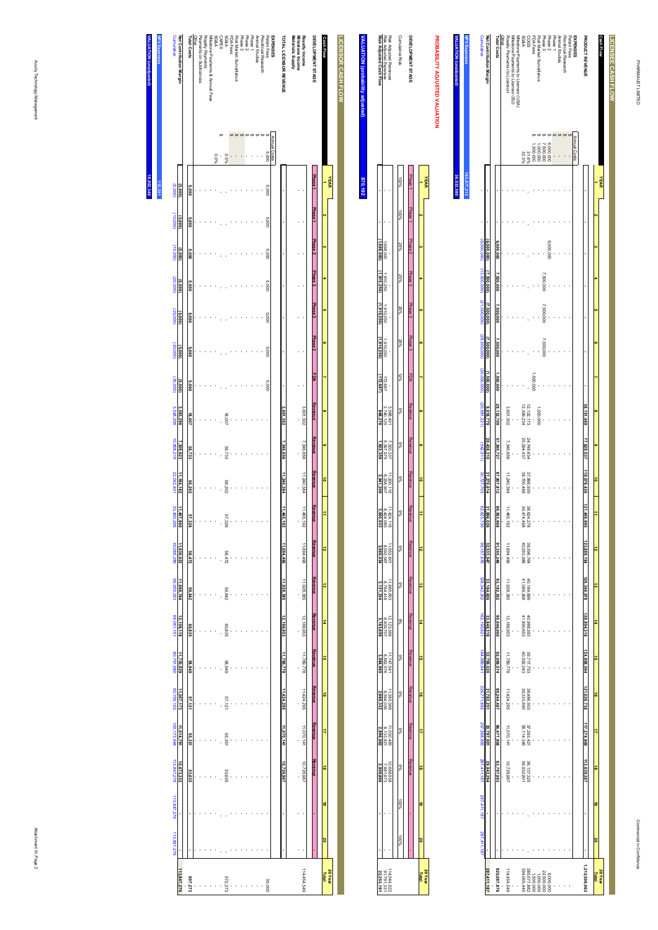| ì |  |  |
|---|--|--|
|   |  |  |
|   |  |  |
|   |  |  |
|   |  |  |

| Risk Adjusted Cash Flow | Risk Adjusted Expenses<br>Risk Adjusted Revenues                                     | <b>Cumulative Risk</b> | <b>INELOPMENT STAGE</b> |  |
|-------------------------|--------------------------------------------------------------------------------------|------------------------|-------------------------|--|
|                         |                                                                                      | <b>DO%</b>             | Phase                   |  |
|                         |                                                                                      | $\frac{800}{20}$       | 198B1                   |  |
| <b>Ras nm</b>           | 200'869                                                                              | %87                    |                         |  |
|                         | 910,250                                                                              | 25%                    | Phase 2 Phase 3 1       |  |
| <b>ABSORU</b>           | 1,910,250                                                                            | 25%                    | Phase 3 Phase 3         |  |
|                         | 910,250                                                                              | 55%                    |                         |  |
| ś                       | 172,687                                                                              | šč                     |                         |  |
|                         | 3.588.401<br>2.740.125                                                               | š                      |                         |  |
|                         | 7.320.337                                                                            | 88                     |                         |  |
|                         | 11.200.116<br>8.258,907                                                              | se                     | Yeven                   |  |
|                         | $\begin{array}{r}\n 11.424, 118 \\  8.424, 085 \\  \hline\n 3,000,033\n \end{array}$ | %6                     | Revenue                 |  |
|                         | 11.652.60                                                                            | se<br>Se               | <b>Revent</b>           |  |
|                         | 11.885.655                                                                           | š                      |                         |  |
|                         | 12.123.366<br>8.939.707                                                              | š                      |                         |  |
|                         | 11.747.54                                                                            | śb                     |                         |  |
|                         | 11.383.368<br>8.394.036                                                              | s.                     | <b>RIVEIT</b>           |  |
|                         | 11.030.483<br>8.133.821                                                              |                        |                         |  |
|                         | 10.688.53.<br>7.881.673                                                              | ś                      | <b>COVERT</b>           |  |
|                         |                                                                                      | i                      |                         |  |
|                         |                                                                                      | ٤                      |                         |  |
|                         | 91,791,3<br>14.044.5.                                                                |                        |                         |  |

**20 Year Total**

 **16**

 **17**

 **18**

 **19**

 **20**

# **VALUATIO VALUATION (probability adjusted)** ability adjusted) **870,192**

| LICENSOR CASH FLOW                   |              |                |                    |                    |                    |                    |                    |            |           |           |              |                |            |            |            |            |            |            |            |   |   |                  |
|--------------------------------------|--------------|----------------|--------------------|--------------------|--------------------|--------------------|--------------------|------------|-----------|-----------|--------------|----------------|------------|------------|------------|------------|------------|------------|------------|---|---|------------------|
|                                      |              | <b>YEAR</b>    |                    |                    |                    |                    |                    |            |           |           |              |                |            |            |            |            |            |            |            |   |   |                  |
| <b>Cash Flow</b>                     |              |                |                    |                    |                    |                    | o                  |            | $\alpha$  |           | ㅎ            | ₿              | 12         | ಹ          | #          | å          | ō          | 4          | ã          | ಠ | õ | 20 Year<br>Total |
|                                      |              |                |                    |                    |                    |                    |                    |            |           |           |              |                |            |            |            |            |            |            |            |   |   |                  |
| DEVELOPMENT STAGE                    |              | <b>Phase 1</b> | Phase <sub>1</sub> | Phase <sub>2</sub> | Phase <sub>3</sub> | Phase <sub>3</sub> | Phase <sub>3</sub> | <b>PDA</b> | Revenue   | Revenue   | Revenue      | Revenue        | Revenue    | Revenue    | Revenue    | Revenue    | Revenue    | Revenue    | Revenue    |   |   |                  |
| Royalty Income                       |              |                |                    |                    |                    |                    |                    |            | 3,601,302 | 7,346,656 | 11,240,384   | 11,465,<br>Z61 | 11,694,496 | 11,928,385 | 12,166,953 | 11,788,778 | 11,424,295 | 11,070,141 | 10,728,967 |   |   | 114,454,549      |
| Materials Supply<br>Milestone Income |              |                |                    |                    |                    |                    |                    |            |           |           |              |                |            |            |            |            |            |            |            |   |   |                  |
|                                      |              |                |                    |                    |                    |                    |                    |            |           |           |              |                |            |            |            |            |            |            |            |   |   |                  |
| TOTAL LICENSOR REVENUE               |              |                |                    |                    |                    |                    |                    |            | 3,601,302 | ,346,656  | 11,240,384   | 11,465,<br>3   | 1694,496   | 1,928,385  | 12,166,953 | 11,789,778 | 11,424,295 | 11,070,141 | 10,726,967 |   |   |                  |
| <b>EXPENSES</b>                      | Annual Costs |                |                    |                    |                    |                    |                    |            |           |           |              |                |            |            |            |            |            |            |            |   |   |                  |
| Patent Fees                          | 5,000        | 5.000          | 000'S              | 000'S              | 000'S              | 000'S              | 000'S              | 000'S      |           |           |              |                |            |            |            |            |            |            |            |   |   | 35,000           |
| Preclinical Research                 |              |                |                    |                    |                    |                    |                    |            |           |           |              |                |            |            |            |            |            |            |            |   |   |                  |
| Animal Studies                       |              |                |                    |                    |                    |                    |                    |            |           |           |              |                |            |            |            |            |            |            |            |   |   |                  |
| Phase 1                              |              |                |                    |                    |                    |                    |                    |            |           |           |              |                |            |            |            |            |            |            |            |   |   |                  |
| Phase <sub>2</sub>                   |              |                |                    |                    |                    |                    |                    |            |           |           |              |                |            |            |            |            |            |            |            |   |   |                  |
| Phase 3                              |              |                |                    |                    |                    |                    |                    |            |           |           |              |                |            |            |            |            |            |            |            |   |   |                  |
| Post Market Surveillance             |              |                |                    |                    |                    |                    |                    |            |           |           |              |                |            |            |            |            |            |            |            |   |   |                  |
| FDA Fees                             |              |                |                    |                    |                    |                    |                    |            |           |           |              |                |            |            |            |            |            |            |            |   |   |                  |
| <b>SG&amp;A</b>                      | 969'0        |                |                    |                    |                    |                    |                    |            | 18,007    | 36,733    | 56,202       | 57.326         | 58.472     | 59.642     | 60.835     | 676'89     | 57.121     | 55.351     | 53,635     |   |   | 572,273          |
|                                      |              |                |                    |                    |                    |                    |                    |            |           |           |              |                |            |            |            |            |            |            |            |   |   |                  |
| CAPEX<br>SG&A                        | 960'0        |                |                    |                    |                    |                    |                    |            |           |           |              |                |            |            |            |            |            |            |            |   |   |                  |
| Milestone Payments & Annual Fees     |              |                |                    |                    |                    |                    |                    |            |           |           |              |                |            |            |            |            |            |            |            |   |   |                  |
| Royalty Payments                     |              |                |                    |                    |                    |                    |                    |            |           |           |              |                |            |            |            |            |            |            |            |   |   |                  |
| Payments on Sublicences              |              |                |                    |                    |                    |                    |                    |            |           |           |              |                |            |            |            |            |            |            |            |   |   |                  |
| Other                                |              |                |                    |                    |                    |                    |                    |            |           |           |              |                |            |            |            |            |            |            |            |   |   |                  |
| Total Costs                          |              | 5,000          | 5,000              | 5,000              | 5,000              | 5,000              | 5,000              | 5,000      | 18,007    | 36,733    | 56,202       | 57,326         | 58,472     | 59,642     | 60,835     | 58,949     | 57,121     | 55,351     | 53,635     | ï |   | 607,273          |
| Net Contribution Margin              |              | (5,000)        | (5,000)            | (5,000)            | (5,000)            | (5,000)            | (5,000)            | (5,000)    | 3,583,296 | 7,309,923 | 11, 184, 182 | 11,407,866     | 11,636,023 | 11,868,744 | 12,106,118 | 11,730,829 | 11,367,173 | 11,014,791 | 10,673,332 |   |   | 113,847,276      |
|                                      |              |                |                    |                    |                    |                    |                    |            |           |           |              |                |            |            |            |            |            |            |            |   |   |                  |

**MALUA HPV E VALUATION (unadjusted) NPV Expenses 115,391 18,802,346**

Cumulative

Cumulative

(5,000)

 $(000'01)$ 

(15,000)

(20,000)

(000<sup>'</sup>c7)

(30,000)

(35,000)

3,548,296

10,858,219

22,042,401

33,450,266

45,086,289

56,955,033

69,061,151

**Q1'100'A0** 

80,791,980

**DOR'167'00** 

92,159,153

92,159,153

103,173,944

103,173,944

113,847,276

113,847,276

113,847,276

113,847,276

113,847,276

113,847,276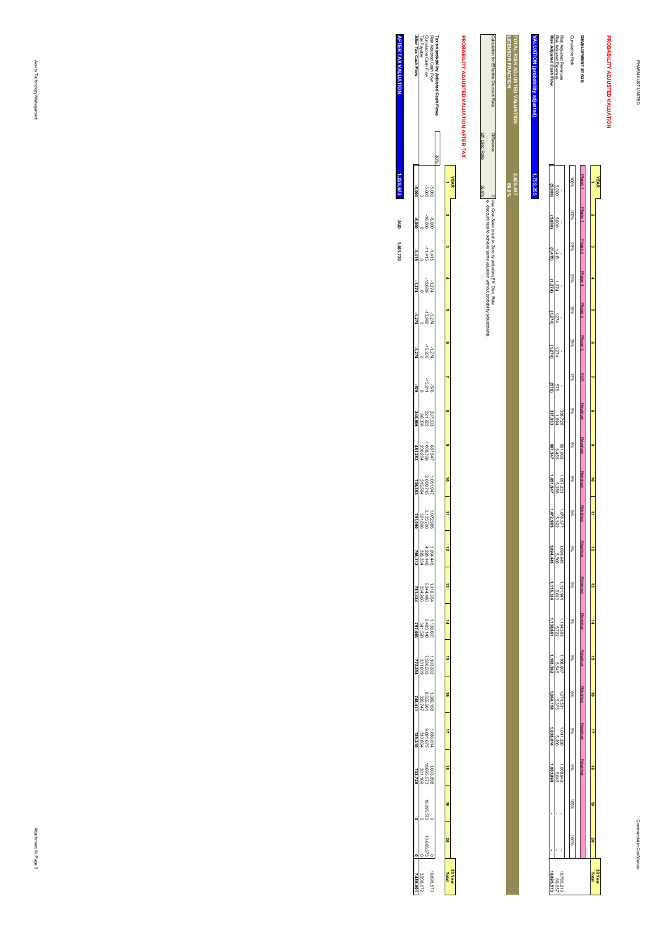**PROBABILITY ADJUSTED VALUATION**

PROBABILITY ADJUSTED VALUATION

#### Risk Adjusted Revenues<br>Risk Adjusted Expenses<br>Risk Adjusted Cash Flow **DEVELOPMENT STAGE**<br>Cumulative Risk Calculation for Effective Discount RateTOTAL RISK ADJUSTED VALUATION<br>LICENSOR FRACTION **LICENSOR FRACTION TOTAL RISK ADJUSTED VALUATION VALUATION (probability adjusted) Risk Adjusted Cash Flow** Risk Adjusted Expenses Risk Adjusted Revenues Cumulative Risk **DEVELOPMENT STAGE** culation for Effective Discount Rate <u>LUATION (probability ac</u> Eff. Disc. Rate Difference**Difference** Eff. Disc. Rate 100%**1,759,25566.9% 2,629,447** Phase 1**YEAR 1**0 | lose Gasi Seek to set to Zero by adristing Eff. Disc. Rate<br>|-<br>35.6%, et discount rate to achieve same valuation without probability adjustments. 5,000 **(5,000)** 0 Use Goal Seek to set to Zero by adjusting Eff. Disc. Rate ie. discount rate to achieve same valuation without probability adjustments. Phase 1 100% $\alpha$ 5,000 **(5,000)** Phase 2 28% **3**1,415 **(1,415)** Phase 3 25% **4**1,274 **(1,274)** Phase 3 25% **5**1,274 **(1,274)** Phase 3 25% **6**1,274 **(1,274)** 12% **7**FDA 576 **(576)** Revenue 9% **8**338,726 1,694 **337,033** Revenue 9% **9** 691,002 3,455 **687,547** Revenue 9%5,286 **1,051,947** 1,057,233 **10** Revenue 9% **11**5,392 **1,072,985** 1,078,377 Revenue 9% **12**5,500 **1,094,445** 1,099,945 Revenue 9% **13**5,610 **1,116,334** 1,121,944 Revenue **14** 9%5,722 **1,138,661** 1,144,383 Revenue 9% **15**5,545 **1,103,362** 1,108,907 Revenue 9% **16**1,074,531<br>1,069,158<br>**1,069,158**  Revenue 9% **17**5,206 **1,036,014** 1,041,220 **Revenue**  Revenue  $\frac{1,008,942}{5,045}$  9% **181,003,898 - -** 1,008,942 - - 5,045 - - 100% **19** 100%  **20**  $10,765,210$ <br>69,637<br>**10,695,573 20 Year Total 10,695,573** 10,765,210

# PROBABILITY ADJUSTED VALUATION AFTER TAX **PROBABILITY ADJUSTED VALUATION AFTER TAX**

|                             | Risk Adjusted Cash Flow<br>Cumulative Cash Flow<br>Tax Payable<br><b>After Tax Cash Flow</b> |                                                             |                                                                            |     |           |                  |
|-----------------------------|----------------------------------------------------------------------------------------------|-------------------------------------------------------------|----------------------------------------------------------------------------|-----|-----------|------------------|
|                             |                                                                                              |                                                             |                                                                            |     |           |                  |
|                             |                                                                                              |                                                             |                                                                            | 30% |           |                  |
|                             |                                                                                              | 389<br>000                                                  |                                                                            |     |           | <b>YEAR</b>      |
|                             |                                                                                              | 000'01-<br>000'9-                                           |                                                                            |     |           |                  |
| $-1,415$                    |                                                                                              | $-11416$<br>$-11416$                                        |                                                                            |     |           |                  |
| $-274$                      |                                                                                              | $-12.689$<br>$-12.689$                                      |                                                                            |     |           |                  |
| $-1, 274$                   |                                                                                              | $7.274$<br>$7.2.962$                                        |                                                                            |     |           |                  |
|                             |                                                                                              | $-15.236$<br>$-15.236$                                      |                                                                            |     |           |                  |
| 219                         |                                                                                              | -18.811<br>978-                                             |                                                                            |     |           |                  |
| 240,666                     |                                                                                              | $\begin{array}{l} 337.033 \\ 321.222 \\ 96.366 \end{array}$ |                                                                            |     |           |                  |
| 481,283                     | 1.008.768<br>1.008.768<br>206.264                                                            |                                                             |                                                                            |     |           |                  |
| 736,363                     |                                                                                              | 1,051,947<br>2.060,715<br>315,584                           |                                                                            |     |           |                  |
|                             |                                                                                              |                                                             | $\begin{array}{l} 1.072.985 \\ 3.133.700 \\ 321.896 \\ \hline \end{array}$ |     | ‡         |                  |
|                             | $1,094,445$<br>$4,228,334$<br>$766,112$                                                      |                                                             |                                                                            |     | ã         |                  |
|                             | $\begin{array}{r}\n 1.116.334 \\  1.146.334 \\  2.344.900\n\end{array}$                      |                                                             |                                                                            |     | d         |                  |
|                             | 1.38.661<br>0.41.598<br>797.063<br>797.063                                                   |                                                             |                                                                            |     | ÷,        |                  |
|                             |                                                                                              | $1,103,362$<br>7,586,503<br>331,009                         |                                                                            |     | å         |                  |
| (48.41)                     |                                                                                              | $1069, 158$<br>8.655.661<br>320,747                         |                                                                            |     | á         |                  |
| 25.210                      |                                                                                              | 1,036,014<br>9,691,675<br>310,804                           |                                                                            |     | 4         |                  |
| 702.728                     |                                                                                              | 1,003,886<br>273.573<br>301,169                             |                                                                            |     | ä         |                  |
|                             |                                                                                              | 10.695.57                                                   |                                                                            |     | $\dot{•}$ |                  |
|                             |                                                                                              | 10.695.57                                                   |                                                                            |     | õ         |                  |
| $\frac{3.208.67}{7.486.90}$ |                                                                                              |                                                             | 1,695.57                                                                   |     |           | 20 Year<br>Total |

**AFTER TAX VALUATION AFTER TAX VALUATION** 1,229,673 **1,661,720 1,229,673 AUD**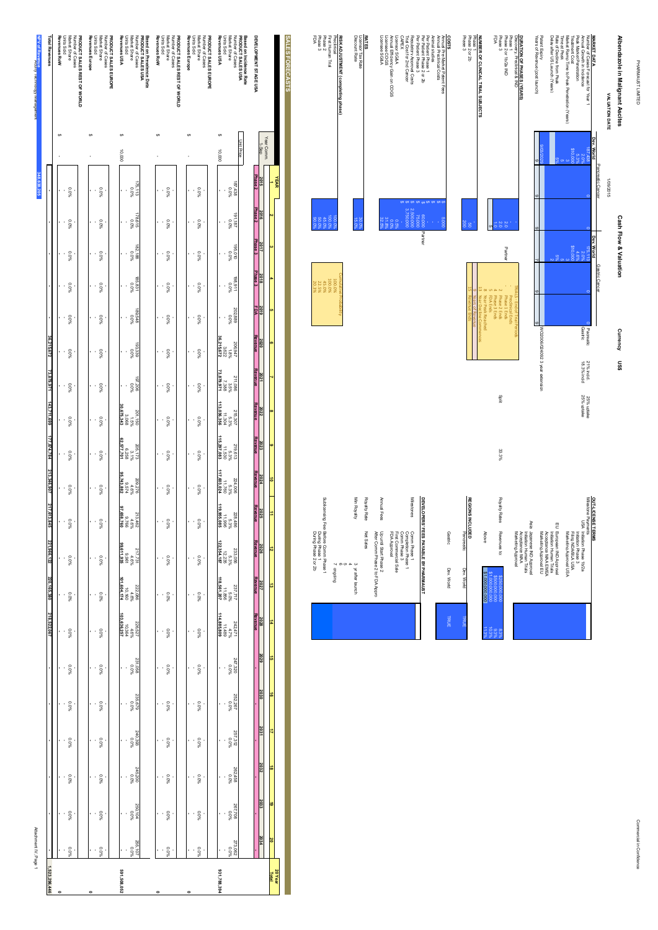PHARMAUST LIMITED PHARMAUST LIMITED



Phase 3 FDA

**NUMBER OF CLINICAL TRIAL SUBJECTS**

Phase 2 or 2b

**COSTS**<br>Antendring<br>Costs Per Persian<br>CAPEX<br>CAPEX<br>CAPEX

Per Patient Phase 2 or 2b

Per Patient Phase 3

Regulatory Approval Costs

Trial Cost for 2nd Cancer

Licensor SG&A

Annual Efficiency Gain on COGS

Licensee COGS Licensee SG&A

**RATES**<br>Licensor Tax Rate<br>Discount Rate

Discount Rate

**RISK ADJUSTMENT (completing phase)**

Preclinical

First Human Trial

Phase 2 Phase 3 FDA

Licensor Tax Rate

Per Patient Phase 1 - \$

Annual Pre-Market Patent Fees

Annual Preclinical Costs

Animal studies

 $5000$ 

.<br>.<br>.

 $\frac{8}{1}$ 

Partner

NUMBER OF CLINICAL TRIAL SUBJECTS<br>Phase 1<br>Phase 3<br>Phase 3

Phase 1 -

Phase 2 Ends

Phase 3 Ends

Year Peak Reached

Year Decline Commences

Years of Revenue

Revenue Ends

on<sup>15</sup>

33.3%

| OUT-LICENSE TERMS<br>Milestone Payments<br>Asia<br>E | USA Initiation Phase 1b/2a<br>Japanese IND Approval<br>European IND Approval<br>Marketing Approval USA<br>Filma NDA/BLAUSA<br>Marketing Approval EU<br>Acceptance MAA EMEA<br>Initiation Phase 3<br>hitiation Human Trials<br>hitiation Human Trials |                                                                     |                                   |
|------------------------------------------------------|------------------------------------------------------------------------------------------------------------------------------------------------------------------------------------------------------------------------------------------------------|---------------------------------------------------------------------|-----------------------------------|
|                                                      | Marketing Approval<br>Acceptance MAA                                                                                                                                                                                                                 |                                                                     |                                   |
| Royalty Rates                                        | Above<br>Revenues to:                                                                                                                                                                                                                                | \$1,000,000,000<br>31,000,000,000<br>\$250,000,000<br>\$500,000,000 | 10.3%<br>$11.3\%$<br>8.3%<br>8.3% |
|                                                      |                                                                                                                                                                                                                                                      |                                                                     |                                   |

|           | <b>REGIONS</b>                |
|-----------|-------------------------------|
| Gastric   | <b>INCLUDED</b><br>Pancreatic |
| Dev. Work | Dev. World                    |
|           |                               |

|                                 | 32.5%                  | 88.0<br>80.0<br>88% |                       | 3,750,00                         | 2.500,00          | 75,000 |                                       |
|---------------------------------|------------------------|---------------------|-----------------------|----------------------------------|-------------------|--------|---------------------------------------|
|                                 |                        |                     |                       |                                  |                   |        | 60,000 Partner                        |
|                                 | Annual Fees            |                     |                       |                                  | <b>Milestones</b> |        |                                       |
| After Comm Phase 2 to FDA Appro | Up until Start Phase 2 | FDA Approval        | First Commercial Sale | Completion Phase<br>Comm Phase 3 | Comm Phase 1      |        | DEVELOPERS' FEES PAYABLE BY PHARMAUST |

|              | FDA Approval                                              |  |
|--------------|-----------------------------------------------------------|--|
| Annual Fees  | After Comm Phase 2 to FDA Appro<br>Up until Start Phase 2 |  |
| Royalty Rate | Net Sales                                                 |  |
| Min Royalty  | 3 yr after launch                                         |  |
|              | <b>Ch</b><br>principling                                  |  |
|              |                                                           |  |

| $\frac{1}{2}$    |   |  |  |                                        | 86.88<br>88.88<br>88.888<br>88.88     |        |        |                        |  | %0'98<br>%0'08 |              |
|------------------|---|--|--|----------------------------------------|---------------------------------------|--------|--------|------------------------|--|----------------|--------------|
| 2017             |   |  |  |                                        |                                       |        |        |                        |  |                |              |
| $rac{8}{20}$     |   |  |  |                                        | 45.0%<br>22.5%<br>20.3%               | 100.0% |        | Cumulative Probability |  |                |              |
| $\frac{3016}{2}$ |   |  |  |                                        |                                       |        |        |                        |  |                |              |
| ນແບເ             |   |  |  |                                        |                                       |        |        |                        |  |                |              |
| hang             |   |  |  |                                        |                                       |        |        |                        |  |                |              |
| <b>SNP?</b>      |   |  |  |                                        |                                       |        |        |                        |  |                |              |
| <b>POSS</b>      |   |  |  |                                        |                                       |        |        |                        |  |                |              |
| አጠር              | ä |  |  |                                        |                                       |        |        |                        |  |                |              |
| <b>2025</b>      |   |  |  |                                        |                                       |        |        |                        |  | Min Royalty    | Royalty Rate |
| ana<br>S         | ಸ |  |  | During Phase 1<br>During Phase 2 or 2b | Sublicensing Fee: Before Comm Phase 1 |        | y ongk |                        |  | a yrant        | Net Sales    |
|                  |   |  |  |                                        |                                       |        |        |                        |  |                |              |

| <b>Units Sold</b><br>Market Share<br>Number of Cases<br>PRODUCT SALES REST OF WORLD | Revenues Europe<br>Units Sold<br>Market Share<br>PRODUCT SALES EUROPE<br>Number of Cases | Revenues USA<br>Units Sold<br>Market Share<br>PRODUCT SALES USA<br>Based on Prevalence Data<br>Number of Cases | Revenues RoW<br><b>Dinits Sold</b><br>Market Share<br>PRODUCT SALES REST OF WORLD<br>Number of Cases | Revenues Europe<br>Market Share<br>Number of Cases<br><b>Units Sold</b><br>PRODUCT SALES EUROPE | Revenues USA<br>Units Sold<br>Market Share<br>Number of Cases<br>PRODUCT SALES USA<br><b>Based on Incidence Rate</b> | SALES FORECASTS<br>DEVELOPMENT STAGE USA  |
|-------------------------------------------------------------------------------------|------------------------------------------------------------------------------------------|----------------------------------------------------------------------------------------------------------------|------------------------------------------------------------------------------------------------------|-------------------------------------------------------------------------------------------------|----------------------------------------------------------------------------------------------------------------------|-------------------------------------------|
|                                                                                     |                                                                                          | th<br>10.000                                                                                                   |                                                                                                      |                                                                                                 | <b>Unit Price</b><br>10,000                                                                                          | Year Comm<br>$1-$ Sep                     |
|                                                                                     |                                                                                          |                                                                                                                |                                                                                                      |                                                                                                 |                                                                                                                      | Phase <sub>2</sub><br><b>YEAR</b><br>2015 |
| 960'0<br>ł.                                                                         | %0'0                                                                                     | 75,113<br>960'0                                                                                                | 960'0                                                                                                | %0'0                                                                                            | $800$<br>$800$<br>$800$                                                                                              | Phase <sub>2</sub><br>2016                |
| 960'0<br>ı<br>j                                                                     | $0.0\%$                                                                                  | 78,615<br>960'0                                                                                                | $0.0\%$                                                                                              | $0.0\%$                                                                                         | %0'0<br>281'161                                                                                                      |                                           |
| 960'0<br>,                                                                          | $0.0\%$                                                                                  | 182,188<br>960'0                                                                                               | $0.0\%$                                                                                              | $0.0\%$                                                                                         | %0'0<br>0L0'56L                                                                                                      | Phase 3<br>2017                           |
| 960'0                                                                               | 960'0                                                                                    | 185,831<br>960.0                                                                                               | 960'0                                                                                                | 960'0                                                                                           | 198,911<br>960'0                                                                                                     | Phase 3<br>2018                           |
| 960'0<br>í<br>j                                                                     | 960'0                                                                                    | 875'68<br>0.0%                                                                                                 | 960'0<br>j                                                                                           | 960'0                                                                                           | 202,889<br>0.0%                                                                                                      | 2019<br>FDA<br>o                          |
| 960'0<br>ı                                                                          | $0.0\%$                                                                                  | 193,339<br>960'0                                                                                               | $0.0\%$                                                                                              | $0.0\%$                                                                                         | 36,215,672<br>206,947<br>3.622<br>1.8%                                                                               | Revenue<br>2020<br>o.                     |
| 960'0<br>ł                                                                          | %0'0                                                                                     | 802'508<br>960'0                                                                                               | 960'0                                                                                                | 960'0                                                                                           | 73,879,971<br>211,086<br>2.5%<br>7.388                                                                               | Revenue<br>2021                           |
| 960'0<br>ı                                                                          | %0'0                                                                                     | 30,675,343<br>201,150<br>3,068<br>1.5%                                                                         | %0'0                                                                                                 | %0'0                                                                                            | 113,036,356<br>215,307<br>5.307<br>11.304                                                                            | Revenue<br>2022<br>œ                      |
| 960'0<br>í                                                                          | 960'0                                                                                    | 62,577,701<br>205,173<br>8525<br>3.1%                                                                          | 0.0%                                                                                                 | 0.0%                                                                                            | 115,297,083<br>219,613<br>11.530<br>5.3%                                                                             | Revenue<br>2023<br>œ                      |
|                                                                                     |                                                                                          | 95,743,882<br>209,276                                                                                          |                                                                                                      |                                                                                                 | 117,603,024<br>224,006                                                                                               | Revenue<br>2024<br>$\vec{a}$              |
| 960'0<br>ł.<br>ł                                                                    | $0.0\%$                                                                                  | 9,574<br>4.6%                                                                                                  | %0'0                                                                                                 | %00                                                                                             | 11,760<br>5.3%                                                                                                       | Revenue<br>2025                           |
| 960'0<br>í.                                                                         | %0'0                                                                                     | 092'899'26<br>992'6<br>%9't<br>213,462                                                                         | 960.0                                                                                                | %0'0                                                                                            | 119,955,085<br>228,486<br>11.996<br>5.3%                                                                             |                                           |
| 960'0<br>ł.                                                                         | %0'0                                                                                     | $\begin{array}{r}\n 2.17.731 \\  \times 1.731 \\  \times 6\% \\  \hline\n 99.611.935\n \end{array}$            | %0'0                                                                                                 | 960'0                                                                                           | $\begin{array}{l} 233.056 \\ 5.3\% \\ 12.235 \\ \color{red}{\bf 122.354.187} \end{array}$                            | <b>Revenue</b><br>2026<br>12              |
| 960'0<br>ċ,                                                                         | %0'0                                                                                     | $\begin{array}{r}\n 222,086 \\  + 6\% \\  + 6\% \\  \hline\n 101,604,174\n \end{array}$                        | 960'0                                                                                                | 960'0                                                                                           | $\begin{array}{r} 237,717 \\ 5.0\% \\ 11.856 \\ 118,561,207 \end{array}$                                             | Revenue<br>2027<br>ã                      |
| 0.0%<br>ċ,                                                                          | 0.0%                                                                                     | $\begin{array}{l} 228.527 \\ 4.6\% \\ 10.364 \\ 103.636.257 \end{array}$                                       | 0.0%                                                                                                 | 0.0%                                                                                            | $\begin{array}{r}\n242.471 \\ 4.7\% \\ 4.7\% \\ \hline\n\end{array}$ 114,885.809                                     | Revenue<br>2028<br>#                      |
|                                                                                     |                                                                                          |                                                                                                                |                                                                                                      |                                                                                                 |                                                                                                                      | 2029<br>G)                                |
| 960's<br>k,                                                                         | 0.0%                                                                                     | 850.1558<br>850.165                                                                                            | 960's                                                                                                | 0.0%                                                                                            | 247,320<br>0.0%                                                                                                      | 2030<br>$\frac{1}{9}$                     |
| 960's<br>ł                                                                          | 0.0%                                                                                     | 825,679<br>0.0%                                                                                                | 0.0%                                                                                                 | 960's                                                                                           | 252,267                                                                                                              |                                           |
| 960's<br>í                                                                          | 0.0%                                                                                     | 240,393<br>285,0%                                                                                              | 960's                                                                                                | 960's                                                                                           | 257,312<br>21.312                                                                                                    | 2031<br>₿                                 |
| 960's<br>í                                                                          | 0.0%                                                                                     | 245,200<br>0.0%                                                                                                | 0.0%                                                                                                 | 960's                                                                                           | S62,458<br>0.0%                                                                                                      | 2032<br>ã                                 |
| $-800$                                                                              | 0.0%                                                                                     | 550,104<br>250,104                                                                                             | 960's                                                                                                | 960's                                                                                           | %0'0<br>802'198                                                                                                      | 2033<br>6                                 |
|                                                                                     |                                                                                          | 255,107                                                                                                        |                                                                                                      |                                                                                                 | 273,062                                                                                                              | 2034<br>20                                |
| 0.0%                                                                                | %00                                                                                      | 0.0%                                                                                                           | %0'0                                                                                                 | 960'0                                                                                           |                                                                                                                      | 20 Year<br>Total                          |
|                                                                                     |                                                                                          | 591,508,052                                                                                                    |                                                                                                      |                                                                                                 | 931,788,394                                                                                                          |                                           |

Attachment IV, Page 1 Attachment IV, Page 1

**1,523,296,446**

1,523,296,446

Acuity Technology Management

**348,638,205**

**Revenues RoW**

**Total Revenues**

**Total Revenue Revenues RoW** 

**NPV of Revenue**

.<br>.<br>.

**- - - - -**

**36,215,672**

**73,879,971**

**143,711,699**

43,711,69

**177,874,784**

177,874,784

**213,346,907**

**217,613,845**

**221,966,122**

**220,165,380**

**218,522,067 - - - - - -**

**- - - - - - - - - - - - - - - - - - - - 0**

Commercial in Confidence Commercial in Confidence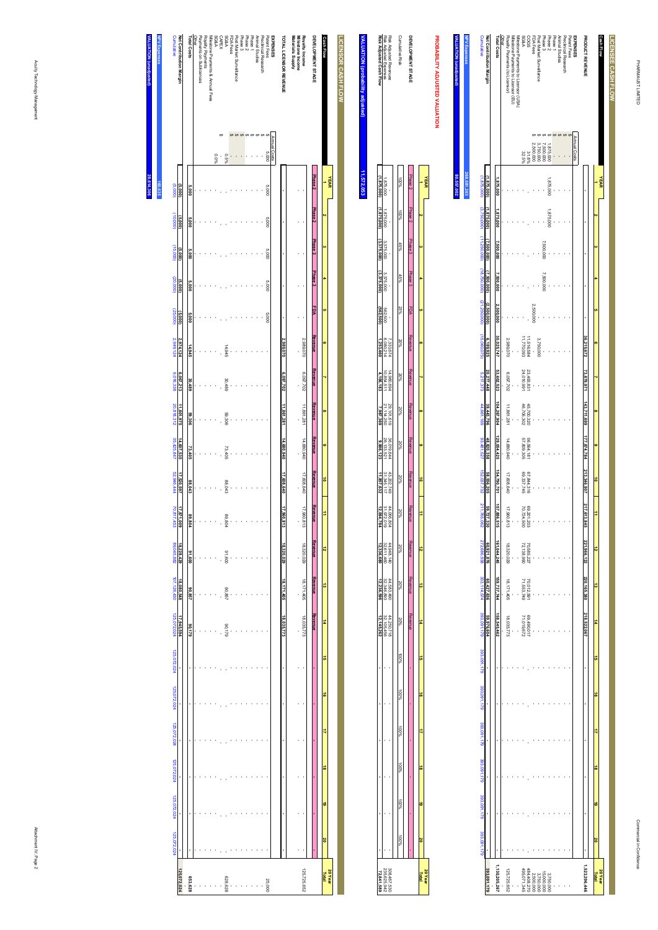| <b>NPV Expenses</b> | Cumulative                                                      | Net Contribution Margin | <b>Total Costs</b> | Other | Rovalty Payments (to Licensor) | Milestone Payments to Licensor (EU) | Milestone Payments to Licensor (USA) | <b>SG&amp;A</b> | S900                     | FDA Fees  | Post Market Surveillance                                                            |                         | Phase 2<br>Phase 3 | Phase 1 | Animal Studies | Preclinical Research | Patent Fees | <b>EXPENSES</b> | PRODUCT REVENUE |           | Cash Flow   | LICENSEE CASH FLOW |
|---------------------|-----------------------------------------------------------------|-------------------------|--------------------|-------|--------------------------------|-------------------------------------|--------------------------------------|-----------------|--------------------------|-----------|-------------------------------------------------------------------------------------|-------------------------|--------------------|---------|----------------|----------------------|-------------|-----------------|-----------------|-----------|-------------|--------------------|
|                     |                                                                 |                         |                    |       |                                |                                     |                                      | 32.5%           | 31.8%                    |           | 3,750,000<br>2,500,000                                                              | 7,500,000               | 875,000            |         |                |                      |             | Annual Costs    |                 |           |             |                    |
| 268,081,203         | (1.875,000)                                                     | 1,875,000)              | 1,875,000          |       |                                |                                     |                                      |                 |                          |           |                                                                                     |                         | 1,875,000          |         |                |                      |             |                 |                 |           | <b>YEAR</b> |                    |
|                     |                                                                 | 1,875,000)              | .875,000           |       |                                |                                     |                                      |                 |                          |           |                                                                                     |                         | 1,875,000          |         |                |                      |             |                 |                 |           |             |                    |
|                     | (3,750,000) (11,250,000) (18,750,000) (21,250,000) (15,060,075) | 7,500,000)              | ,500,000           |       |                                |                                     |                                      |                 |                          |           |                                                                                     | 7,500,000               |                    |         |                |                      |             |                 |                 |           |             |                    |
|                     |                                                                 | (7,500,000)             | 7,500,000          |       |                                |                                     |                                      |                 |                          |           |                                                                                     | 7,500,000               |                    |         |                |                      |             |                 |                 |           |             |                    |
|                     |                                                                 | (2,500,000)             | 2,500,000          |       |                                |                                     |                                      |                 |                          | 2,500,000 |                                                                                     |                         |                    |         |                |                      |             |                 |                 |           |             |                    |
|                     |                                                                 | 6,189,925               | 30.025,747         |       | 2.989.070                      |                                     |                                      | 11,770,093      | 11,516,584               |           | 3,750,000                                                                           |                         |                    |         |                |                      |             |                 | 36,215,672      |           |             |                    |
|                     | 5.217.373                                                       | 20,277,448              | 53,602,523         |       | 6.097.702                      |                                     |                                      | 24,010,991      | 23,493,831               |           |                                                                                     |                         |                    |         |                |                      |             |                 | 73,879,971      |           |             |                    |
|                     | 44,661,169                                                      | 39,443,796              | 104,267,904        |       | 11.861.281                     |                                     |                                      | 46,706,302      | 45,700,320               |           |                                                                                     |                         |                    |         |                |                      |             |                 | 143,711,699     |           |             |                    |
|                     | 93,481,527                                                      | 48,820,358              | 129,054,425        |       | 14.680.940                     |                                     |                                      | 57,809,305      | 56,564,181               |           |                                                                                     |                         |                    |         |                |                      |             |                 | 177,874,784     |           |             |                    |
|                     | 152,037,732                                                     | 58,556,205              | 154,790,701        |       | 17.608.640                     |                                     |                                      | 69,337,745      | 67,844,316               |           |                                                                                     |                         |                    |         |                |                      |             |                 | 213,346,907     | $\vec{a}$ |             |                    |
|                     | 211,765,062                                                     | 59,727,330              | 157,886,515        |       | 17.960.813                     |                                     |                                      |                 | 69,201,203<br>70,724,500 |           |                                                                                     |                         |                    |         |                |                      |             |                 | 217,613,845     |           |             |                    |
|                     | 272,686,938                                                     | 60,921,876              | 161,044,245        |       | 18.320.029                     |                                     |                                      |                 | 70,585,227<br>72,138,990 |           |                                                                                     |                         |                    |         |                |                      |             |                 | 221,966,122     | 12        |             |                    |
|                     |                                                                 | 60,427,636              | 159,737,744        |       | 18.171.405                     |                                     |                                      |                 | 70,012,591<br>71,553,749 |           |                                                                                     |                         |                    |         |                |                      |             |                 | 220,165,380     | ದ         |             |                    |
|                     | 333,114,574 393,091,179                                         | 59,976,604              | 158,545,462        |       | 18.035.773                     |                                     |                                      |                 | 69,490,017<br>71,019,672 |           |                                                                                     |                         |                    |         |                |                      |             |                 | 218,522,067     | ã         |             |                    |
|                     | 393,091,179                                                     |                         |                    |       |                                |                                     |                                      |                 |                          |           |                                                                                     |                         |                    |         |                |                      |             |                 |                 | o.        |             |                    |
|                     | 393,091,179                                                     |                         |                    |       |                                |                                     |                                      |                 |                          |           |                                                                                     |                         |                    |         |                |                      |             |                 |                 | ō         |             |                    |
|                     |                                                                 |                         |                    |       |                                |                                     |                                      |                 |                          |           |                                                                                     |                         |                    |         |                |                      |             |                 |                 | ś         |             |                    |
|                     | 393,091,179 393,091,179                                         |                         |                    |       |                                |                                     |                                      |                 |                          |           |                                                                                     |                         |                    |         |                |                      |             |                 |                 | ᇹ         |             |                    |
|                     |                                                                 |                         |                    |       |                                |                                     |                                      |                 |                          |           |                                                                                     |                         |                    |         |                |                      |             |                 |                 |           |             |                    |
|                     | 380,091,179                                                     |                         |                    |       |                                |                                     |                                      |                 |                          |           |                                                                                     |                         |                    |         |                |                      |             |                 |                 | ಠ         |             |                    |
|                     | 393,091,179                                                     |                         |                    |       |                                |                                     |                                      |                 |                          |           |                                                                                     |                         |                    |         |                |                      |             |                 |                 | 30        |             |                    |
|                     |                                                                 | 393,091,179             | 130,205,267        |       | 125,725,652                    |                                     |                                      |                 |                          |           | $\begin{array}{r} 3,750,000 \\ 2,500,000 \\ 448,408,270 \\ 495,071,345 \end{array}$ | 3,750,000<br>15,000,000 |                    |         |                |                      |             |                 | 523,296,446     |           | 20 Year     |                    |

**VALUATION (unadjusted)**

**80,557,002**

 $\frac{37,002}{ }$ 

|           | Risk Adjusted Revenues<br>Risk Adjusted Expenses<br>Risk Adjusted Cash Flow                                              | <b>Cumulative Risk</b>      | DEVELOPMENT STAGI                                                         |   |             |
|-----------|--------------------------------------------------------------------------------------------------------------------------|-----------------------------|---------------------------------------------------------------------------|---|-------------|
|           |                                                                                                                          | <b>DO%</b>                  |                                                                           |   | <b>YEAR</b> |
|           |                                                                                                                          |                             |                                                                           |   |             |
|           | 1,875,000 1,875,000 3,375,000                                                                                            |                             |                                                                           |   |             |
|           |                                                                                                                          | $45\%$ $45\%$ $45\%$ $45\%$ |                                                                           |   |             |
|           | 3,375,000<br>562,500                                                                                                     | 23%                         |                                                                           |   |             |
| (009'299) |                                                                                                                          |                             | Phase Phase Phase3 Phase3 FDA FDA Revenue Revenue Revenue Revenue Revenue |   |             |
| 1,253,460 | 7.333.674<br>6,080,214                                                                                                   | 20%                         |                                                                           |   |             |
|           |                                                                                                                          | 20%                         |                                                                           |   |             |
|           |                                                                                                                          | 20%                         |                                                                           |   |             |
|           | 4 14.960.694 29.101.619 36.019.644<br>4 10.854.511 21.114.250 26.133.521<br>0 4,106,183 7,987,369 9,886,123              | 20%                         |                                                                           |   |             |
|           |                                                                                                                          | 20%                         |                                                                           | Ë |             |
|           | $\begin{array}{cccc} 43.202.749 & & 44.066.804 \\ 31.345, 117 & & 31.972.019 \\ 21.345, 163 & & 12.094, 784 \end{array}$ | 20%                         |                                                                           |   |             |
|           | 32,611,4                                                                                                                 | 20%                         |                                                                           | ÷ |             |
| 325.      | 32,346,89:<br>14,583,490                                                                                                 | у60è                        |                                                                           |   |             |
|           | 250.7<br>105,456                                                                                                         | SO.                         |                                                                           |   |             |
|           |                                                                                                                          | 3                           |                                                                           |   |             |
|           |                                                                                                                          |                             |                                                                           |   |             |
|           |                                                                                                                          |                             |                                                                           |   |             |
|           |                                                                                                                          |                             |                                                                           |   |             |
|           |                                                                                                                          |                             |                                                                           |   |             |
|           |                                                                                                                          |                             |                                                                           |   |             |
| 3         | 308,467.5<br>235, 625, 9                                                                                                 |                             |                                                                           |   | 20 Year     |

# **VALUATION (probability adjusted) 11,572,053**1,572,053

| LICENSOR CASH FLOW                   |              |                    |                    |         |                    |         |           |           |            |            |            |                 |            |            |            |   |    |    |   |    |                  |
|--------------------------------------|--------------|--------------------|--------------------|---------|--------------------|---------|-----------|-----------|------------|------------|------------|-----------------|------------|------------|------------|---|----|----|---|----|------------------|
|                                      |              | <b>YEAR</b>        |                    |         |                    |         |           |           |            |            |            |                 |            |            |            |   |    |    |   |    |                  |
| <b>Cash Flow</b>                     |              |                    |                    |         |                    |         | o         |           |            |            | ㅎ          | ÷               | ಸ          | ಕ          | #          | ã | ಕೆ | ಹೆ | ಠ | 20 | 20 Year<br>Total |
| DEVELOPMENT STAGE                    |              | Phase <sub>2</sub> | Phase <sub>2</sub> | Phase 3 | Phase <sub>3</sub> | FDA     | Revenue   | Revenue   | Revenue    | Revenue    | Revenue    | Revenue         | Revenue    | Revenue    | Revenue    |   |    |    |   |    |                  |
|                                      |              |                    |                    |         |                    |         |           |           |            |            |            |                 |            |            |            |   |    |    |   |    |                  |
| Royalty Income                       |              |                    |                    |         |                    |         | 2,989,070 | 6,097,702 | 11,861,281 | 14,680,940 | 17,608,640 | 17,960.<br>813  | 18,320,029 | 18,171,405 | 18,035,773 |   |    |    |   |    | 125,725,652      |
| Materials Supply<br>Milestone Income |              |                    |                    |         |                    |         |           |           |            |            |            |                 |            |            |            |   |    |    |   |    |                  |
|                                      |              |                    |                    |         |                    |         |           |           |            |            |            |                 |            |            |            |   |    |    |   |    |                  |
| <b>TOTAL LICENSOR REVENUE</b>        |              |                    |                    |         |                    |         | 2,989,070 | 6,097,702 | 11,861,281 | 14,680,940 | 17,608,640 | 17,960,1<br>813 | 18,320,029 | 18,171,405 | 18,035,773 |   |    |    |   |    |                  |
| <b>EXPENSES</b>                      | Annual Costs |                    |                    |         |                    |         |           |           |            |            |            |                 |            |            |            |   |    |    |   |    |                  |
| Patent Fees                          | 5.000        | 5.000              | 000'S              | 000'S   | 000'S              | 000'S   |           |           |            |            |            |                 |            |            |            |   |    |    |   |    | 25,000           |
| Preclinical Research                 |              |                    |                    |         |                    |         |           |           |            |            |            |                 |            |            |            |   |    |    |   |    |                  |
| Animal Studies                       |              |                    |                    |         |                    |         |           |           |            |            |            |                 |            |            |            |   |    |    |   |    |                  |
| Phase 1                              |              |                    |                    |         |                    |         |           |           |            |            |            |                 |            |            |            |   |    |    |   |    |                  |
| Phase <sub>2</sub>                   |              |                    |                    |         |                    |         |           |           |            |            |            |                 |            |            |            |   |    |    |   |    |                  |
| Phase 3                              |              |                    |                    |         |                    |         |           |           |            |            |            |                 |            |            |            |   |    |    |   |    |                  |
| Post Market Surveillance             |              |                    |                    |         |                    |         |           |           |            |            |            |                 |            |            |            |   |    |    |   |    |                  |
| FDA Fees                             |              |                    |                    |         |                    |         |           |           |            |            |            |                 |            |            |            |   |    |    |   |    |                  |
| SG&A<br>CAPEX                        | 0.5%         |                    |                    |         |                    |         | 14,945    | 681 OC    | 59,306     | 73,405     | 88,043     | 8<br>904        | 009'16     | 758.08     | 821106     |   |    |    |   |    | 628,621          |
|                                      | í            |                    |                    |         |                    |         |           |           |            |            |            |                 |            |            |            |   |    |    |   |    |                  |
| <b>A&amp;GS</b>                      | 0.0%         |                    |                    |         |                    |         |           |           |            |            |            |                 |            |            |            |   |    |    |   |    |                  |
| Milestone Payments & Annual Fees     |              |                    |                    |         |                    |         |           |           |            |            |            |                 |            |            |            |   |    |    |   |    |                  |
| Royalty Payments                     |              |                    |                    |         |                    |         |           |           |            |            |            |                 |            |            |            |   |    |    |   |    |                  |
| Payments on Sublicences              |              |                    |                    |         |                    |         |           |           |            |            |            |                 |            |            |            |   |    |    |   |    |                  |
| Other                                |              |                    |                    |         |                    |         |           |           |            |            |            |                 |            |            |            |   |    |    |   |    |                  |
| Total Costs                          |              | 5,000              | 5,000              | 5,000   | 5,000              | 5,000   | 14,945    | 30,489    | 59,306     | 73,405     | 88,043     | 89,804          | 91,600     | 90,857     | 90,179     | ï | ï  | ï  |   |    | 653,628          |
|                                      |              |                    |                    |         |                    |         |           |           |            |            |            |                 |            |            |            |   |    |    |   |    |                  |
| Net Contribution Margin              |              | (5,000)            | (5,000)            | (5,000) | (5,000)            | (5,000) | 2,974,124 | 6,067,213 | 11,801,975 | 14,607,535 | 17,520,597 | 17,871,009      | 18,228,429 | 18,080,548 | 17,945,594 |   | ï  |    |   |    | 125,072,024      |

**NPV Expenses 160,635 VALUATION (unadjusted) 28,614,306**

Cumulative

(5,000)

(10,000)

(15,000)

(20,000)

(25,000)

2,949,124

9,016,338

20,818,312

35,425,847

52,946,444

70,817,453

89,045,882

107,126,430

125,072,024

125,072,024

125,072,024

125,072,024

125,072,024

125,072,024

125,072,024

וידומים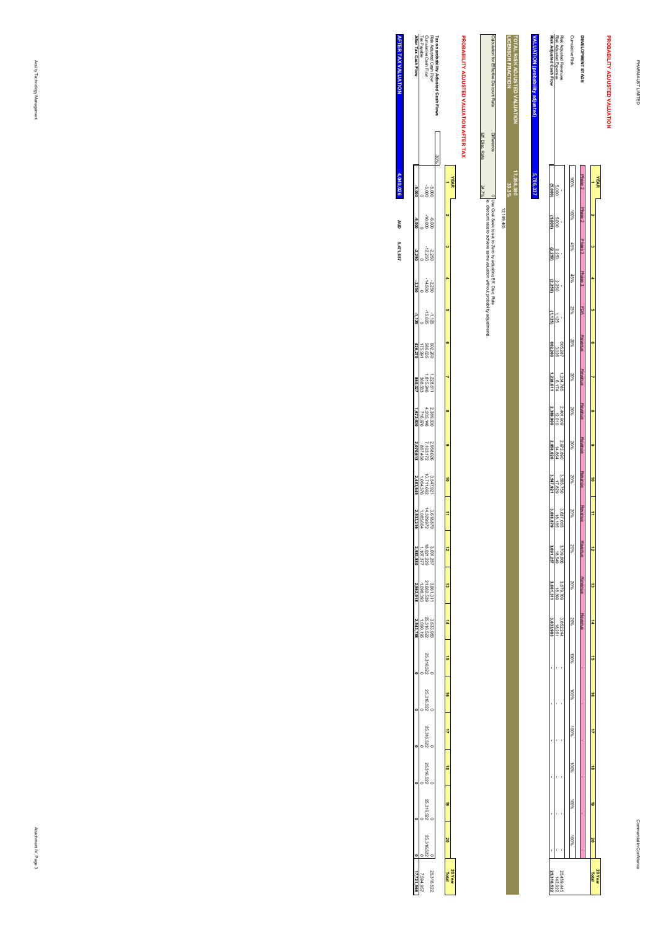**PROBABILITY ADJUSTED VALUATION**

PROBABILITY ADJUSTED VALUATION

#### Risk Adjusted Revenues<br>Risk Adjusted Expenses<br>Risk Adjusted Cash Flow **DEVELOPMENT STAGE<br>Cumulative Risk** TOTAL RISK ADJUSTED VALUATION<br>LICENSOR FRACTION **TOTAL RISK ADJUSTED VALUATION VALUATION (probability adjusted) Risk Adjusted Cash Flow** Risk Adjusted Expenses Risk Adjusted Revenues Cumulative Risk **DEVELOPMENT STAGE** <u>kLUATION (probability ad</u> **33.3%** 100%**17,358,390 5,786,337** Phase 2**YEAR 1**5,000 **(5,000)** Phase 2 100% $\alpha$ 5,000 **(5,000)** Phase 3 45% **3**2,250 **(2,250)** Phase 3 45% **4**2,250 **(2,250)** FDA  **5** 23%1,125 **(1,125)** Revenue 20% **6**605,287 3,026 **602,260** Revenue 20%6,174 **1,228,611** 1,234,785  **7** Revenue $2,401,909$ <br> $12,010$ <br> $2,389,900$ **2,389,900** 2,401,909  $\frac{20\%}{20}$  **8** Revenue $\frac{2,972,890}{14,864}$ <br>2,958,026 **2,958,026** 2,972,890 20% **9** Revenue 20%17,829 **3,547,921** 3,565,750 **10** Revenue $3,618,185$ <br> $3,618,879$ <br> $3,618,879$  20% **113,618,879** 3,637,065 Revenue $\frac{3,709,806}{18,549}$  20% **123,691,257** 3,709,806 Revenue 20% **13**18,399 **3,661,311** 3,679,709 Revenue  $\begin{array}{c} 3.652,244 \\ 3.633,983 \\ 3,633,983 \end{array}$  **143,633,983 - - - - - -** 3,652,244 - - - - - - 20%18,261 - - - - - - 100% **15** 100% **16** 100% **17** 100% **18** 100% **19** 100%  **20** 25, 459, 445<br>142, 922<br>**25, 316, 522 20 Year Total 25,316,522** 25,459,445

|                                              |                   | <b>CO+ 6+1.71</b>                                                                                             |
|----------------------------------------------|-------------------|---------------------------------------------------------------------------------------------------------------|
| Calcu<br>ğ<br><b>Effective Discount</b><br>ģ | <b>Difference</b> | eso<br>Gual S<br>lusting<br>E<br>nisc. Ra                                                                     |
|                                              |                   | ā,<br>discount.<br>a<br>B<br>B<br>ā<br>antiale car-<br>niev em<br>j<br>tion without probability ad<br>lustmel |
|                                              | Eff. Disc. I      | 34.7%                                                                                                         |
|                                              |                   |                                                                                                               |

# PROBABILITY ADJUSTED VALUATION AFTER TAX **PROBABILITY ADJUSTED VALUATION AFTER TAX**

**LICENSOR FRACTION**

| Risk Adjusted Cash Flow<br>Cumulative Cash Flow<br>Tax Payable<br><b>After Tax Cash Flow</b> |                                              |                                       |                                                                                           | usted Cash Flow |         |             |
|----------------------------------------------------------------------------------------------|----------------------------------------------|---------------------------------------|-------------------------------------------------------------------------------------------|-----------------|---------|-------------|
|                                                                                              |                                              |                                       |                                                                                           | 30%             |         |             |
|                                                                                              |                                              | 389<br>000                            |                                                                                           |                 |         | <b>YEAR</b> |
| -5.000                                                                                       |                                              | 000'01-<br>000'9-                     |                                                                                           |                 |         |             |
|                                                                                              |                                              | $-12.250$<br>$-12.250$                |                                                                                           |                 |         |             |
|                                                                                              |                                              | -14.500<br>2.250                      |                                                                                           |                 |         |             |
| $\frac{1}{25}$                                                                               |                                              | $-15.625$                             |                                                                                           |                 |         |             |
|                                                                                              |                                              | 602.260<br>586.635<br>175,991         |                                                                                           |                 |         |             |
| 260,02                                                                                       |                                              | 1,228,611<br>1,815,246<br>368,583     |                                                                                           |                 |         |             |
|                                                                                              |                                              | 2,389,900<br>4,205,146<br>716,970     |                                                                                           |                 |         |             |
| 2,070,61                                                                                     | 2.958.026<br>7.163.172<br>887.408            |                                       |                                                                                           |                 |         |             |
| 2,483,545                                                                                    | 3.547,921<br>10.711.092<br>1,064,376         |                                       |                                                                                           |                 |         |             |
|                                                                                              |                                              |                                       | $\begin{array}{r} 3.618.879 \\ 14.329.972 \\ 1.085.664 \\ \textbf{2.533,216} \end{array}$ |                 | Ż,      |             |
|                                                                                              | 3.691,257<br>18.021,229<br>1,107, <i>377</i> |                                       |                                                                                           |                 |         |             |
|                                                                                              |                                              | 3 8661,311<br>21.682.539<br>1,098,393 |                                                                                           |                 |         |             |
|                                                                                              |                                              |                                       |                                                                                           |                 |         |             |
|                                                                                              |                                              | 25,316.52                             |                                                                                           |                 |         |             |
|                                                                                              |                                              | 25,316.522                            |                                                                                           |                 |         |             |
|                                                                                              |                                              | 25,316.52                             |                                                                                           |                 |         |             |
|                                                                                              |                                              | 25,316.52                             |                                                                                           |                 |         |             |
|                                                                                              |                                              | 25,316.52                             |                                                                                           |                 |         |             |
|                                                                                              |                                              | 25,316,                               |                                                                                           |                 |         |             |
|                                                                                              | 7,594,95                                     |                                       | 25,316,52                                                                                 |                 | 20 Year |             |

**AFTER TAX VALUATION AFTER TAX VALUATION** 4,049,026 **4,049,026AUD 5,471,657**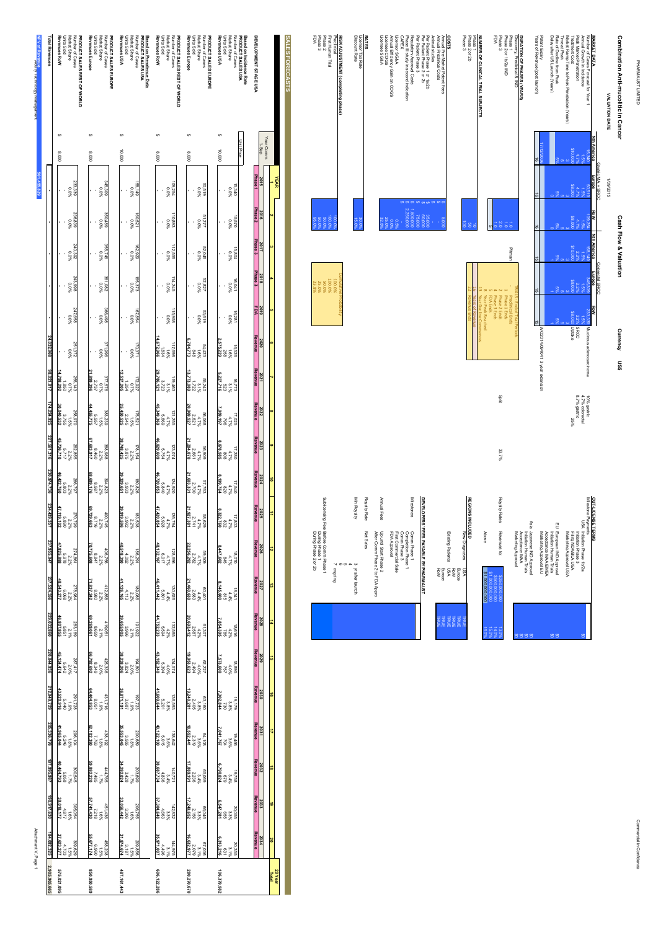PHARMAUST LIMITED PHARMAUST LIMITED

| Combination Anti-mucolitic in Cancer                                       |                |                             |                 | <b>Cash Flow &amp; Valuation</b> |                                  |                                         | Currency US\$                   |                                |                                |       |
|----------------------------------------------------------------------------|----------------|-----------------------------|-----------------|----------------------------------|----------------------------------|-----------------------------------------|---------------------------------|--------------------------------|--------------------------------|-------|
| VALUATION DATE                                                             |                | 1/09/2015                   |                 |                                  |                                  |                                         |                                 |                                |                                |       |
| <b>MARKET DATA</b>                                                         | Nth America    | Gastric MA + SRCC<br>Europe | <b>RoW</b>      | <b>Nth America</b>               | Colorectal SRCC<br><b>Europe</b> | RoW                                     |                                 |                                |                                |       |
| Annual Growth in Incidence<br>Number of Cases Forecast for Year 1          | 15,340<br>1.5% | 619.09<br>1.5%              | 109,254<br>1.5% | 158,149<br>$-58$                 | 345,309<br>65 <sup>1</sup>       | ا<br>انتها                              | 233,339 Mucinous adenocarcinoma |                                | 4.7% colorectal<br>10% gastric |       |
| Peak Market Penetration                                                    | 4. P           | 4.79                        | 4.78            | $2.2^{\circ}$                    | 2.29                             | 2.2%                                    | <b>SRCC</b>                     |                                | 8.7% gastric                   |       |
| Market Ramp Time to Peak Penetration (Years)<br>Treatment Cost             | 310,00         | \$8.00                      | ₹               |                                  |                                  |                                         | <b>Uptake</b>                   |                                | 25%                            |       |
| Delay after US Launch (Years)<br>Rate of Decline from Peak<br>Time at Peak |                |                             |                 |                                  |                                  |                                         |                                 |                                |                                |       |
|                                                                            |                |                             |                 |                                  |                                  |                                         |                                 | WO2014/094041 3 year extension |                                |       |
| Patent Expiry<br>Years of Revenue (post launch)                            |                | ā                           |                 |                                  |                                  |                                         |                                 |                                |                                |       |
| DURATION OF PHASES (YEARS)                                                 |                |                             |                 |                                  |                                  |                                         |                                 |                                |                                |       |
| Discovery, Preclinical & IND                                               |                |                             |                 |                                  |                                  | <b>FRIALS - End of Trial Periods</b>    |                                 |                                |                                |       |
| Phase 1<br>Phase 2 or 1b/2a IND                                            |                |                             |                 | Pitman                           |                                  | Phase 1 Ends<br><b>Preclinical Ends</b> |                                 |                                |                                |       |
| Phase 3                                                                    |                |                             |                 |                                  |                                  | Phase 2 Ends                            |                                 |                                | anit                           | 33.7% |
| ĘDA                                                                        |                |                             |                 |                                  |                                  | 4 Phase 3 Ends                          |                                 |                                |                                |       |

| Royalty Rates<br>Above<br>Revenues to:<br>\$1,000,000,000<br>\$1,000,000,000,000<br>\$250,000,000<br>\$500,000,000 | Asia<br>Japanese IND Approval<br>Acceptance MAA<br>Marketing Approval<br>Initiation Human Trials | 띧<br>European IND Approval<br>Acceptance MAA EMEA<br>Marketing Approval EU<br>hitiation Human Trials | OUT-LICENSETERMS<br>Milestone Payments<br>USA Initiation Phase 1b/2a<br>Marketing Approval USA<br>Filing NDA/BLAUSA<br>Initiation Phase 3 |
|--------------------------------------------------------------------------------------------------------------------|--------------------------------------------------------------------------------------------------|------------------------------------------------------------------------------------------------------|-------------------------------------------------------------------------------------------------------------------------------------------|
| 16.0%<br>$13.0\%$<br>15.0%<br>$14.0\%$                                                                             | g<br>š0<br>g<br>S,                                                                               | g<br>g                                                                                               | š,                                                                                                                                        |

|                 | Royalty Rates                |                                      |
|-----------------|------------------------------|--------------------------------------|
| Above           | Revenues to:                 | Acceptance MAA<br>Marketing Approval |
| 000.000.000.000 | \$250,000,000<br>000'000'003 |                                      |
| ē<br>ō.         | Ā,<br>ē                      |                                      |

**NUMBER OF CLINICAL TRIAL SUBJECTS**

Phase 2 or 2b

**COSTS**<br>Anternational<br>Costs<br>CAPEX<br>CAPEX<br>CAPEX<br>CAPEX

Per Patient Phase 1 or 1a/2b

Per Patient Phase 2 or 2b

Per Patient Phase 3

Regulatory Approval Costs

Phase III study in second indication

Licensor SG&A

Annual Efficiency Gain on COGS

Licensee COGS Licensee SG&A

**RATES<br>Licensor Tax Rate<br>Discount Rate** 

Licensor Tax Rate

Discount Rate

**RISK ADJUSTMENT (completing phase)**

Preclinical

First Human Trial Phase 2 Phase 3 FDA

Annual Pre-Market Patent Fees

Annual Preclinical Costs

Animal studies

100.00<br>100.00% 50.00<br>100.00% 95.00%

100.00<br>100.00 21<br>100.00 21<br>100.00 21

NUMBER OF CLINICAL TRIAL SUBJECTS<br>Phase 2<br>Prase 3<br>Prase 3

Phase 1 10

Year Peak Reached

Year Decline Commences

Years of Revenue

Revenue Ends

| ting Patients | Einreac<br>Reinr |          | š<br><b>SHEAR</b><br>VSN |  |
|---------------|------------------|----------|--------------------------|--|
|               | 쿈                | <b>R</b> |                          |  |

| Milestones |                            |                     |
|------------|----------------------------|---------------------|
| Comm Phase | EVELOPERS' FEES PAYABLE BY | Europe<br>Row       |
|            |                            | TRUE<br><b>TRUE</b> |

|              | <b>DEVELOPERS' FEES PAYABLE BY PHARMAN</b>                                                  |  |
|--------------|---------------------------------------------------------------------------------------------|--|
| Milestones   | Comm Phase 1<br>Comm Phase 3<br>FDA Approval<br>First Commercial Sale<br>Completion Phase 1 |  |
| Annual Fees  | After Comm Phase 2 to FDA Appro<br>Up until Start Phase 2                                   |  |
| Royalty Rate | Net Sales                                                                                   |  |
| Min Royalty  | 3 yr after launch                                                                           |  |

| 100.0%<br>so ver                                                                                                                                                                                                                     | 100.0%      |                        | 15.0%             | 30.0%        | 32.5%                                                     | 25.0%<br>%00 | 969                   |              | 2,259,000          | 1.500,000    | 75,000 | 000'09                                |
|--------------------------------------------------------------------------------------------------------------------------------------------------------------------------------------------------------------------------------------|-------------|------------------------|-------------------|--------------|-----------------------------------------------------------|--------------|-----------------------|--------------|--------------------|--------------|--------|---------------------------------------|
| 100.0%<br>ES OR                                                                                                                                                                                                                      | 100.0%      | Cumulative Probability |                   |              |                                                           |              |                       |              |                    |              |        |                                       |
|                                                                                                                                                                                                                                      |             |                        |                   |              |                                                           |              |                       |              |                    |              |        |                                       |
|                                                                                                                                                                                                                                      |             |                        |                   |              |                                                           |              |                       |              |                    |              |        |                                       |
|                                                                                                                                                                                                                                      |             |                        | Min Royalty       | Royalty Rate | Annual Fees                                               |              |                       |              |                    | Milestones   |        |                                       |
| <b>A contract of the contract Contract Contract of the Contract of the Contract of the Contract of the Contract of the Contract of the Contract of the Contract of the Contract of the Contract of the Contract of the Contract </b> | Principling |                        | 3 yr after launch | Net Sales    | Up until Start Phase 2<br>After Comm Phase 2 to FDA Appro | FDA Approval | First Commercial Sale | Comm Phase 3 | Completion Phase 1 | Comm Phase 1 |        | DEVELOPERS' FEES PAYABLE BY PHARMAUST |
|                                                                                                                                                                                                                                      |             |                        |                   |              |                                                           |              |                       |              |                    |              |        |                                       |

| Annual Fees  | After Comm Phase 2 to FDA Appro<br>Up until Start Phase 2                       |
|--------------|---------------------------------------------------------------------------------|
| Royalty Rate | Net Sales                                                                       |
| Min Royalty  | 3 yr after launch<br>А                                                          |
|              | œ<br>$\sigma$<br>principling                                                    |
|              | Sublicensing Fee: Before Comm Phase 1<br>During Phase 2 or 2b<br>During Phase 1 |

| <b>Total Revenues</b> | Market Share<br><b>Dinits Sold</b><br>Number of Cases<br>Revenues RoW<br>PRODUCT SALES REST OF WORLD | PRODUCT SALES EUROPE<br>Revenues Europe<br>Market Share<br>Number of Cases<br>Units Sold               | Revenues USA<br><b>Units Sold</b><br>Market Share<br>Number of Cases<br>PRODUCT SALES USA<br>Based on Prevalence Data | <b>Dinits Sold</b><br>Market Share<br>PRODUCT SALES REST OF WORLD<br>Revenues RoW<br>Number of Cases | Market Share<br>Units Sold<br>Revenues Europe<br>Number of Cases<br>PRODUCT SALES EUROPE | Revenues USA<br>Units Sold<br>Market Share<br>Number of Cases<br>Based on Incidence Rate<br>PRODUCT SALES USA | DEVELOPMENT STAGE USA<br>SALES FORECASTS   |
|-----------------------|------------------------------------------------------------------------------------------------------|--------------------------------------------------------------------------------------------------------|-----------------------------------------------------------------------------------------------------------------------|------------------------------------------------------------------------------------------------------|------------------------------------------------------------------------------------------|---------------------------------------------------------------------------------------------------------------|--------------------------------------------|
|                       |                                                                                                      |                                                                                                        |                                                                                                                       |                                                                                                      |                                                                                          |                                                                                                               |                                            |
|                       | 000'8                                                                                                | 000'8                                                                                                  | 000.01                                                                                                                | 000'8                                                                                                | 000'8                                                                                    | Unit Price<br>10,000                                                                                          | fear Comm<br>$1 - S$ ep                    |
|                       | 233.339<br>%00                                                                                       | 345,309<br>%0'0                                                                                        | $^{158,149}_{0.0\%}$                                                                                                  | 109,254<br>%0'0                                                                                      | 50.519<br>%0'0                                                                           | 15,340<br>0.0%                                                                                                | Phase<br>2015<br><b>YEAR</b>               |
|                       | 236.839<br>960'0                                                                                     | %0'0<br>681'092                                                                                        | %0'0<br>LZS'091                                                                                                       | 10.893<br>960'0                                                                                      | 51.277<br>960'0                                                                          | %0'0<br>029'91                                                                                                | Phase 2<br>2016                            |
|                       | 240.392<br>%0'0                                                                                      | 967,886<br>%0.0%                                                                                       | %0'0<br>626'291                                                                                                       | 112.556<br>%0'0                                                                                      | 52.046<br>0.0%                                                                           | %0'0<br>M8'91                                                                                                 | hase 3<br>2017                             |
|                       | %0.0<br>866.642                                                                                      | 361,082<br>280,198                                                                                     | %0'0<br>£25'99L                                                                                                       | 960.0<br>Stati                                                                                       | 428.29                                                                                   | 16,041                                                                                                        | Phase 3<br>2018                            |
|                       | %0'0<br>899'165                                                                                      | %0 <sup>'0</sup><br>86#99£                                                                             | %0.0<br>+98'291                                                                                                       | %0'0<br>896'911                                                                                      | %0'0<br>619'ESS                                                                          | 16,281                                                                                                        | 2019<br>FDA                                |
| 24,032,968            | 251.372<br>0.0%                                                                                      | %0'0<br>986'LLE                                                                                        | 70.91<br>176.971                                                                                                      | $\begin{array}{r} 1.6\% \\ 1.834 \\ 1.834 \\ 672,966 \end{array}$<br>117.698                         | 54,423<br>1.6%<br>6,784,773                                                              | 16.528<br>258<br>2.578.                                                                                       | łevenue<br>2020                            |
| 98,021,817            | $\begin{array}{r} 255.143 \\ 0.7\% \\ 0.7\% \\ 0.7\% \end{array}$                                    | 21,899,396<br>$\frac{87.0}{100}$<br>2,737                                                              | $\begin{array}{r} 172,927 \\ 0.7\% \\ 0.7\% \\ 2.537.205 \end{array}$                                                 | $\begin{array}{r} 119.463 \\ 13.723 \\ 3.723 \\ 29.786.121 \end{array}$                              | $\begin{array}{r} 55.240 \\ 3.1\% \\ 222 \\ 13.773.089 \end{array}$                      | $\begin{array}{l} 16.773 \\ 3.1\% \\ 5.227.716 \end{array}$                                                   | Revenue<br>2021                            |
| 174,224,925           | $\begin{array}{l} 258.970 \\ 115\% \\ 3755 \\ 3755 \end{array}$                                      | 44,455,775<br>%91<br>622.239<br>5,557                                                                  | $\begin{array}{l} 175,521 \\ 15\% \\ 25,450 \\ 25,450,525 \end{array}$                                                | $4.7\%$<br>$4.7\%$<br>45,349,369<br>45,349,369                                                       | $\begin{array}{r} 56,068 \\ 4,7\% \\ 20,969,527 \\ 20,969,527 \end{array}$               | $\frac{17.025}{196}$<br>$\frac{796}{196}$<br>7.959,197                                                        | Revenue<br>2022                            |
| 227,561,316           | $\begin{array}{l} 262.855 \\ 2.278 \\ 2.777 \\ 5.736.710 \\ \hline \end{array}$                      | 67,683,917<br>%2'Z<br>886'888                                                                          | $\begin{array}{r} 178,154 \\ 2.2\% \\ 38.748,425 \\ 38.748,425 \end{array}$                                           | $4.7\%$<br>$5.754$<br>46,029,609<br>123,074                                                          | $\begin{array}{r} 56.909 \\ 4.7\% \\ 21.284.070 \\ 21.284.070 \end{array}$               | $17.280$<br>$4.7\%$<br>8,078,585                                                                              | Revenue<br>2023                            |
| 230,974,736           | $\begin{array}{r}\n 286.797 \\  2.2\% \\  6.803 \\  \hline\n 46.422.760\n\end{array}$                | 68,699,176<br>394,823<br>2.2%<br>185'8                                                                 | $\begin{array}{r} 180,826 \\ 2.2\% \\ 39,333 \\ 39,329,651 \end{array}$                                               | 5.840<br>46,720,053<br>124,920<br>4.7%                                                               | $\begin{array}{r}\n 57.763 \\  4.7\% \\  2.700 \\  2.700\n \end{array}$                  | $17.540$<br>$4.7\%$<br>$1.199.764$                                                                            | Revenue<br>2024                            |
| 234,439,357           | $\begin{array}{r}\n 270.799 \\  2.2\% \\  2.890 \\  5.890 \\  \hline\n 47,119,102\n\end{array}$      | $\begin{array}{c} 400.745 \\ 2.2\% \\ 8,716 \\ 69,729,663 \end{array}$                                 | $\begin{array}{l} 183.538 \\ 22.2\% \\ 29.992 \\ 39.919.596 \end{array}$                                              | $\begin{array}{r} 128.794 \\ 4.7420,854 \\ 5.928 \\ 5.928 \end{array}$                               | $\begin{array}{r}\n 88.629 \\  + 7\% \\  2.741 \\  2.1,927,381\n\end{array}$             | $\begin{array}{l} 71,803 \\ 4,7\% \\ 832,760 \\ 8,322,760 \end{array}$                                        | Revenue<br>2025                            |
| 237,955,947           | $\begin{array}{r} 274,861 \\ 2.2\% \\ 2.978 \\ 5.978 \\ \end{array}$                                 | $\begin{array}{r} 408,756 \\ 2.2\% \\ 8.847 \\ 70,775,608 \end{array}$                                 | $\begin{array}{r} 186.291 \\ 2.2\% \\ 2.2\% \\ 40.518.390 \end{array}$                                                | $\begin{array}{r} 128.696 \\ 4.7\% \\ 6.017 \\ 6.017 \\ \hline 48.132.167 \end{array}$               | $\begin{array}{r} 59.509 \\ 4.7\% \\ 2.782 \\ 22.256.292 \end{array}$                    | $\begin{array}{l} 18,070 \\ 4.7\% \\ 845 \\ 847,602 \end{array}$                                              | $\frac{2026}{\text{Rewenue}}$              |
| 237,524,356           | $\begin{array}{r} 278.984 \\ 2.2\% \\ 2.2\% \\ 6.068 \\ \textbf{48.543.277} \end{array}$             | $\begin{array}{r} 412,858 \\ 2,2\% \\ 2,2\% \\ 11,837,242 \end{array}$                                 | $\begin{array}{r} 189,086 \\ 2.2\% \\ 2.2\% \\ 41,126,165 \end{array}$                                                | $\begin{array}{r}\n 130.626 \\  +4.4\% \\  +4.4\% \\  \hline\n 0.801\n\end{array}$                   | $\begin{array}{r} 60.401 \\ 4.4\% \\ 21.460.630 \end{array}$                             | $\begin{array}{r}\n18.341 \\ 4.4\% \\ 8.145.600\n\end{array}$                                                 | 2027<br>Revenue                            |
| 229,032,860           | $\begin{array}{r} 283.169 \\ 2.178 \\ 5.851 \\ \textbf{46,807.855} \end{array}$                      | $\begin{array}{r} 419,051\ 8,659\ 8,659\ 8,659\ 8,269,061\ \end{array}$                                | $\begin{array}{l} 191.922 \\ 21\% \\ 2966 \\ 39.655.905 \end{array}$                                                  | $\begin{array}{r} 132.585 \\ 4.2\% \\ 5.594 \\ 6.152,233 \end{array}$                                | $\begin{array}{r} 61.307 \\ 4.2\% \\ 20.693, 412 \\ 20.693, 412 \end{array}$             | $\begin{array}{r} 18.616 \\ 4.2\% \\ 7854.395 \\ 7.854.395 \end{array}$                                       | $\frac{2028}{\text{Revalue}}$              |
| 220,844,936           | $\begin{array}{r}\n 287.417 \\  2.0\% \\  2.0\% \\  6,134.474\n\end{array}$                          | $\begin{array}{l} 425,336 \\ 2,078 \\ 8,0349 \\ 86,792,692 \end{array}$                                | $\begin{array}{r} 194,801 \\ 2.0\% \\ 2.034 \\ 38,238,206 \end{array}$                                                | $\begin{array}{r}\n 134.574 \\  + 30\% \\  + 0\% \\  \hline\n 5.394\n \end{array}$                   | $\begin{array}{l} 62.227 \\ 2.494 \\ 2.494 \\ 2.494 \end{array}$                         | $\begin{array}{l} 18.895 \\ 4.0\% \\ 757 \\ 7.573,600 \end{array}$                                            | $\frac{2029}{\text{Revalue}}$              |
| 212,949,729           | $\begin{array}{r} 291.728 \\ +1.9\% \\ +1.9\% \\ +2.520.916 \end{array}$                             | $\begin{array}{r}\n 431,716 \\  + 31,716 \\  + 19\% \\  \hline\n\end{array}$                           | $\begin{array}{l} 197.723 \\ 19\% \\ 19\% \\ 26.1 \\ \end{array}$                                                     | $\begin{array}{l} 136.593 \\ 5.201 \\ 5.201 \\ 609,644 \end{array}$                                  | $\begin{array}{r}\n 63.160 \\  3.8\% \\  2.405 \\  19.240.281\n\end{array}$              | $\begin{array}{l} 19.179 \\ 3.8\% \\ 7.302.844 \\ 7.302.844 \end{array}$                                      | $\frac{2030}{\text{Revalue}}$              |
| 205,336,776           | $\begin{array}{r}\n 296.104 \\  + 18\% \\  \hline\n 5.246 \\  + 1.965.044\n \end{array}$             | $\begin{array}{r}\n 438,192 \\  +18\% \\  \hline\n 7763 \\  \hline\n 62,102,380\n \end{array}$         | $\begin{array}{l} 200,689 \\ 18\% \\ 35,555 \\ 35,553,045 \end{array}$                                                | $\begin{array}{r}\n 138.642 \\  \times 3.6\% \\  \times 0.15 \\  \hline\n 0.015\n \end{array}$       | $64, 108$<br>$2, 319$<br>$2, 319$<br><b>18.552.441</b>                                   | $\begin{array}{l} 19.466 \\ 2.6\% \\ 2.04 \\ 7.041.767 \end{array}$                                           | $\frac{2031}{\text{Revenue}}$              |
| 197,995,987           | $\begin{array}{l} 300.545 \\ 17\% \\ 17\% \\ 17\% \end{array}$                                       | $\begin{array}{r}\n 444,765 \\  \times 1.7\% \\  \hline\n 7,485 \\  \hline\n 59,882,220\n \end{array}$ | $\begin{array}{l} 203699 \\ 24178 \\ 2428 \\ 34.282,024 \end{array}$                                                  | $\begin{array}{r}\n & 140,721 \\  & 34\% \\  & 4836 \\  & 4867,734\n\end{array}$                     | $\begin{array}{r} 65.069 \\ 3.4\% \\ 2.236 \\ 17.889, 191 \end{array}$                   | $\begin{array}{l} 19.758 \\ 3.4\% \\ 8.790,024 \\ 6.790,024 \end{array}$                                      | $\frac{2032}{\text{Revalue}}$              |
| 190,917,630           | $\begin{array}{r} 305.054 \\ +1877 \\ +877 \\ \hline 1877 \\ +877 \end{array}$                       | 451,436<br>1.6%<br>57,741,430                                                                          | $\begin{array}{r} 206,755 \\ 16\% \\ 33,066 \\ 33,056,442 \end{array}$                                                | $\begin{array}{r} 142.832 \\ 3.3\% \\ 3.304.663 \\ \hline 37.304.648 \end{array}$                    | $\begin{array}{l} 66.046 \\ 3.3\% \\ 2.156 \\ 17.249,652 \end{array}$                    | $\begin{array}{r} 20,055 \\ 3.3\% \\ 3.3\% \\ 6.547,281 \end{array}$                                          | $\frac{2033}{\text{Revalue}}$<br>6         |
|                       |                                                                                                      |                                                                                                        |                                                                                                                       |                                                                                                      |                                                                                          |                                                                                                               |                                            |
| 184,092,325           | $\begin{array}{r} 309.629 \\ 1.5\% \\ 1.5\% \\ 27.623.277 \end{array}$                               | $\begin{array}{r}\n 458,208 \\  +15\% \\  \hline\n 6,960 \\  \hline\n 6,960\n \end{array}$             | $\begin{array}{r} 209,856 \\ 15\% \\ 31,874,674 \\ 31,874,674 \end{array}$                                            | $\begin{array}{r} 144,975 \\ 31\% \\ 31\% \\ 36,971,007 \end{array}$                                 | $\begin{array}{r}\n 67,036 \\  3,1\% \\  2,079 \\  16,632,977\n\end{array}$              | $\begin{array}{r}\n 20.355 \\  3.1\% \\  \hline\n 6.313.216\n\end{array}$                                     | $\frac{2034}{\text{Rewenue}}$<br><b>SO</b> |
| 2,905,905,665         | 575,021,095                                                                                          | 850,950,589                                                                                            | 487, 161, 443                                                                                                         | 606,122,286                                                                                          | 280,270,670                                                                              | 106,379,582                                                                                                   | 20 Year<br>Total                           |

Acuity Technology Management

**501,455,829**

**NPV of Revenue**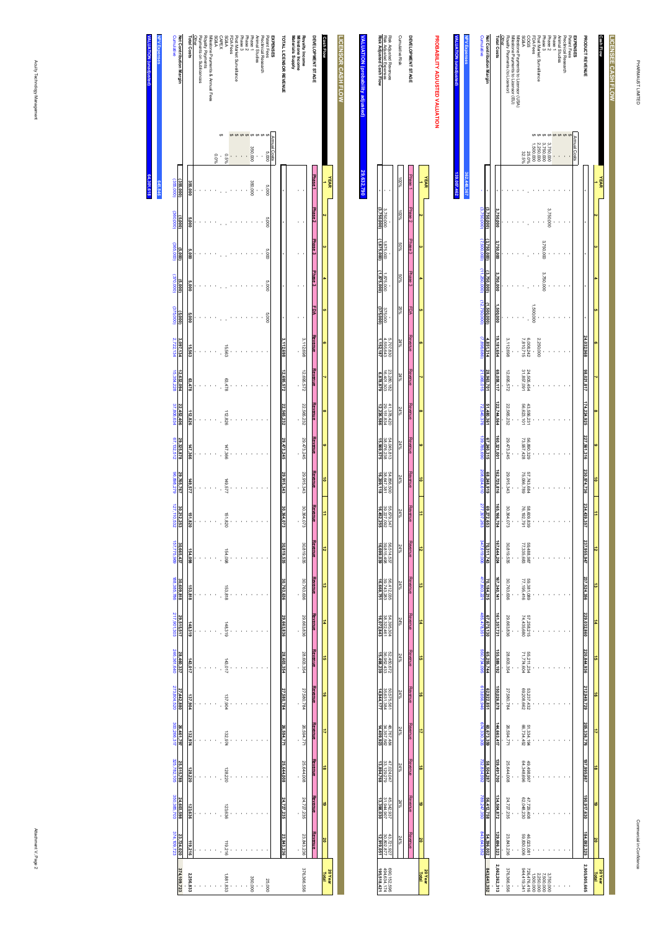| LICENSEE CASH FLOW                  |              |             |             |             |                                       |           |              |            |             |             |             |                     |             |             |             |             |                              |                          |             |             |             |                        |
|-------------------------------------|--------------|-------------|-------------|-------------|---------------------------------------|-----------|--------------|------------|-------------|-------------|-------------|---------------------|-------------|-------------|-------------|-------------|------------------------------|--------------------------|-------------|-------------|-------------|------------------------|
| Cash Flow                           |              | YEAR        |             |             |                                       |           |              |            |             |             |             |                     |             |             |             |             |                              |                          |             |             |             |                        |
|                                     |              |             |             |             |                                       |           |              |            |             |             | ô           | Ė                   | ō           | ಠ           | #           | ã           | ಕ                            | ₹                        | ಹೆ          | ö           | 20          | 20 Year                |
| PRODUCT REVENUE                     |              |             |             |             |                                       |           | 24,032,968   | 98,021,817 | 174,224,925 | 227,561,316 | 230,974,736 | 234,439.<br>ğ       | 237,955,947 | 237,524,356 | 229,032,860 | 220.844.936 | 212,949,729                  | 205,336,776              | 197,995,987 | 190,917,630 | 184,092,325 | 2,905,905,665          |
| <b>EXPENSES</b>                     | Annual Costs |             |             |             |                                       |           |              |            |             |             |             |                     |             |             |             |             |                              |                          |             |             |             |                        |
| Patent Fees                         |              |             |             |             |                                       |           |              |            |             |             |             |                     |             |             |             |             |                              |                          |             |             |             |                        |
| Preclinical Research                |              |             |             |             |                                       |           |              |            |             |             |             |                     |             |             |             |             |                              |                          |             |             |             |                        |
| Animal Studies                      |              |             |             |             |                                       |           |              |            |             |             |             |                     |             |             |             |             |                              |                          |             |             |             |                        |
| Pase <sup>1</sup>                   |              |             |             |             |                                       |           |              |            |             |             |             |                     |             |             |             |             |                              |                          |             |             |             |                        |
| Phase <sub>2</sub>                  | 3,750,000    |             | 3,750,000   |             |                                       |           |              |            |             |             |             |                     |             |             |             |             |                              |                          |             |             |             |                        |
| Phase 3                             | 3,750,000    |             |             | 3,750,000   | 3,750,000                             |           |              |            |             |             |             |                     |             |             |             |             |                              |                          |             |             |             | 3,750,000<br>7,500,000 |
| Post Market Surveillance            | 2,250,000    |             |             |             |                                       |           | 2,250,000    |            |             |             |             |                     |             |             |             |             |                              |                          |             |             |             |                        |
| FDA Fees                            | 000,000      |             |             |             |                                       | 1,500,000 |              |            |             |             |             |                     |             |             |             |             |                              |                          |             |             |             | 2,250,000<br>1,500,000 |
| S <sub>50</sub>                     | 25.0%        |             |             |             |                                       |           | 6,008,242    | 24,505,454 | 43.556,23   | 56,890,329  | 57,743,684  | 58,609,             | 59,488,987  | 59,381,089  | 57,258,215  | 55,211,234  |                              |                          |             | 47,729,408  | 46,023,081  | 726,476,416            |
| <b>A&amp;SS</b>                     | 32.5%        |             |             |             |                                       |           | 7,810,715    | 31,857,091 | 56,623,10   | 73,957,428  | 75,066,789  | 76,192.<br>9 8<br>9 | 77,335,683  | 77,195,416  | 74,435,680  | 71,774,604  | 53, 237, 432<br>69, 208, 662 | 51,334,194<br>66,734,452 | 86'89'89'91 | 62,048,230  | 59,830,006  | 944,419,341            |
| Miestone Payments to Licensor (USA) |              |             |             |             |                                       |           |              |            |             |             |             |                     |             |             |             |             |                              |                          |             |             |             |                        |
| Vilestone Payments to Licensor (EU) |              |             |             |             |                                       |           |              |            |             |             |             |                     |             |             |             |             |                              |                          |             |             |             |                        |
| Rovalty Payments (to Licensor)      |              |             |             |             |                                       |           | 3.112.698    | 12.695.572 | 22.565.232  | 29.473.245  | 29.915.343  | 30.364.<br>ă        | 30.819.535  | 30.763.636  | 29.663.836  | 28.603.354  | 27.580.784                   | 26.594.771               | 25.644.008  | 24,727,235  | 23.843.236  | 376.366.556            |
| <b>Offici</b>                       |              |             |             |             |                                       |           |              |            |             |             |             |                     |             |             |             |             |                              |                          |             |             |             |                        |
| <b>Fotal Costs</b>                  |              |             | 3,750,000   | 3,750,000   | 3,750,000                             | 1,500,000 | 19, 181, 654 | 69,058,117 | 122,744,564 | 160,321,001 | 162,725,816 | 165,166,<br>ğ       | 167,644,204 | 167,340,141 | 161,357,731 | 155,589,192 | 150,026,878                  | 144,663,417              | 139,491,700 | 134,504,872 | 129,696,323 | 2,062,262,313          |
| Net Contribution Margin             |              |             | (3,750,000) | (3,750,000) | (3,750,000)                           | 1,500,000 | 4,851,314    | 28,963,701 | 51,480,361  | 67,240,315  | 68,248,919  | 69,272,1<br>g<br>C  | 70,311,743  | 70,184,215  | 67,675,130  | 65,255,744  | 62,922,851                   | 60,673,359               | 58,504,287  | 56,412,758  | 54,396,002  | 843,643,352            |
| Cumulative                          |              |             | (3,750,000) |             | (7,500,000) (11,250,000) (12,750,000) |           | (7,898,686)  | 21,065,015 | 72,545,376  | 139,785,690 | 208,034,610 | 277,307,263         | 347,619,006 | 417,803,221 | 485,478,351 | 550,734,095 | 613,656,946                  | 674,330,305              | 732,834,592 | 789,247,350 | 843,643,352 |                        |
|                                     |              |             |             |             |                                       |           |              |            |             |             |             |                     |             |             |             |             |                              |                          |             |             |             |                        |
| <b>NPV Expenses</b>                 |              | 362,448,367 |             |             |                                       |           |              |            |             |             |             |                     |             |             |             |             |                              |                          |             |             |             |                        |
| <b>JATION</b> (unadjusted)          |              | 139,007,462 |             |             |                                       |           |              |            |             |             |             |                     |             |             |             |             |                              |                          |             |             |             |                        |
|                                     |              |             |             |             |                                       |           |              |            |             |             |             |                     |             |             |             |             |                              |                          |             |             |             |                        |

|                                | <b>YEAR</b> |             |                               |            |         |                                                 |                          |                                        |                                         |        |                                                                                        |                          |            |                          |                          |                         |                         |                          |                        |                        |                                                       |
|--------------------------------|-------------|-------------|-------------------------------|------------|---------|-------------------------------------------------|--------------------------|----------------------------------------|-----------------------------------------|--------|----------------------------------------------------------------------------------------|--------------------------|------------|--------------------------|--------------------------|-------------------------|-------------------------|--------------------------|------------------------|------------------------|-------------------------------------------------------|
|                                |             |             |                               |            |         |                                                 |                          |                                        |                                         |        |                                                                                        | ã                        |            |                          |                          | ō                       |                         | ō                        |                        |                        | 20 Year                                               |
|                                |             |             |                               |            |         |                                                 |                          |                                        |                                         |        |                                                                                        |                          |            |                          |                          |                         |                         |                          |                        |                        |                                                       |
| DEVELOPMENT STAGE              | Phase 1     |             |                               |            |         | Phase 2 Phase 1 Phase 1 Phase 2 Phase 2 Phase 2 |                          |                                        | Revenue Revenue Revenue Revenue Revenue |        | Revenue                                                                                | <b>Revenue</b>           |            |                          |                          | <b>Revenue</b>          |                         | <b>Hevenilland</b>       |                        | Revenue                |                                                       |
|                                |             |             |                               |            |         |                                                 |                          |                                        |                                         |        |                                                                                        |                          |            |                          |                          |                         |                         |                          |                        |                        |                                                       |
| <b>Cumulative Ris</b>          | %00K        | <b>100%</b> | <b>50%</b>                    | 9609       | 25%     | $24\%$                                          | $24\%$                   | <b>24%</b>                             | 24%                                     | $24\%$ | $24\%$                                                                                 | % b7                     | 4.90       | 4.90                     |                          |                         |                         | % PZ                     | % PZ                   |                        |                                                       |
|                                |             |             |                               |            |         |                                                 |                          |                                        |                                         |        |                                                                                        |                          |            |                          |                          |                         |                         |                          |                        |                        |                                                       |
| Risk Adjusted Revenu-          |             |             |                               |            |         |                                                 |                          |                                        |                                         |        |                                                                                        |                          |            |                          |                          |                         |                         |                          |                        |                        |                                                       |
| Risk Adjusted Expenses         |             |             | 3,750,000 1,875,000 1,875,000 |            | 375,000 | 5.707.830<br>4.555,643                          | 23.280.182<br>16,401,303 | 41.378,420<br>29.151,834<br>12.226,586 | 54.045.813<br>38,076,238                |        | $54, 856, 500$ $55, 679, 347$<br>38,647,381 39,227,092<br><b>16,209,118 16,452,255</b> | 56.514.537<br>39.815.498 | 56.412.035 | 54.395.304<br>38.322.461 | 52.450.672<br>36,952.433 | 50.575.56<br>35,631,384 | 48.767.48<br>34.357.562 | 47.024.047<br>33.129.279 | 45.342.93<br>31.944.90 | 43.721.92<br>30.802.87 | 690.152.5596<br>494.634.17 <sup>2</sup><br>195.518,42 |
| <b>Risk Adjusted Cash Flow</b> |             | 1,500,0001  |                               | 1,875,000) |         | $-81.231$                                       |                          |                                        | 15,969.57                               |        |                                                                                        | 16.699.0                 | 6.688.75   | 6.072.8                  | 15.498.23                | 4.944.1                 | 409.92                  | 13,894,768               | 13.398.03              |                        |                                                       |
|                                |             |             |                               |            |         |                                                 |                          |                                        |                                         |        |                                                                                        |                          |            |                          |                          |                         |                         |                          |                        |                        |                                                       |

# **VALUATION (probability adjusted) ISted** 29,632,790 **29,632,790**

| Cumulative                       | Net Contribution Margin | <b>Total Costs</b> | Offier | Payments on Sublicences | Royalty Payments | Villestone Payments & Annual Fees | <b>SG&amp;A</b> | <b>CAPEX</b> | <b>SG&amp;A</b> | FDA Fees | Post Market Surveillance | Phase 3 | Phase <sub>2</sub> | Phase 1 | Animal Studies | Preclinical Research | Patent Fees | <b>EXPENSES</b> | <b>TOTAL LICENSOR REVENUE</b> | Materials Supply<br>Wil estone Income | Royalty Income    | DEVELOPMENT STAGE  | <b>Cash Flow</b> |             | LICENSOR CASH FLOW |
|----------------------------------|-------------------------|--------------------|--------|-------------------------|------------------|-----------------------------------|-----------------|--------------|-----------------|----------|--------------------------|---------|--------------------|---------|----------------|----------------------|-------------|-----------------|-------------------------------|---------------------------------------|-------------------|--------------------|------------------|-------------|--------------------|
|                                  |                         |                    |        |                         |                  |                                   | 960.0           |              | $0.5\%$         |          |                          |         |                    | 350,000 |                |                      | 000'S       | Annual Costs    |                               |                                       |                   |                    |                  |             |                    |
| (355,000)                        | 355,000                 | 355,000            |        |                         |                  |                                   |                 |              |                 |          |                          |         |                    | 350,000 |                |                      | 000'S       |                 |                               |                                       |                   | Phase <sub>1</sub> |                  | <b>YEAR</b> |                    |
| (360,000)                        | 000'S)                  | 000'S              |        |                         |                  |                                   |                 |              |                 |          |                          |         |                    |         |                |                      | 000'S       |                 |                               |                                       |                   | Phase <sub>2</sub> |                  |             |                    |
| (365,000)                        | (5,000)                 | 000'S              |        |                         |                  |                                   |                 |              |                 |          |                          |         |                    |         |                |                      | 000'S       |                 |                               |                                       |                   | Phase <sub>3</sub> |                  |             |                    |
| (370,000)                        | (5,000)                 | <b>5,000</b>       |        |                         |                  |                                   |                 |              |                 |          |                          |         |                    |         |                |                      | 000'S       |                 |                               |                                       |                   | Phase <sub>3</sub> |                  |             |                    |
| (375,000)                        | 5,000)                  | 5,000              |        |                         |                  |                                   |                 |              |                 |          |                          |         |                    |         |                |                      | 000'S       |                 |                               |                                       |                   | FDA                | o.               |             |                    |
| 2,722,134                        | 3,097,134               | 15,563             |        |                         |                  |                                   |                 |              | 15.563          |          |                          |         |                    |         |                |                      |             |                 | 3,112,698                     |                                       | 3,112,698         | Revenue            | G                |             |                    |
| 15,354,228                       | 12,632,094              | 63,478             |        |                         |                  |                                   |                 |              | 63.478          |          |                          |         |                    |         |                |                      |             |                 | 12,695,572                    |                                       | 12,695,572        | Revenue            |                  |             |                    |
| 37,806,634                       | 22,452,406              | 112,826            |        |                         |                  |                                   |                 |              | 112,826         |          |                          |         |                    |         |                |                      |             |                 | 22,565,232                    |                                       | 22,565,232        | Revenue            | $\alpha$         |             |                    |
| 67,132,512                       | 29,325,878              | 147,366            |        |                         |                  |                                   |                 |              | 147,366         |          |                          |         |                    |         |                |                      |             |                 | 29,473,245                    |                                       | 29,473,245        | Revenue            | œ                |             |                    |
| 96,898,279                       | 29,765,767              | 149,577            |        |                         |                  |                                   |                 |              | 149.577         |          |                          |         |                    |         |                |                      |             |                 | 29,915,343                    |                                       | 29,915,343        | Revenue            | ô                |             |                    |
| $\frac{30,212,253}{127,110,532}$ |                         | 151,820            |        |                         |                  |                                   |                 |              | 151,820         |          |                          |         |                    |         |                |                      |             |                 | 30,364,                       | ł                                     | 30,364            | <b>Revenue</b>     |                  |             |                    |
| 157,775,969                      | 30,665,437              |                    |        |                         |                  |                                   |                 |              |                 |          |                          |         |                    |         |                |                      |             |                 | ,073<br>30,819,535            |                                       | 673<br>30,819.535 | Revenue            | 12               |             |                    |
| 188,385,786                      |                         | 154,098            |        |                         |                  |                                   |                 |              | 154,098         |          |                          |         |                    |         |                |                      |             |                 |                               |                                       |                   | Revenue            | ದ                |             |                    |
|                                  | 30,609,818              | 153,818            |        |                         |                  |                                   |                 |              | 153,818         |          |                          |         |                    |         |                |                      |             |                 | 30,763,636                    |                                       | 30,763,636        |                    |                  |             |                    |
| 217,901,303                      | 29,515,517              | 48,319             |        |                         |                  |                                   |                 |              | 148,319         |          |                          |         |                    |         |                |                      |             |                 | 29,663,836                    |                                       | 29,663,836        | Revenue            | #                |             |                    |
| 246,361,640                      | 28,460,337              | 143,017            |        |                         |                  |                                   |                 |              | 143.017         |          |                          |         |                    |         |                |                      |             |                 | 28,603,354                    |                                       | 28,603,354        | Revenue            | ã                |             |                    |
| 273,804,520                      | 27,442,880              | 137,904            |        |                         |                  |                                   |                 |              | 137.904         |          |                          |         |                    |         |                |                      |             |                 | 27,580,784                    |                                       | 27,580,784        | Revenue            | ã                |             |                    |
| 300,266,317                      | 26,461,797              | 132,974            |        |                         |                  |                                   |                 |              | 132.974         |          |                          |         |                    |         |                |                      |             |                 | 26,594,771                    |                                       | 26,594,771        | Revenue            | ₿                |             |                    |
| 325,782,105                      | 25,515,788              | 128,220            |        |                         |                  |                                   |                 |              | 128,220         |          |                          |         |                    |         |                |                      |             |                 | 25,644,008                    |                                       | 25,644,008        | Revenue            | ã                |             |                    |
| 350,385,703                      | 24,603,598              | 123,636            |        |                         |                  |                                   |                 |              | 123,636         |          |                          |         |                    |         |                |                      |             |                 | 24,727,235                    |                                       | 24,727,235        | Revenue            | 5                |             |                    |
| 374,109,723                      | 23,724,020              | 119,216            |        |                         |                  |                                   |                 |              | 119,216         |          |                          |         |                    |         |                |                      |             |                 | 23,843,236                    |                                       | 23,843,236        | Revenue            | 50               |             |                    |
|                                  | 374,109,723             | 2,256,833          |        |                         |                  |                                   |                 |              | 1.881.833       |          |                          |         |                    | 350,000 |                |                      | 25,000      |                 |                               |                                       | 376,366,556       |                    | 20 Year<br>Total |             |                    |

**NBV VALUATION (unadjusted) NPV Expenses 64,301,618 645,846**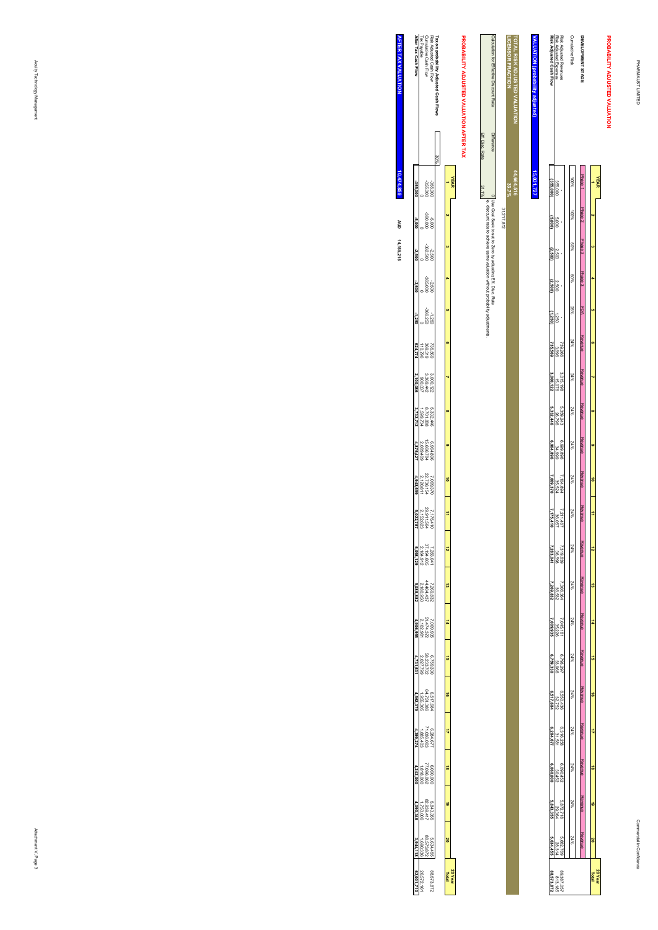|                                                                             | <b>YEAR</b> |      |                                     |        |                      |                  |                         |                           |            |                                    |                                                               |                     |                     |                     |                     |                     |                         |           |                    |                   |
|-----------------------------------------------------------------------------|-------------|------|-------------------------------------|--------|----------------------|------------------|-------------------------|---------------------------|------------|------------------------------------|---------------------------------------------------------------|---------------------|---------------------|---------------------|---------------------|---------------------|-------------------------|-----------|--------------------|-------------------|
|                                                                             |             |      |                                     |        |                      |                  |                         |                           |            | $\vec{a}$                          | =                                                             | $\vec{v}$           |                     |                     | ā,                  | ō                   |                         | ಹ         | 6                  |                   |
|                                                                             |             |      |                                     |        |                      |                  |                         |                           |            |                                    |                                                               |                     |                     |                     |                     |                     |                         |           |                    |                   |
| DEVELOPMENT STAG                                                            |             |      | Phase 2 Phase 3 Phase 3 FDA Revenue |        |                      |                  | Revenue                 | : Revenue Revenue Revenue |            |                                    | Revenue                                                       | <b>Revenue</b>      | Revenue             | <b>Revenue</b>      | <b>Revenue</b>      | Revenue             | Revenue                 | Revenue   | Revenue            | <b>Revent</b>     |
|                                                                             |             |      |                                     |        |                      |                  |                         |                           |            |                                    |                                                               |                     |                     |                     |                     |                     |                         |           |                    |                   |
| Cumulative Ris"                                                             |             | %00l | %09                                 | 9609   | 25%                  | 24%              | $24\%$                  | 24%                       | 24%        | 24%                                | 24%                                                           | w.pZ                | w.pZ                | 24%                 | 24%                 | 24%                 | 24%                     | 24%       | 24%                | 24%               |
|                                                                             |             |      |                                     |        |                      |                  |                         |                           |            |                                    |                                                               |                     |                     |                     |                     |                     |                         |           |                    |                   |
|                                                                             |             |      |                                     |        |                      |                  |                         |                           |            |                                    |                                                               |                     |                     |                     |                     |                     |                         |           |                    | 3,662,76<br>28,31 |
| Risk Adjusted Revenues<br>Risk Adjusted Expenses<br>Risk Adjusted Cash Flow | 355,00C     |      | 2,500                               | 2,500  | $\frac{1250}{11250}$ | 739,266<br>3,696 | $3.015,198$<br>$15,076$ | 5,359,243<br>26,796       | 868'988699 | $7,104,894$<br>35,524<br>7,069,370 | $\frac{1}{120,86}$<br>$\frac{1}{120,86}$<br>$\frac{1}{125,7}$ | 7,319,639<br>36,598 | 7,306,364<br>36,532 | 7,045,161<br>35,226 | 6,793,297<br>33,966 | 6.550,43t<br>32,752 | $6,316,258$<br>$31,581$ | 6,090,45. | 3,872,711<br>29,36 |                   |
|                                                                             | 355.00      |      | (2.500)                             | 2.500) |                      | 735,569          | 3,000,122               | 5,332.44c                 | 6.964,89   |                                    |                                                               | 7,283,04            | 7,269,832           | 000.935             | 759.336             |                     | 6,284,67                | 1060.00   | .843.35            |                   |

# **ALLA VALUATION (probability adjusted)** 15,031,727 **15,031,727**

| Eff. Disc. Rate | Calculation for Effective Discount Rate Difference                                                                                      |            | г<br><b>ICENSOR FRACTION</b> | <b>TOTAL RISK ADJUSTED VALUATION</b> |
|-----------------|-----------------------------------------------------------------------------------------------------------------------------------------|------------|------------------------------|--------------------------------------|
| 31.1%           | Dee Goal Seek to set to Zero by adusting Eff. Disc. Rate<br>is discount rate to achieve same valuation without probability adjustments. | 31,217,812 | 44,664,516<br>33.7%          |                                      |
|                 |                                                                                                                                         |            |                              |                                      |
|                 |                                                                                                                                         |            |                              |                                      |
|                 |                                                                                                                                         |            |                              |                                      |

# PROBABILITY ADJUSTED VALUATION AFTER TAX **PROBABILITY ADJUSTED VALUATION AFTER TAX**

|                                                   | Risk Adjusted Cash Flow<br>Cumulative Cash Flow<br>Tax Payable<br><b>After Tax Cash Flow</b> |                                           |           | obability Adjusted Cash Flow. |    |             |
|---------------------------------------------------|----------------------------------------------------------------------------------------------|-------------------------------------------|-----------|-------------------------------|----|-------------|
|                                                   |                                                                                              |                                           |           |                               |    |             |
|                                                   |                                                                                              | 355,000                                   | 355,000   |                               |    | <b>YEAR</b> |
|                                                   |                                                                                              | 000'096<br>000'9-                         |           |                               |    |             |
| $-2.500$                                          |                                                                                              | -2.500<br>-262.500                        |           |                               |    |             |
| $-2.500$                                          |                                                                                              | -2.500<br>-365.000                        |           |                               |    |             |
| $-1.250$                                          |                                                                                              | $-1,250$<br>$-366,250$                    |           |                               |    |             |
|                                                   |                                                                                              | 735.569<br>369.319<br>110,796             |           |                               |    |             |
|                                                   |                                                                                              | 3,000.122<br>3,369.442<br>900.037         |           |                               |    |             |
| .732, 71'                                         |                                                                                              | 5, 332, 446<br>8, 701, 888<br>1, 599, 734 |           |                               |    |             |
|                                                   |                                                                                              | 6,964,896<br>15,666,784<br>2,089,469      |           |                               |    |             |
| 4,948,559                                         | 7,069,370<br>22,736,154<br>2,120,811                                                         |                                           |           |                               |    |             |
| 7,175,41(<br>29,911,564<br>5,022,787<br>5,022,787 |                                                                                              |                                           |           |                               | ÷  |             |
|                                                   | $\begin{array}{r} 7.283,041 \\ 2.194,005 \\ 2.184,912 \\ \textbf{5,098,129} \end{array}$     |                                           |           |                               |    |             |
| 5,088,882                                         |                                                                                              | 7,269.832<br>44.464.437<br>2,180.950      |           |                               | ã  |             |
| 1,906.95                                          |                                                                                              | 7,009.935<br>51,474.372<br>2,102,981      |           |                               | ÷, |             |
|                                                   | $\begin{array}{l} 6.759.330 \\ 2.027.799 \\ 2.027.799 \\ \textbf{4.731.531} \end{array}$     |                                           |           |                               | å  |             |
| 562.375                                           |                                                                                              | 6,517,684<br>64,751,386<br>1,955,305      |           |                               | á  |             |
| 1399.27                                           |                                                                                              | 6,284,677<br>71,036,063<br>1,885,403      |           |                               | 4  |             |
| 1,242,000                                         |                                                                                              | $6.060,000$<br>77.096.062<br>1.818,000    |           |                               | ä  |             |
| 1090,348                                          |                                                                                              | 5,843,355<br>82,939,417<br>1,753,00€      |           |                               | ė  |             |
|                                                   |                                                                                              | 5,634,455<br>88.573.872<br>1,690,336      |           |                               | õ  |             |
|                                                   | 26,572,1                                                                                     |                                           | 88,573,87 |                               |    | 20 Year     |

**AFTER TAX VALUATION AFTER TAX VALUATION**  $10,474,859$ **14,155,215 10,474,859 AUD**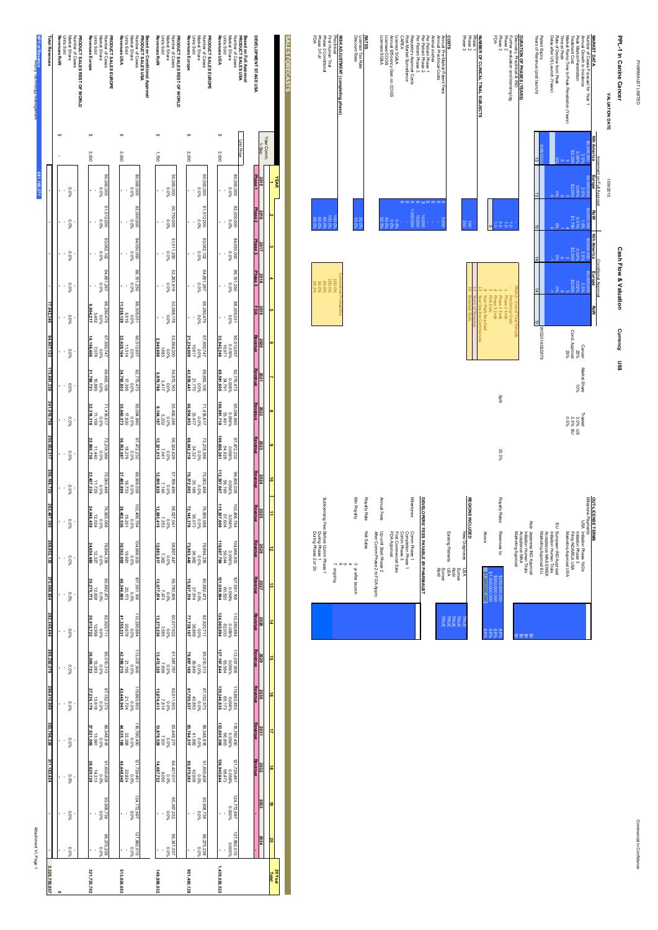PHARMAUST LIMITED PHARMAUST LIMITED

| PPL-1 in Canine Cancer                       |                    |                            |                |                    | <b>Cash Flow &amp; Valuation</b> |     | Currency US\$  |              |         |
|----------------------------------------------|--------------------|----------------------------|----------------|--------------------|----------------------------------|-----|----------------|--------------|---------|
| <b>VALUATION DATE</b>                        |                    | 1/09/2015                  |                |                    |                                  |     |                |              |         |
|                                              |                    | Increment on Full Approval |                |                    | Conditional Approval             |     |                |              |         |
| <b>MARKET DATA</b>                           | <b>Nth America</b> | <b>Europe</b>              | RoW            | <b>Nth America</b> | Europe                           | RoW |                |              |         |
| Number of Cases Forecast for Year            | 000.000.000        | 00'000'09                  |                | 000'000'08         | 00'000'09                        |     |                |              |         |
| Annual Growth in Incidence                   | 2.5%               | 2.5%                       | 1.5%           | 2.59               | 2.5%                             |     | Cancer         | Market Share | Treated |
| Peak Market Penetration                      | 0.069              |                            | 0.015          |                    | 0.02%                            |     | %92            | $-0.86$      | 3.0% US |
| Treatment Cost                               |                    |                            |                |                    |                                  |     | Cond. Approval |              | 2.5% EU |
| Narket Ramp Time to Peak Penetration (Years) |                    |                            |                |                    |                                  |     | %92            |              | %90     |
| Time at Peak                                 |                    |                            |                |                    |                                  |     |                |              |         |
| Rate of Decline from Peak                    |                    |                            |                |                    |                                  |     |                |              |         |
| Delay after US Launch (Years)                |                    |                            |                |                    |                                  |     |                |              |         |
|                                              |                    |                            |                |                    |                                  |     |                |              |         |
| Patent Expiry                                |                    |                            |                |                    |                                  |     | A/O2014/022879 |              |         |
| Years of Revenue (post launch)               | ಷ                  | ā                          | $\vec{\omega}$ | F                  | 고                                | ē   |                |              |         |

**DURATION OF PHASES (YEARS)**

Discovery, Preclinical & IND

Further evaluation and licensing lag

Phase 3 FDA

**NUMBER OF CLINICAL TRIAL SUBJECTS**

NUMBER OF CLINICAL TRIAL SUBJECTS<br>Phase 2<br>Phase 3<br>Phase 3

**COSTS**<br>Antendring<br>Costs<br>Costs<br>CAPEX<br>CAPEX<br>CAPEX

Per Patient Phase 3

Regulatory Approval Costs

Post Market Surveillence

Licensor SG&A

Annual Efficiency Gain on COGS

Licensee COGS Licensee SG&A

**RATES<br>Licensor Tax Rate<br>Discount Rate** 

Licensor Tax Rate

Discount Rate

**RISK ADJUSTMENT (completing phase)**

Preclinical

First Human Trial Phase 2 Conditional

**FISK ADJUSTMENT (completing phase)**<br>First Human Trial<br>First Human Trial<br>Phase 3 Full<br>FDA<br>FDA

Phase 3 Full

**SALES FORECASTS**

**SALES FORECASTS** 

**YEAR 1**

**2** 

 **3**

 **4**

 **5**

 **6**

 **7**

 **8**

 **9**

**10**

 **11**

 **12**

 **13**

 **14**

 **15**

 **16**

 **17**

 **18**

 **19**

 **20**

**20 Year Total**

**1,439,026,522**

1,439,026,522

**901,460,128**

901,460,128

**149,898,032**

149,898,032

**513,624,653**

513,624,653

**321,725,702**

321,725,702

- - - - - - - - - - - - - - - - - - - -

Per Patient Phase 1 - \$ Per Patient Phase 2 2 10,000 \$ 2 10,000 \$ 2 10,000 \$ 2 10,000 \$ 2 10,000 \$ 2 10,000 \$ 2 10,000 \$ 2 1

Annual Pre-Market Patent Fees

Annual Preclinical Costs

Animal studies

 $\frac{8}{1}$ 

0.0<br>53.5%<br>32.5%

30.0%

15.0%

100.00<br>100.00<br>100.00%

100.0<br>00.0% 34.2<br>100.0%

Cumulative Probability

Phase 1 -

Phase 2 1.0

<u>اء</u>

Preclinical Ends

TRIALS - End of Trial Periods

Phase 3 Ends

Year Peak Reached

Year Decline Commences

Years of Revenue

Revenue Ends

on<sup>15</sup>

Phase 2 Ends

Split

33.3%

| S,<br><b>SO</b>        |
|------------------------|
| ័<br>కి                |
|                        |
| 8.8%                   |
| 8.8%<br>8.8%           |
| \$1,000,000,000<br>88% |
|                        |

|  | New Diagnoses USA                      | $\frac{1}{2}$ |
|--|----------------------------------------|---------------|
|  |                                        |               |
|  |                                        |               |
|  | Existing Patient<br>팔 동종<br>동종 말<br>동종 | <b>TRUE</b>   |
|  |                                        |               |
|  |                                        |               |
|  |                                        |               |

| i<br>Sepanjan<br>Sepanjan<br>6.5%<br>60.0%                               |  |              | 15,00 | 10.00                                 |  |
|--------------------------------------------------------------------------|--|--------------|-------|---------------------------------------|--|
|                                                                          |  |              |       |                                       |  |
|                                                                          |  |              |       |                                       |  |
|                                                                          |  |              |       |                                       |  |
|                                                                          |  |              |       |                                       |  |
|                                                                          |  |              |       |                                       |  |
|                                                                          |  |              |       |                                       |  |
|                                                                          |  |              |       |                                       |  |
|                                                                          |  |              |       |                                       |  |
|                                                                          |  |              |       |                                       |  |
|                                                                          |  |              |       |                                       |  |
|                                                                          |  |              |       |                                       |  |
|                                                                          |  |              |       |                                       |  |
|                                                                          |  |              |       |                                       |  |
|                                                                          |  |              |       |                                       |  |
|                                                                          |  | Milestones   |       | DEVELOPERS' FEES PAYABLE BY PHARMAUST |  |
| FDA Approv.<br>Completion Phase<br>Comm Phase 3<br>First Commercial Sale |  | Comm Phase 1 |       |                                       |  |
|                                                                          |  |              |       |                                       |  |
|                                                                          |  |              |       |                                       |  |
|                                                                          |  |              |       |                                       |  |
|                                                                          |  |              |       |                                       |  |

| 3 yr after launch<br>œ                                                        | Aueko   |
|-------------------------------------------------------------------------------|---------|
| Net Sales                                                                     | ty Rate |
| After Comm Phase 2 to FDA Appro<br>Up until Start Phase 2                     | al Fees |
| Comm Phase 3<br>FDA Approval<br>First Commercial Sale<br>$\ddot{\phantom{a}}$ |         |

|   | After Comm Phase 2 to FDA Appro          |
|---|------------------------------------------|
| ස | Net Sales                                |
|   | o ch<br>А<br>3 y after launch            |
|   | Ig Fee: Before Comm Phase 1<br>prilopino |

| Sublicensing Fee: Before Comm Phase 1  |                       | Min Royalty      | Royalty Rate | Annual Fees                                               |              |
|----------------------------------------|-----------------------|------------------|--------------|-----------------------------------------------------------|--------------|
| During Phase 2 or 2b<br>During Phase 1 | ග ග<br>А<br>7 ongoing | 3 y after launch | Net Sales    | After Comm Phase 2 to FDA Appro<br>Up until Start Phase 2 | FDA Approval |

| Market Share<br>Number of Cases<br>Revenues Europe<br>Units Sold<br>PRODUCT SALES EUROPE | Revenues USA<br>Market Share<br>Units Sold<br>Number of Cases<br>Based on Conditional Approval<br>PRODUCT SALES USA | Revenues RoW<br><b>Units Sold</b><br>Market Share<br>Number of Cases<br>PRODUCT SALES REST OF WORLD | Market Share<br>Revenues Europe<br><b>Units Sold</b><br>Number of Cases<br>PRODUCT SALES EUROPE | Market Share<br>Number of Cases<br>Revenues USA<br>Units Sold<br>Based on Full Approval<br>PRODUCT SALES USA | DEVELOPMENT STAGE USA |
|------------------------------------------------------------------------------------------|---------------------------------------------------------------------------------------------------------------------|-----------------------------------------------------------------------------------------------------|-------------------------------------------------------------------------------------------------|--------------------------------------------------------------------------------------------------------------|-----------------------|
|                                                                                          |                                                                                                                     |                                                                                                     |                                                                                                 |                                                                                                              |                       |
| 2,000                                                                                    | 2.000                                                                                                               | 092'                                                                                                | 2,000                                                                                           | Unit Price<br>2,000                                                                                          | Year Comm<br>$1-5ep$  |
| 000'000'09<br>%0'0                                                                       | 000'000'08<br>%00                                                                                                   | 000'000'09<br>960'0                                                                                 | 000'000'09<br>%0'0                                                                              | 000'000'08<br>960'0                                                                                          | Phase<br>2015         |
| 61,512,000<br>%0'0                                                                       | 82,000,000<br>960'0                                                                                                 | 000,057,02<br>%0'0                                                                                  | 61.512.000<br>%0'0                                                                              | 82,000,000<br>00,000,8                                                                                       | Phase 2<br>2016       |
| 63,062,102<br>%0'0                                                                       | 84,050,000<br>%0'0                                                                                                  | 51,511,250<br>%0'0                                                                                  | 63.062.102<br>%0'0                                                                              | 000'090'98<br>%0'0                                                                                           | Phase 3<br>2017       |
| 281,267<br>Tas.1.267                                                                     | 86,151,250<br>0.0%                                                                                                  | 52,283,919<br>960'0                                                                                 | 84.651.267<br>T85.1                                                                             | 86,151,250<br>0.0%                                                                                           | Phase 3<br>2018       |
| 627082'99<br>$0.0\%$<br>$3,452$<br>6,904,217                                             | 88,305,031<br>,038,129<br>619'9<br>%0'0                                                                             | 53,068,178<br>960'0                                                                                 | 86,280,479<br>960'0                                                                             | 88,305,031<br>960'0                                                                                          | 2019<br><b>FDA</b>    |
| 7,950,747<br>$0.0\%$<br>$7,078$<br>14,156,406                                            | 90,512,657<br>$0.0\%$<br>11,314<br>22,628,164                                                                       | 53.864.200<br>$\frac{0.0\%}{1.683}$<br>2,945,698                                                    | 67.950,747<br>$0.0\%$<br>$10.617$<br>21,234,609                                                 | $\begin{array}{r} 90.512.657 \\ 0.019\% \\ 16.971 \\ 33.942.246 \end{array}$                                 | Revenue<br>2020       |
| $0.0\%$<br>$0.885$<br>$21,769,721$<br>69,663,106                                         | $0.0\%$<br>395<br>34,790,803<br>82,775,473                                                                          | 54.672.163<br>$\frac{0.0\%}{3.417}$<br>$\frac{3.417}{17}$                                           | 69.663,106<br>$0.0\%$<br>21.770<br>43,539,441                                                   | $\begin{array}{l} 32.775, 473 \\ 0.038\% \\ 34.791 \\ \bf 69, 581, 605 \end{array}$                          | Revenue<br>2021       |
| $\begin{array}{l} 0.0\% \\ 11.159 \\ \textbf{22.318.318} \end{array}$<br>1,418,617       | $\begin{array}{l} 95.094,860 \\ 0.0\% \\ 17,830 \\ \textbf{35,660,573} \end{array}$                                 | 55,492,246<br>$\frac{0.0\%}{5.202}$                                                                 | $0.0\%$<br>33.477<br>66,954,953<br>1,418,617                                                    | $\begin{array}{@{}ll} 0.094, 860 \\ 0.056\% \\ 0.056\% \end{array}$                                          | Revenue<br>2022       |
| $\begin{array}{l} 0.0\% \\ 11.440 \\ 22.880.739 \end{array}$<br>73,218,366               | 97,472,232<br>$0.0\%$<br>$0.0\%$<br>36,552,087                                                                      | 56,324,629<br>$\begin{array}{l} 0.0\% \\ 7.041 \\ 7.041 \end{array}$                                | $0.0\%$<br>34.321<br>68,642,218<br>3.218.366                                                    | $0.056\%$<br>$54.828$<br>109,656,261<br>97,472,232                                                           | ⊀evenue<br>2023       |
| $\begin{array}{r}\n 0.0\% \\  11.729 \\  23.457.334\n\end{array}$<br>75,063,468          | $\frac{0.0\%}{18.733}$<br>37.465.889<br>86,909,038                                                                  | 57.169.499<br>$0.0\%$<br>7.146<br>12,505,828                                                        | $\frac{0.0\%}{35.186}$<br>75,063,468                                                            | $\begin{array}{r} 99.999.038 \\ 0.056\% \\ 0.056\% \\ 112.397,667 \end{array}$                               | Revenue<br>2024       |
| $76,955,068$<br>0.0%<br>24,048,459<br>24,048,459                                         | 02,406,764<br>$0.0\%$<br>19,201<br>38,402,536                                                                       | 58.027.041<br>0.0%<br>1.253<br><b>12,693,415</b>                                                    | 76.955.068<br>0.073<br>72.145.376                                                               | $\begin{array}{r} 0.056\% \\ 0.7604 \\ 57.604 \\ 115,207,609 \end{array}$<br>02,406,764                      | Revenue<br>2025       |
| $78,894,336$<br>$12,327$<br>$24,654,480$                                                 | $\begin{array}{l} 104,966,933 \\ +0.07 \\ +0.084 \\ +0.084 \\ \end{array}$                                          | $\begin{array}{r} 58.897.447 \\ 0.0\% \\ 7.362 \\ 7.362 \\ \hline \end{array}$                      | $\begin{array}{l} 78.894.336 \\ 0.078 \\ 0.008 \\ 73.963,440 \end{array}$                       | $\begin{array}{l} 104,966,933 \\ \times 0.056\% \\ \times 0.044 \\ \times 0.037,799 \end{array}$             | Revenue<br>2026       |
| $\begin{array}{l} 80.882, 473 \\ 0.0\% \\ 0.0\% \\ 25, 275, 773 \end{array}$             | $\begin{array}{l} 107,591,106 \\ 0.07 \\ -0.07 \\ 0.0346,665 \end{array}$                                           | $\begin{array}{l} 18.780, 008 \\ 0.008 \\ 0.008 \\ 0.07, 074 \\ 0.07, 074 \\ \end{array}$           | $\begin{array}{l} 80.882.473 \\ 0.078 \\ 0.079 \\ 75,827,318 \end{array}$                       | $\begin{array}{c} 107, 591, 106 \\ 0.056\% \\ 0.056\% \\ 0.0520 \end{array}$                                 | Revenue<br>2027       |
| $\begin{array}{l} 62.920_{1711} \\ 0.07 \\ 0.07 \\ 0.008 \\ \end{array}$                 | $\begin{array}{r} 110,280,884 \\ 000 \\ 000 \\ 20,678 \\ 41,385,331 \end{array}$                                    | $\begin{array}{l} 60.677.622 \\ 0.00\% \\ 7.585 \\ 13.273,230 \end{array}$                          | $\begin{array}{l} 82.920 \cdot 711 \\ 20.00 \\ 20.00 \\ 77.738, 167 \end{array}$                | $\begin{array}{l} 110,280,884 \\ 0.056\% \\ 0.056\% \\ 0.056\% \end{array}$                                  | Revenue<br>2028       |
| $\begin{array}{l} 85,010,313 \\ 0.0\% \\ 26,565,723 \\ 26,565,723 \end{array}$           | $\begin{array}{r} 113,037,906 \\ 00\% \\ 21,195 \\ 21,195 \end{array}$                                              | $\begin{array}{l} 61.587.787 \\ 0.00\% \\ 7.698 \\ 7.698 \end{array}$                               |                                                                                                 | $113,037,906$<br>0.056%<br>127,167,644                                                                       | Revenue<br>2029       |
| $\begin{array}{l} 87.152.573 \\ 0.0\% \\ 21.235,179 \\ 27.235,179 \end{array}$           | $\begin{array}{r}\n115,863,853 \\ 000 \\ 000 \\ 000\n\end{array}$                                                   | $\begin{array}{l} 62.511.603 \\ 0.00\% \\ 7.814 \\ 13.674,413 \end{array}$                          | $\begin{array}{l} 63.573 \\ 80.0 \\ 0.00 \\ 0.00 \\ \hline \end{array}$                         |                                                                                                              | Revenue<br>2030       |
| $\begin{array}{l} 803.182 \\ 13.961 \\ 13.961 \\ 27.921.506 \end{array}$                 | $\begin{array}{r} 118,780,450 \\ 0.00\% \\ 22,268 \\ 44,535,169 \end{array}$                                        | $\begin{array}{r} 63.449.277 \\ 0.008 \\ 7.931 \\ 7.931 \\ \end{array}$                             | $\begin{array}{l} 348.81 \ 200 \ 200 \ 200 \ 200 \end{array}$                                   | $\begin{array}{r} 118,760,450 \\ 0.056\% \\ 0.056\% \\ 0.056\% \end{array}$                                  | Revenue<br>2031       |
| 91,600,408<br>0.0%<br>28,625,128                                                         | $121,729,461$<br>0.0%<br>45,648,548<br>45,648,548                                                                   | $64,401,017$<br>0.0%<br>0.0%<br>14,087,722                                                          | $\begin{array}{l} 91.600,408 \\ 0.00\% \\ 42.938 \\ \textbf{85.875,383} \end{array}$            | $121,729,461$<br>0.056%<br>136,945,644<br>136,945,644                                                        | Revenue<br>2032       |
| %0'0<br>862'806'88                                                                       | $^{124,772,697}_{0.0\%}$                                                                                            | 65.367.032<br>0.0%                                                                                  | $\frac{800}{802000.096}$                                                                        | $\begin{array}{c} 0.000 \\ -0.000\% \end{array}$                                                             | 2033                  |
|                                                                                          |                                                                                                                     |                                                                                                     |                                                                                                 |                                                                                                              | 2034                  |
| 86,275,238<br>0.0%                                                                       | 27,892,015                                                                                                          | 26.347.537                                                                                          | 86.275.238<br>0.0%                                                                              | 127.892,015<br>127.892,015                                                                                   |                       |

Attachment VI, Page 1 Attachment VI, Page 1

Acuity Technology Management

*<u>Australia</u>* 

Number of Cases **PRODUCT SALES REST OF WORLD**

Market Share

**PRODUCT SALES REST OF WORLD**<br>Murrier of Cases<br>Nurrier of Cases<br>Units Sold<br>Revenues ROW<br>Revenues ROW

**Revenues RoW**

**Total Revenues**

Total Revenue

**NPV of Revenue**

 $-80.08$ 

.<br>.<br>.

i.

0.0%

**- - - -**

**641,165,271**

165,271

**17,942,346**

 $342,341$ 

**94,907,123**

4,907,123

**175,661,338**

75,661,338

**241,019,758**

**250,052,317**

**256,198,720**

256,198,720

**262,497,395**

262,497,396

**268,952,135**

268,952,13

**275,566,824**

275,566,824

**282,345,444**

282,345,444

**289,292,078**

289,292,071

**296,410,909**

296,410,909

**303,706,226**

303,706,226

**311,182,424 - -**

 $1,182,424$ 

**3,325,735,037**

3,325,735,037

0.0%

0.0%

 $\cdot$  0.0%

 $-80.08$ 

 $-80.08$ 

 $-80.08$ 

0.0%

Units Sold - - - - - - - - - - - - - - - - - - - -

 $-80.08$ 

 $-80.08$ 

**- - - - - - - - - - - - - - - - - - - - 0**

 $-80.08$ 

0.0%

 $\frac{1}{8000}$ 

 $-80.08$ 

0.0%

0.0%

 $-80.08$ 

 $\cdot$  0.0%

0.0%

Commercial in Confidence Commercial in Confidence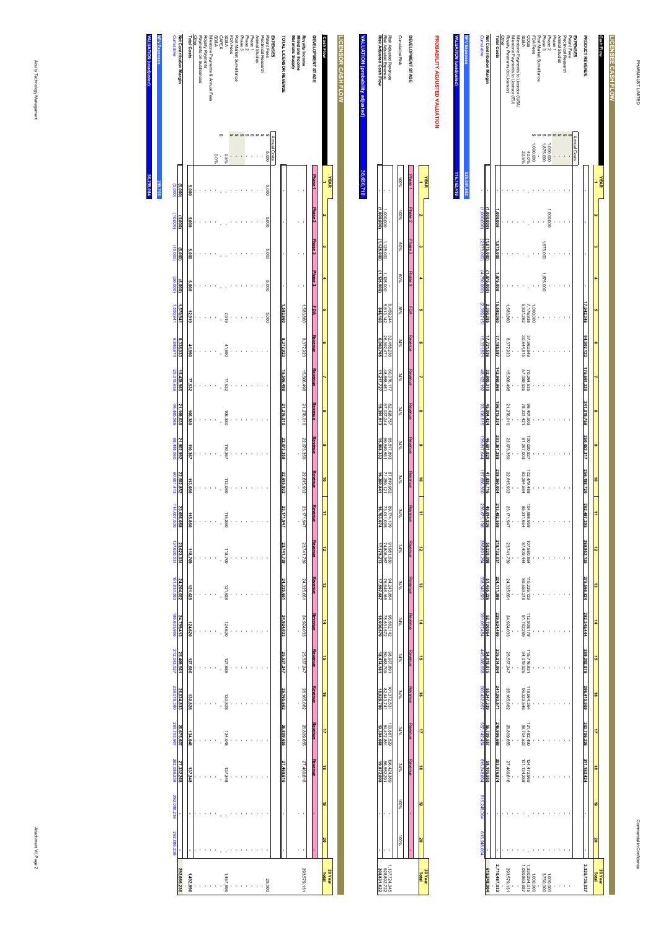| <b>ALUATION</b> (unadjusted) | <b>NPV Expenses</b> | <b>Cumulative</b>           | Net Contribution Margin | <b>Total Costs</b> | Other | Rovalty Payments (to Licensor) | Milestone Payments to Licensor (EU) | Milestone Payments to Licensor (USA) | <b>SG&amp;A</b> | S <sub>5</sub> 00                           | FDA Fees  | Post Market Surveillance | Phase 3   | Phase <sub>2</sub>     | Phase 1 | Animal Studies | Preclinical Research | Patent Fees | <b>EXPENSES</b> | <b>PRODUCT REVENUE</b> |          | Cash Flow      | LICENSEE CASH FLOW |
|------------------------------|---------------------|-----------------------------|-------------------------|--------------------|-------|--------------------------------|-------------------------------------|--------------------------------------|-----------------|---------------------------------------------|-----------|--------------------------|-----------|------------------------|---------|----------------|----------------------|-------------|-----------------|------------------------|----------|----------------|--------------------|
|                              |                     |                             |                         |                    |       |                                |                                     |                                      | 32.5%           | 40.0%                                       | 000,000,  |                          | 1,875,000 | 000'000'               |         |                |                      |             | Annual Costs    |                        |          |                |                    |
|                              | 525,001,862         |                             |                         |                    |       |                                |                                     |                                      |                 |                                             |           |                          |           |                        |         |                |                      |             |                 |                        |          | <b>YEAR</b>    |                    |
|                              |                     | (1,000,000)                 | (000,000,               | ,000,000           |       |                                |                                     |                                      |                 |                                             |           |                          |           | 1,000,000              |         |                |                      |             |                 |                        |          |                |                    |
|                              |                     |                             | 1,875,000)              | .875.000           |       |                                |                                     |                                      |                 |                                             |           |                          | 1,875,000 |                        |         |                |                      |             |                 |                        |          |                |                    |
|                              |                     | $(2.875,000)$ $(4.750,000)$ | 1,875,000)              | 1,875,000          |       |                                |                                     |                                      |                 |                                             |           |                          | 1,875,000 |                        |         |                |                      |             |                 |                        |          |                |                    |
|                              |                     | (2,399,715)                 | 2,350,285               | 15,592,060         |       | 1.583.860                      |                                     |                                      | 5,831,262       | 7,176,938                                   | 1,000,000 |                          |           |                        |         |                |                      |             |                 | 17,942,346             |          |                |                    |
|                              |                     | 15,321,821                  | 17,721,536              | 77,185,587         |       | 8.377.923                      |                                     |                                      | 30,844,815      | 37,962,849                                  |           |                          |           |                        |         |                |                      |             |                 | 94,907,123             |          |                |                    |
|                              |                     | 48,122,192                  | 32,800,370              | 142,860,968        |       | 15.506.498                     |                                     |                                      | 57,089,935      | 70,264,535                                  |           |                          |           |                        |         |                |                      |             |                 | 175,661,338            |          |                |                    |
|                              |                     | 93,126,615                  | 45,004,424              | 196,015,334        |       | 21.276.010                     |                                     |                                      | 78,331,421      | 86,407,903                                  |           |                          |           |                        |         |                |                      |             |                 | 241,019,758            | $\alpha$ |                |                    |
|                              |                     | 139,817,644                 | 46,691,029              | 203,361,289        |       | 22.073.359                     |                                     |                                      | 81,267,003      | 100,020,927                                 |           |                          |           |                        |         |                |                      |             |                 | 250,052,317            | œ        |                |                    |
|                              |                     | 187,656,360                 | 47,838,716              | 208,360,004        |       | 22.615.932                     |                                     |                                      | 83,264,584      | 102,479,488                                 |           |                          |           |                        |         |                |                      |             |                 | 256,198,720            | ä        |                |                    |
|                              |                     | 236,671,196                 | 49,014,836              | 213,482,559        |       | 23.171.947                     |                                     |                                      | 85,311,654      | 104,998,958                                 |           |                          |           |                        |         |                |                      |             |                 | 262,497,395            |          |                |                    |
|                              |                     | 286,891,294                 | 50,220,098              | 218,732,037        |       | 23.741.739                     |                                     |                                      | 87,409,444      | 107,580,854                                 |           |                          |           |                        |         |                |                      |             |                 | 268,952,135            | ಸ        |                |                    |
|                              |                     | 338,346,520                 |                         | 224, 111, 598      |       |                                |                                     |                                      |                 |                                             |           |                          |           |                        |         |                |                      |             |                 | 275,566,824            | ದ        |                |                    |
|                              |                     |                             | 51,455,226              |                    |       | 24.325.651                     |                                     |                                      | 89,559,218      | 110,228,729                                 |           |                          |           |                        |         |                |                      |             |                 |                        |          |                |                    |
|                              |                     | 391,067,484                 | 52,720,964              | 229,624,480        |       | 24.924.033                     |                                     |                                      |                 | 112,938,178<br>91,762,269                   |           |                          |           |                        |         |                |                      |             |                 | 282,345,444            | #        |                |                    |
|                              |                     | 445,085,558                 | 54,018,075              | 235,274,004        |       | 25.537.247                     |                                     |                                      |                 | 115,716,831<br>94,019,925                   |           |                          |           |                        |         |                |                      |             |                 | 289,292,078            | ã        |                |                    |
|                              |                     | 500,432,897                 | 55,347,339              | 241,063,571        |       | 26.165.662                     |                                     |                                      |                 | 118,564,364<br>96,333,546                   |           |                          |           |                        |         |                |                      |             |                 | 296,410,909            | ã        |                |                    |
|                              |                     | 557,142,454                 | 56,709,557              | 246,996,669        |       | 26.809.655                     |                                     |                                      |                 | 121,482,490<br>98,704,523                   |           |                          |           |                        |         |                |                      |             |                 | 303,706,226            | 4        |                |                    |
|                              |                     | 615,248,004                 | 58,105,550              | 253,076,874        |       | 27.469.616                     |                                     |                                      |                 | 124,472,969<br>101,134,288                  |           |                          |           |                        |         |                |                      |             |                 | 311, 182, 424          | ã        |                |                    |
|                              |                     | 615,248,004                 |                         |                    |       |                                |                                     |                                      |                 |                                             |           |                          |           |                        |         |                |                      |             |                 |                        | 5        |                |                    |
|                              |                     | 615,248,004                 |                         |                    |       |                                |                                     |                                      |                 |                                             |           |                          |           |                        |         |                |                      |             |                 |                        | õ        |                |                    |
|                              |                     |                             | 615,248,004             | 2,710,487,033      |       | 293.579.131                    |                                     |                                      |                 | 1.000,000<br>1.330,294,015<br>1.080,863,887 |           |                          |           | 1,000,000<br>3,750,000 |         |                |                      |             |                 | 3,325,735,037          | Total    | <b>20 Year</b> |                    |

| Risk Adjusted Cash Flow | Risk Adjusted Expenses<br>Risk Adjusted Revenues                                       | <b>Cumulative Risk</b> | DEVELOPMENT STAGE                                                                               |                      |
|-------------------------|----------------------------------------------------------------------------------------|------------------------|-------------------------------------------------------------------------------------------------|----------------------|
|                         |                                                                                        |                        |                                                                                                 |                      |
|                         |                                                                                        |                        |                                                                                                 | <b>YEAR</b>          |
| 1,000,000               |                                                                                        |                        | -Frase Prizage Prizage Prizage Provenice Revenice Revenice Revenice Provenice Revenice Revenice |                      |
| 1,125,0001              | 1,000,000 1,125,000 1,125,000                                                          | $100\%$ 80% 80% 80%    |                                                                                                 |                      |
|                         |                                                                                        |                        |                                                                                                 |                      |
| 846,103                 | $6.459.244$ 32.458.236<br>$5.613.142$ 26.397.471                                       | 36%                    |                                                                                                 |                      |
| 8,060,765               |                                                                                        | 34%                    |                                                                                                 |                      |
| 11.217.727              | 60.076.177<br>48.858.451                                                               | $34\%$                 |                                                                                                 |                      |
|                         | 82,428,757<br>67,037,244<br><b>15,391,513</b>                                          | % tc                   |                                                                                                 |                      |
|                         | 85.517.893<br>69.549.561<br><b>15.968.332</b>                                          | 34%                    |                                                                                                 |                      |
|                         |                                                                                        | $34\%$                 |                                                                                                 | $\vec{a}$            |
|                         | 71,259,194<br>71,259,121 73,010,1035<br>71,259,121 75,759,004<br>71,259,944 75,759,074 | $34\%$                 |                                                                                                 | $\frac{1}{\sqrt{2}}$ |
|                         | 91.981.630                                                                             | 多数                     |                                                                                                 |                      |
| 89.768.                 | 94,243.854<br>76,646,166                                                               |                        |                                                                                                 |                      |
|                         | 96.562.14:<br>78.531.57:                                                               |                        |                                                                                                 |                      |
|                         | 98.937.891<br>80.463.709                                                               |                        |                                                                                                 |                      |
|                         | $101.372.53$<br>82.443,74                                                              |                        |                                                                                                 |                      |
|                         | 103.867.52<br>84.472.86                                                                |                        |                                                                                                 |                      |
|                         | 106.424.38<br>86.552.29                                                                | X.                     | 人名英国                                                                                            | œ                    |
|                         |                                                                                        |                        |                                                                                                 |                      |
|                         |                                                                                        |                        |                                                                                                 |                      |
| 08,831,                 | 137,724,34<br>928,892,7                                                                |                        |                                                                                                 | 20 Yea               |

# <u>VALUATION (probability adjusted)</u> **VALUATION (probability adjusted)** 38,656,718 **38,656,718**

| Cumulative  | Net Contribution Margin | <b>Total Costs</b> | Other | Payments on Sublicences | Royalty Payments | Villestone Payments & Annual Fees | <b>ASSSA</b> | SG&A<br>CAPEX |           | FDA Fees | Post Market Surveillance | Phase 3 | Phase <sub>2</sub> | Phase 1 | Animal Studies | Preclinical Research | Patent Fees | <b>EXPENSES</b> | <b>TOTAL LICENSOR REVENUE</b> | Materials Supply<br>Milestone Income | Royalty Income | DEVELOPMENT STAGE  | <b>Cash Flow</b> | LICENSOR CASH FLOW |  |
|-------------|-------------------------|--------------------|-------|-------------------------|------------------|-----------------------------------|--------------|---------------|-----------|----------|--------------------------|---------|--------------------|---------|----------------|----------------------|-------------|-----------------|-------------------------------|--------------------------------------|----------------|--------------------|------------------|--------------------|--|
|             |                         |                    |       |                         |                  |                                   |              |               |           |          |                          |         |                    |         |                |                      |             | Annual Costs    |                               |                                      |                |                    |                  |                    |  |
|             |                         |                    |       |                         |                  |                                   | 960.0        |               | 969'0     |          |                          |         |                    |         |                |                      | 000'S       |                 |                               |                                      |                | Phase 1            |                  |                    |  |
| (5.000)     | (5,000                  | <b>S,000</b>       |       |                         |                  |                                   |              |               |           |          |                          |         |                    |         |                |                      | 000'S       |                 |                               |                                      |                |                    |                  | <b>YEAR</b>        |  |
| (000'01)    | (5,000)                 | 000'S              |       |                         |                  |                                   |              |               |           |          |                          |         |                    |         |                |                      | 000'S       |                 |                               |                                      |                | Phase <sub>2</sub> |                  |                    |  |
| (15,000)    | (5,000)                 | <b>S,000</b>       |       |                         |                  |                                   |              |               |           |          |                          |         |                    |         |                |                      | 000'S       |                 |                               |                                      |                | Phase 3            |                  |                    |  |
| (20,000)    | (5,000)                 | 5,000              |       |                         |                  |                                   |              |               |           |          |                          |         |                    |         |                |                      | 000'S       |                 |                               |                                      |                | Phase <sub>3</sub> |                  |                    |  |
| 1,550,941   | 570,941                 | 12,919             |       |                         |                  |                                   |              |               | 7919      |          |                          |         |                    |         |                |                      | 000'S       |                 | ,583,860                      |                                      | 1,583,860      | FDA                | ö                |                    |  |
| 9,886,974   | 8,336,033               | 41,890             |       |                         |                  |                                   |              |               | 41,890    |          |                          |         |                    |         |                |                      |             |                 | 8,377,923                     |                                      | 8,377,923      | Revenue            | o.               |                    |  |
| 25,315,939  | 15,428,965              | 77,532             |       |                         |                  |                                   |              |               | 77.532    |          |                          |         |                    |         |                |                      |             |                 | 15,506,498                    |                                      | 15,506,498     | Revenue            |                  |                    |  |
| 46,485,569  | 21,169,630              | 106,380            |       |                         |                  |                                   |              |               | 106,380   |          |                          |         |                    |         |                |                      |             |                 | 21,276,010                    |                                      | 21,276,010     | Revenue            | œ                |                    |  |
| 0928448     | 21,962,992              | 110,367            |       |                         |                  |                                   |              |               | 110,367   |          |                          |         |                    |         |                |                      |             |                 | 22,073,359                    |                                      | 22,073,359     | Revenue            | C                |                    |  |
| 80,951,413  | 22,502,852              | 113,080            |       |                         |                  |                                   |              |               | 113.080   |          |                          |         |                    |         |                |                      |             |                 | 22,615,932                    |                                      | 22,615,932     | Revenue            | ô                |                    |  |
| 114,007,500 | 23,056,088              | 115,860            |       |                         |                  |                                   |              | ł.            | 115,860   |          |                          |         |                    |         |                |                      |             |                 | 23,171,947                    |                                      | 23,171,947     | Revenue            | ÷                |                    |  |
| 137,630,531 | 23,623,031              | 118,709            |       |                         |                  |                                   |              |               | 118,709   |          |                          |         |                    |         |                |                      |             |                 | 23,741,739                    |                                      | 23,741,739     | Revenue            | 12               |                    |  |
| 161,834,553 | 24,204,022              | 121,628            |       |                         |                  |                                   |              |               | 121,628   |          |                          |         |                    |         |                |                      |             |                 | 24,325,651                    |                                      | 24,325,651     | Revenue            | ಹ                |                    |  |
| 186,633,966 | 24,799,413              | 124,620            |       |                         |                  |                                   |              |               | 124,620   |          |                          |         |                    |         |                |                      |             |                 | 24,924,033                    |                                      | 24,924,033     | Revenue            | t4               |                    |  |
| 212,043,527 | 25,409,561              |                    |       |                         |                  |                                   |              |               |           |          |                          |         |                    |         |                |                      |             |                 | 25,537,247                    |                                      | 25,537,247     | Revenue            | ã                |                    |  |
|             |                         | 127,686            |       |                         |                  |                                   |              |               | 127.686   |          |                          |         |                    |         |                |                      |             |                 |                               |                                      |                |                    |                  |                    |  |
| 238,078,360 | 26,034,833              | 130,828            |       |                         |                  |                                   |              |               | 130.828   |          |                          |         |                    |         |                |                      |             |                 | 26,165,662                    |                                      | 26,165,662     | Revenue            | ō                |                    |  |
| 264,753,967 | 26,675,607              | 134,048            |       |                         |                  |                                   |              |               | 134,048   |          |                          |         |                    |         |                |                      |             |                 | 26,809,655                    |                                      | 26,809,655     | Revenue            | ₹                |                    |  |
| 292,086,236 | 27,332,268              | 137,348            |       |                         |                  |                                   |              |               | 137,348   |          |                          |         |                    |         |                |                      |             |                 | 27,469,616                    |                                      | 27,469,616     | Revenue            | ã                |                    |  |
| 292,086,236 |                         |                    |       |                         |                  |                                   |              |               |           |          |                          |         |                    |         |                |                      |             |                 |                               |                                      |                |                    | 6                |                    |  |
| 292,086,236 |                         |                    |       |                         |                  |                                   |              |               |           |          |                          |         |                    |         |                |                      |             |                 |                               |                                      |                |                    | 30               |                    |  |
|             | 292,086,236             | 1,492,896          |       |                         |                  |                                   |              |               | 1,467,896 |          |                          |         |                    |         |                |                      | 25,000      |                 |                               |                                      | 293,579,131    |                    | 20 Year<br>Total |                    |  |

HPV<sub>E</sub> **VALUATION (unadjusted) NPV Expenses 299,755 56,299,084**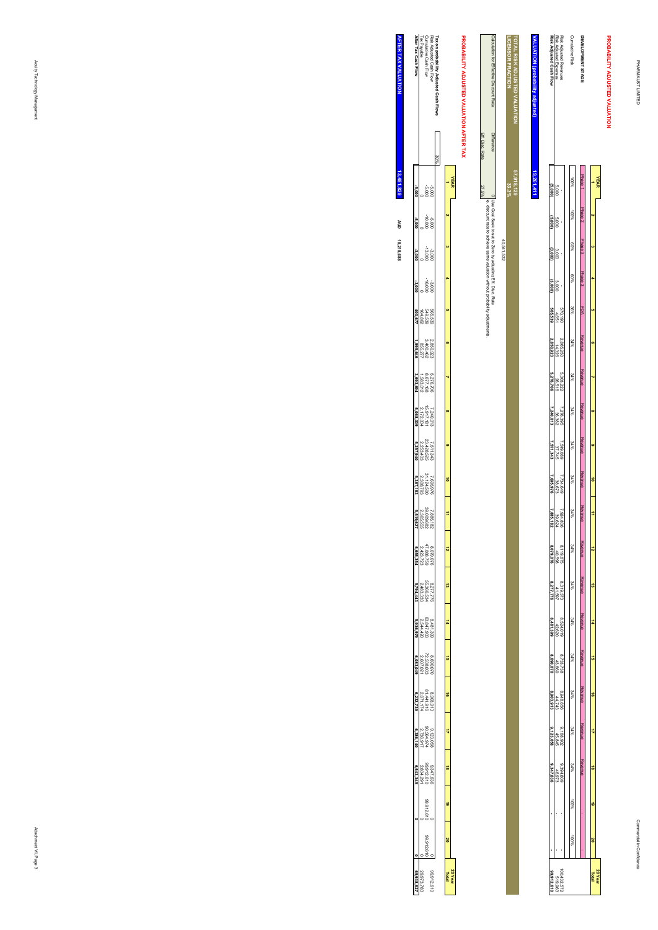**PROBABILITY ADJUSTED VALUATION**

#### Risk Adjusted Revenues<br>Risk Adjusted Expenses<br>Risk Adjusted Cash Flow **DEVELOPMENT STAGE<br>Cumulative Risk** TOTAL RISK ADJUSTED VALUATION<br>|LICENSOR FRACTION PROBABILITY ADJUSTED VALUATION **TOTAL RISK ADJUSTED VALUATION VALUATION (probability adjusted) Risk Adjusted Cash Flow** Risk Adjusted Expenses Risk Adjusted Revenues Cumulative Risk **DEVELOPMENT STAGE** <u>kLUATION (probability ad</u> **33.3%** Phase 1 Phase 2 Phase 3 Phase 3 100%**57,918,129** 19,261,411 **19,261,411YEAR 1**5,000 **(5,000)** Phase 2 100% $\alpha$ 5,000 **(5,000)** Phase 3 60% **3**3,000 **(3,000)** Phase 3 60% **4**3,000 **(3,000)** FDA 36% **5**570,190 4,651 **565,539** Revenue Revenue Revenue Revenue Revenue Revenue Revenue Revenue Revenue Revenue Revenue Revenue  $\frac{2,865,250}{14,326}$ <br> **2,850,923** Revenue**2,850,923** 2,865,250 %% PC  **6** Revenue $\frac{26,202,222}{26,516}$  34%**5,276,706** 5,303,222  **7** Revenue7,276,395<br>36,382<br>**7,240,013**  34%**7,240,013** 7,276,395  **8** Revenue2,549,089<br>37,745<br>**7,511,343**  34%**7,511,343** 7,549,089  **9** Revenue $\frac{7,734,649}{38,673}$ **7,695,976** 7,734,649 34%**10** Revenue $\frac{7,924,806}{39,624}$  34% **117,885,182** 7,924,806 Revenue8,119,675<br>40,598<br>**8,079,076**  34% **128,079,076** 8,119,675 Revenue $\frac{8,319,373}{41,597}$  34% **138,277,776** 8,319,373 Revenue $\begin{array}{r} 8,524,019 \\ 42,620 \\ 42,620 \end{array}$  **14** 34%**8,481,399** 8,524,019 Revenue $\begin{array}{c} 8,733,738 \\ 43,669 \\ \textbf{800,070} \end{array}$  34% **158,690,070** 8,733,738 Revenue $\begin{array}{c} 8,948,656 \\ 44,743 \\ 8,903,913 \end{array}$  34% **168,903,913** 8,948,656 **REVEIUE**  Revenue $\frac{9,168,902}{45,845}$  34% **179,123,058** 9,168,902 **Revenue**  Revenue  $\frac{6.394,609}{46,973}$  34% **189,347,636 - -** 9,394,609 - - 46,973 - - 100% **19** 100%  **20**  $\frac{512,572}{519,963}$ 100,432,572 **20 Year Total 99,912,610**

|                                  |                  | 40,541,532                                                  |
|----------------------------------|------------------|-------------------------------------------------------------|
| dion for Effective Discount Rate | <b>Different</b> | 0 Use Goal Seek to set to zero by adjusting Eff. Disc. Rate |
|                                  |                  | Jachieve sam<br>most implied without process<br>19U         |
|                                  | Eff. Disc. Rate  | 27.5%                                                       |

**LICENSOR FRACTION**

# PROBABILITY ADJUSTED VALUATION AFTER TAX **PROBABILITY ADJUSTED VALUATION AFTER TAX**

|                                                                                              | <b>YEAR</b> |         |                       |          |                               |                                   |                                     |                                      |                                      |                                      |                                            |                                                                                               |                                             |                                      |                                      |                                      |                                       |                                      |           |           |          |
|----------------------------------------------------------------------------------------------|-------------|---------|-----------------------|----------|-------------------------------|-----------------------------------|-------------------------------------|--------------------------------------|--------------------------------------|--------------------------------------|--------------------------------------------|-----------------------------------------------------------------------------------------------|---------------------------------------------|--------------------------------------|--------------------------------------|--------------------------------------|---------------------------------------|--------------------------------------|-----------|-----------|----------|
|                                                                                              |             |         |                       |          |                               |                                   |                                     |                                      |                                      |                                      | $\frac{1}{2}$                              |                                                                                               |                                             |                                      | G.                                   |                                      |                                       |                                      | G         | š         | 20 Year  |
|                                                                                              |             |         |                       |          |                               |                                   |                                     |                                      |                                      |                                      |                                            |                                                                                               |                                             |                                      |                                      |                                      |                                       |                                      |           |           |          |
|                                                                                              |             |         |                       |          |                               |                                   |                                     |                                      |                                      |                                      |                                            |                                                                                               |                                             |                                      |                                      |                                      |                                       |                                      |           |           |          |
|                                                                                              |             |         |                       |          |                               |                                   |                                     |                                      |                                      |                                      |                                            |                                                                                               |                                             |                                      |                                      |                                      |                                       |                                      |           |           | 9216.6   |
|                                                                                              | 3000<br>000 | 000'01- | $-3,000$<br>$-13,000$ | $-3,000$ |                               |                                   |                                     |                                      |                                      |                                      |                                            |                                                                                               |                                             |                                      |                                      |                                      |                                       |                                      | 99.912.61 | 99.912.61 |          |
| Risk Adjusted Cash Flow<br>Cumulative Cash Flow<br>Tax Payable<br><b>After Tax Cash Flow</b> |             |         |                       |          | 565,539<br>549,539<br>164,862 | 2,850,923<br>3,400,462<br>855,277 | 5,276,706<br>8,677,168<br>1,583,012 | 7,240,013<br>15,917,181<br>2,172,004 | 7,511,343<br>23,428,525<br>2,253,403 | 7,695,976<br>31.124,500<br>2,308,79? |                                            | $\begin{array}{l} 8.079 \, (076 \\ 47.086 \, .729 \\ 2.423 \, .723 \\ 5.655, 354 \end{array}$ | 8 <i>277.776</i><br>55.366.534<br>2,483,333 | 8,481,399<br>63,847,933<br>2,544,420 | 8,690,07C<br>72,538,003<br>2,607,021 | 8,903,91:<br>81,441,916<br>2,671,174 | 9.1123.058<br>90.564.974<br>2,736.917 | 9,347,636<br>99,912,610<br>2,804,291 |           |           | 29,973,7 |
|                                                                                              |             |         |                       |          |                               | 1,995,644                         | 3,693,69                            | 5,068,001                            |                                      |                                      | $\frac{7.885,182}{2,365,555}$<br>2,365,555 |                                                                                               | 5,794,44                                    |                                      | .083.04                              |                                      | 6,386,141                             |                                      |           |           |          |
|                                                                                              |             |         |                       |          |                               |                                   |                                     |                                      |                                      |                                      |                                            |                                                                                               |                                             |                                      |                                      |                                      |                                       |                                      |           |           |          |

**AFTER TAX VALUATION AFTER TAX VALUATION 18,218,688 13,481,829**  $3,481,829$ **AUD**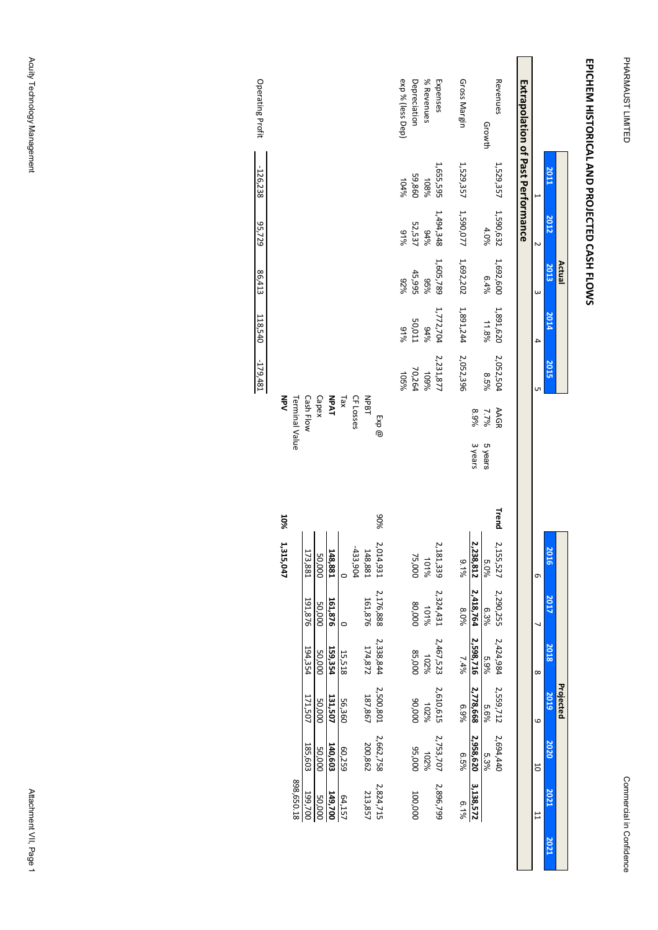# EPICHEM HISTORICAL AND PROJECTED CASH FLOWS **EPICHEM HISTORICAL AND PROJECTED CASH FLOWS**

Operating Profit

-126,238

95,729

86,413

118,540

-179,481

Acuity Technology Management Acuity Technology Management Attachment VII, Page 1

Attachment VII, Page 1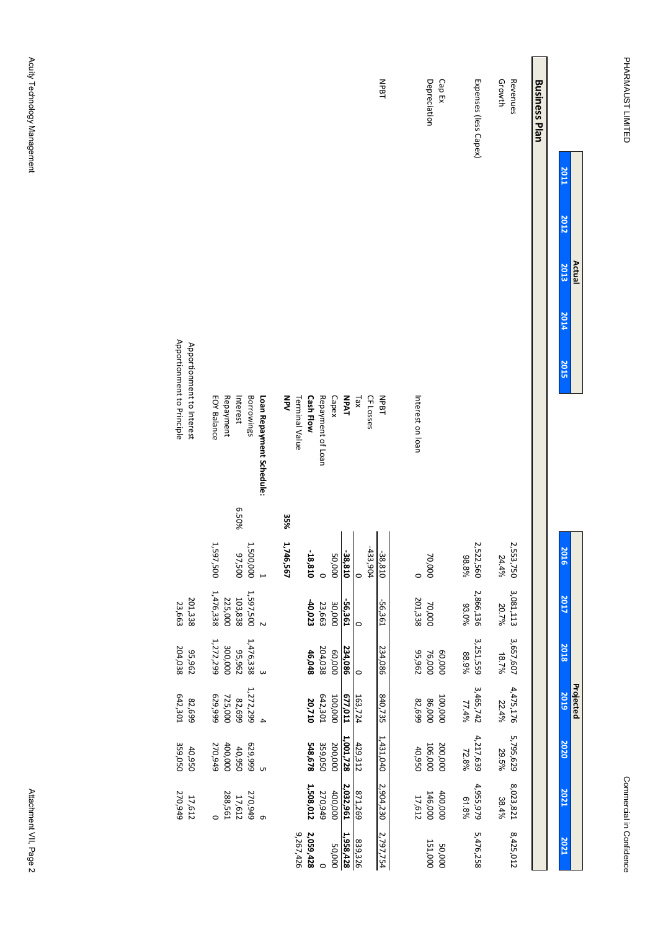| Actual                              |                            |       |                    |                    |                    | Projected          |                    |                    |                   |
|-------------------------------------|----------------------------|-------|--------------------|--------------------|--------------------|--------------------|--------------------|--------------------|-------------------|
| <b>2011</b><br>2012<br>2013<br>2014 | 2015                       |       | 2016               | 2017               | 2018               | 2019               | 2020               | 2021               | 2021              |
| <b>Business Plan</b>                |                            |       |                    |                    |                    |                    |                    |                    |                   |
| Revenues                            |                            |       | 2,553,750          | 3,081,113          | 3,657,607<br>18.7% | 4,475,176          | 5,795,629          | 8,023,821          | 8,425,012         |
| Growth                              |                            |       | 24.4%              | 20.7%              |                    | 22.4%              | 29.5%              | 38.4%              |                   |
| Expenses (less Capex)               |                            |       | 2,522,560<br>98.8% | 2,866,136<br>93.0% | 3,251,559<br>88.9% | 3,465,742<br>77.4% | 4,217,639<br>72.8% | 4,955,979<br>61.8% | 5,476,258         |
| Depreciation<br>Cap Ex              |                            |       | 70,000             | 70,000             | 76,000<br>60,000   | 100,000<br>86,000  | 106,000<br>200,000 | 146,000<br>400,000 | 151,000<br>50,000 |
|                                     | Interest on loan           |       |                    | 201,338            | 55,962             | 82,699             | 40,950             | 17,612             |                   |
| NPBT                                | NPBT                       |       | -38,810            | -56,361            | 234,086            | 840,735            | 1,431,040          | 2,904,230          | 2,797,754         |
|                                     | CF Losses                  |       | -433,90¢           |                    |                    |                    |                    |                    |                   |
|                                     | $x^2$                      |       |                    | $\circ$            | $\circ$            | 163,724            | 429,312            | 871,269            | 839,326           |
|                                     | <b>TAqV</b>                |       | -38,810            | -56,361            | 234,086            | 677,011            | 1,001,728          | 2,032,961          | 1,958,428         |
|                                     | Capex                      |       | 20,000             | 30,000             | 000'09             | 100,000            | 200,000            | 400,000            | 50,000            |
|                                     | Repayment of Loan          |       |                    | 23,663             | 204,038            | 642,301            | 359,050            | 270,949            | $\circ$           |
|                                     | <b>Cash Flow</b>           |       | -18,810            | $-40,023$          | 46,048             | 20,710             | 548,678            | 1,508,012          | 2,059,428         |
|                                     | NPV<br>Terminal Value      | 35%   | 1,746,567          |                    |                    |                    |                    |                    | 9,267,426         |
|                                     |                            |       |                    |                    |                    |                    |                    |                    |                   |
|                                     | Loan Repayment Schedule:   |       |                    | $\overline{c}$     | $\omega$           | $\ddot{4}$         | G                  | $\sigma$           |                   |
|                                     | Borrowings                 |       | 1,500,000          | 1,597,500          | 1,476,338          | 1,272,299          | 629,999            | 270,949            |                   |
|                                     | Interest                   | 6.50% | 97,500             | 103,838            | 55,962             | 82,699             | 40,950             | 17,612             |                   |
|                                     | Repayment                  |       |                    | 225,000            | 300,000            | 725,000            | 400,000            | 288,561            |                   |
|                                     | <b>EOY Balance</b>         |       | 1,597,500          | 1,476,338          | 1,272,299          | 629,999            | 270,949            | $\circ$            |                   |
|                                     | Apportionment to Interest  |       |                    | 201,338            | 296'56             | 82,699             | 40,950             | 17,612             |                   |
|                                     | Apportionment to Principle |       |                    | 23,663             | 204,038            | 642,301            | 359,050            | 270,949            |                   |
|                                     |                            |       |                    |                    |                    |                    |                    |                    |                   |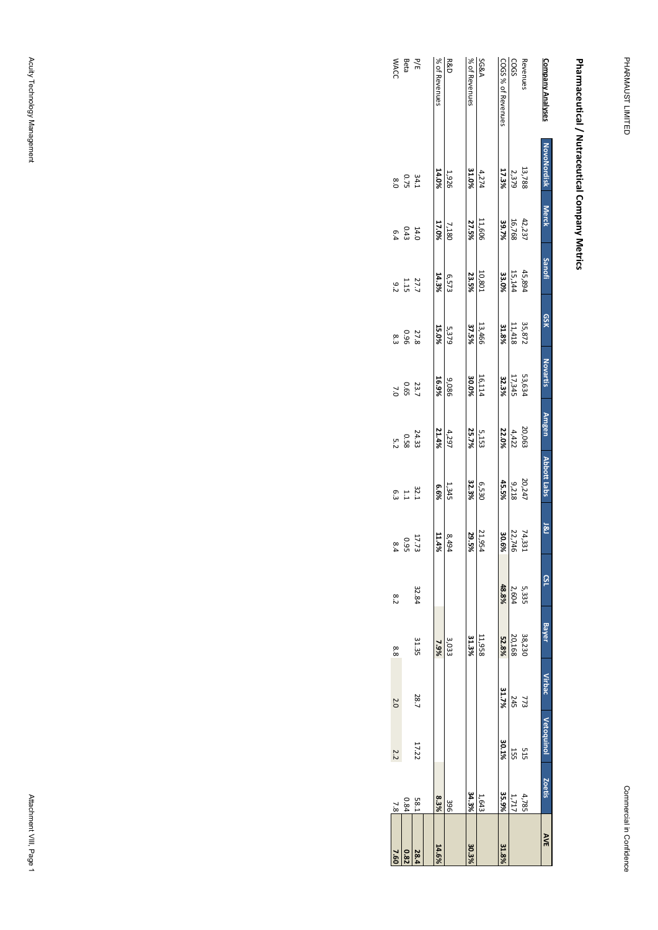# Pharmaceutical / Nutraceutical Company Metrics **Pharmaceutical / Nutraceutical Company Metrics**

| 7.60  | $\frac{7}{8}$ | 2.2        | 2.0           | 8.8          | 8.2        |               | 6.3                                        |                                                      |                     | စ္လ          |                      |                |                       | <b>WACC</b>        |
|-------|---------------|------------|---------------|--------------|------------|---------------|--------------------------------------------|------------------------------------------------------|---------------------|--------------|----------------------|----------------|-----------------------|--------------------|
| 0.82  | 0.84          |            |               |              |            | $0.95$<br>8.4 | $\begin{array}{c} 32.1 \\ 1.1 \end{array}$ | $\begin{array}{c} 24.33 \\ 0.58 \\ 0.52 \end{array}$ | 23.7<br>0.65<br>7.0 | 27.8<br>0.96 | 27.7<br>21.15<br>9.2 | $14.0$<br>0.43 | $34.1$<br>0.75<br>8.0 | P/E<br>Beta        |
| 28.4  | <b>58.1</b>   | 17.22      | 28.7          | 31.35        | 32.84      | 17.73         |                                            |                                                      |                     |              |                      |                |                       |                    |
| 14.6% | 8.3%          |            |               | 7.9%         |            | 11.4%         | 6.6%                                       | 21.4%                                                | 16.9%               | 15.0%        | 14.3%                | 17.0%          | 14.0%                 | % of Revenues      |
|       | 396           |            |               | 3,033        |            | 8,494         | 1,345                                      | 4,297                                                | 980'6               | 5,379        | 6,573                | 7,180          | 1,926                 | <b>R&amp;D</b>     |
| 30.3% | 34.3%         |            |               | 31.3%        |            | 29.5%         | 32.3%                                      | 25.7%                                                | 30.0%               | 37.5%        | 23.5%                | 27.5%          | 31.0%                 | % of Revenues      |
|       | 1,643         |            |               | 11,958       |            | 21,954        | 6,530                                      | 5,153                                                | 16,114              | 13,466       | 10,801               | 11,606         | 4,274                 | <b>SG&amp;A</b>    |
| 31.8% | 35.9%         | 30.1%      | 31.7%         | 52.8%        | 48.8%      | 30.6%         | 45.5%                                      | 22.0%                                                | 32.3%               | 31.8%        | 33.0%                | 39.7%          | 17.3%                 | COGS % of Revenues |
|       | 1,717         | 55L        | <b>245</b>    | 20,168       | 2,604      | 22,746        | 9,218                                      | 4,422                                                | 17,345              | 11,418       | 15,144               | 16,768         | 2,379                 | COGS               |
|       | 4,785         | 515        | 773           | 38,230       | 5,335      | 74,331        | 20,247                                     | 20,063                                               | 53,634              | 35,872       | 45,894               | 42,237         | 13,788                | Revenues           |
| AVE   | Zoetis        | vetoguinol | <b>Virbac</b> | <b>Bayer</b> | <b>SSL</b> | 181           | Abbott Labs                                | <b>Amgen</b>                                         | <b>Novartis</b>     | QSK          | <b>Sanofi</b>        | Merck          | <b>NovoNordisk</b>    | Company Analyses   |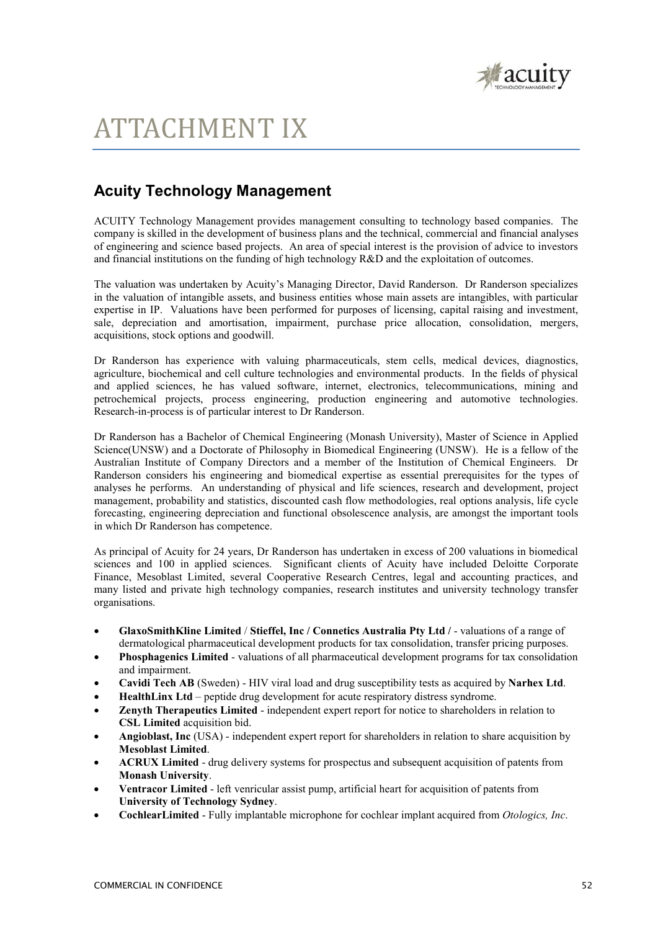

## ATTACHMENT IX

## **Acuity Technology Management**

ACUITY Technology Management provides management consulting to technology based companies. The company is skilled in the development of business plans and the technical, commercial and financial analyses of engineering and science based projects. An area of special interest is the provision of advice to investors and financial institutions on the funding of high technology R&D and the exploitation of outcomes.

The valuation was undertaken by Acuity's Managing Director, David Randerson. Dr Randerson specializes in the valuation of intangible assets, and business entities whose main assets are intangibles, with particular expertise in IP. Valuations have been performed for purposes of licensing, capital raising and investment, sale, depreciation and amortisation, impairment, purchase price allocation, consolidation, mergers, acquisitions, stock options and goodwill.

Dr Randerson has experience with valuing pharmaceuticals, stem cells, medical devices, diagnostics, agriculture, biochemical and cell culture technologies and environmental products. In the fields of physical and applied sciences, he has valued software, internet, electronics, telecommunications, mining and petrochemical projects, process engineering, production engineering and automotive technologies. Research-in-process is of particular interest to Dr Randerson.

Dr Randerson has a Bachelor of Chemical Engineering (Monash University), Master of Science in Applied Science(UNSW) and a Doctorate of Philosophy in Biomedical Engineering (UNSW). He is a fellow of the Australian Institute of Company Directors and a member of the Institution of Chemical Engineers. Dr Randerson considers his engineering and biomedical expertise as essential prerequisites for the types of analyses he performs. An understanding of physical and life sciences, research and development, project management, probability and statistics, discounted cash flow methodologies, real options analysis, life cycle forecasting, engineering depreciation and functional obsolescence analysis, are amongst the important tools in which Dr Randerson has competence.

As principal of Acuity for 24 years, Dr Randerson has undertaken in excess of 200 valuations in biomedical sciences and 100 in applied sciences. Significant clients of Acuity have included Deloitte Corporate Finance, Mesoblast Limited, several Cooperative Research Centres, legal and accounting practices, and many listed and private high technology companies, research institutes and university technology transfer organisations.

- **GlaxoSmithKline Limited** / **Stieffel, Inc / Connetics Australia Pty Ltd /**  valuations of a range of dermatological pharmaceutical development products for tax consolidation, transfer pricing purposes.
- **Phosphagenics Limited** valuations of all pharmaceutical development programs for tax consolidation and impairment.
- **Cavidi Tech AB** (Sweden) HIV viral load and drug susceptibility tests as acquired by **Narhex Ltd**.
- **HealthLinx Ltd** peptide drug development for acute respiratory distress syndrome.
- **Zenyth Therapeutics Limited** independent expert report for notice to shareholders in relation to **CSL Limited** acquisition bid.
- **Angioblast, Inc** (USA) independent expert report for shareholders in relation to share acquisition by **Mesoblast Limited**.
- **ACRUX Limited** drug delivery systems for prospectus and subsequent acquisition of patents from **Monash University**.
- **Ventracor Limited** left venricular assist pump, artificial heart for acquisition of patents from **University of Technology Sydney**.
- **CochlearLimited** Fully implantable microphone for cochlear implant acquired from *Otologics, Inc*.